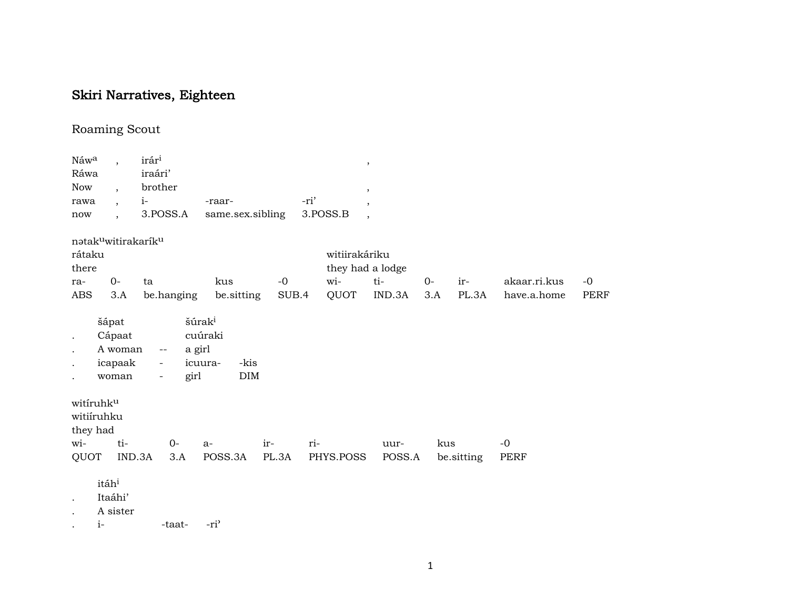## Skiri Narratives, Eighteen

## Roaming Scout

| Náwa                                                      |                                                  |        | irári                                       |                                                         |       |      | $\,$             |                          |      |            |              |             |
|-----------------------------------------------------------|--------------------------------------------------|--------|---------------------------------------------|---------------------------------------------------------|-------|------|------------------|--------------------------|------|------------|--------------|-------------|
| Ráwa                                                      |                                                  |        | iraári'                                     |                                                         |       |      |                  |                          |      |            |              |             |
| <b>Now</b>                                                | $\overline{\phantom{a}}$                         |        | brother                                     |                                                         |       |      |                  | $\,$                     |      |            |              |             |
| rawa                                                      | $\overline{\phantom{a}}$                         |        | $i-$                                        | -raar-                                                  |       | -ri' | $\cdot$          |                          |      |            |              |             |
| now                                                       | $\overline{\phantom{a}}$                         |        | 3.POSS.A                                    | same.sex.sibling                                        |       |      | 3.POSS.B         | $\overline{\phantom{a}}$ |      |            |              |             |
| natakuwitirakariku                                        |                                                  |        |                                             |                                                         |       |      |                  |                          |      |            |              |             |
| rátaku                                                    |                                                  |        |                                             |                                                         |       |      | witiirakáriku    |                          |      |            |              |             |
| there                                                     |                                                  |        |                                             |                                                         |       |      | they had a lodge |                          |      |            |              |             |
| ra-                                                       | $0-$                                             |        | ta                                          | kus                                                     | $-0$  |      | wi-              | ti-                      | $0-$ | ir-        | akaar.ri.kus | $-0$        |
| ABS                                                       | 3.A                                              |        | be.hanging                                  | be.sitting                                              | SUB.4 |      | QUOT             | IND.3A                   | 3.A  | PL.3A      | have.a.home  | <b>PERF</b> |
| $\bullet$<br>$\ddot{\phantom{0}}$<br>$\ddot{\phantom{0}}$ | šápat<br>Cápaat<br>A woman<br>icapaak<br>woman   |        | a girl<br>$-\, -$<br>$\blacksquare$<br>girl | šúrak <sup>i</sup><br>cuúraki<br>-kis<br>icuura-<br>DIM |       |      |                  |                          |      |            |              |             |
| witiruhku<br>witiíruhku<br>they had                       |                                                  |        |                                             |                                                         |       |      |                  |                          |      |            |              |             |
| wi-                                                       |                                                  | ti-    | $0-$                                        | $a-$                                                    | ir-   | ri-  |                  | uur-                     | kus  |            | $-0$         |             |
| QUOT                                                      |                                                  | IND.3A | 3.A                                         | POSS.3A                                                 | PL.3A |      | PHYS.POSS        | POSS.A                   |      | be sitting | PERF         |             |
| $\ddot{\phantom{0}}$                                      | itáh <sup>i</sup><br>Itaáhi'<br>A sister<br>$i-$ |        | -taat-                                      | -ri <sup>3</sup>                                        |       |      |                  |                          |      |            |              |             |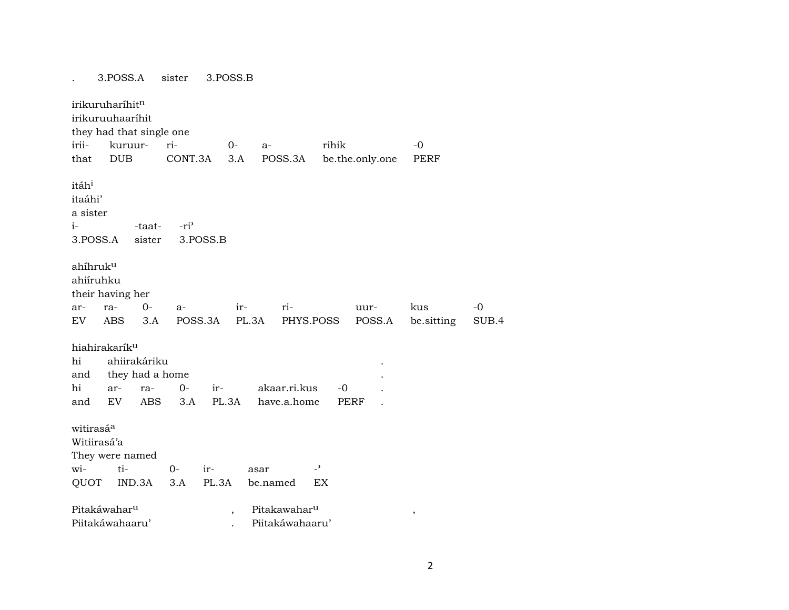|                                                              | 3.POSS.A                                                              | sister            | 3.POSS.B                 |                             |                          |                |                   |               |
|--------------------------------------------------------------|-----------------------------------------------------------------------|-------------------|--------------------------|-----------------------------|--------------------------|----------------|-------------------|---------------|
| irikuruharíhitn<br>irii-<br>that                             | irikuruuhaaríhit<br>they had that single one<br>kuruur-<br><b>DUB</b> | ri-<br>CONT.3A    | $0-$<br>$a-$<br>3.A      | POSS.3A                     | rihik<br>be.the.only.one |                | $-0$<br>PERF      |               |
| itáh <sup>i</sup><br>itaáhi'<br>a sister<br>$i-$<br>3.POSS.A | -taat-<br>sister                                                      | $-ri$<br>3.POSS.B |                          |                             |                          |                |                   |               |
| ahíhruk <sup>u</sup><br>ahiíruhku                            | their having her                                                      |                   |                          |                             |                          |                |                   |               |
| ar-<br>EV.                                                   | $0-$<br>ra-<br><b>ABS</b><br>3.A                                      | a-<br>POSS.3A     | ir-<br>PL.3A             | ri-<br>PHYS.POSS            |                          | uur-<br>POSS.A | kus<br>be sitting | $-0$<br>SUB.4 |
| hiahirakarík <sup>u</sup><br>hi<br>and<br>hi<br>and          | ahiirakáriku<br>they had a home<br>ar-<br>ra-<br>EV<br><b>ABS</b>     | $0-$<br>3.A       | ir-<br>PL.3A             | akaar.ri.kus<br>have.a.home | $-0$<br><b>PERF</b>      |                |                   |               |
| witirasá <sup>a</sup><br>Witiirasá'a                         | They were named                                                       |                   |                          |                             |                          |                |                   |               |
| wi-                                                          | ti-                                                                   | $O -$<br>ir-      | asar                     | $\overline{\phantom{0}}$    |                          |                |                   |               |
| QUOT                                                         | IND.3A                                                                | PL.3A<br>3.A      | be.named                 |                             | EX                       |                |                   |               |
| Pitakáwahar <sup>u</sup>                                     |                                                                       |                   | $\overline{\phantom{a}}$ | Pitakawahar <sup>u</sup>    |                          |                | $\,$              |               |
|                                                              | Piitakáwahaaru'                                                       |                   |                          | Piitakáwahaaru'             |                          |                |                   |               |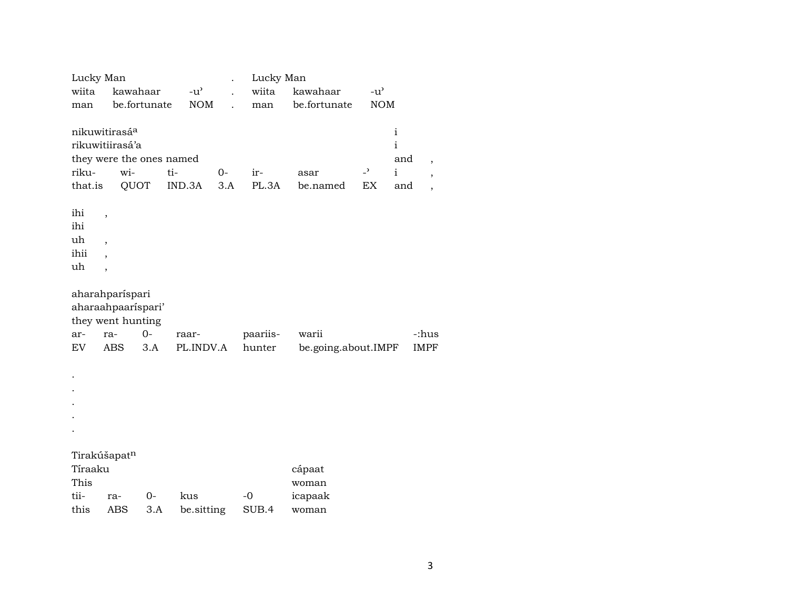|                                                               | Lucky Man                                                 |                                                                            |                    |             | Lucky Man          |                              |                                |                                                 |                                                                        |
|---------------------------------------------------------------|-----------------------------------------------------------|----------------------------------------------------------------------------|--------------------|-------------|--------------------|------------------------------|--------------------------------|-------------------------------------------------|------------------------------------------------------------------------|
| wiita                                                         |                                                           | kawahaar                                                                   | $-u^{\prime}$      |             | wiita              | kawahaar                     | $-u^{\prime}$                  |                                                 |                                                                        |
| man                                                           |                                                           | be.fortunate                                                               | <b>NOM</b>         |             | man                | be.fortunate                 | <b>NOM</b>                     |                                                 |                                                                        |
| nikuwitirasáa<br>riku-<br>that.is<br>ihi<br>ihi<br>uh<br>ihii | ,<br>$\overline{\phantom{a}}$<br>$\overline{\phantom{a}}$ | rikuwitiirasá'a<br>they were the ones named<br>wi-<br>QUOT                 | ti-<br>IND.3A      | $0-$<br>3.A | ir-<br>PL.3A       | asar<br>be.named             | $\overline{\phantom{a}}$<br>EX | $\mathbf{i}$<br>i<br>and<br>$\mathbf{i}$<br>and | $\overline{ }$<br>$\overline{\phantom{a}}$<br>$\overline{\phantom{a}}$ |
| uh                                                            | $\overline{\phantom{a}}$                                  |                                                                            |                    |             |                    |                              |                                |                                                 |                                                                        |
| ar-<br>EV                                                     | ra-<br><b>ABS</b>                                         | aharahparíspari<br>aharaahpaarispari'<br>they went hunting<br>$O -$<br>3.A | raar-<br>PL.INDV.A |             | paariis-<br>hunter | warii<br>be.going.about.IMPF |                                |                                                 | -:hus<br><b>IMPF</b>                                                   |
|                                                               |                                                           |                                                                            |                    |             |                    |                              |                                |                                                 |                                                                        |
|                                                               |                                                           |                                                                            |                    |             |                    |                              |                                |                                                 |                                                                        |
|                                                               |                                                           |                                                                            |                    |             |                    |                              |                                |                                                 |                                                                        |
|                                                               |                                                           |                                                                            |                    |             |                    |                              |                                |                                                 |                                                                        |
|                                                               |                                                           |                                                                            |                    |             |                    |                              |                                |                                                 |                                                                        |
| Tirakúšapat <sup>n</sup><br>Tíraaku<br>This                   |                                                           |                                                                            |                    |             |                    | cápaat<br>woman              |                                |                                                 |                                                                        |
| tii-                                                          | ra-                                                       | $0-$                                                                       | kus                |             | $-0$               | icapaak                      |                                |                                                 |                                                                        |
| this                                                          |                                                           | <b>ABS</b><br>3.A                                                          | be.sitting         |             | SUB.4              | woman                        |                                |                                                 |                                                                        |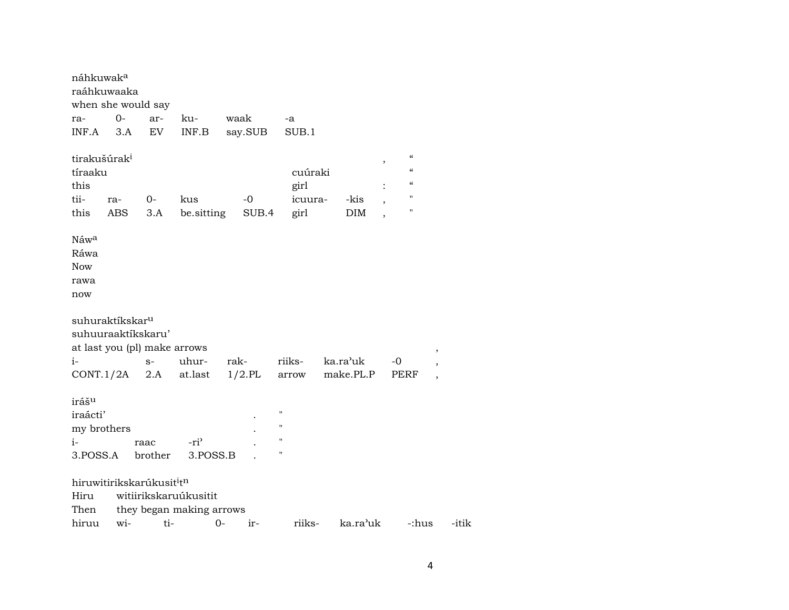| náhkuwaka                                                        |            |                                                   |                              |               |                                                                                      |                    |                                                                                                                          |                          |
|------------------------------------------------------------------|------------|---------------------------------------------------|------------------------------|---------------|--------------------------------------------------------------------------------------|--------------------|--------------------------------------------------------------------------------------------------------------------------|--------------------------|
| raáhkuwaaka                                                      |            |                                                   |                              |               |                                                                                      |                    |                                                                                                                          |                          |
| when she would say                                               |            |                                                   |                              |               |                                                                                      |                    |                                                                                                                          |                          |
| ra-                                                              | $O -$      | ar-                                               | ku-                          | waak          | -a                                                                                   |                    |                                                                                                                          |                          |
| INF.A                                                            | 3.A        | EV                                                | INF.B                        | say.SUB       | SUB.1                                                                                |                    |                                                                                                                          |                          |
| tirakušúrak <sup>i</sup><br>tíraaku<br>this<br>tii-<br>this      | ra-<br>ABS | $0-$<br>3.A                                       | kus<br>be.sitting            | $-0$<br>SUB.4 | cuúraki<br>girl<br>icuura-<br>girl                                                   | -kis<br><b>DIM</b> | $\boldsymbol{\mathcal{C}}$<br>,<br>$\mathcal{C}$<br>$\mathcal{C}\mathcal{C}$<br>$\pmb{\mathsf{H}}$<br>$\pmb{\mathsf{H}}$ |                          |
| Náwa<br>Ráwa<br><b>Now</b><br>rawa<br>now                        |            |                                                   |                              |               |                                                                                      |                    |                                                                                                                          |                          |
| suhuraktíkskar <sup>u</sup><br>suhuuraaktíkskaru'                |            | at last you (pl) make arrows                      |                              |               |                                                                                      |                    |                                                                                                                          |                          |
| $i-$                                                             |            | $S-$                                              | uhur-                        | rak-          | riiks-                                                                               | ka.ra'uk           | -0                                                                                                                       | $\, ,$                   |
| CONT.1/2A                                                        |            | 2.A                                               | at.last                      | $1/2$ .PL     | arrow                                                                                | make.PL.P          | <b>PERF</b>                                                                                                              | $\overline{\phantom{a}}$ |
| iráš <sup>u</sup><br>iraácti'<br>my brothers<br>$i-$<br>3.POSS.A |            | raac<br>brother                                   | -ri <sup>3</sup><br>3.POSS.B |               | $\pmb{\mathsf{H}}$<br>$\pmb{\mathsf{H}}$<br>$\pmb{\mathsf{H}}$<br>$\pmb{\mathsf{H}}$ |                    |                                                                                                                          |                          |
|                                                                  |            | hiruwitirikskarúkusit <sup>i</sup> t <sup>n</sup> |                              |               |                                                                                      |                    |                                                                                                                          |                          |
| Hiru                                                             |            |                                                   | witiirikskaruúkusitit        |               |                                                                                      |                    |                                                                                                                          |                          |
| Then                                                             |            |                                                   | they began making arrows     |               |                                                                                      |                    |                                                                                                                          |                          |
| hiruu                                                            | wi-        | ti-                                               |                              | $0-$<br>ir-   | riiks-                                                                               | ka.ra'uk           | -:hus                                                                                                                    | -itik                    |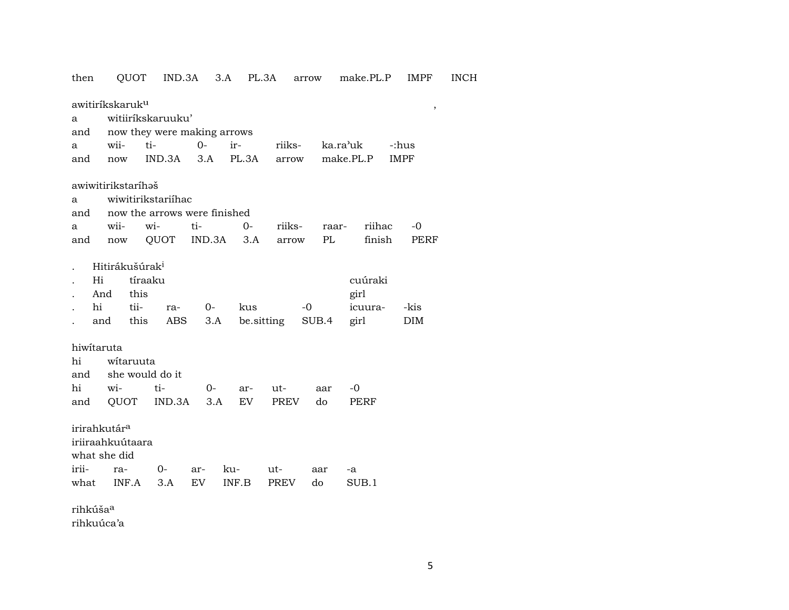| then                     | QUOT                                      |                              | IND.3A        | 3.A PL.3A   |            | arrow       | make.PL.P             | <b>IMPF</b>       | <b>INCH</b> |
|--------------------------|-------------------------------------------|------------------------------|---------------|-------------|------------|-------------|-----------------------|-------------------|-------------|
|                          | awitiríkskaruk <sup>u</sup>               |                              |               |             |            |             |                       | $\, ,$            |             |
| a                        |                                           | witiiríkskaruuku'            |               |             |            |             |                       |                   |             |
| and                      |                                           | now they were making arrows  |               |             |            |             |                       |                   |             |
| a                        | wii-                                      | ti-                          | $O -$         | ir-         | riiks-     |             | ka.ra <sup>,</sup> uk | -:hus             |             |
| and                      | now                                       | IND.3A                       | 3.A           | PL.3A       | arrow      |             | make.PL.P             | <b>IMPF</b>       |             |
|                          |                                           |                              |               |             |            |             |                       |                   |             |
|                          | awiwitirikstaríhəš                        |                              |               |             |            |             |                       |                   |             |
| a                        |                                           | wiwitirikstariíhac           |               |             |            |             |                       |                   |             |
| and                      |                                           | now the arrows were finished |               |             |            |             |                       |                   |             |
| a                        | wii-                                      | wi-<br>QUOT                  | ti-<br>IND.3A | $0-$<br>3.A | riiks-     | raar-<br>PL | riihac<br>finish      | -0<br><b>PERF</b> |             |
| and                      | now                                       |                              |               |             | arrow      |             |                       |                   |             |
| Hi                       | Hitirákušúrak <sup>i</sup><br>And<br>this | tíraaku                      |               |             |            |             | cuúraki<br>girl       |                   |             |
| hi                       | tii-                                      | ra-                          | $0-$          | kus         | $-0$       |             | icuura-               | -kis              |             |
|                          | this<br>and                               | ABS                          | 3.A           |             | be sitting | SUB.4       | girl                  | <b>DIM</b>        |             |
| hiwitaruta<br>hi<br>and  | witaruuta                                 | she would do it              |               |             |            |             |                       |                   |             |
| hi                       | wi-                                       | ti-                          | 0-            | ar-         | ut-        | aar         | $-0$                  |                   |             |
| and                      | QUOT                                      | IND.3A                       | 3.A           | EV          | PREV       | do          | PERF                  |                   |             |
| irirahkutár <sup>a</sup> | iriiraahkuútaara<br>what she did          |                              |               |             |            |             |                       |                   |             |
| irii-                    | ra-                                       | $O -$                        | ar-           | ku-         | ut-        | aar         | -a                    |                   |             |
| what                     | INF.A                                     | 3.A                          | EV            | INF.B       | PREV       | do          | SUB.1                 |                   |             |
| rihkúša <sup>a</sup>     |                                           |                              |               |             |            |             |                       |                   |             |

rihkuúca'a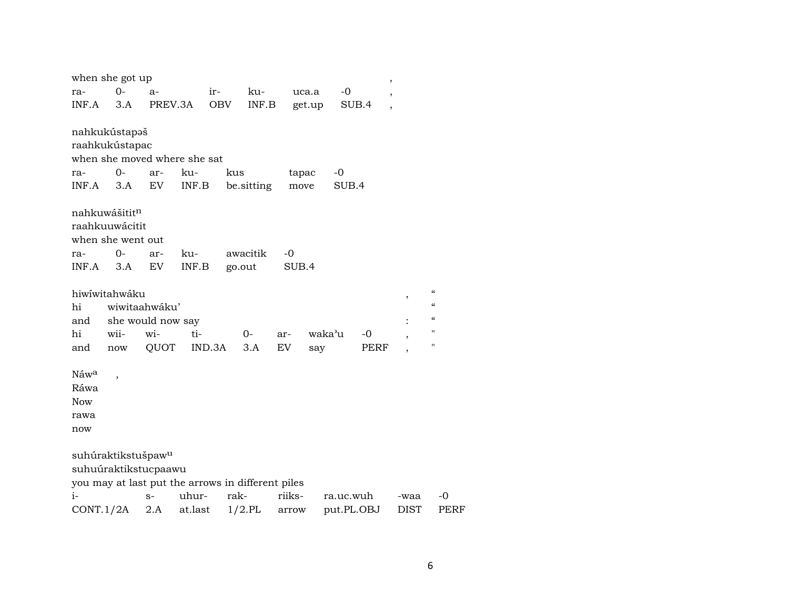|                  | when she got up                                        |                   |         |      |            |        |        |            | $\overline{\phantom{a}}$ |             |                            |      |
|------------------|--------------------------------------------------------|-------------------|---------|------|------------|--------|--------|------------|--------------------------|-------------|----------------------------|------|
| ra-              | $O -$                                                  | $a-$              |         | ir-  | ku-        |        | uca.a  | $-0$       |                          |             |                            |      |
| INF.A            | 3.A                                                    |                   | PREV.3A | OBV  | INF.B      |        | get.up | SUB.4      |                          |             |                            |      |
|                  |                                                        |                   |         |      |            |        |        |            |                          |             |                            |      |
|                  | nahkukústapaš                                          |                   |         |      |            |        |        |            |                          |             |                            |      |
|                  | raahkukústapac                                         |                   |         |      |            |        |        |            |                          |             |                            |      |
|                  | when she moved where she sat                           |                   |         |      |            |        |        |            |                          |             |                            |      |
| ra-              | 0-                                                     | ar-               | ku-     | kus  |            | tapac  |        | $-0$       |                          |             |                            |      |
| INF.A            | 3.A                                                    | ${\rm EV}$        | INF.B   |      | be.sitting | move   |        | SUB.4      |                          |             |                            |      |
|                  | nahkuwášititn                                          |                   |         |      |            |        |        |            |                          |             |                            |      |
|                  | raahkuuwácitit                                         |                   |         |      |            |        |        |            |                          |             |                            |      |
|                  | when she went out                                      |                   |         |      |            |        |        |            |                          |             |                            |      |
| ra-              | $0-$                                                   | ar-               | ku-     |      | awacitik   | $-0$   |        |            |                          |             |                            |      |
| INF.A            | 3.A                                                    | EV                | INF.B   |      | go.out     | SUB.4  |        |            |                          |             |                            |      |
|                  |                                                        |                   |         |      |            |        |        |            |                          |             |                            |      |
|                  | hiwiwitahwáku                                          |                   |         |      |            |        |        |            |                          | ,           | $\epsilon$                 |      |
| hi               |                                                        | wiwitaahwáku'     |         |      |            |        |        |            |                          |             | $\boldsymbol{\mathcal{C}}$ |      |
| and              |                                                        | she would now say |         |      |            |        |        |            |                          |             | $\boldsymbol{\mathcal{C}}$ |      |
| hi               | wii-                                                   | wi-               | ti-     |      | 0-         | ar-    | waka'u |            | -0                       | ,           | $\pmb{\mathsf{H}}$         |      |
| and              | now                                                    | QUOT              | IND.3A  |      | 3.A        | EV.    | say    |            | PERF                     |             | $\pmb{\mathsf{H}}$         |      |
|                  |                                                        |                   |         |      |            |        |        |            |                          |             |                            |      |
| Náw <sup>a</sup> | $\overline{\phantom{a}}$                               |                   |         |      |            |        |        |            |                          |             |                            |      |
| Ráwa             |                                                        |                   |         |      |            |        |        |            |                          |             |                            |      |
| <b>Now</b>       |                                                        |                   |         |      |            |        |        |            |                          |             |                            |      |
| rawa             |                                                        |                   |         |      |            |        |        |            |                          |             |                            |      |
| now              |                                                        |                   |         |      |            |        |        |            |                          |             |                            |      |
|                  |                                                        |                   |         |      |            |        |        |            |                          |             |                            |      |
|                  | suhúraktikstušpaw <sup>u</sup><br>suhuúraktikstucpaawu |                   |         |      |            |        |        |            |                          |             |                            |      |
|                  | you may at last put the arrows in different piles      |                   |         |      |            |        |        |            |                          |             |                            |      |
| $i-$             |                                                        | $S-$              | uhur-   | rak- |            | riiks- |        | ra.uc.wuh  |                          | -waa        | -0                         |      |
| CONT.1/2A        |                                                        | 2.A               | at.last |      | $1/2$ .PL  | arrow  |        | put.PL.OBJ |                          | <b>DIST</b> |                            | PERF |
|                  |                                                        |                   |         |      |            |        |        |            |                          |             |                            |      |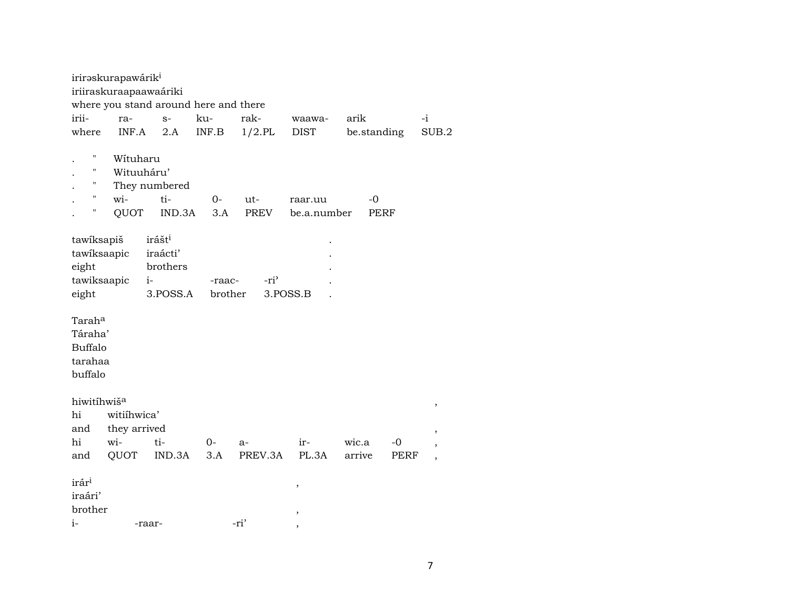|                                                            | irirəskurapawárik <sup>i</sup>                                        |                                                                |                                                     |                  |                        |                 |                   |                                |  |  |  |  |
|------------------------------------------------------------|-----------------------------------------------------------------------|----------------------------------------------------------------|-----------------------------------------------------|------------------|------------------------|-----------------|-------------------|--------------------------------|--|--|--|--|
|                                                            | iriiraskuraapaawaáriki                                                |                                                                |                                                     |                  |                        |                 |                   |                                |  |  |  |  |
|                                                            | where you stand around here and there                                 |                                                                |                                                     |                  |                        |                 |                   |                                |  |  |  |  |
| irii-                                                      | ra-                                                                   | $S-$                                                           | ku-                                                 | rak-             | waawa-                 | arik            |                   | $-i$                           |  |  |  |  |
| where                                                      | INF.A                                                                 | 2.A                                                            | $\ensuremath{\mathsf{INF}}.\ensuremath{\mathsf{B}}$ | $1/2$ .PL        | <b>DIST</b>            |                 | be.standing       | SUB.2                          |  |  |  |  |
| Н<br>Ħ<br>н<br>$\mathbf{H}$<br>н                           | Wituharu<br>Wituuháru'<br>wi-<br>QUOT                                 | They numbered<br>ti-<br>IND.3A                                 | $O -$<br>3.A                                        | ut-<br>PREV      | raar.uu<br>be.a.number |                 | -0<br><b>PERF</b> |                                |  |  |  |  |
| tawiksapiš<br>tawiksaapic<br>eight<br>tawiksaapic<br>eight |                                                                       | irášt <sup>i</sup><br>iraácti'<br>brothers<br>$i-$<br>3.POSS.A | -raac-<br>brother                                   | -ri <sup>3</sup> | 3.POSS.B               |                 |                   |                                |  |  |  |  |
|                                                            | Tarah <sup>a</sup><br>Táraha'<br><b>Buffalo</b><br>tarahaa<br>buffalo |                                                                |                                                     |                  |                        |                 |                   |                                |  |  |  |  |
| hiwitíhwiš <sup>a</sup><br>hi<br>and<br>hi<br>and          | witiihwica'<br>they arrived<br>wi-<br>QUOT                            | ti-<br>IND.3A                                                  | $0-$<br>3.A                                         | $a-$<br>PREV.3A  | ir-<br>PL.3A           | wic.a<br>arrive | -0<br>PERF        | $\,$<br>$\,$<br>$\overline{ }$ |  |  |  |  |
| irár <sup>i</sup><br>iraári'<br>brother<br>$i-$            |                                                                       | -raar-                                                         |                                                     | -ri'             | ,<br>,<br>,            |                 |                   |                                |  |  |  |  |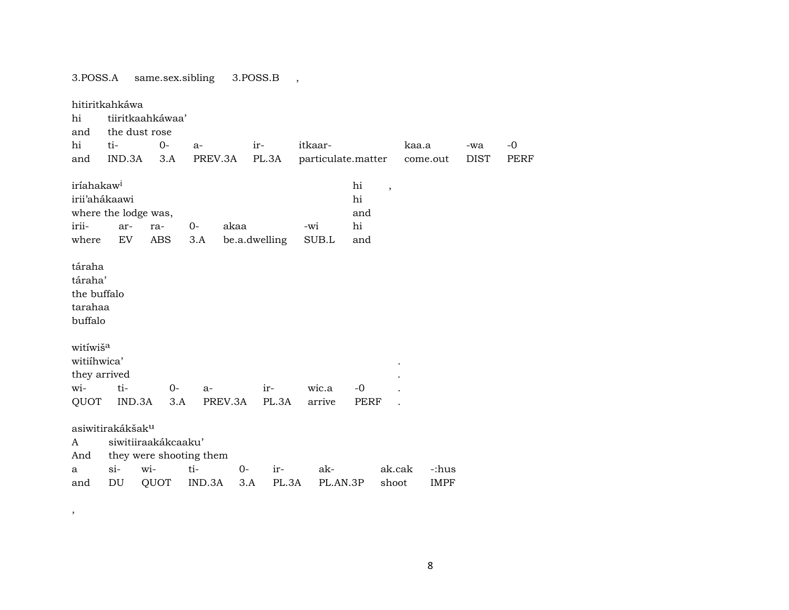3.POSS.A same.sex.sibling 3.POSS.B ,

,

hitiritkahkáwa hi tiiritkaahkáwaa' and the dust rose hi ti- 0- a- ir- itkaar- kaa.a -wa -0 and IND.3A 3.A PREV.3A PL.3A particulate.matter come.out DIST PERF  $\it irfahakaw^i$  ,  $\it hif$  ,  $\it hif$  ,  $\it hif$  ,  $\it hif$ irii'ahákaawi hi where the lodge was, and and and and and and and and  $\alpha$ irii- ar- ra- 0- akaa -wi hi where EV ABS 3.A be.a.dwelling SUB.L and táraha táraha' the buffalo tarahaa buffalo witíwiš<sup>a</sup> witiíhwica' . they arrived wi- ti- 0- a- ir- wic.a -0 . QUOT IND.3A 3.A PREV.3A PL.3A arrive PERF . asiwitirakákšak<sup>u</sup> A siwitiiraakákcaaku' And they were shooting them a si- wi- ti- 0- ir- ak- ak.cak -:hus and DU QUOT IND.3A 3.A PL.3A PL.AN.3P shoot IMPF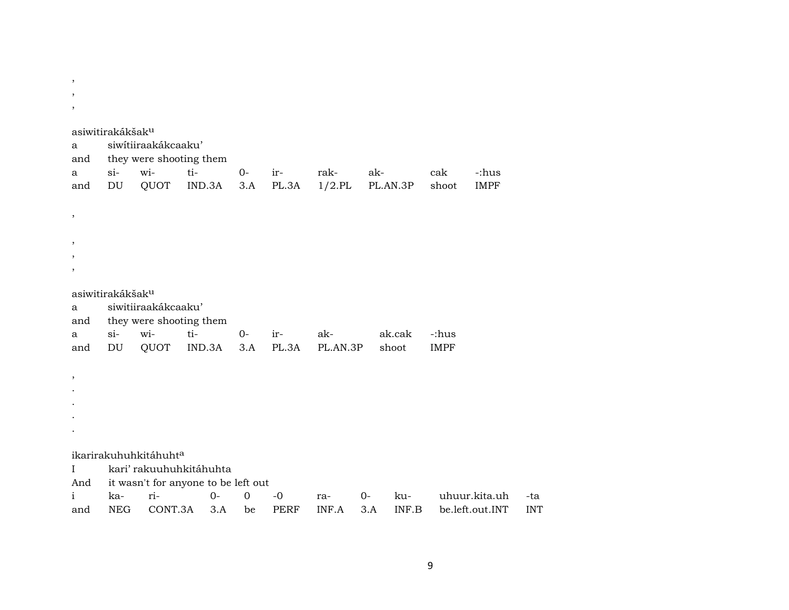| ,<br>$\cdot$             |                                             |                                    |                                          |             |                     |                   |             |                 |                      |                                  |                   |
|--------------------------|---------------------------------------------|------------------------------------|------------------------------------------|-------------|---------------------|-------------------|-------------|-----------------|----------------------|----------------------------------|-------------------|
| a<br>and<br>a<br>and     | asiwitirakákšak <sup>u</sup><br>$si-$<br>DU | siwítiiraakákcaaku'<br>wi-<br>QUOT | they were shooting them<br>ti-<br>IND.3A | $0-$<br>3.A | ir-<br>PL.3A        | rak-<br>$1/2$ .PL | ak-         | PL.AN.3P        | cak<br>shoot         | -:hus<br><b>IMPF</b>             |                   |
| ,                        |                                             |                                    |                                          |             |                     |                   |             |                 |                      |                                  |                   |
| ,                        |                                             |                                    |                                          |             |                     |                   |             |                 |                      |                                  |                   |
|                          | asiwitirakákšak <sup>u</sup>                |                                    |                                          |             |                     |                   |             |                 |                      |                                  |                   |
| a<br>and                 |                                             | siwitiiraakákcaaku'                | they were shooting them                  |             |                     |                   |             |                 |                      |                                  |                   |
| a<br>and                 | $si-$<br>DU                                 | wi-<br>QUOT                        | ti-<br>IND.3A                            | $0-$<br>3.A | ir-<br>PL.3A        | ak-<br>PL.AN.3P   |             | ak.cak<br>shoot | -:hus<br><b>IMPF</b> |                                  |                   |
| $\overline{\phantom{a}}$ |                                             |                                    |                                          |             |                     |                   |             |                 |                      |                                  |                   |
|                          |                                             |                                    |                                          |             |                     |                   |             |                 |                      |                                  |                   |
|                          |                                             |                                    |                                          |             |                     |                   |             |                 |                      |                                  |                   |
|                          |                                             |                                    |                                          |             |                     |                   |             |                 |                      |                                  |                   |
|                          |                                             | ikarirakuhuhkitáhuht <sup>a</sup>  |                                          |             |                     |                   |             |                 |                      |                                  |                   |
| Ι                        |                                             |                                    | kari' rakuuhuhkitáhuhta                  |             |                     |                   |             |                 |                      |                                  |                   |
| And                      |                                             |                                    | it wasn't for anyone to be left out      |             |                     |                   |             |                 |                      |                                  |                   |
| $\mathbf{i}$             | ka-<br><b>NEG</b>                           | ri-<br>CONT.3A                     | $O -$<br>3.A                             | $\mathbf 0$ | $-0$<br><b>PERF</b> | ra-<br>INF.A      | $0-$<br>3.A | ku-<br>INF.B    |                      | uhuur.kita.uh<br>be.left.out.INT | -ta<br><b>INT</b> |
| and                      |                                             |                                    |                                          | be          |                     |                   |             |                 |                      |                                  |                   |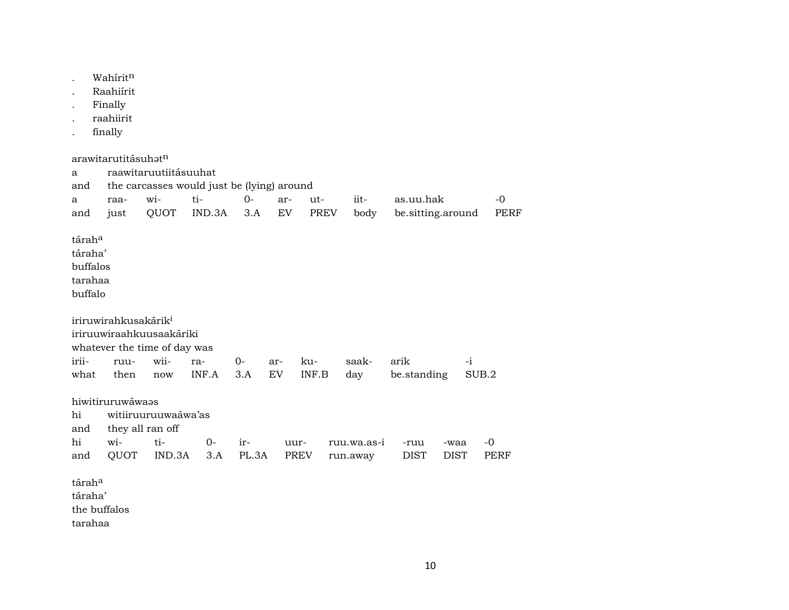|                                                                        | Wahiritn<br>Raahiírit<br>Finally<br>raahiirit<br>finally |                                                                            |              |              |           |                                  |                         |                     |                     |                   |
|------------------------------------------------------------------------|----------------------------------------------------------|----------------------------------------------------------------------------|--------------|--------------|-----------|----------------------------------|-------------------------|---------------------|---------------------|-------------------|
| a<br>and<br>a                                                          | arawitarutitásuhat <sup>n</sup><br>raa-                  | raawitaruutiitásuuhat<br>the carcasses would just be (lying) around<br>wi- | ti-          | $O -$<br>3.A | ar-<br>EV | ut-                              | iit-                    | as.uu.hak           |                     | -0<br><b>PERF</b> |
| and<br>tárah <sup>a</sup><br>táraha'<br>buffalos<br>tarahaa<br>buffalo | just                                                     | QUOT                                                                       | IND.3A       |              |           | PREV                             | body                    | be.sitting.around   |                     |                   |
| irii-<br>what                                                          | iriruwirahkusakárik <sup>i</sup><br>ruu-<br>then         | iriruuwiraahkuusaakáriki<br>whatever the time of day was<br>wii-<br>now    | ra-<br>INF.A | $0-$<br>3.A  | ar-<br>EV | ku-<br>$\textsf{INF}.\textsf{B}$ | saak-<br>day            | arik<br>be.standing | $-i$                | SUB.2             |
| hi<br>and<br>hi<br>and                                                 | hiwitiruruwáwaas<br>wi-<br>QUOT                          | witiiruuruuwaáwa'as<br>they all ran off<br>ti-<br>IND.3A                   | $0-$<br>3.A  | ir-<br>PL.3A | uur-      | PREV                             | ruu.wa.as-i<br>run.away | -ruu<br><b>DIST</b> | -waa<br><b>DIST</b> | $-0$<br>PERF      |
| tárah <sup>a</sup><br>táraha'<br>tarahaa                               | the buffalos                                             |                                                                            |              |              |           |                                  |                         |                     |                     |                   |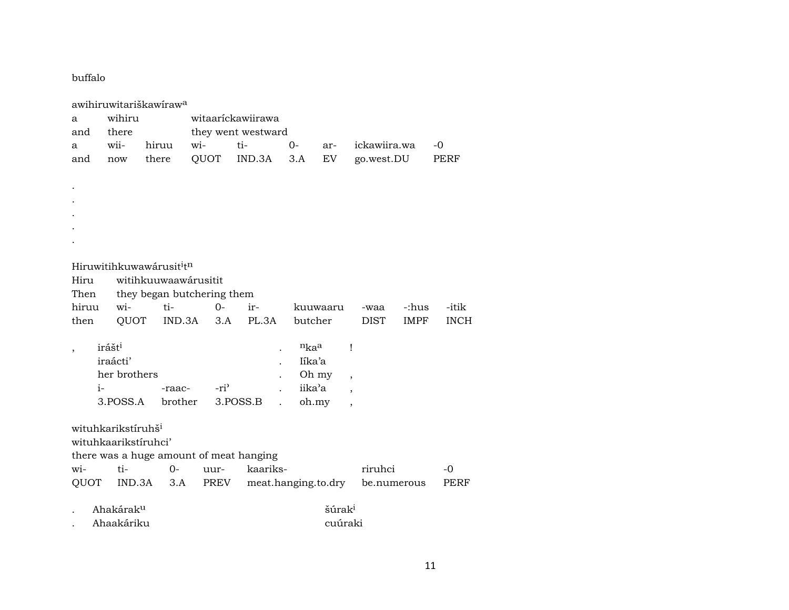buffalo

| a<br>and    | wihiru<br>there                                                                                                                                                                                                               | awihiruwitariškawiraw <sup>a</sup>   |                  | witaarickawiirawa<br>they went westward |                                         |                               |              |             |             |  |
|-------------|-------------------------------------------------------------------------------------------------------------------------------------------------------------------------------------------------------------------------------|--------------------------------------|------------------|-----------------------------------------|-----------------------------------------|-------------------------------|--------------|-------------|-------------|--|
| a           | wii-                                                                                                                                                                                                                          | hiruu                                | wi-              | ti-                                     | 0-                                      | ar-                           | ickawiira.wa |             | -0          |  |
| and         | now                                                                                                                                                                                                                           | there                                | QUOT             | IND.3A                                  | 3.A                                     | EV                            | go.west.DU   |             | PERF        |  |
|             |                                                                                                                                                                                                                               |                                      |                  |                                         |                                         |                               |              |             |             |  |
|             |                                                                                                                                                                                                                               |                                      |                  |                                         |                                         |                               |              |             |             |  |
|             |                                                                                                                                                                                                                               |                                      |                  |                                         |                                         |                               |              |             |             |  |
|             |                                                                                                                                                                                                                               |                                      |                  |                                         |                                         |                               |              |             |             |  |
|             |                                                                                                                                                                                                                               |                                      |                  |                                         |                                         |                               |              |             |             |  |
|             |                                                                                                                                                                                                                               |                                      |                  |                                         |                                         |                               |              |             |             |  |
|             |                                                                                                                                                                                                                               |                                      |                  |                                         |                                         |                               |              |             |             |  |
|             |                                                                                                                                                                                                                               | Hiruwitihkuwawárusit <sup>i</sup> tn |                  |                                         |                                         |                               |              |             |             |  |
| Hiru        |                                                                                                                                                                                                                               | witihkuuwaawárusitit                 |                  |                                         |                                         |                               |              |             |             |  |
| Then        |                                                                                                                                                                                                                               | they began butchering them           |                  |                                         |                                         |                               |              |             |             |  |
| hiruu       | wi-                                                                                                                                                                                                                           | ti-                                  | $0-$             | ir-                                     |                                         | kuuwaaru                      | -waa         | -:hus       | -itik       |  |
| then        | QUOT                                                                                                                                                                                                                          | IND.3A                               | 3.A              | PL.3A                                   | butcher                                 |                               | <b>DIST</b>  | <b>IMPF</b> | <b>INCH</b> |  |
|             | irášt <sup>i</sup><br>iraácti'<br>her brothers<br>$i-$<br>3.POSS.A                                                                                                                                                            | -raac-<br>brother                    | -ri <sup>2</sup> | 3.POSS.B                                | $n_{ka}$ a<br>Iíka'a<br>iika'a<br>oh.my | Oh my                         | Ţ            |             |             |  |
| wi-<br>QUOT | wituhkarikstíruhš <sup>i</sup><br>wituhkaarikstíruhci'<br>there was a huge amount of meat hanging<br>ti-<br>kaariks-<br>riruhci<br>$O -$<br>-0<br>uur-<br>IND.3A<br>meat.hanging.to.dry<br>3.A<br>PREV<br>PERF<br>be.numerous |                                      |                  |                                         |                                         |                               |              |             |             |  |
|             | Ahakárak <sup>u</sup><br>Ahaakáriku                                                                                                                                                                                           |                                      |                  |                                         |                                         | šúrak <sup>i</sup><br>cuúraki |              |             |             |  |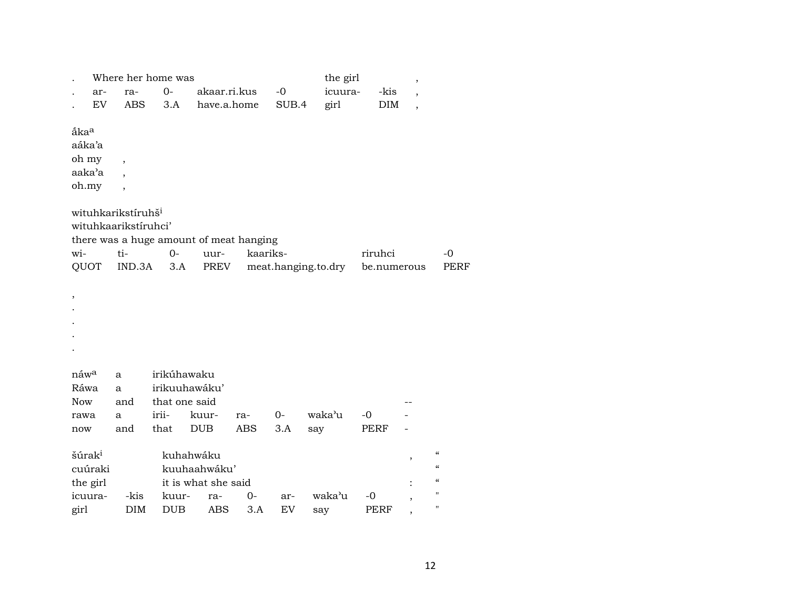|                                           | ar-<br><b>EV</b> | ra-<br><b>ABS</b>                                             | Where her home was<br>$O -$<br>3.A | akaar.ri.kus<br>have.a.home                      |                   | $-0$<br>SUB.4 | the girl<br>icuura-<br>girl | -kis<br><b>DIM</b> | $\, ,$<br>$\overline{\phantom{a}}$ |                                                                                                  |
|-------------------------------------------|------------------|---------------------------------------------------------------|------------------------------------|--------------------------------------------------|-------------------|---------------|-----------------------------|--------------------|------------------------------------|--------------------------------------------------------------------------------------------------|
| åka <sup>a</sup><br>aáka'a<br>oh my       |                  |                                                               |                                    |                                                  |                   |               |                             |                    |                                    |                                                                                                  |
| aaka'a<br>oh.my                           |                  | $\cdot$                                                       |                                    |                                                  |                   |               |                             |                    |                                    |                                                                                                  |
| wi-                                       |                  | wituhkarikstíruhš <sup>i</sup><br>wituhkaarikstíruhci'<br>ti- | $O -$                              | there was a huge amount of meat hanging<br>uur-  | kaariks-          |               |                             | riruhci            |                                    | -0                                                                                               |
| QUOT                                      |                  | IND.3A                                                        | 3.A                                | PREV                                             |                   |               | meat.hanging.to.dry         | be.numerous        |                                    | <b>PERF</b>                                                                                      |
| $\, ,$                                    |                  |                                                               |                                    |                                                  |                   |               |                             |                    |                                    |                                                                                                  |
|                                           |                  |                                                               | irikúhawaku                        |                                                  |                   |               |                             |                    |                                    |                                                                                                  |
| náw <sup>a</sup><br>Ráwa<br><b>Now</b>    |                  | a<br>a<br>and                                                 | irikuuhawáku'<br>that one said     |                                                  |                   |               |                             |                    |                                    |                                                                                                  |
| rawa<br>now                               |                  | a<br>and                                                      | irii-<br>that                      | kuur-<br><b>DUB</b>                              | ra-<br><b>ABS</b> | $0-$<br>3.A   | waka'u<br>say               | -0<br>PERF         |                                    |                                                                                                  |
| šúrak <sup>i</sup><br>cuúraki<br>the girl |                  |                                                               |                                    | kuhahwáku<br>kuuhaahwáku'<br>it is what she said |                   |               |                             |                    | $\overline{\phantom{a}}$           | $\boldsymbol{\zeta}\boldsymbol{\zeta}$<br>$\boldsymbol{\zeta}\boldsymbol{\zeta}$<br>$\zeta\zeta$ |
| icuura-<br>girl                           |                  | -kis<br><b>DIM</b>                                            | kuur-<br><b>DUB</b>                | ra-<br><b>ABS</b>                                | 0-<br>3.A         | ar-<br>EV     | waka'u<br>say               | -0<br>PERF         |                                    | $\blacksquare$<br>$\blacksquare$                                                                 |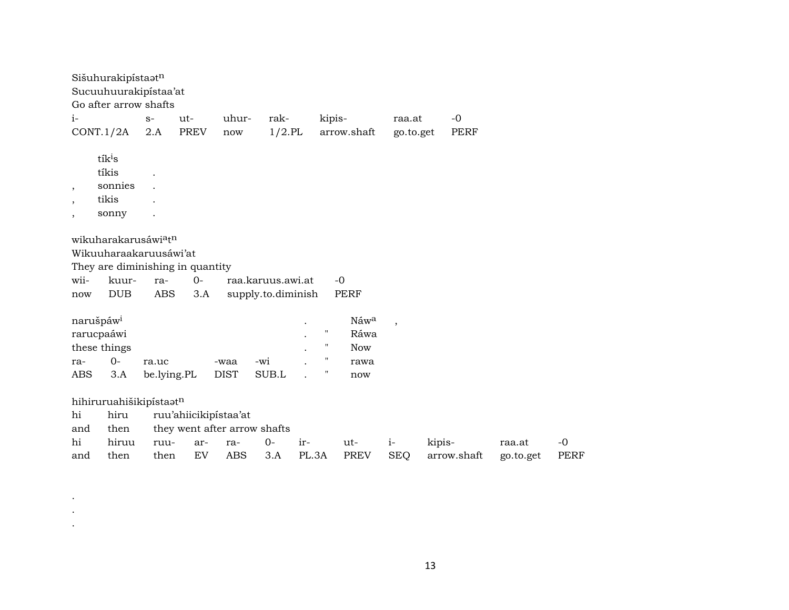| Sišuhurakipístaatn<br>Sucuuhuurakipistaa'at<br>Go after arrow shafts                                                                             |                      |                                    |                                                   |                                         |                                                                                      |                                           |                    |                       |                     |                     |
|--------------------------------------------------------------------------------------------------------------------------------------------------|----------------------|------------------------------------|---------------------------------------------------|-----------------------------------------|--------------------------------------------------------------------------------------|-------------------------------------------|--------------------|-----------------------|---------------------|---------------------|
| $i-$                                                                                                                                             | $S-$                 | ut-                                | uhur-                                             | rak-                                    | kipis-                                                                               |                                           | raa.at             | $-0$                  |                     |                     |
| CONT.1/2A                                                                                                                                        | 2.A                  | <b>PREV</b>                        | now                                               | $1/2$ .PL                               |                                                                                      | arrow.shaft                               | go.to.get          | <b>PERF</b>           |                     |                     |
| tík <sup>i</sup> s<br>tíkis<br>sonnies<br>$\overline{\phantom{a}}$<br>tikis<br>$\cdot$<br>sonny<br>$\cdot$                                       |                      |                                    |                                                   |                                         |                                                                                      |                                           |                    |                       |                     |                     |
| wikuharakarusáwi <sup>a</sup> t <sup>n</sup><br>Wikuuharaakaruusáwi'at<br>They are diminishing in quantity<br>wii-<br>kuur-<br><b>DUB</b><br>now | ra-<br><b>ABS</b>    | $0 -$<br>3.A                       |                                                   | raa.karuus.awi.at<br>supply.to.diminish |                                                                                      | $-0$<br><b>PERF</b>                       |                    |                       |                     |                     |
| narušpáw <sup>i</sup><br>rarucpaáwi<br>these things<br>$0 -$<br>ra-<br><b>ABS</b><br>3.A                                                         | ra.uc<br>be.lying.PL |                                    | -waa<br><b>DIST</b>                               | -wi<br>SUB.L                            | $\pmb{\mathsf{H}}$<br>$\pmb{\mathsf{H}}$<br>$\pmb{\mathsf{H}}$<br>$\pmb{\mathsf{H}}$ | Náwa<br>Ráwa<br><b>Now</b><br>rawa<br>now | $\cdot$            |                       |                     |                     |
| hihiruruahišikipistaatn<br>hi<br>hiru<br>then<br>and<br>hi<br>hiruu<br>then<br>and                                                               | ruu-<br>then         | ruu'ahiicikipístaa'at<br>ar-<br>EV | they went after arrow shafts<br>ra-<br><b>ABS</b> | $0-$<br>ir-<br>3.A                      | PL.3A                                                                                | ut-<br><b>PREV</b>                        | $i-$<br><b>SEQ</b> | kipis-<br>arrow.shaft | raa.at<br>go.to.get | $-0$<br><b>PERF</b> |

. . .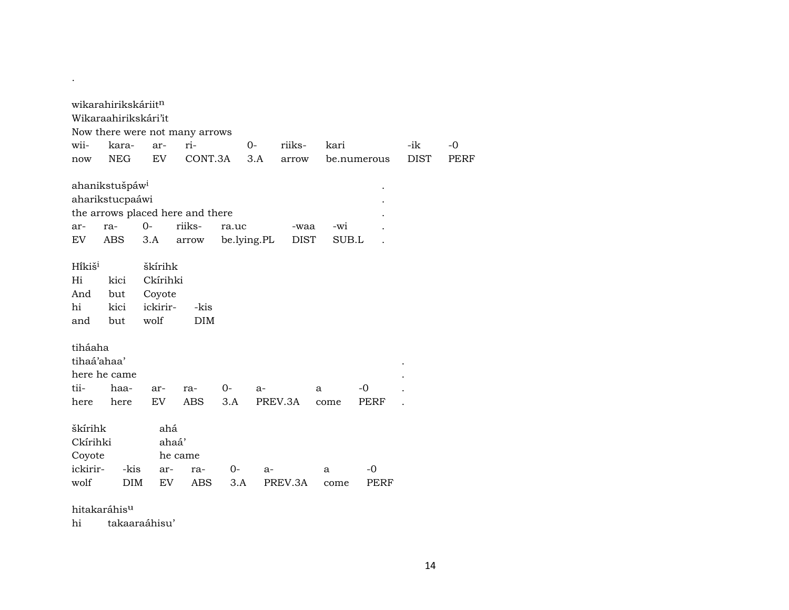|                    | wikarahirikskáriitn<br>Wikaraahirikskári'it |                    |                                  |             |       |             |       |             |             |             |
|--------------------|---------------------------------------------|--------------------|----------------------------------|-------------|-------|-------------|-------|-------------|-------------|-------------|
|                    |                                             |                    | Now there were not many arrows   |             |       |             |       |             |             |             |
| wii-               | kara-                                       | ar-                | ri-                              |             | $O -$ | riiks-      | kari  |             | -ik         | -0          |
| now                | <b>NEG</b>                                  | EV                 | CONT.3A                          |             | 3.A   | arrow       |       | be.numerous | <b>DIST</b> | <b>PERF</b> |
|                    |                                             |                    |                                  |             |       |             |       |             |             |             |
|                    | ahanikstušpáw <sup>i</sup>                  |                    |                                  |             |       |             |       |             |             |             |
|                    | aharikstucpaáwi                             |                    |                                  |             |       |             |       |             |             |             |
|                    |                                             |                    | the arrows placed here and there |             |       |             |       |             |             |             |
| ar-                | ra-                                         | $0 -$              | riiks-                           | ra.uc       |       | -waa        | -wi   |             |             |             |
| EV                 | ABS                                         | 3.A                | arrow                            | be.lying.PL |       | <b>DIST</b> | SUB.L |             |             |             |
|                    |                                             |                    |                                  |             |       |             |       |             |             |             |
| Hikiš <sup>i</sup> |                                             | škírihk            |                                  |             |       |             |       |             |             |             |
| Hi                 | kici                                        | Ckírihki           |                                  |             |       |             |       |             |             |             |
| And<br>hi          | but<br>kici                                 | Coyote<br>ickirir- |                                  |             |       |             |       |             |             |             |
| and                | but                                         | wolf               | -kis<br><b>DIM</b>               |             |       |             |       |             |             |             |
|                    |                                             |                    |                                  |             |       |             |       |             |             |             |
| tiháaha            |                                             |                    |                                  |             |       |             |       |             |             |             |
| tihaá'ahaa'        |                                             |                    |                                  |             |       |             |       |             |             |             |
|                    | here he came                                |                    |                                  |             |       |             |       |             |             |             |
| tii-               | haa-                                        | ar-                | ra-                              | 0-          | a-    |             | a     | -0          |             |             |
| here               | here                                        | EV                 | <b>ABS</b>                       | 3.A         |       | PREV.3A     | come  | PERF        |             |             |
|                    |                                             |                    |                                  |             |       |             |       |             |             |             |
| škírihk            |                                             | ahá                |                                  |             |       |             |       |             |             |             |
| Ckírihki           |                                             | ahaá'              |                                  |             |       |             |       |             |             |             |
| Coyote             |                                             |                    | he came                          |             |       |             |       |             |             |             |
| ickirir-           | -kis                                        | ar-                | ra-                              | $O -$       | $a-$  |             | a     | -0          |             |             |
| wolf               | DIM                                         | <b>EV</b>          | ABS                              | 3.A         |       | PREV.3A     | come  | PERF        |             |             |
|                    |                                             |                    |                                  |             |       |             |       |             |             |             |

hitakaráhisµ

.

hi takaaraáhisu'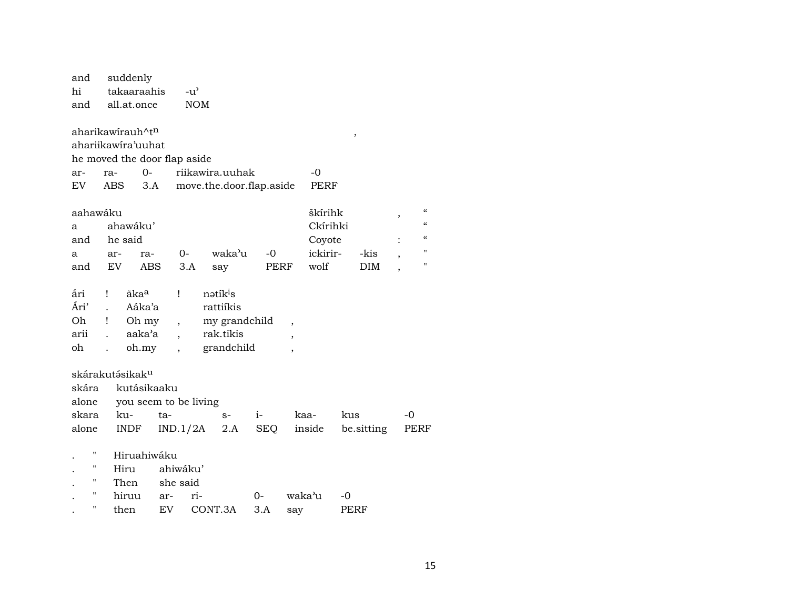| and                | suddenly                     |             |                          |                          |            |                          |          |        |            |                          |                                        |
|--------------------|------------------------------|-------------|--------------------------|--------------------------|------------|--------------------------|----------|--------|------------|--------------------------|----------------------------------------|
| hi                 | takaaraahis                  |             | $-u^{\prime}$            |                          |            |                          |          |        |            |                          |                                        |
| and                | all.at.once                  |             | <b>NOM</b>               |                          |            |                          |          |        |            |                          |                                        |
|                    |                              |             |                          |                          |            |                          |          |        |            |                          |                                        |
|                    | aharikawirauh^tn             |             |                          |                          |            |                          |          | $\, ,$ |            |                          |                                        |
|                    | ahariikawira'uuhat           |             |                          |                          |            |                          |          |        |            |                          |                                        |
|                    | he moved the door flap aside |             |                          |                          |            |                          |          |        |            |                          |                                        |
| ar-                | ra-                          | $O -$       |                          | riikawira.uuhak          |            |                          | -0       |        |            |                          |                                        |
| EV                 | <b>ABS</b>                   | 3.A         |                          | move.the.door.flap.aside |            |                          | PERF     |        |            |                          |                                        |
| aahawáku           |                              |             |                          |                          |            |                          | škírihk  |        |            |                          | $\boldsymbol{\zeta}\boldsymbol{\zeta}$ |
| a                  | ahawáku'                     |             |                          |                          |            |                          | Ckírihki |        |            | ,                        | $\epsilon$                             |
| and                | he said                      |             |                          |                          |            |                          | Coyote   |        |            |                          | $\boldsymbol{\zeta}\boldsymbol{\zeta}$ |
| a                  | ar-                          | ra-         | $0-$                     | waka'u                   | -0         |                          | ickirir- |        | -kis       |                          | П                                      |
| and                | EV                           | ABS         | 3.A                      |                          |            | PERF                     | wolf     |        | DIM        | ,                        | "                                      |
|                    |                              |             |                          | say                      |            |                          |          |        |            | $\overline{\phantom{a}}$ |                                        |
| ắri                | ãka <sup>a</sup><br>Ţ        |             | Ţ                        | nətik <sup>i</sup> s     |            |                          |          |        |            |                          |                                        |
| Ári'               |                              | Aáka'a      |                          | rattiíkis                |            |                          |          |        |            |                          |                                        |
| Oh                 | Ţ                            | Oh my       | ,                        | my grandchild            |            | $\overline{\phantom{a}}$ |          |        |            |                          |                                        |
| arii               | aaka'a                       |             |                          | rak.tikis                |            | $\overline{\phantom{a}}$ |          |        |            |                          |                                        |
| oh                 |                              | oh.my       | $\overline{\phantom{a}}$ | grandchild               |            | $\overline{ }$           |          |        |            |                          |                                        |
|                    |                              |             |                          |                          |            |                          |          |        |            |                          |                                        |
|                    | skárakutásikak <sup>u</sup>  |             |                          |                          |            |                          |          |        |            |                          |                                        |
| skára              |                              | kutásikaaku |                          |                          |            |                          |          |        |            |                          |                                        |
| alone              |                              |             | you seem to be living    |                          |            |                          |          |        |            |                          |                                        |
| skara              | ku-                          | ta-         |                          | $S-$                     | $i-$       | kaa-                     |          | kus    |            | -0                       |                                        |
| alone              | <b>INDF</b>                  |             | IND.1/2A                 | 2.A                      | <b>SEQ</b> |                          | inside   |        | be.sitting |                          | PERF                                   |
|                    |                              |             |                          |                          |            |                          |          |        |            |                          |                                        |
| Η                  | Hiruahiwáku                  |             |                          |                          |            |                          |          |        |            |                          |                                        |
| $\pmb{\mathsf{H}}$ | Hiru                         |             | ahiwáku'                 |                          |            |                          |          |        |            |                          |                                        |
| $\pmb{\mathsf{H}}$ | Then                         |             | she said                 |                          |            |                          |          |        |            |                          |                                        |
| $\pmb{\mathsf{H}}$ | hiruu                        | ar-         | ri-                      |                          | 0-         | waka'u                   |          | -0     |            |                          |                                        |
| $\pmb{\mathsf{H}}$ | then                         | EV          |                          | CONT.3A                  | 3.A        | say                      |          | PERF   |            |                          |                                        |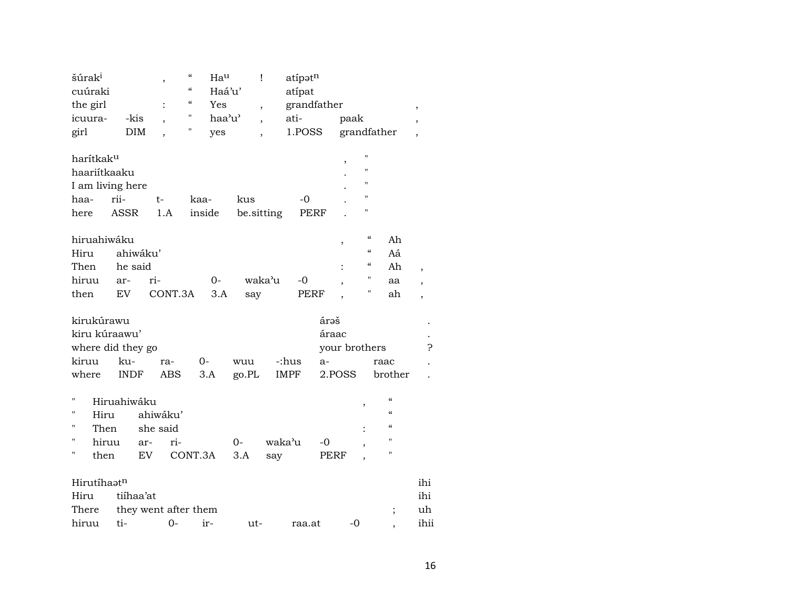| šúrak <sup>i</sup>        |             |           | $\, ,$                   | $\mathcal{C}$            | Hau    |            | Ţ                        | atípatn     |       |                          |                    |                            |        |
|---------------------------|-------------|-----------|--------------------------|--------------------------|--------|------------|--------------------------|-------------|-------|--------------------------|--------------------|----------------------------|--------|
| cuúraki                   |             |           |                          | $\pmb{\zeta}\pmb{\zeta}$ | Haá'u' |            |                          | atípat      |       |                          |                    |                            |        |
| the girl                  |             |           |                          | $\epsilon$               | Yes    |            | $\overline{\phantom{a}}$ | grandfather |       |                          |                    |                            | $\, ,$ |
| icuura-                   | -kis        |           | $\cdot$                  | $^{\prime\prime}$        | haa'u' |            | $\overline{\phantom{a}}$ | ati-        |       | paak                     |                    |                            |        |
| girl                      |             | DIM       | $\overline{\phantom{a}}$ | Π                        | yes    |            | $\overline{\phantom{a}}$ | 1.POSS      |       |                          |                    | grandfather                |        |
| harítkak <sup>u</sup>     |             |           |                          |                          |        |            |                          |             |       |                          | Ħ                  |                            |        |
| haariítkaaku              |             |           |                          |                          |        |            |                          |             |       | ,                        | $^{\prime}$        |                            |        |
| I am living here          |             |           |                          |                          |        |            |                          |             |       |                          | $^{\prime}$        |                            |        |
| haa-                      | rii-        | $t-$      |                          | kaa-                     |        | kus        |                          | $-0$        |       |                          | $\mathbf{H}$       |                            |        |
| here                      | <b>ASSR</b> |           | 1.A                      | inside                   |        | be.sitting |                          | PERF        |       |                          | $\pmb{\mathsf{H}}$ |                            |        |
|                           |             |           |                          |                          |        |            |                          |             |       |                          |                    |                            |        |
| hiruahiwáku               |             |           |                          |                          |        |            |                          |             |       |                          | $\epsilon\epsilon$ | Ah                         |        |
| Hiru                      |             | ahiwáku'  |                          |                          |        |            |                          |             |       |                          | $\epsilon\epsilon$ | Aá                         |        |
| Then                      | he said     |           |                          |                          |        |            |                          |             |       |                          | $\epsilon\epsilon$ | Ah                         |        |
| hiruu                     | ar-         | ri-       |                          |                          | $0-$   |            | waka'u                   | -0          |       | $\overline{\phantom{a}}$ | $\pmb{\mathsf{H}}$ | aa                         |        |
| then                      | EV          |           | CONT.3A                  |                          | 3.A    | say        |                          | PERF        |       |                          | $\pmb{\mathsf{H}}$ | ah                         | ,      |
| kirukúrawu                |             |           |                          |                          |        |            |                          |             | árəš  |                          |                    |                            |        |
| kiru kúraawu'             |             |           |                          |                          |        |            |                          |             | áraac |                          |                    |                            |        |
| where did they go         |             |           |                          |                          |        |            |                          |             |       | your brothers            |                    |                            | Ç      |
| kiruu                     | ku-         |           | ra-                      | $0-$                     |        | wuu        |                          | -:hus       | $a-$  |                          |                    | raac                       |        |
| where                     | <b>INDF</b> |           | ABS                      | $3.A$                    |        | go.PL      |                          | <b>IMPF</b> |       | 2.POSS                   |                    | brother                    |        |
|                           |             |           |                          |                          |        |            |                          |             |       |                          |                    |                            |        |
| $\pmb{\mathsf{H}}$        | Hiruahiwáku |           |                          |                          |        |            |                          |             |       |                          | ,                  | $\epsilon\epsilon$         |        |
| $^{\prime\prime}$<br>Hiru |             | ahiwáku'  |                          |                          |        |            |                          |             |       |                          |                    | $\epsilon\epsilon$         |        |
| 11                        | Then        | she said  |                          |                          |        |            |                          |             |       |                          |                    | $\boldsymbol{\mathcal{C}}$ |        |
| $\mathbf{H}$              | hiruu       | ar-       | ri-                      |                          |        | $0-$       | waka'u                   |             | -0    |                          |                    | $\pmb{\mathsf{H}}$         |        |
| $\blacksquare$<br>then    |             | EV        |                          | CONT.3A                  |        | 3.A        | say                      |             | PERF  |                          |                    | $\mathbf{H}$               |        |
| Hirutíhaatn               |             |           |                          |                          |        |            |                          |             |       |                          |                    |                            | ihi    |
| Hiru                      |             |           |                          |                          |        |            |                          |             |       |                          |                    |                            | ihi    |
|                           |             | tiíhaa'at |                          |                          |        |            |                          |             |       |                          |                    |                            |        |
| There                     |             |           | they went after them     |                          |        |            |                          |             |       |                          |                    | $\vdots$                   | uh     |
| hiruu                     | ti-         |           | $O -$                    | ir-                      |        | ut-        |                          | raa.at      |       | $-0$                     |                    |                            | ihii   |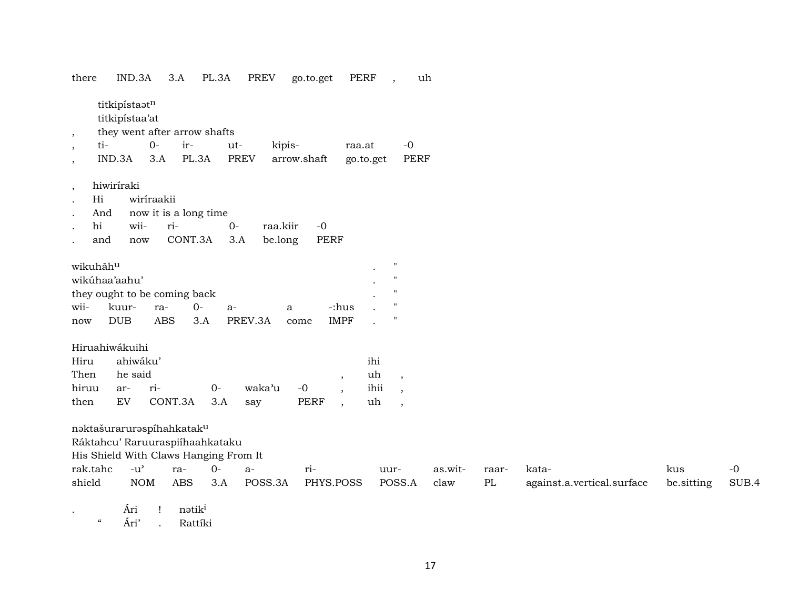| there          | IND.3A                          | 3.A        | PL.3A                 | PREV                                  | go.to.get        | PERF        | uh<br>$\overline{\phantom{a}}$ |         |       |                            |            |       |
|----------------|---------------------------------|------------|-----------------------|---------------------------------------|------------------|-------------|--------------------------------|---------|-------|----------------------------|------------|-------|
|                | titkipístaotn<br>titkipístaa'at |            |                       |                                       |                  |             |                                |         |       |                            |            |       |
| $\overline{ }$ | they went after arrow shafts    |            |                       |                                       |                  |             |                                |         |       |                            |            |       |
| ti-            |                                 | $O -$      | ir-                   | ut-                                   | kipis-           | raa.at      | $-0$                           |         |       |                            |            |       |
|                | IND.3A                          | 3.A        | PL.3A                 | <b>PREV</b>                           | arrow.shaft      | go.to.get   | <b>PERF</b>                    |         |       |                            |            |       |
| $^\circ$       | hiwiriraki                      |            |                       |                                       |                  |             |                                |         |       |                            |            |       |
| Hi             |                                 | wiriraakii |                       |                                       |                  |             |                                |         |       |                            |            |       |
| And            |                                 |            | now it is a long time |                                       |                  |             |                                |         |       |                            |            |       |
| hi             | wii-                            | ri-        |                       | $0-$                                  | raa.kiir<br>$-0$ |             |                                |         |       |                            |            |       |
| and            | now                             |            | CONT.3A               | 3.A                                   | PERF<br>be.long  |             |                                |         |       |                            |            |       |
| wikuhãhu       |                                 |            |                       |                                       |                  |             | $^{\prime}$                    |         |       |                            |            |       |
| wikúhaa'aahu'  |                                 |            |                       |                                       |                  |             |                                |         |       |                            |            |       |
|                | they ought to be coming back    |            |                       |                                       |                  |             |                                |         |       |                            |            |       |
| wii-           | kuur-                           | ra-        | $0-$                  | $a-$                                  | $\mathbf{a}$     | -:hus       |                                |         |       |                            |            |       |
| now            | <b>DUB</b>                      | <b>ABS</b> | 3.A                   | PREV.3A                               | come             | <b>IMPF</b> |                                |         |       |                            |            |       |
|                | Hiruahiwákuihi                  |            |                       |                                       |                  |             |                                |         |       |                            |            |       |
| Hiru           | ahiwáku'                        |            |                       |                                       |                  |             | ihi                            |         |       |                            |            |       |
| Then           | he said                         |            |                       |                                       |                  | $\,$        | uh<br>$\overline{\phantom{a}}$ |         |       |                            |            |       |
| hiruu          | ar-                             | ri-        | $0-$                  | waka'u                                | $-0$             |             | ihii                           |         |       |                            |            |       |
| then           | EV                              | CONT.3A    | 3.A                   | say                                   | PERF             | $\cdot$     | uh<br>$\overline{\phantom{a}}$ |         |       |                            |            |       |
|                | naktašuraruraspíhahkataku       |            |                       |                                       |                  |             |                                |         |       |                            |            |       |
|                | Ráktahcu' Raruuraspiíhaahkataku |            |                       |                                       |                  |             |                                |         |       |                            |            |       |
|                |                                 |            |                       | His Shield With Claws Hanging From It |                  |             |                                |         |       |                            |            |       |
| rak.tahc       | $-u^{\prime}$                   | ra-        | $0-$                  | $a-$                                  | ri-              |             | uur-                           | as.wit- | raar- | kata-                      | kus        | $-0$  |
| shield         | <b>NOM</b>                      | <b>ABS</b> | 3.A                   | POSS.3A                               | PHYS.POSS        |             | POSS.A                         | claw    | PL    | against.a.vertical.surface | be sitting | SUB.4 |
|                | Ári                             | 1          | nətik <sup>i</sup>    |                                       |                  |             |                                |         |       |                            |            |       |

" Ári' . Rattíki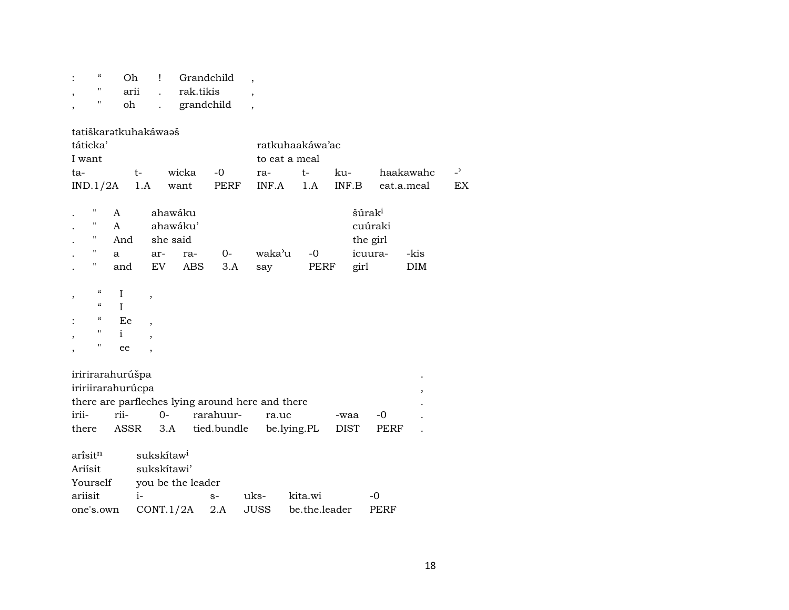| $\epsilon$<br>11                                                                                                                                   | Oh<br>arii<br>oh                  | Ţ<br>$\ddot{\phantom{a}}$<br>$\ddot{\phantom{a}}$          | Grandchild<br>rak.tikis<br>grandchild                |                          | $\overline{ }$<br>$\overline{\phantom{a}}$<br>$\overline{\phantom{a}}$ |                                |                     |                                                      |                         |                      |
|----------------------------------------------------------------------------------------------------------------------------------------------------|-----------------------------------|------------------------------------------------------------|------------------------------------------------------|--------------------------|------------------------------------------------------------------------|--------------------------------|---------------------|------------------------------------------------------|-------------------------|----------------------|
| táticka'<br>I want<br>ta-<br>IND.1/2A                                                                                                              |                                   | tatiškarətkuhakáwaəš<br>t-<br>1.A                          | wicka<br>want                                        | $-0$<br>PERF             | to eat a meal<br>ra-<br>INF.A                                          | ratkuhaakáwa'ac<br>$t-$<br>1.A | ku-<br>INF.B        |                                                      | haakawahc<br>eat.a.meal | $\overline{a}$<br>EX |
| П<br>11<br>Π<br>11<br>П                                                                                                                            | A<br>A<br>And<br>a<br>and         | ar-<br>EV                                                  | ahawáku<br>ahawáku'<br>she said<br>ra-<br><b>ABS</b> | $O -$<br>3.A             | waka'u<br>say                                                          | $-0$<br>PERF                   | girl                | šúrak <sup>i</sup><br>cuúraki<br>the girl<br>icuura- | -kis<br><b>DIM</b>      |                      |
| $\boldsymbol{\zeta}\boldsymbol{\zeta}$<br>,<br>$\boldsymbol{\zeta}\boldsymbol{\zeta}$<br>$\boldsymbol{\varsigma} \boldsymbol{\varsigma}$<br>"<br>" | I<br>$\mathbf I$<br>Ee<br>i<br>ee | ,<br>$\overline{\phantom{a}}$<br>,<br>$\cdot$              |                                                      |                          |                                                                        |                                |                     |                                                      |                         |                      |
| iririrarahurúšpa<br>iririirarahurúcpa<br>irii-<br>there                                                                                            | rii-                              | $O -$<br>ASSR                                              | 3.A                                                  | rarahuur-<br>tied.bundle | there are parfleches lying around here and there<br>ra.uc              | be.lying.PL                    | -waa<br><b>DIST</b> | $-0$<br><b>PERF</b>                                  |                         |                      |
| ari̇̃sit <sup>n</sup><br>Ariísit<br>Yourself<br>ariisit<br>one's.own                                                                               |                                   | sukskítaw <sup>i</sup><br>sukskítawi'<br>$i-$<br>CONT.1/2A | you be the leader                                    | $S-$<br>$2.A$            | uks-<br>JUSS                                                           | kita.wi<br>be.the.leader       |                     | -0<br>PERF                                           |                         |                      |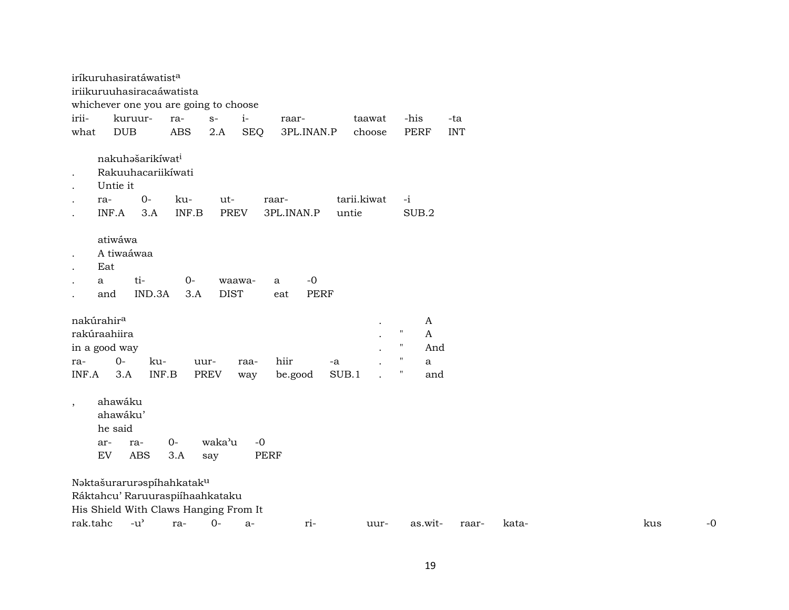|                                                   | iríkuruhasiratáwatist <sup>a</sup>                                                                    |              |             |                       |              |                                 |             |                                                                     |                                      |            |       |     |      |
|---------------------------------------------------|-------------------------------------------------------------------------------------------------------|--------------|-------------|-----------------------|--------------|---------------------------------|-------------|---------------------------------------------------------------------|--------------------------------------|------------|-------|-----|------|
|                                                   | iriikuruuhasiracaáwatista                                                                             |              |             |                       |              |                                 |             |                                                                     |                                      |            |       |     |      |
|                                                   | whichever one you are going to choose                                                                 |              |             |                       |              |                                 |             |                                                                     |                                      |            |       |     |      |
| irii-                                             | kuruur-                                                                                               |              | ra-         | $S-$                  | $i-$         | raar-                           | taawat      |                                                                     | -his                                 | -ta        |       |     |      |
| what                                              | <b>DUB</b>                                                                                            |              | <b>ABS</b>  | 2.A                   | <b>SEQ</b>   | 3PL.INAN.P                      | choose      |                                                                     | <b>PERF</b>                          | <b>INT</b> |       |     |      |
| $\bullet$<br>$\bullet$                            | nakuhašarikíwat <sup>i</sup><br>Rakuuhacariikíwati<br>Untie it                                        |              |             |                       |              |                                 |             |                                                                     |                                      |            |       |     |      |
| $\cdot$                                           | ra-                                                                                                   | $0-$         | ku-         | ut-                   |              | raar-                           | tarii.kiwat |                                                                     | $-i$                                 |            |       |     |      |
| $\bullet$                                         | INF.A                                                                                                 | 3.A          | INF.B       | <b>PREV</b>           |              | 3PL.INAN.P                      | untie       |                                                                     | SUB.2                                |            |       |     |      |
| $\bullet$<br>$\cdot$<br>a<br>$\cdot$<br>$\bullet$ | atiwáwa<br>A tiwaáwaa<br>Eat<br>ti-<br>and                                                            | IND.3A       | $0-$<br>3.A | waawa-<br><b>DIST</b> |              | $-0$<br>a<br><b>PERF</b><br>eat |             |                                                                     |                                      |            |       |     |      |
| nakúrahir <sup>a</sup><br>ra-<br>INF.A            | rakúraahiira<br>in a good way<br>$O -$<br>3.A                                                         | ku-<br>INF.B | uur-        | <b>PREV</b>           | raa-<br>way  | hiir<br>be.good                 | -a<br>SUB.1 | $\pmb{\mathsf{H}}$<br>$\pmb{\mathsf{H}}$<br>"<br>$\pmb{\mathsf{H}}$ | A<br>$\mathbf{A}$<br>And<br>a<br>and |            |       |     |      |
| $\overline{\phantom{a}}$                          | ahawáku<br>ahawáku'<br>he said<br>ar-<br>ra-<br><b>ABS</b><br>EV                                      |              | $0-$<br>3.A | waka'u<br>say         | $-0$<br>PERF |                                 |             |                                                                     |                                      |            |       |     |      |
|                                                   | Naktašuraruraspíhahkataku<br>Ráktahcu' Raruuraspiíhaahkataku<br>His Shield With Claws Hanging From It |              |             |                       |              |                                 |             |                                                                     |                                      |            |       |     |      |
| rak.tahc                                          | $-u$ <sup><math>\prime</math></sup>                                                                   |              | ra-         | $0-$                  | a-           | ri-                             | uur-        |                                                                     | as.wit-                              | raar-      | kata- | kus | $-0$ |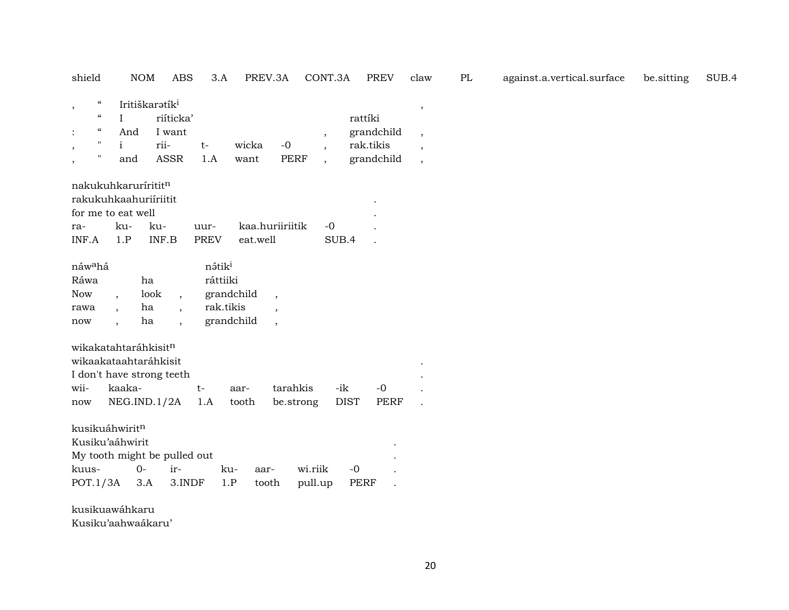| shield                                    |                                                                                                                                     |                                   | <b>NOM</b><br><b>ABS</b>                                                                  | 3.A                                         | PREV.3A                     |                                                                 | CONT.3A            | <b>PREV</b>                                      | claw                                                                                     | PL | against.a.vertical.surface | be sitting | SUB.4 |
|-------------------------------------------|-------------------------------------------------------------------------------------------------------------------------------------|-----------------------------------|-------------------------------------------------------------------------------------------|---------------------------------------------|-----------------------------|-----------------------------------------------------------------|--------------------|--------------------------------------------------|------------------------------------------------------------------------------------------|----|----------------------------|------------|-------|
| $\,$<br>$\ddot{\cdot}$<br>$\,$<br>$\cdot$ | $\boldsymbol{\epsilon} \boldsymbol{\epsilon}$<br>$\boldsymbol{\varsigma} \boldsymbol{\varsigma}$<br>$\epsilon$<br>$\mathbf{H}$<br>Ħ | I<br>And<br>i<br>and              | Iritiškaratík <sup>i</sup><br>riíticka'<br>I want<br>rii-<br><b>ASSR</b>                  | $t-$<br>1.A                                 | wicka<br>want               | $-0$<br><b>PERF</b>                                             | $\cdot$            | rattíki<br>grandchild<br>rak.tikis<br>grandchild | $\,$<br>$\overline{\phantom{a}}$<br>$\overline{\phantom{a}}$<br>$\overline{\phantom{a}}$ |    |                            |            |       |
| ra-<br>INF.A                              |                                                                                                                                     | for me to eat well<br>ku-<br>1.P  | nakukuhkarurírititn<br>rakukuhkaahuriíriitit<br>ku-<br>INF.B                              | uur-<br><b>PREV</b>                         | eat.well                    | kaa.huriiriitik                                                 | $-0$<br>SUB.4      |                                                  |                                                                                          |    |                            |            |       |
| Ráwa<br><b>Now</b><br>rawa<br>now         | náw <sup>a</sup> há                                                                                                                 | $\overline{\phantom{a}}$          | ha<br>look<br>$\overline{\phantom{a}}$<br>ha<br>$\cdot$<br>ha<br>$\cdot$                  | nátik <sup>i</sup><br>ráttiiki<br>rak.tikis | grandchild<br>grandchild    | $\overline{\phantom{a}}$<br>$\cdot$<br>$\overline{\phantom{a}}$ |                    |                                                  |                                                                                          |    |                            |            |       |
| wii-<br>now                               |                                                                                                                                     | kaaka-                            | wikakatahtaráhkisitn<br>wikaakataahtaráhkisit<br>I don't have strong teeth<br>NEG.ID.1/2A | $t-$<br>1.A                                 | aar-<br>tooth               | tarahkis<br>be.strong                                           | -ik<br><b>DIST</b> | $-0$<br>PERF                                     |                                                                                          |    |                            |            |       |
| kuus-                                     | POT.1/3A                                                                                                                            | kusikuáhwiritn<br>Kusiku'aáhwirit | My tooth might be pulled out<br>$0-$<br>ir-<br>3.A                                        | 3.INDF                                      | ku-<br>aar-<br>1.P<br>tooth |                                                                 | wi.riik<br>pull.up | $-0$<br><b>PERF</b>                              |                                                                                          |    |                            |            |       |

kusikuawáhkaru

Kusiku'aahwaákaru'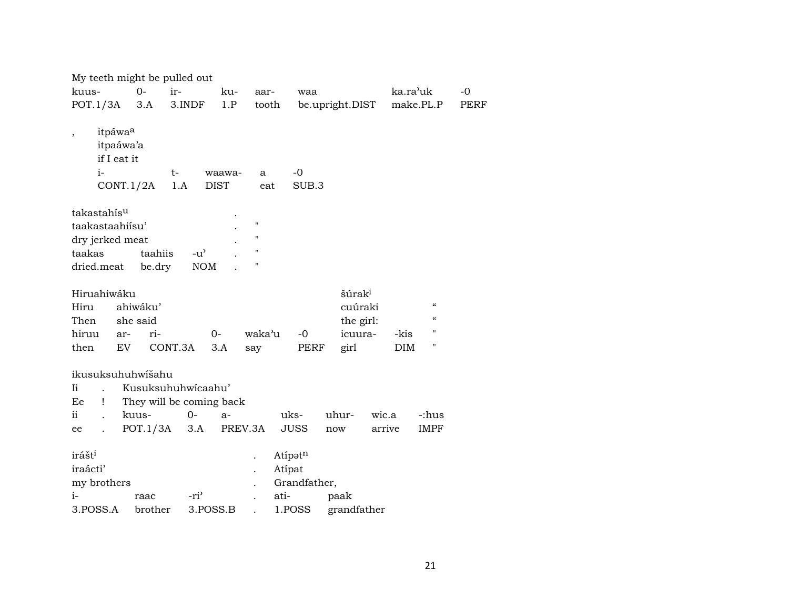| $O -$<br>kuus-<br>ir-<br>ka.ra'uk<br>$-0$<br>ku-<br>aar-<br>waa<br>POT.1/3A<br>3.A<br>3.INDF<br>1.P<br>make.PL.P<br>tooth<br>be.upright.DIST<br>PERF<br>itpáwa <sup>a</sup><br>itpaáwa'a<br>if I eat it<br>$i-$<br>$-0$<br>t-<br>waawa-<br>a | My teeth might be pulled out |  |  |  |  |
|----------------------------------------------------------------------------------------------------------------------------------------------------------------------------------------------------------------------------------------------|------------------------------|--|--|--|--|
|                                                                                                                                                                                                                                              |                              |  |  |  |  |
|                                                                                                                                                                                                                                              |                              |  |  |  |  |
| <b>DIST</b><br>CONT.1/2A<br>1.A<br>SUB.3<br>eat                                                                                                                                                                                              |                              |  |  |  |  |
| takastahís <sup>u</sup>                                                                                                                                                                                                                      |                              |  |  |  |  |
| 11<br>taakastaahiisu'                                                                                                                                                                                                                        |                              |  |  |  |  |
| н<br>dry jerked meat                                                                                                                                                                                                                         |                              |  |  |  |  |
| $\pmb{\mathsf{H}}$<br>taahiis<br>$-u^{\prime}$<br>taakas                                                                                                                                                                                     |                              |  |  |  |  |
| $\pmb{\mathsf{H}}$<br><b>NOM</b><br>dried.meat<br>be.dry                                                                                                                                                                                     |                              |  |  |  |  |
|                                                                                                                                                                                                                                              |                              |  |  |  |  |
| šúrak <sup>i</sup><br>Hiruahiwáku                                                                                                                                                                                                            |                              |  |  |  |  |
| $\boldsymbol{\zeta}\boldsymbol{\zeta}$<br>ahiwáku'<br>cuúraki<br>Hiru<br>$\boldsymbol{\zeta}\boldsymbol{\zeta}$                                                                                                                              |                              |  |  |  |  |
| she said<br>the girl:<br>Then<br>$^{\prime}$                                                                                                                                                                                                 |                              |  |  |  |  |
| waka'u<br>hiruu<br>ri-<br>$-0$<br>icuura-<br>$0-$<br>-kis<br>ar-<br>11                                                                                                                                                                       |                              |  |  |  |  |
| CONT.3A<br>EV<br>3.A<br><b>DIM</b><br>then<br>PERF<br>say<br>girl                                                                                                                                                                            |                              |  |  |  |  |
| ikusuksuhuhwišahu                                                                                                                                                                                                                            |                              |  |  |  |  |
| Kusuksuhuhwicaahu'<br>Ii.                                                                                                                                                                                                                    |                              |  |  |  |  |
| They will be coming back<br>Ee<br>Ţ                                                                                                                                                                                                          |                              |  |  |  |  |
| ii<br>$0-$<br>uks-<br>uhur-<br>kuus-<br>wic.a<br>-:hus<br>$a-$                                                                                                                                                                               |                              |  |  |  |  |
| POT.1/3A<br>PREV.3A<br><b>JUSS</b><br>3.A<br>arrive<br>IMPF<br>now<br>ee                                                                                                                                                                     |                              |  |  |  |  |
| irášt <sup>i</sup><br>Atipatn<br>iraácti'<br>Atípat                                                                                                                                                                                          |                              |  |  |  |  |
| my brothers<br>Grandfather,<br>$i-$                                                                                                                                                                                                          |                              |  |  |  |  |
| -ri <sup>3</sup><br>ati-<br>paak<br>raac<br>1.POSS<br>3.POSS.A<br>brother<br>3.POSS.B<br>grandfather                                                                                                                                         |                              |  |  |  |  |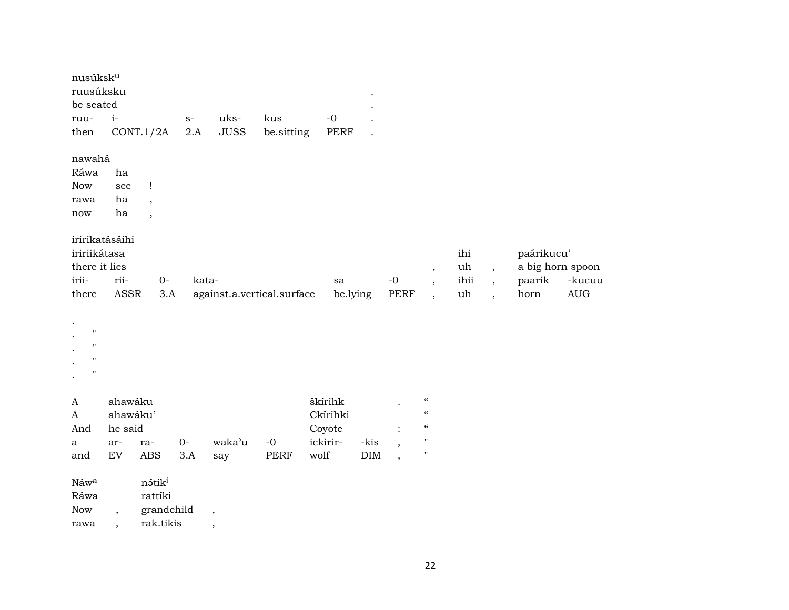| nusúksk <sup>u</sup><br>ruusúksku<br>be seated                                       |            |                               |       |                            |             |          |            |                          |                            |      |                          |                  |                                  |
|--------------------------------------------------------------------------------------|------------|-------------------------------|-------|----------------------------|-------------|----------|------------|--------------------------|----------------------------|------|--------------------------|------------------|----------------------------------|
| ruu-                                                                                 | $i-$       |                               | $S-$  | uks-                       | kus         | $-0$     |            |                          |                            |      |                          |                  |                                  |
| then                                                                                 |            | CONT.1/2A                     | $2.A$ | <b>JUSS</b>                | be.sitting  | PERF     |            |                          |                            |      |                          |                  |                                  |
| nawahá                                                                               |            |                               |       |                            |             |          |            |                          |                            |      |                          |                  |                                  |
| Ráwa                                                                                 | ha         |                               |       |                            |             |          |            |                          |                            |      |                          |                  |                                  |
| <b>Now</b>                                                                           | see        | $\mathbf{I}$                  |       |                            |             |          |            |                          |                            |      |                          |                  |                                  |
| rawa                                                                                 | ha         | $\overline{ }$                |       |                            |             |          |            |                          |                            |      |                          |                  |                                  |
| $\operatorname{now}$                                                                 | ha         | $\overline{\phantom{a}}$      |       |                            |             |          |            |                          |                            |      |                          |                  |                                  |
| iririkatásáihi<br>iririikátasa                                                       |            |                               |       |                            |             |          |            |                          |                            | ihi  |                          | paárikucu'       |                                  |
| there it lies                                                                        |            |                               |       |                            |             |          |            |                          | $\overline{\phantom{a}}$   | uh   | $\overline{\phantom{a}}$ | a big horn spoon |                                  |
| irii-                                                                                | rii-       | $0-$                          | kata- |                            |             | sa       |            | $-0$                     | $\overline{\phantom{a}}$   | ihii | $\overline{\phantom{a}}$ | paarik           | -kucuu                           |
| there                                                                                | ASSR       | 3.A                           |       | against.a.vertical.surface |             | be.lying |            | PERF                     | $\overline{\phantom{a}}$   | uh   | $\ddot{\phantom{0}}$     | horn             | $\mathbf{A}\mathbf{U}\mathbf{G}$ |
| $\pmb{\mathsf{H}}$<br>$\pmb{\mathsf{H}}$<br>$\pmb{\mathsf{H}}$<br>$\pmb{\mathsf{H}}$ |            |                               |       |                            |             |          |            |                          |                            |      |                          |                  |                                  |
| $\mathbf{A}$                                                                         | ahawáku    |                               |       |                            |             | škírihk  |            |                          | $\pmb{\zeta}\pmb{\zeta}$   |      |                          |                  |                                  |
| $\mathbf{A}$                                                                         | ahawáku'   |                               |       |                            |             | Ckírihki |            |                          | $\pmb{\zeta}\pmb{\zeta}$   |      |                          |                  |                                  |
| And                                                                                  | he said    |                               |       |                            |             | Coyote   |            | $\ddot{\cdot}$           | $\boldsymbol{\mathcal{C}}$ |      |                          |                  |                                  |
| a                                                                                    | ar-        | ra-                           | $0-$  | waka'u                     | $\mbox{-}0$ | ickirir- | -kis       | $\overline{\phantom{a}}$ | $\pmb{\mathsf{H}}$         |      |                          |                  |                                  |
| and                                                                                  | ${\rm EV}$ | ABS                           | 3.A   | say                        | PERF        | wolf     | $\rm{DIM}$ | $\overline{\phantom{a}}$ | $\pmb{\mathsf{H}}$         |      |                          |                  |                                  |
| Náwa<br>Ráwa                                                                         |            | nátik <sup>i</sup><br>rattíki |       |                            |             |          |            |                          |                            |      |                          |                  |                                  |
| <b>Now</b>                                                                           | $\cdot$    | grandchild                    |       | $\cdot$                    |             |          |            |                          |                            |      |                          |                  |                                  |
| rawa                                                                                 |            | rak.tikis                     |       | $\,$                       |             |          |            |                          |                            |      |                          |                  |                                  |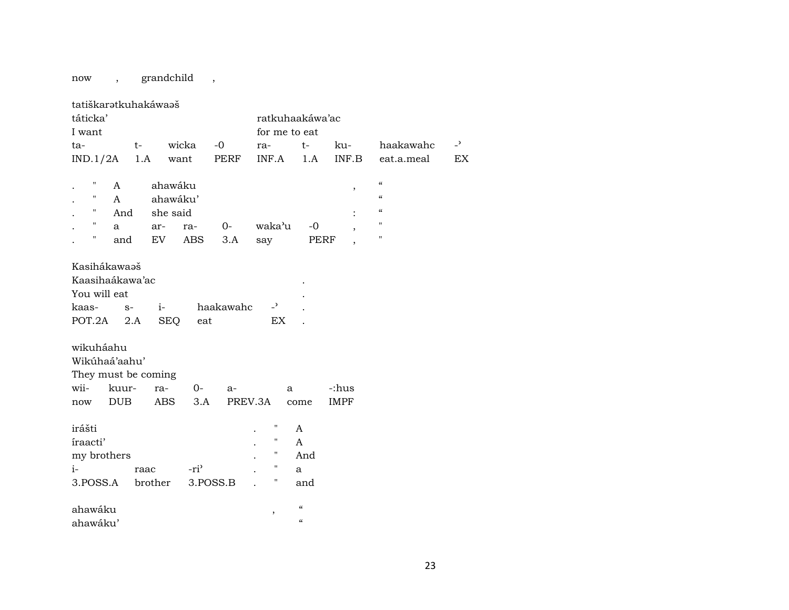now , grandchild ,

| tatiškaratkuhakáwaaš                                         |                                                 |                    |                  |           |                                                          |                                     |                |                                        |                          |
|--------------------------------------------------------------|-------------------------------------------------|--------------------|------------------|-----------|----------------------------------------------------------|-------------------------------------|----------------|----------------------------------------|--------------------------|
| táticka'                                                     |                                                 |                    |                  |           | ratkuhaakáwa'ac                                          |                                     |                |                                        |                          |
| I want                                                       |                                                 |                    |                  |           | for me to eat                                            |                                     |                |                                        |                          |
| ta-                                                          | $t-$                                            |                    | wicka            | $-0$      | ra-                                                      | $t-$                                | ku-            | haakawahc                              | $\overline{\phantom{0}}$ |
| IND.1/2A                                                     | 1.A                                             |                    | want             | PERF      | INF.A                                                    | 1.A                                 | INF.B          | eat.a.meal                             | EX                       |
|                                                              |                                                 |                    |                  |           |                                                          |                                     |                |                                        |                          |
| π                                                            | A                                               | ahawáku            |                  |           |                                                          |                                     | $\,$           | $\boldsymbol{\zeta}\boldsymbol{\zeta}$ |                          |
| $\pmb{\mathsf{H}}$                                           | A                                               | ahawáku'           |                  |           |                                                          |                                     |                | $\boldsymbol{\mathcal{C}}$             |                          |
| $\pmb{\mathsf{H}}$                                           | And                                             | she said           |                  |           |                                                          |                                     | $\ddot{\cdot}$ | $\pmb{\zeta}\pmb{\zeta}$               |                          |
| $\mathbf H$                                                  | a                                               | ar-                | ra-              | $0-$      | waka'u                                                   | $-0$                                |                | $\pmb{\mathsf{H}}$                     |                          |
| Ħ                                                            | and                                             | EV                 | <b>ABS</b>       | 3.A       | say                                                      | PERF                                |                | $\pmb{\shortparallel}$                 |                          |
| Kasihákawaaš<br>You will eat<br>kaas-<br>POT.2A<br>wikuháahu | Kaasihaákawa'ac<br>$S-$<br>2.A<br>Wikúhaá'aahu' | $i-$<br><b>SEQ</b> | eat              | haakawahc | $-2$<br>EX                                               |                                     |                |                                        |                          |
| They must be coming<br>wii-                                  | kuur-                                           | ra-                | $0-$             | a-        | a                                                        |                                     | -:hus          |                                        |                          |
| now                                                          | <b>DUB</b>                                      | <b>ABS</b>         | 3.A              | PREV.3A   |                                                          | come                                | <b>IMPF</b>    |                                        |                          |
|                                                              |                                                 |                    |                  |           |                                                          |                                     |                |                                        |                          |
| irášti<br>íraacti'<br>my brothers<br>$i-$                    | 3.POSS.A brother                                | raac               | -ri <sup>3</sup> | 3.POSS.B  | П<br>$\pmb{\mathsf{H}}$<br>$\pmb{\mathsf{H}}$<br>11<br>Η | A<br>A<br>And<br>a<br>and           |                |                                        |                          |
| ahawáku<br>ahawáku'                                          |                                                 |                    |                  |           | ,                                                        | $\mathcal{C}$<br>$\epsilon\epsilon$ |                |                                        |                          |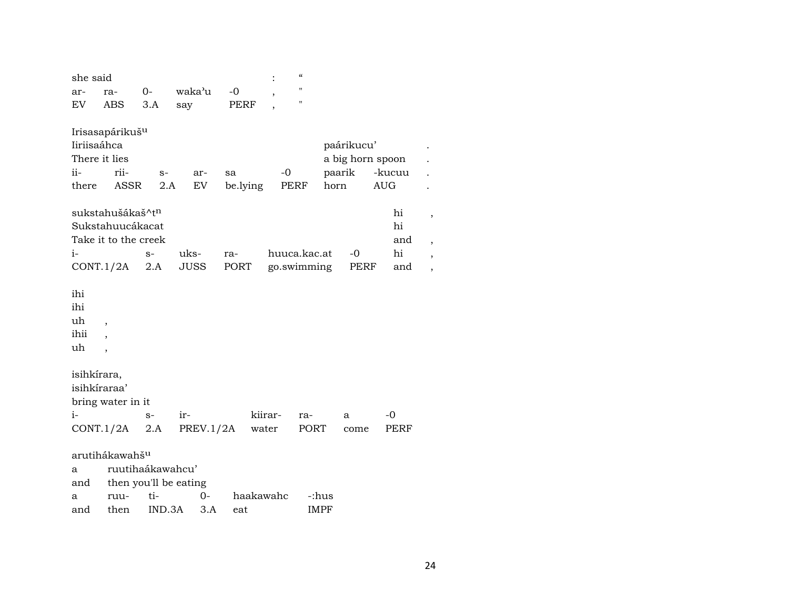| she said                       |                                                                     |                  |                       |                |           | $\pmb{\zeta}\pmb{\zeta}$ |                                                  |                      |        |
|--------------------------------|---------------------------------------------------------------------|------------------|-----------------------|----------------|-----------|--------------------------|--------------------------------------------------|----------------------|--------|
| ar-                            | ra-                                                                 | $0-$             | waka'u                | $-0$           |           | $\pmb{\mathsf{H}}$       |                                                  |                      |        |
| EV                             | ABS                                                                 | 3.A              | say                   | PERF           |           | $\pmb{\mathsf{H}}$       |                                                  |                      |        |
| Iiriisaáhca<br>ii-<br>there    | Irisasapárikuš <sup>u</sup><br>There it lies<br>rii-<br><b>ASSR</b> | $S-$<br>2.A      | ar-<br>EV             | sa<br>be.lying | $-0$      | PERF                     | paárikucu'<br>a big horn spoon<br>paarik<br>horn | -kucuu<br><b>AUG</b> |        |
|                                | sukstahušákaš^t <sup>n</sup>                                        |                  |                       |                |           |                          |                                                  | hi                   | $\, ,$ |
|                                | Sukstahuucákacat                                                    |                  |                       |                |           |                          |                                                  | hi                   |        |
|                                | Take it to the creek                                                |                  |                       |                |           |                          |                                                  | and                  |        |
| $i-$                           |                                                                     | $S-$             | uks-                  | ra-            |           | huuca.kac.at             | $-0$                                             | hi                   |        |
|                                | CONT.1/2A                                                           | 2.A              | <b>JUSS</b>           | PORT           |           | go.swimming              | PERF                                             | and                  | ,      |
| ihi<br>ihi<br>uh<br>ihii<br>uh | $\overline{\phantom{a}}$<br>$\cdot$                                 |                  |                       |                |           |                          |                                                  |                      |        |
| isihkírara,                    | isihkíraraa'                                                        |                  |                       |                |           |                          |                                                  |                      |        |
|                                | bring water in it                                                   |                  |                       |                |           |                          |                                                  |                      |        |
| $i-$                           |                                                                     | $S-$             | ir-                   |                | kiirar-   | ra-                      | a                                                | $-0$                 |        |
|                                | CONT.1/2A                                                           | 2.A              |                       | PREV.1/2A      | water     | PORT                     | come                                             | PERF                 |        |
|                                | arutihákawahš <sup>u</sup>                                          |                  |                       |                |           |                          |                                                  |                      |        |
| a                              |                                                                     | ruutihaákawahcu' |                       |                |           |                          |                                                  |                      |        |
| and                            |                                                                     |                  | then you'll be eating |                |           |                          |                                                  |                      |        |
| a                              | ruu-                                                                | ti-              | 0-                    |                | haakawahc | -:hus                    |                                                  |                      |        |
| and                            | then                                                                | IND.3A           |                       | 3.A<br>eat     |           | <b>IMPF</b>              |                                                  |                      |        |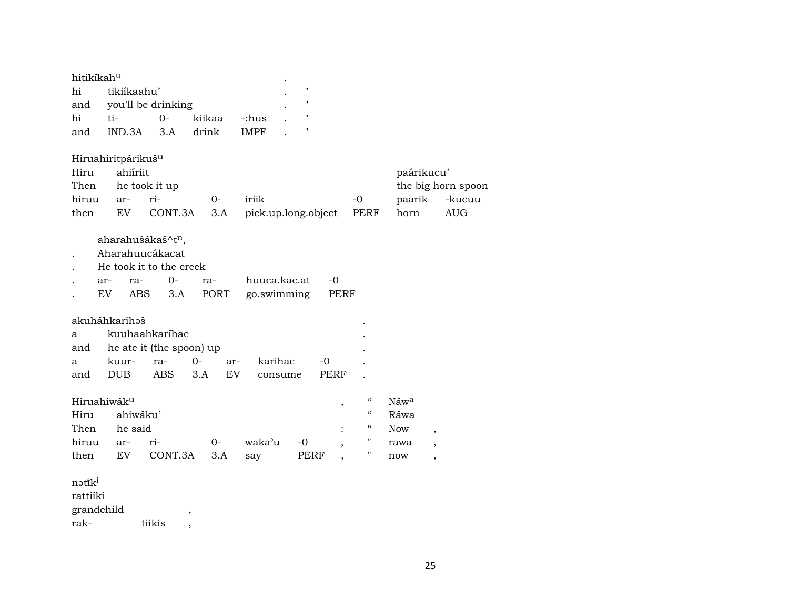| hitikíkah <sup>u</sup> |                                |                          |        |                |                     |                                      |              |                          |
|------------------------|--------------------------------|--------------------------|--------|----------------|---------------------|--------------------------------------|--------------|--------------------------|
| hi                     | tikiíkaahu'                    |                          |        |                | $\pmb{\mathsf{H}}$  |                                      |              |                          |
| and                    |                                | you'll be drinking       |        |                | $\pmb{\mathsf{H}}$  |                                      |              |                          |
| hi                     | ti-                            | $O -$                    | kiikaa | -:hus          | п                   |                                      |              |                          |
| and                    | IND.3A                         | 3.A                      | drink  | <b>IMPF</b>    | н                   |                                      |              |                          |
|                        | Hiruahiritpárikuš <sup>u</sup> |                          |        |                |                     |                                      |              |                          |
| Hiru                   | ahiíriit                       |                          |        |                |                     |                                      | paárikucu'   |                          |
| Then                   |                                | he took it up            |        |                |                     |                                      |              | the big horn spoon       |
| hiruu                  | ar-                            | ri-                      | $0-$   | iriik          |                     | $-0$                                 | paarik       | -kucuu                   |
| then                   | EV.                            | CONT.3A                  | 3.A    |                | pick.up.long.object | PERF                                 | horn         | <b>AUG</b>               |
|                        | aharahušákaš^tn,               |                          |        |                |                     |                                      |              |                          |
|                        | Aharahuucákacat                |                          |        |                |                     |                                      |              |                          |
|                        | He took it to the creek        |                          |        |                |                     |                                      |              |                          |
|                        | ar-<br>ra-                     | $0-$                     | ra-    | huuca.kac.at   | $-0$                |                                      |              |                          |
|                        | EV<br>ABS                      | 3.A                      | PORT   | go.swimming    |                     | PERF                                 |              |                          |
|                        | akuháhkarihəš                  |                          |        |                |                     |                                      |              |                          |
| a                      |                                | kuuhaahkaríhac           |        |                |                     |                                      |              |                          |
| and                    |                                | he ate it (the spoon) up |        |                |                     |                                      |              |                          |
| a                      | kuur-                          | ra-                      | 0-     | karihac<br>ar- | -0                  |                                      |              |                          |
| and                    | <b>DUB</b>                     | <b>ABS</b>               | 3.A    | EV             | PERF<br>consume     |                                      |              |                          |
|                        | Hiruahiwák <sup>u</sup>        |                          |        |                |                     | $\epsilon\epsilon$                   |              |                          |
|                        |                                |                          |        |                |                     | $\, ,$<br>$\boldsymbol{\mathcal{C}}$ | Náwa<br>Ráwa |                          |
| Hiru                   | ahiwáku'                       |                          |        |                |                     | $\epsilon\epsilon$                   |              |                          |
| Then                   | he said                        |                          |        |                |                     | Ħ                                    | <b>Now</b>   | $\overline{\phantom{a}}$ |
| hiruu                  | ar-                            | ri-                      | $0-$   | waka'u         | $-0$                | н                                    | rawa         | $\overline{\phantom{a}}$ |
| then                   | EV                             | CONT.3A                  | 3.A    | say            | PERF                |                                      | now          | $\overline{\phantom{a}}$ |
| nətik <sup>i</sup>     |                                |                          |        |                |                     |                                      |              |                          |
| rattiíki               |                                |                          |        |                |                     |                                      |              |                          |
| grandchild             |                                |                          | $\, ,$ |                |                     |                                      |              |                          |
| rak-                   |                                | tiikis                   |        |                |                     |                                      |              |                          |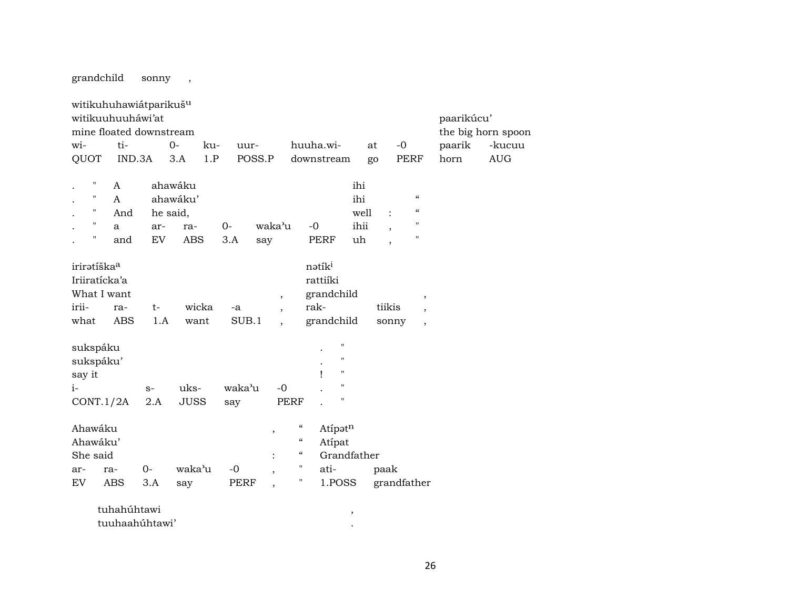grandchild sonny ,

| witikuhuhawiátparikušu  |             |      |             |       |             |                          |                          |              |                    |             |                          |             |                          |            |                    |
|-------------------------|-------------|------|-------------|-------|-------------|--------------------------|--------------------------|--------------|--------------------|-------------|--------------------------|-------------|--------------------------|------------|--------------------|
| witikuuhuuháwi'at       |             |      |             |       |             |                          |                          |              |                    |             |                          |             |                          | paarikúcu' |                    |
| mine floated downstream |             |      |             |       |             |                          |                          |              |                    |             |                          |             |                          |            | the big horn spoon |
| wi-                     | ti-         |      | $0-$        | ku-   | uur-        |                          |                          | huuha.wi-    |                    | at          |                          | $-0$        |                          | paarik     | -kucuu             |
| QUOT                    | IND.3A      |      | 3.A         | 1.P   |             | POSS.P                   |                          | downstream   |                    | go          |                          | <b>PERF</b> |                          | horn       | <b>AUG</b>         |
|                         |             |      |             |       |             |                          |                          |              |                    |             |                          |             |                          |            |                    |
| $\pmb{\mathsf{H}}$      | A           |      | ahawáku     |       |             |                          |                          |              |                    | ihi         |                          |             |                          |            |                    |
| $\mathbf{H}$            | A           |      | ahawáku'    |       |             |                          |                          |              |                    | ihi         |                          |             | $\epsilon\epsilon$       |            |                    |
| $\mathbf{H}$            | And         |      | he said,    |       |             |                          |                          |              |                    | well        | $\ddot{\cdot}$           |             | $\epsilon\epsilon$       |            |                    |
| $\mathbf{H}$            | a           | ar-  | ra-         |       | $0-$        | waka'u                   |                          | $-0$         |                    | ihii        | $\overline{\phantom{a}}$ |             | п                        |            |                    |
| $\pmb{\mathsf{H}}$      | and         | EV   | <b>ABS</b>  |       | 3.A         | say                      |                          | <b>PERF</b>  |                    | uh          | $\overline{\phantom{a}}$ |             | 11                       |            |                    |
|                         |             |      |             |       |             |                          |                          |              |                    |             |                          |             |                          |            |                    |
| iriratíška <sup>a</sup> |             |      |             |       |             |                          |                          | nətiki       |                    |             |                          |             |                          |            |                    |
| Iriiratícka'a           |             |      |             |       |             |                          |                          | rattiíki     |                    |             |                          |             |                          |            |                    |
| What I want             |             |      |             |       |             |                          | $\, ,$                   | grandchild   |                    |             |                          |             | $\, ,$                   |            |                    |
| irii-                   | ra-         | $t-$ |             | wicka | -a          |                          | $\overline{\phantom{a}}$ | rak-         |                    |             | tiikis                   |             | $\cdot$                  |            |                    |
| what                    | <b>ABS</b>  | 1.A  | want        |       | SUB.1       |                          | $\overline{\phantom{a}}$ | grandchild   |                    |             | sonny                    |             | $\overline{\phantom{a}}$ |            |                    |
|                         |             |      |             |       |             |                          |                          |              |                    |             |                          |             |                          |            |                    |
| sukspáku                |             |      |             |       |             |                          |                          |              | П                  |             |                          |             |                          |            |                    |
| sukspáku'               |             |      |             |       |             |                          |                          |              | 11                 |             |                          |             |                          |            |                    |
| say it                  |             |      |             |       |             |                          |                          | $\mathbf{I}$ | $\pmb{\mathsf{H}}$ |             |                          |             |                          |            |                    |
| $i-$                    |             | $S-$ | uks-        |       | waka'u      |                          | $-0$                     |              | н                  |             |                          |             |                          |            |                    |
| CONT.1/2A               |             | 2.A  | <b>JUSS</b> |       | say         |                          | <b>PERF</b>              |              | $\pmb{\mathsf{H}}$ |             |                          |             |                          |            |                    |
|                         |             |      |             |       |             |                          |                          |              |                    |             |                          |             |                          |            |                    |
| Ahawáku                 |             |      |             |       |             | $\, ,$                   | $\epsilon\epsilon$       |              | Atípatn            |             |                          |             |                          |            |                    |
| Ahawáku'                |             |      |             |       |             |                          | $\mathcal{C}$            |              | Atipat             |             |                          |             |                          |            |                    |
| She said                |             |      |             |       |             | $\ddot{\cdot}$           | $\epsilon\epsilon$       |              |                    | Grandfather |                          |             |                          |            |                    |
| ar-                     | ra-         | $0-$ | waka'u      |       | $-0$        | $\overline{\phantom{a}}$ | н.                       | ati-         |                    |             | paak                     |             |                          |            |                    |
| <b>EV</b>               | ABS         | 3.A  | say         |       | <b>PERF</b> | $\overline{\phantom{a}}$ | н                        |              | 1.POSS             |             | grandfather              |             |                          |            |                    |
|                         |             |      |             |       |             |                          |                          |              |                    |             |                          |             |                          |            |                    |
|                         | tuhahúhtawi |      |             |       |             |                          |                          |              |                    | $\,$        |                          |             |                          |            |                    |

| tuuhaahúhtawi' |  |
|----------------|--|
|                |  |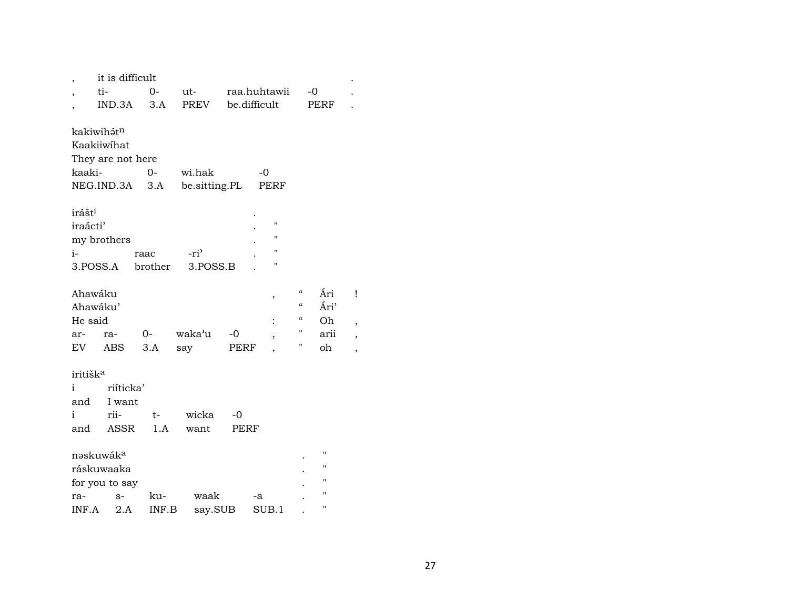|                      | it is difficult       |         |                   |      |                |            |              |   |
|----------------------|-----------------------|---------|-------------------|------|----------------|------------|--------------|---|
|                      | ti-                   | 0-      | $ut$ - $\qquad$   |      | raa.huhtawii   |            | $-0$         |   |
|                      | IND.3A                | 3.A     | PREV be.difficult |      |                |            | PERF         |   |
|                      |                       |         |                   |      |                |            |              |   |
|                      | kakiwihátn            |         |                   |      |                |            |              |   |
|                      | Kaakiiwihat           |         |                   |      |                |            |              |   |
| kaaki-               | They are not here     | $0 -$   | wi.hak            |      | -0             |            |              |   |
|                      | NEG.IND.3A            |         | 3.A be.sitting.PL |      | PERF           |            |              |   |
|                      |                       |         |                   |      |                |            |              |   |
| irášt <sup>i</sup>   |                       |         |                   |      |                |            |              |   |
| iraácti'             |                       |         |                   |      | "              |            |              |   |
|                      | my brothers           |         |                   |      | 11             |            |              |   |
| $i-$                 |                       | raac    | $-ri$             |      | 11             |            |              |   |
| 3.POSS.A             |                       | brother | 3.POSS.B          |      | 11             |            |              |   |
|                      |                       |         |                   |      |                |            |              |   |
| Ahawáku              |                       |         |                   |      | ,              | $\epsilon$ | Ári          | Ţ |
| Ahawáku'             |                       |         |                   |      |                | $\alpha$   | Ári'         |   |
| He said              |                       |         |                   |      |                | "          | Oh           |   |
| ar-                  | ra-                   | $O-$    | waka'u            | -0   | ,              | н          | arii         |   |
| EV                   | ABS                   | 3.A     | say               | PERF | $\overline{ }$ | П          | oh           |   |
|                      |                       |         |                   |      |                |            |              |   |
| iritišk <sup>a</sup> |                       |         |                   |      |                |            |              |   |
| i.                   | riíticka'             |         |                   |      |                |            |              |   |
| and                  | I want                |         |                   |      |                |            |              |   |
| i                    | rii-                  | $t-$    | wicka             | $-0$ |                |            |              |   |
| and                  | ASSR                  | 1.A     | want              | PERF |                |            |              |   |
|                      | nəskuwák <sup>a</sup> |         |                   |      |                |            | $\mathbf{H}$ |   |
|                      | ráskuwaaka            |         |                   |      |                |            | п            |   |
|                      | for you to say        |         |                   |      |                |            |              |   |
| ra-                  | $S-$                  | ku-     | waak              |      | -a             |            | п            |   |
| INF.A                | 2.A                   | INF.B   | say.SUB           |      | SUB.1          |            | п            |   |
|                      |                       |         |                   |      |                |            |              |   |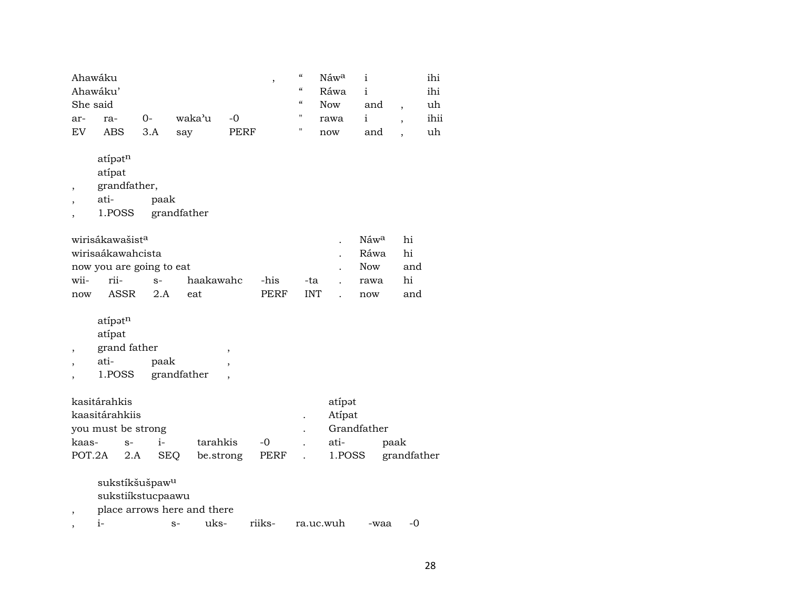| Ahawáku  |     |      |        |             | "          | Náw <sup>a</sup> |              | ihi  |
|----------|-----|------|--------|-------------|------------|------------------|--------------|------|
| Ahawáku' |     |      |        |             | $\epsilon$ | Ráwa             | $\mathbf{1}$ | ihi  |
| She said |     |      |        |             | $\epsilon$ | <b>Now</b>       | and          | uh   |
| ar-      | ra- | $O-$ | waka'u | $\sim$ -0   |            | rawa             | $\mathbf{1}$ | ihii |
| EV       | ABS | 3.A  | sav    | <b>PERF</b> | 11         | now              | and          | uh   |

- atípə $t^n$
- atípat
- , grandfather,
- 
- , ati- paak<br>, 1.POSS grand , 1.POSS grandfather

|      | wirisákawašist <sup>a</sup> |                | Náw <sup>a</sup> | hi  |        |     |
|------|-----------------------------|----------------|------------------|-----|--------|-----|
|      | wirisaákawahcista           |                |                  |     | Ráwa   | hi  |
|      | now you are going to eat    |                | Now              | and |        |     |
| wii- | rii- s-                     | haakawahc -his |                  | -ta | , rawa | hi  |
| now  | ASSR 2.A                    | eat            | PERF             | INT | now    | and |

- atípə $t^n$
- atípat
- , grand father , ,
- , ati- paak ,
- , 1.POSS grandfather ,

| kasitárahkis       |      | atipət      |                         |      |  |      |             |
|--------------------|------|-------------|-------------------------|------|--|------|-------------|
| kaasitárahkiis     |      | Atípat      |                         |      |  |      |             |
| you must be strong |      | Grandfather |                         |      |  |      |             |
| kaas-              | $S-$ | $1 -$       | tarahkis                | $-0$ |  | ati- | paak        |
| POT.2A 2.A SEQ     |      |             | be.strong PERF . 1.POSS |      |  |      | grandfather |

- sukstíkšušpa $\mathtt{w}^{\mathtt{u}}$
- sukstiíkstucpaawu
- , place arrows here and there
- , i- s- uks- riiks- ra.uc.wuh -waa -0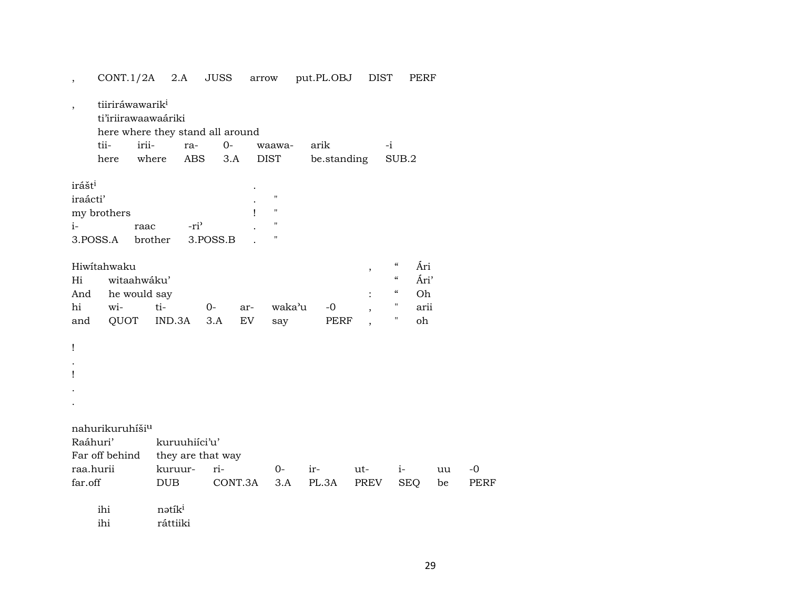| $\overline{\phantom{a}}$ |                                            | CONT.1/2A                                                 | 2.A                                                                              | <b>JUSS</b>                  | arrow     |                                                                     | put.PL.OBJ          | <b>DIST</b> |                                                                                      | PERF                            |                     |
|--------------------------|--------------------------------------------|-----------------------------------------------------------|----------------------------------------------------------------------------------|------------------------------|-----------|---------------------------------------------------------------------|---------------------|-------------|--------------------------------------------------------------------------------------|---------------------------------|---------------------|
|                          |                                            | tiiriráwawarik <sup>i</sup><br>tii-<br>here               | ti'iriirawaawaáriki<br>here where they stand all around<br>irii-<br>ra-<br>where | $O -$<br>ABS<br>3.A          |           | waawa-<br><b>DIST</b>                                               | arik<br>be.standing |             | $-i$<br>SUB.2                                                                        |                                 |                     |
| $i-$                     | irášt <sup>i</sup><br>iraácti'<br>3.POSS.A | my brothers                                               | raac<br>brother                                                                  | -ri <sup>2</sup><br>3.POSS.B | ı         | $\pmb{\mathsf{H}}$<br>$\pmb{\mathsf{H}}$<br>$\pmb{\mathsf{H}}$<br>" |                     |             |                                                                                      |                                 |                     |
|                          | Hi<br>And<br>hi<br>and                     | Hiwitahwaku<br>witaahwáku'<br>he would say<br>wi-<br>QUOT | ti-<br>IND.3A                                                                    | $0-$<br>3.A                  | ar-<br>EV | waka'u<br>say                                                       | $-0$<br><b>PERF</b> | $\, ,$      | $\mathcal{C}\mathcal{C}$<br>$\pmb{\zeta}\pmb{\zeta}$<br>$\epsilon\epsilon$<br>Ħ<br>н | Ári<br>Ári'<br>Oh<br>arii<br>oh |                     |
| Ţ<br>ı                   |                                            |                                                           |                                                                                  |                              |           |                                                                     |                     |             |                                                                                      |                                 |                     |
|                          | Raáhuri'                                   | nahurikuruhíši <sup>u</sup><br>Far off behind             | kuruuhiíci'u'                                                                    | they are that way            |           |                                                                     |                     |             |                                                                                      |                                 |                     |
|                          | raa.hurii<br>far.off                       |                                                           | kuruur-<br><b>DUB</b>                                                            | ri-                          | CONT.3A   | $O-$<br>3.A                                                         | ir-<br>PL.3A        | ut-<br>PREV | $i-$<br><b>SEQ</b>                                                                   | uu<br>be                        | $-0$<br><b>PERF</b> |
|                          |                                            | ihi<br>ihi                                                | nətíki<br>ráttiiki                                                               |                              |           |                                                                     |                     |             |                                                                                      |                                 |                     |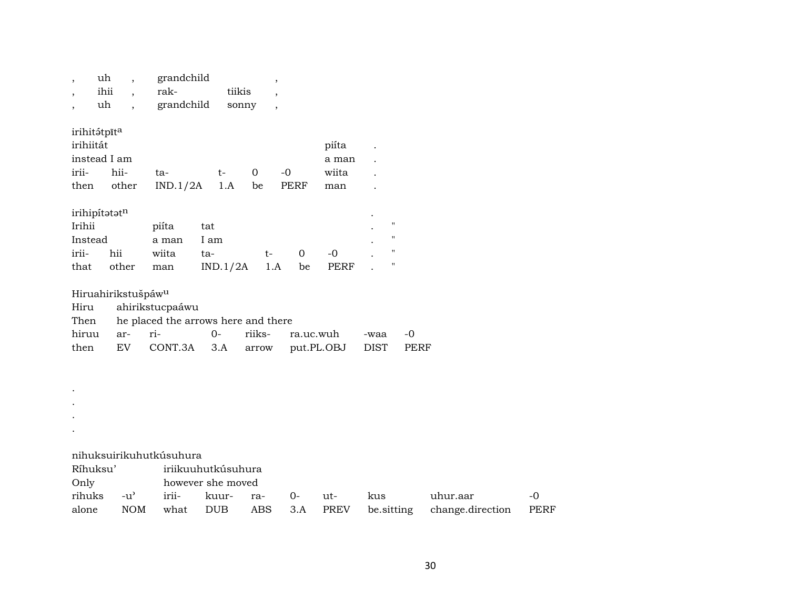| $\overline{ }$<br>$\overline{\phantom{a}}$<br>$\overline{\phantom{a}}$ | uh<br>ihii<br>$\ddot{\phantom{0}}$<br>uh<br>$\ddot{\phantom{0}}$ | grandchild<br>rak-<br>grandchild    | tiikis<br>sonny    | $\overline{\phantom{a}}$<br>$\overline{\phantom{a}}$<br>$\overline{\phantom{a}}$ |             |             |                    |             |                  |             |
|------------------------------------------------------------------------|------------------------------------------------------------------|-------------------------------------|--------------------|----------------------------------------------------------------------------------|-------------|-------------|--------------------|-------------|------------------|-------------|
| irihitátpīta                                                           |                                                                  |                                     |                    |                                                                                  |             |             |                    |             |                  |             |
| irihiitát                                                              |                                                                  |                                     |                    |                                                                                  |             | piíta       |                    |             |                  |             |
| instead I am                                                           |                                                                  |                                     |                    |                                                                                  |             | a man       |                    |             |                  |             |
| irii-                                                                  | hii-                                                             | ta-                                 | $t-$               | $\mathbf 0$                                                                      | $-0$        | wiita       |                    |             |                  |             |
| then                                                                   | other                                                            | IND.1/2A                            | 1.A                | be                                                                               | <b>PERF</b> | man         |                    |             |                  |             |
| irihipítatatn                                                          |                                                                  |                                     |                    |                                                                                  |             |             |                    |             |                  |             |
| Irihii                                                                 |                                                                  | piíta                               | tat                |                                                                                  |             |             | $\pmb{\mathsf{H}}$ |             |                  |             |
| Instead                                                                |                                                                  | a man                               | I am               |                                                                                  |             |             | $\mathbf{H}$       |             |                  |             |
| irii-                                                                  | hii                                                              | wiita                               | ta-                | $t-$                                                                             | $\mathbf 0$ | $-0$        | $\pmb{\mathsf{H}}$ |             |                  |             |
| that                                                                   | other                                                            | man                                 | IND.1/2A           | 1.A                                                                              | be          | <b>PERF</b> | 11                 |             |                  |             |
|                                                                        | Hiruahirikstušpáw <sup>u</sup>                                   |                                     |                    |                                                                                  |             |             |                    |             |                  |             |
| Hiru                                                                   |                                                                  | ahirikstucpaáwu                     |                    |                                                                                  |             |             |                    |             |                  |             |
| Then                                                                   |                                                                  | he placed the arrows here and there |                    |                                                                                  |             |             |                    |             |                  |             |
| hiruu                                                                  | ar-                                                              | ri-                                 | $0-$               | riiks-                                                                           | ra.uc.wuh   |             | -waa               | $-0$        |                  |             |
| then                                                                   | EV                                                               | CONT.3A                             | 3.A                | arrow                                                                            | put.PL.OBJ  |             | <b>DIST</b>        | <b>PERF</b> |                  |             |
|                                                                        |                                                                  |                                     |                    |                                                                                  |             |             |                    |             |                  |             |
|                                                                        |                                                                  |                                     |                    |                                                                                  |             |             |                    |             |                  |             |
|                                                                        |                                                                  |                                     |                    |                                                                                  |             |             |                    |             |                  |             |
|                                                                        |                                                                  |                                     |                    |                                                                                  |             |             |                    |             |                  |             |
|                                                                        |                                                                  |                                     |                    |                                                                                  |             |             |                    |             |                  |             |
|                                                                        |                                                                  | nihuksuirikuhutkúsuhura             |                    |                                                                                  |             |             |                    |             |                  |             |
| Ríhuksu'                                                               |                                                                  |                                     | iriikuuhutkúsuhura |                                                                                  |             |             |                    |             |                  |             |
| Only                                                                   |                                                                  |                                     | however she moved  |                                                                                  |             |             |                    |             |                  |             |
| rihuks                                                                 | $-u$ <sup><math>\prime</math></sup>                              | irii-                               | kuur-              | ra-                                                                              | $0-$        | ut-         | kus                |             | uhur.aar         | $-0$        |
| alone                                                                  | <b>NOM</b>                                                       | what                                | <b>DUB</b>         | <b>ABS</b>                                                                       | 3.A         | <b>PREV</b> | be.sitting         |             | change.direction | <b>PERF</b> |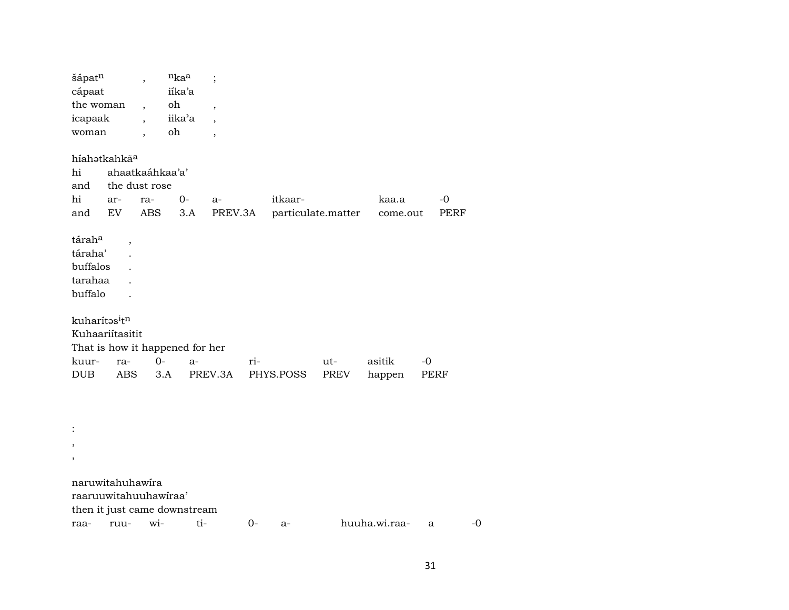| šápat <sup>n</sup><br>cápaat<br>the woman<br>icapaak<br>woman |                                  | $\overline{\phantom{a}}$<br>$\overline{\phantom{a}}$<br>$\overline{\phantom{a}}$<br>$\overline{\phantom{a}}$ | $n_{ka}$<br>iíka'a<br>oh<br>iika'a<br>oh | $\vdots$<br>$\overline{\phantom{a}}$<br>$\overline{\phantom{a}}$<br>$\overline{\phantom{a}}$ |         |           |  |                    |          |             |  |  |  |
|---------------------------------------------------------------|----------------------------------|--------------------------------------------------------------------------------------------------------------|------------------------------------------|----------------------------------------------------------------------------------------------|---------|-----------|--|--------------------|----------|-------------|--|--|--|
|                                                               | híahatkahkãa                     |                                                                                                              |                                          |                                                                                              |         |           |  |                    |          |             |  |  |  |
| hi                                                            | ahaatkaáhkaa'a'<br>the dust rose |                                                                                                              |                                          |                                                                                              |         |           |  |                    |          |             |  |  |  |
| and                                                           |                                  |                                                                                                              |                                          |                                                                                              |         |           |  |                    |          |             |  |  |  |
| hi                                                            | ar-                              | ra-                                                                                                          | $0-$                                     | a-                                                                                           |         | itkaar-   |  |                    | kaa.a    | $-0$        |  |  |  |
| and                                                           | EV                               | ABS                                                                                                          |                                          | 3.A                                                                                          | PREV.3A |           |  | particulate.matter | come.out | <b>PERF</b> |  |  |  |
| táraha<br>táraha'<br>buffalos<br>tarahaa<br>buffalo           | $\overline{\phantom{a}}$         |                                                                                                              |                                          |                                                                                              |         |           |  |                    |          |             |  |  |  |
| kuharítasitn                                                  |                                  |                                                                                                              |                                          |                                                                                              |         |           |  |                    |          |             |  |  |  |
| Kuhaariítasitit                                               |                                  |                                                                                                              |                                          |                                                                                              |         |           |  |                    |          |             |  |  |  |
|                                                               |                                  |                                                                                                              |                                          | That is how it happened for her                                                              |         |           |  |                    |          |             |  |  |  |
| kuur-                                                         | ra-                              | $0 -$                                                                                                        |                                          | $a-$                                                                                         | ri-     |           |  | ut-                | asitik   | $-0$        |  |  |  |
| <b>DUB</b>                                                    | ABS                              |                                                                                                              | 3.A                                      | PREV.3A                                                                                      |         | PHYS.POSS |  | PREV               | happen   | PERF        |  |  |  |
|                                                               |                                  |                                                                                                              |                                          |                                                                                              |         |           |  |                    |          |             |  |  |  |
|                                                               |                                  |                                                                                                              |                                          |                                                                                              |         |           |  |                    |          |             |  |  |  |
| $\overline{\phantom{a}}$                                      |                                  |                                                                                                              |                                          |                                                                                              |         |           |  |                    |          |             |  |  |  |
| ,                                                             |                                  |                                                                                                              |                                          |                                                                                              |         |           |  |                    |          |             |  |  |  |

naruwitahuhawíra raaruuwitahuuhawíraa' then it just came downstream raa- ruu- wi- ti- 0- a- huuha.wi.raa- a -0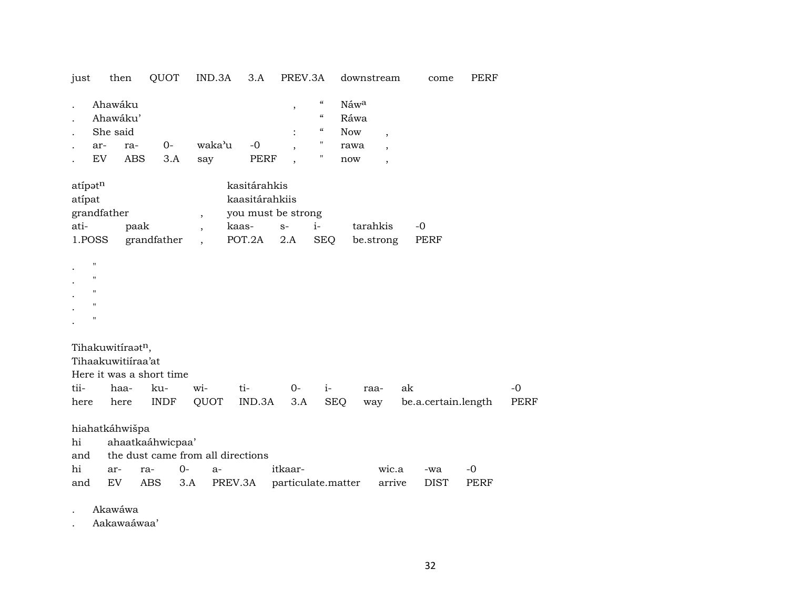| just                                | then                                                                               |                     | QUOT                             | IND.3A                                               | 3.A                                                                     |                                                                | PREV.3A                                                                                                                     |                                           | downstream                                                                       |      | come                | <b>PERF</b>         |                     |
|-------------------------------------|------------------------------------------------------------------------------------|---------------------|----------------------------------|------------------------------------------------------|-------------------------------------------------------------------------|----------------------------------------------------------------|-----------------------------------------------------------------------------------------------------------------------------|-------------------------------------------|----------------------------------------------------------------------------------|------|---------------------|---------------------|---------------------|
|                                     | Ahawáku<br>Ahawáku'<br>She said<br>ar-<br>EV                                       | ra-<br><b>ABS</b>   | 0-<br>3.A                        | waka'u<br>say                                        | $-0$                                                                    | $\pmb{\mathcal{I}}$<br>$\overline{\phantom{a}}$<br><b>PERF</b> | $\boldsymbol{\zeta}\boldsymbol{\zeta}$<br>$\boldsymbol{\mathcal{C}}$<br>$\mathcal{C}\mathcal{C}$<br>$\pmb{\mathsf{H}}$<br>п | Náwa<br>Ráwa<br><b>Now</b><br>rawa<br>now | $\overline{\phantom{a}}$<br>$\overline{\phantom{a}}$<br>$\overline{\phantom{a}}$ |      |                     |                     |                     |
| atipatn<br>atipat<br>ati-<br>1.POSS | grandfather                                                                        | paak<br>grandfather |                                  | $\overline{\phantom{a}}$<br>$\overline{\phantom{a}}$ | kasitárahkis<br>kaasitárahkiis<br>you must be strong<br>kaas-<br>POT.2A | $S-$<br>2.A                                                    | $i-$                                                                                                                        | <b>SEQ</b>                                | tarahkis<br>be.strong                                                            | $-0$ | <b>PERF</b>         |                     |                     |
|                                     | П<br>п<br>п<br>$\pmb{\mathsf{H}}$<br>П                                             |                     |                                  |                                                      |                                                                         |                                                                |                                                                                                                             |                                           |                                                                                  |      |                     |                     |                     |
| tii-<br>here                        | Tihakuwitiraatn,<br>Tihaakuwitiíraa'at<br>Here it was a short time<br>haa-<br>here |                     | ku-<br><b>INDF</b>               | wi-<br>QUOT                                          | ti-<br>IND.3A                                                           |                                                                | $0-$<br>3.A                                                                                                                 | $i-$<br><b>SEQ</b>                        | raa-<br>way                                                                      | ak   | be.a.certain.length |                     | $-0$<br><b>PERF</b> |
| hi<br>and<br>hi<br>and              | hiahatkáhwišpa<br>ar-<br>EV                                                        | ra-<br><b>ABS</b>   | ahaatkaáhwicpaa'<br>$O -$<br>3.A | a-                                                   | the dust came from all directions<br>PREV.3A                            | itkaar-                                                        |                                                                                                                             | particulate.matter                        | wic.a<br>arrive                                                                  |      | -wa<br><b>DIST</b>  | $-0$<br><b>PERF</b> |                     |

. Akawáwa

. Aakawaáwaa'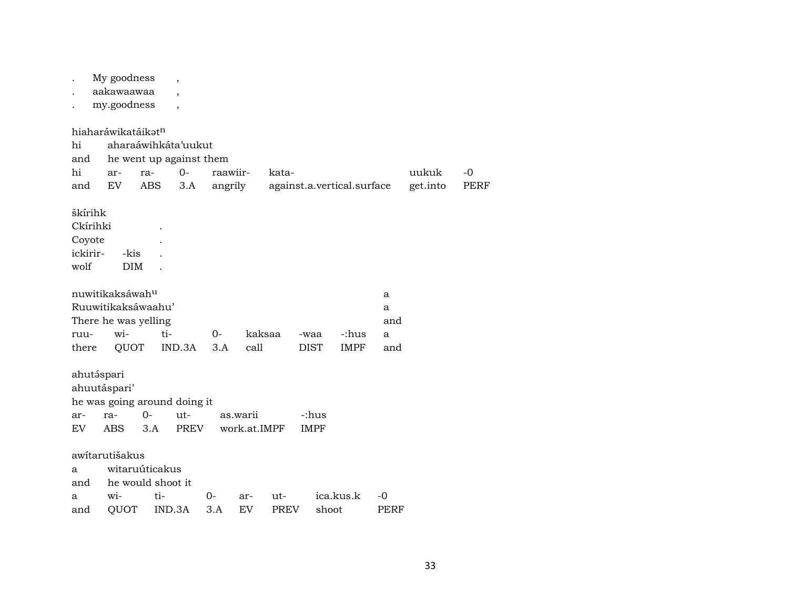My goodness , aakawaawaa , . my.goodness , hiaharáwikatáikat<sup>n</sup> hi aharaáwihkáta'uukut and he went up against them hi ar- ra- 0- raawiir- kata- uukuk -0 and EV ABS 3.A angrily against.a.vertical.surface get.into PERF škírihk Ckírihki . Coyote . ickirir- -kis . wolf DIM . nuwitikaksáwahµ a Ruuwitikaksáwaahu' a There he was yelling and ruu- wi- ti- 0- kaksaa -waa -:hus a there QUOT IND.3A 3.A call DIST IMPF and ahutáspari ahuutáspari' he was going around doing it ar- ra- 0- ut- as.warii -:hus EV ABS 3.A PREV work.at.IMPF IMPF awítarutišakus a witaruúticakus and he would shoot it a wi- ti- 0- ar- ut- ica.kus.k -0 and QUOT IND.3A 3.A EV PREV shoot PERF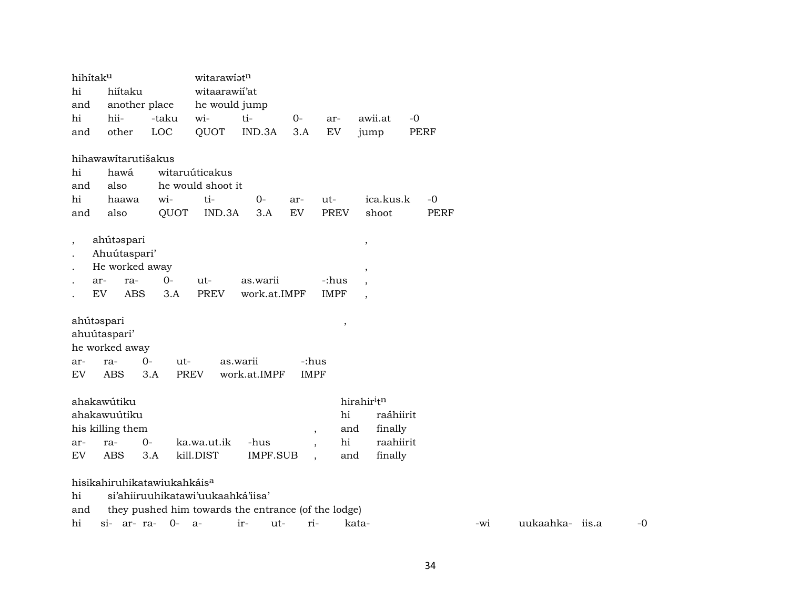| hihítaku                 |                                                     |                                         | witarawiatn                       |                 |                          |                                 |                          |             |  |  |  |
|--------------------------|-----------------------------------------------------|-----------------------------------------|-----------------------------------|-----------------|--------------------------|---------------------------------|--------------------------|-------------|--|--|--|
| hi                       | hiítaku                                             |                                         | witaarawii'at                     |                 |                          |                                 |                          |             |  |  |  |
| and                      | another place                                       |                                         | he would jump                     |                 |                          |                                 |                          |             |  |  |  |
| hi                       | hii-                                                | -taku                                   | wi-                               | ti-             | $0-$                     | ar-                             | awii.at                  | $-0$        |  |  |  |
| and                      | other                                               | LOC                                     | QUOT                              | IND.3A          | 3.A                      | EV                              | jump                     | PERF        |  |  |  |
|                          |                                                     |                                         |                                   |                 |                          |                                 |                          |             |  |  |  |
|                          | hihawawitarutišakus                                 |                                         |                                   |                 |                          |                                 |                          |             |  |  |  |
| hi                       | hawá                                                |                                         | witaruúticakus                    |                 |                          |                                 |                          |             |  |  |  |
| and                      | also                                                |                                         | he would shoot it                 |                 |                          |                                 |                          |             |  |  |  |
| hi                       | haawa                                               | wi-                                     | ti-                               | $0-$            | ar-                      | ut-                             | ica.kus.k                | $-0$        |  |  |  |
| and                      | also                                                | QUOT                                    | IND.3A                            | 3.A             | EV                       | <b>PREV</b>                     | shoot                    | <b>PERF</b> |  |  |  |
|                          | ahútəspari                                          |                                         |                                   |                 |                          |                                 |                          |             |  |  |  |
| $\overline{\phantom{a}}$ | Ahuútaspari'                                        |                                         |                                   |                 |                          |                                 | $\, ,$                   |             |  |  |  |
|                          | He worked away                                      |                                         |                                   |                 |                          |                                 |                          |             |  |  |  |
|                          | ra-<br>ar-                                          | $0-$                                    | ut-                               | as.warii        |                          | -:hus                           | $\,$                     |             |  |  |  |
|                          | EV<br><b>ABS</b>                                    | 3.A                                     | <b>PREV</b>                       | work.at.IMPF    |                          | <b>IMPF</b>                     |                          |             |  |  |  |
|                          |                                                     |                                         |                                   |                 |                          |                                 | $\overline{\phantom{a}}$ |             |  |  |  |
| ahútəspari               |                                                     |                                         |                                   |                 |                          |                                 |                          |             |  |  |  |
|                          | ahuútaspari'                                        |                                         |                                   |                 |                          | $\, ,$                          |                          |             |  |  |  |
|                          | he worked away                                      |                                         |                                   |                 |                          |                                 |                          |             |  |  |  |
| ar-                      | ra-                                                 | 0-<br>ut-                               |                                   | as.warii        | -:hus                    |                                 |                          |             |  |  |  |
| EV                       | ABS                                                 | 3.A                                     | <b>PREV</b>                       | work.at.IMPF    | <b>IMPF</b>              |                                 |                          |             |  |  |  |
|                          |                                                     |                                         |                                   |                 |                          |                                 |                          |             |  |  |  |
|                          | ahakawútiku                                         |                                         |                                   |                 |                          |                                 | hirahir <sup>itn</sup>   |             |  |  |  |
|                          | ahakawuútiku                                        |                                         |                                   |                 |                          | hi                              | raáhiirit                |             |  |  |  |
|                          | his killing them                                    |                                         |                                   |                 |                          | and<br>$\overline{\phantom{a}}$ | finally                  |             |  |  |  |
| ar-                      | ra-                                                 | $0-$                                    | ka.wa.ut.ik                       | -hus            | $\overline{\phantom{a}}$ | hi                              | raahiirit                |             |  |  |  |
| EV                       | <b>ABS</b>                                          | 3.A                                     | kill.DIST                         | <b>IMPF.SUB</b> |                          | and<br>$\overline{\phantom{a}}$ | finally                  |             |  |  |  |
|                          |                                                     |                                         |                                   |                 |                          |                                 |                          |             |  |  |  |
|                          |                                                     | hisikahiruhikatawiukahkáis <sup>a</sup> |                                   |                 |                          |                                 |                          |             |  |  |  |
| hi                       |                                                     |                                         | si'ahiiruuhikatawi'uukaahká'iisa' |                 |                          |                                 |                          |             |  |  |  |
| and                      | they pushed him towards the entrance (of the lodge) |                                         |                                   |                 |                          |                                 |                          |             |  |  |  |

hi si- ar- ra- 0- a- ir- ut- ri- kata- -wi uukaahka- iis.a -0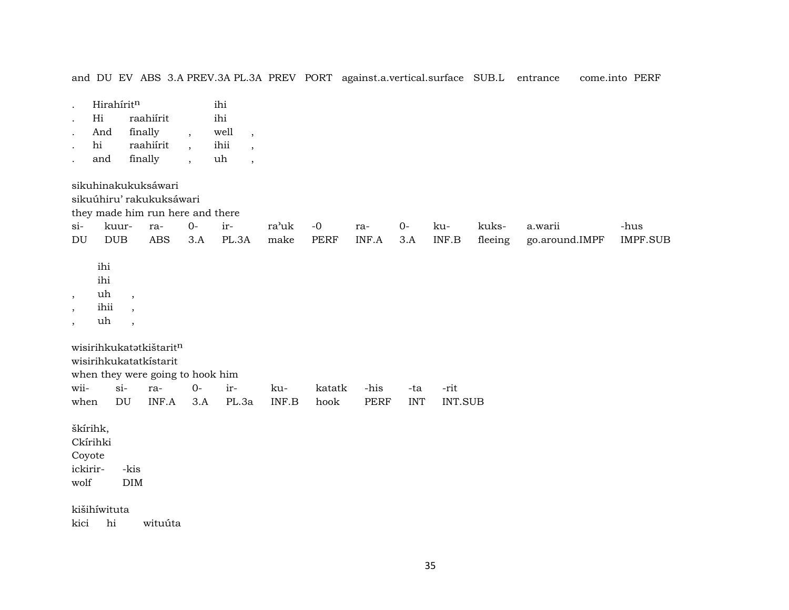and DU EV ABS 3.A PREV.3A PL.3A PREV PORT against.a.vertical.surface SUB.L entrance come.into PERF

| Hi | raahiirit | 1 h 1 |
|----|-----------|-------|
|    |           |       |

- . And finally , well , . hi raahiírit , ihii ,
- . and finally , uh ,

sikuhinakukuksáwari

sikuúhiru' rakukuksáwari

they made him run here and there

|  |  |  |  |  | si- kuur- ra- 0- ir-   ra'uk -0   ra-   0-   ku-   kuks-  a.warii              | -hus |
|--|--|--|--|--|--------------------------------------------------------------------------------|------|
|  |  |  |  |  | DU DUB ABS 3.A PL.3A make PERF INF.A 3.A INF.B fleeing go.around.IMPF IMPF.SUB |      |

ihi ihi

- , uh ,
- , ihii ,
- , uh ,

wisirihkukatatkištarit<sup>n</sup>

wisirihkukatatkístarit

when they were going to hook him

|  |  |  |  | when DU INF.A 3.A PL.3a INF.B hook PERF INT INT.SUB |
|--|--|--|--|-----------------------------------------------------|

škírihk,

Ckírihki Coyote

ickirir- -kis wolf DIM

kišihíwituta

kici hi wituúta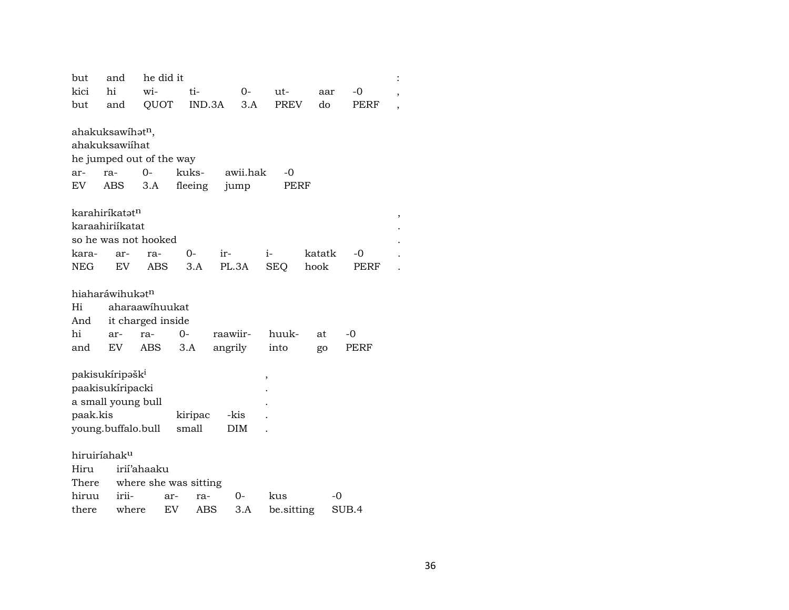| but                                            | and                             | he did it             |         |          |          |            |        |    |       |   |  |  |
|------------------------------------------------|---------------------------------|-----------------------|---------|----------|----------|------------|--------|----|-------|---|--|--|
| kici                                           | hi                              | wi-                   | ti-     |          | $0-$     | ut-        | aar    |    | -0    | , |  |  |
| but                                            | and                             | QUOT                  |         | IND.3A   | 3.A      | PREV       | do     |    | PERF  |   |  |  |
| ahakuksawihət <sup>n</sup> ,<br>ahakuksawiihat |                                 |                       |         |          |          |            |        |    |       |   |  |  |
| he jumped out of the way                       |                                 |                       |         |          |          |            |        |    |       |   |  |  |
| ar-                                            | ra-                             | $0-$                  | kuks-   |          | awii.hak | -0         |        |    |       |   |  |  |
| EV                                             | ABS                             | 3.A                   | fleeing |          | jump     | PERF       |        |    |       |   |  |  |
|                                                |                                 |                       |         |          |          |            |        |    |       |   |  |  |
|                                                | karahiríkatət <sup>n</sup><br>, |                       |         |          |          |            |        |    |       |   |  |  |
|                                                | karaahiriikatat                 |                       |         |          |          |            |        |    |       |   |  |  |
|                                                | so he was not hooked            |                       |         |          |          |            |        |    |       |   |  |  |
| kara-                                          | ar-                             | ra-                   | 0-      | ir-      |          | $i-$       | katatk |    | -0    |   |  |  |
| NEG                                            | EV.                             | ABS                   | 3.A     |          | PL.3A    | <b>SEQ</b> | hook   |    | PERF  |   |  |  |
|                                                |                                 |                       |         |          |          |            |        |    |       |   |  |  |
|                                                | hiaharáwihukət <sup>n</sup>     |                       |         |          |          |            |        |    |       |   |  |  |
| Hi                                             |                                 | aharaawihuukat        |         |          |          |            |        |    |       |   |  |  |
| And                                            |                                 | it charged inside     |         |          |          |            |        |    |       |   |  |  |
| hi                                             | ar-                             | ra-                   | $0-$    | raawiir- |          | huuk-      | at     |    | -0    |   |  |  |
| and                                            | EV                              | ABS                   | 3.A     |          | angrily  | into       | go     |    | PERF  |   |  |  |
|                                                |                                 |                       |         |          |          |            |        |    |       |   |  |  |
|                                                | pakisukíripəšk <sup>i</sup>     |                       |         |          | ,        |            |        |    |       |   |  |  |
|                                                | paakisukíripacki                |                       |         |          |          |            |        |    |       |   |  |  |
|                                                | a small young bull              |                       |         |          |          |            |        |    |       |   |  |  |
| paak.kis<br>kiripac<br>-kis                    |                                 |                       |         |          |          |            |        |    |       |   |  |  |
|                                                | young.buffalo.bull              |                       | small   |          | DIM      |            |        |    |       |   |  |  |
|                                                |                                 |                       |         |          |          |            |        |    |       |   |  |  |
| hiruiríahak <sup>u</sup>                       |                                 |                       |         |          |          |            |        |    |       |   |  |  |
| Hiru                                           | irií'ahaaku                     |                       |         |          |          |            |        |    |       |   |  |  |
| There                                          |                                 | where she was sitting |         |          |          |            |        |    |       |   |  |  |
| hiruu                                          | irii-                           | ar-                   | ra-     |          | 0-       | kus        |        | -0 |       |   |  |  |
| there                                          | where                           | EV                    | ABS     |          | 3.A      | be.sitting |        |    | SUB.4 |   |  |  |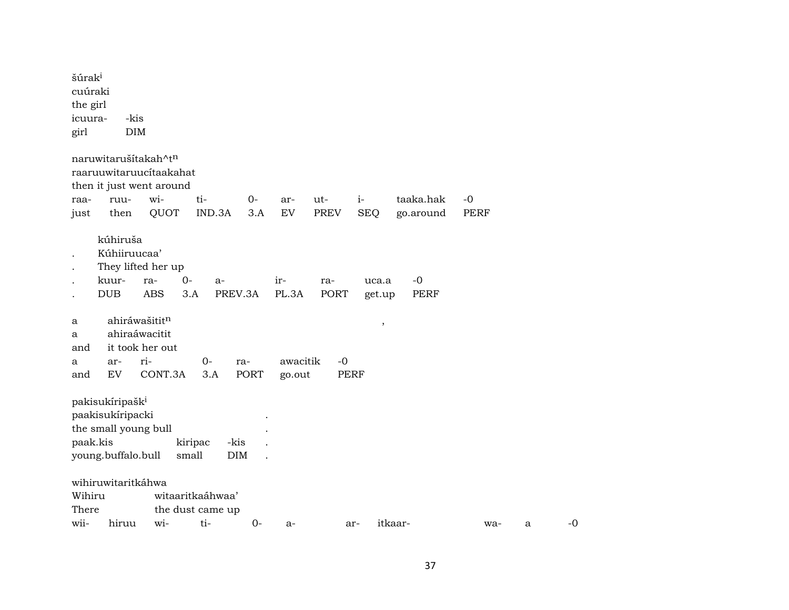| šúrak <sup>i</sup><br>cuúraki<br>the girl<br>icuura-<br>girl | -kis<br><b>DIM</b>                                                                            |                            |                                             |             |                    |                     |                    |                        |                     |   |      |
|--------------------------------------------------------------|-----------------------------------------------------------------------------------------------|----------------------------|---------------------------------------------|-------------|--------------------|---------------------|--------------------|------------------------|---------------------|---|------|
| raa-<br>just                                                 | naruwitarušítakah^tn<br>raaruuwitaruucítaakahat<br>then it just went around<br>ruu-<br>then   | wi-<br>QUOT                | ti-<br>IND.3A                               | $0-$<br>3.A | ar-<br>${\rm EV}$  | ut-<br>PREV         | $i-$<br><b>SEQ</b> | taaka.hak<br>go.around | $-0$<br><b>PERF</b> |   |      |
|                                                              | kúhiruša<br>Kúhiiruucaa'<br>They lifted her up<br>kuur-<br><b>DUB</b>                         | $O -$<br>ra-<br><b>ABS</b> | a-<br>PREV.3A<br>3.A                        |             | ir-<br>PL.3A       | ra-<br><b>PORT</b>  | uca.a<br>get.up    | $-0$<br><b>PERF</b>    |                     |   |      |
| a<br>a<br>and<br>a<br>and                                    | ahiráwašititn<br>ahiraáwacitit<br>it took her out<br>ar-<br><b>EV</b>                         | ri-<br>CONT.3A             | $O -$<br>3.A                                | ra-<br>PORT | awacitik<br>go.out | $-0$<br><b>PERF</b> | $\,$               |                        |                     |   |      |
| paak.kis                                                     | pakisukíripašk <sup>i</sup><br>paakisukíripacki<br>the small young bull<br>young.buffalo.bull |                            | -kis<br>kiripac<br>small<br><b>DIM</b>      |             |                    |                     |                    |                        |                     |   |      |
| Wihiru<br>There<br>wii-                                      | wihiruwitaritkáhwa<br>hiruu                                                                   | wi-                        | witaaritkaáhwaa'<br>the dust came up<br>ti- | $0-$        | $a-$               |                     | ar-                | itkaar-                | wa-                 | a | $-0$ |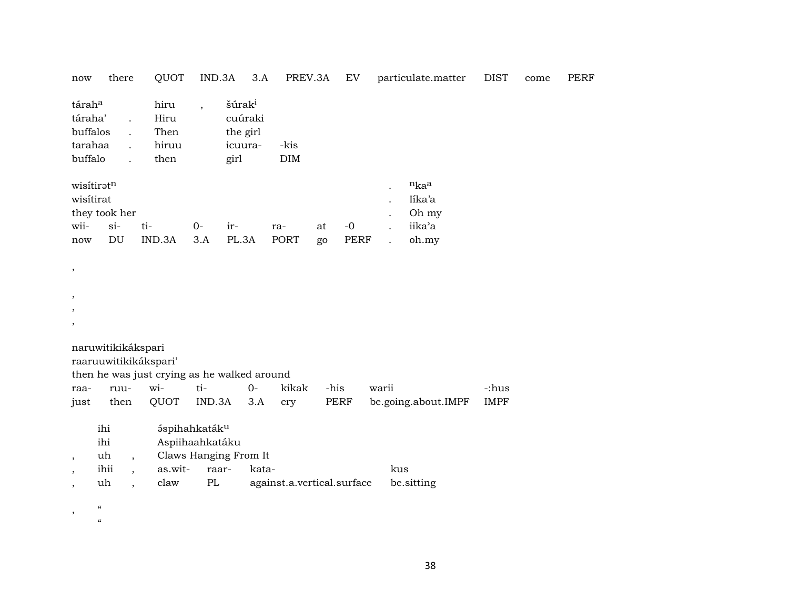| now                                                 | there                                                                                        | QUOT                                                                        | IND.3A                                                                | 3.A                                                          | PREV.3A                    |          | EV                  | particulate.matter                                                       | <b>DIST</b> | come | <b>PERF</b> |
|-----------------------------------------------------|----------------------------------------------------------------------------------------------|-----------------------------------------------------------------------------|-----------------------------------------------------------------------|--------------------------------------------------------------|----------------------------|----------|---------------------|--------------------------------------------------------------------------|-------------|------|-------------|
| táraha<br>táraha'<br>buffalos<br>tarahaa<br>buffalo | $\ddot{\phantom{a}}$<br>$\ddot{\phantom{a}}$<br>$\ddot{\phantom{a}}$<br>$\ddot{\phantom{a}}$ | hiru<br>Hiru<br>Then<br>hiruu<br>then                                       |                                                                       | šúrak <sup>i</sup><br>cuúraki<br>the girl<br>icuura-<br>girl | -kis<br>$\rm{DIM}$         |          |                     |                                                                          |             |      |             |
| wisitirat<br>wii-<br>$\operatorname{now}$           | wisitiratn<br>they took her<br>$si-$<br>DU                                                   | ti-<br>IND.3A                                                               | $O -$<br>3.A                                                          | ir-<br>PL.3A                                                 | ra-<br><b>PORT</b>         | at<br>go | $-0$<br><b>PERF</b> | $n_{ka}$ a<br>Iíka'a<br>Oh my<br>iika'a<br>oh.my<br>$\ddot{\phantom{a}}$ |             |      |             |
| $\,$                                                |                                                                                              |                                                                             |                                                                       |                                                              |                            |          |                     |                                                                          |             |      |             |
|                                                     |                                                                                              |                                                                             |                                                                       |                                                              |                            |          |                     |                                                                          |             |      |             |
|                                                     |                                                                                              |                                                                             |                                                                       |                                                              |                            |          |                     |                                                                          |             |      |             |
| $\overline{\phantom{a}}$                            |                                                                                              |                                                                             |                                                                       |                                                              |                            |          |                     |                                                                          |             |      |             |
| raa-                                                | naruwitikikákspari<br>ruu-                                                                   | raaruuwitikikákspari'<br>then he was just crying as he walked around<br>wi- | ti-                                                                   | $0-$                                                         | kikak                      | -his     |                     | warii                                                                    | -:hus       |      |             |
| just                                                | then                                                                                         | QUOT                                                                        | IND.3A                                                                | 3.A                                                          | cry                        |          | <b>PERF</b>         | be.going.about.IMPF                                                      | <b>IMPF</b> |      |             |
| $\overline{\phantom{a}}$                            | ihi<br>ihi<br>uh                                                                             | $\overline{\phantom{a}}$                                                    | áspihahkaták <sup>u</sup><br>Aspiihaahkatáku<br>Claws Hanging From It |                                                              |                            |          |                     |                                                                          |             |      |             |
|                                                     | ihii                                                                                         | as.wit-<br>$\overline{\phantom{a}}$                                         | raar-                                                                 | kata-                                                        |                            |          |                     | kus                                                                      |             |      |             |
| $\cdot$                                             | uh<br>$\ddot{\phantom{0}}$                                                                   | claw                                                                        | PL                                                                    |                                                              | against.a.vertical.surface |          |                     | be.sitting                                                               |             |      |             |
| $\,$                                                | $\pmb{\zeta}\pmb{\zeta}$<br>$\epsilon$                                                       |                                                                             |                                                                       |                                                              |                            |          |                     |                                                                          |             |      |             |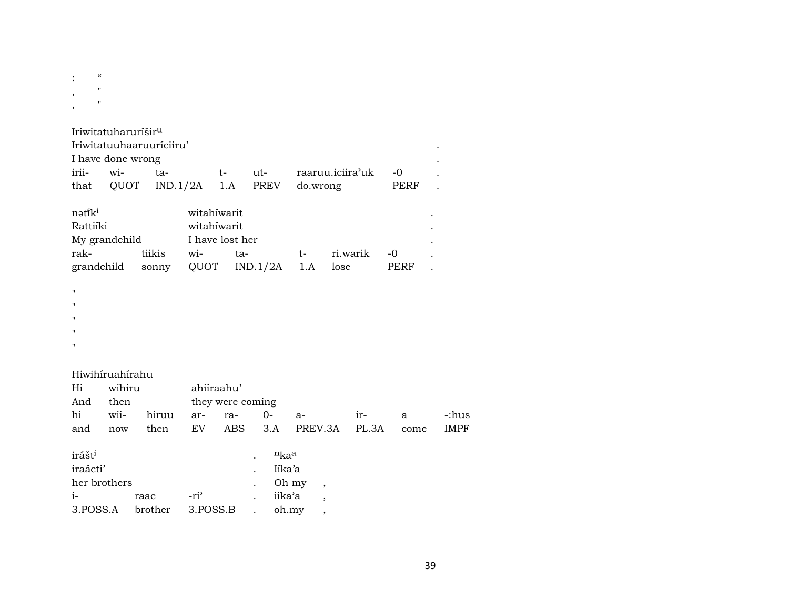| $\ddot{\cdot}$ | "           |  |
|----------------|-------------|--|
| ,              | $^{\prime}$ |  |
|                | $^{\prime}$ |  |
| ,              |             |  |

|                    | Iriwitatuharuríšir <sup>u</sup> |                          |                 |                            |                                         |                         |      |  |
|--------------------|---------------------------------|--------------------------|-----------------|----------------------------|-----------------------------------------|-------------------------|------|--|
|                    |                                 | Iriwitatuuhaaruuriciiru' |                 |                            |                                         |                         |      |  |
|                    | I have done wrong               |                          |                 |                            |                                         |                         |      |  |
| irii-              | wi-                             | ta-                      |                 |                            |                                         | t- ut- raaruu.iciira'uk | -0   |  |
|                    |                                 |                          |                 |                            | that QUOT IND.1/2A 1.A PREV             | do.wrong                | PERF |  |
| nətiki<br>Rattiíki |                                 |                          |                 | witahiwarit<br>witahiwarit |                                         |                         |      |  |
|                    | My grandchild                   |                          | I have lost her |                            |                                         |                         |      |  |
|                    | rak-                            | tiikis wi-               |                 |                            |                                         |                         |      |  |
|                    |                                 |                          |                 |                            | grandchild sonny QUOT IND.1/2A 1.A lose |                         | PERF |  |
| п                  |                                 |                          |                 |                            |                                         |                         |      |  |
| п                  |                                 |                          |                 |                            |                                         |                         |      |  |
| п                  |                                 |                          |                 |                            |                                         |                         |      |  |
| $\pmb{\mathsf{H}}$ |                                 |                          |                 |                            |                                         |                         |      |  |
| п                  |                                 |                          |                 |                            |                                         |                         |      |  |
|                    | Hiwihíruahírahu                 |                          |                 |                            |                                         |                         |      |  |
| Hi                 | wihiru                          |                          |                 | ahiíraahu'                 |                                         |                         |      |  |
| And                | then                            |                          |                 |                            | they were coming                        |                         |      |  |

| And then |  | they were coming |                                                 |  |       |
|----------|--|------------------|-------------------------------------------------|--|-------|
|          |  |                  | hi wii- hiruu ar- ra- 0- a-   ir-  a            |  | -:hus |
|          |  |                  | and now then EV ABS 3.A PREV.3A PL.3A come IMPF |  |       |

| irášt <sup>i</sup> |      |                               | $n_{ka}$  |  |
|--------------------|------|-------------------------------|-----------|--|
| iraácti'           |      |                               | Iíka'a    |  |
| her brothers       |      |                               | $.$ Oh my |  |
| $i-$               | raac | -ri <sup>3</sup>              | iika'a    |  |
|                    |      | 3. POSS.A brother 3. POSS.B . | oh.my     |  |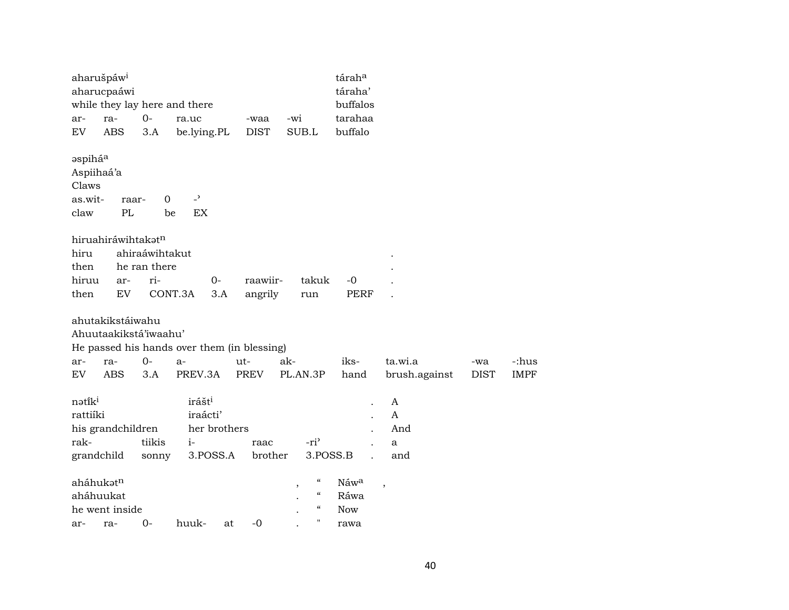| aharušpáw <sup>i</sup>                                        | aharucpaáwi                                                    |                                | while they lay here and there                                |      |                    |     |                                                                                                  | táraha<br>táraha'<br>buffalos      |                          |                    |                      |  |
|---------------------------------------------------------------|----------------------------------------------------------------|--------------------------------|--------------------------------------------------------------|------|--------------------|-----|--------------------------------------------------------------------------------------------------|------------------------------------|--------------------------|--------------------|----------------------|--|
| ar-                                                           | ra-                                                            | $0-$                           | ra.uc                                                        |      | -waa               | -wi |                                                                                                  | tarahaa                            |                          |                    |                      |  |
| EV                                                            | <b>ABS</b>                                                     | 3.A                            | be.lying.PL                                                  |      | <b>DIST</b>        |     | SUB.L                                                                                            | buffalo                            |                          |                    |                      |  |
| əspihá <sup>a</sup><br>Aspiihaá'a<br>Claws<br>as.wit-<br>claw | raar-<br>PL                                                    | 0<br>be                        | $\overline{\phantom{a}}$<br>EX                               |      |                    |     |                                                                                                  |                                    |                          |                    |                      |  |
| hiru<br>then                                                  | hiruahiráwihtakatn                                             | ahiraáwihtakut<br>he ran there |                                                              |      |                    |     |                                                                                                  |                                    |                          |                    |                      |  |
| hiruu                                                         | ar-                                                            | ri-                            |                                                              | $0-$ | raawiir-           |     | takuk                                                                                            | $-0$                               |                          |                    |                      |  |
| then                                                          | EV                                                             | CONT.3A                        |                                                              | 3.A  | angrily            |     | run                                                                                              | <b>PERF</b>                        |                          |                    |                      |  |
| ar-<br>EV                                                     | ahutakikstáiwahu<br>Ahuutaakikstá'iwaahu'<br>ra-<br><b>ABS</b> | $0-$<br>3.A                    | He passed his hands over them (in blessing)<br>a-<br>PREV.3A |      | ut-<br><b>PREV</b> | ak- | PL.AN.3P                                                                                         | iks-<br>hand                       | ta.wi.a<br>brush.against | -wa<br><b>DIST</b> | -:hus<br><b>IMPF</b> |  |
| nətiki<br>rattiíki<br>rak-                                    | his grandchildren                                              | tiikis                         | irášt <sup>i</sup><br>iraácti'<br>her brothers<br>$i-$       |      | raac               |     | -ri <sup>3</sup>                                                                                 |                                    | A<br>A<br>And<br>a       |                    |                      |  |
| grandchild                                                    |                                                                | sonny                          | 3.POSS.A                                                     |      | brother            |     | 3.POSS.B                                                                                         |                                    | and                      |                    |                      |  |
| aháhukət <sup>n</sup><br>aháhuukat<br>ar-                     | he went inside<br>ra-                                          | 0-                             | huuk-                                                        | at   | -0                 | ,   | $\epsilon\epsilon$<br>$\mathcal{C}\mathcal{C}$<br>$\mathcal{C}\mathcal{C}$<br>$\pmb{\mathsf{H}}$ | Náwa<br>Ráwa<br><b>Now</b><br>rawa | $\overline{\phantom{a}}$ |                    |                      |  |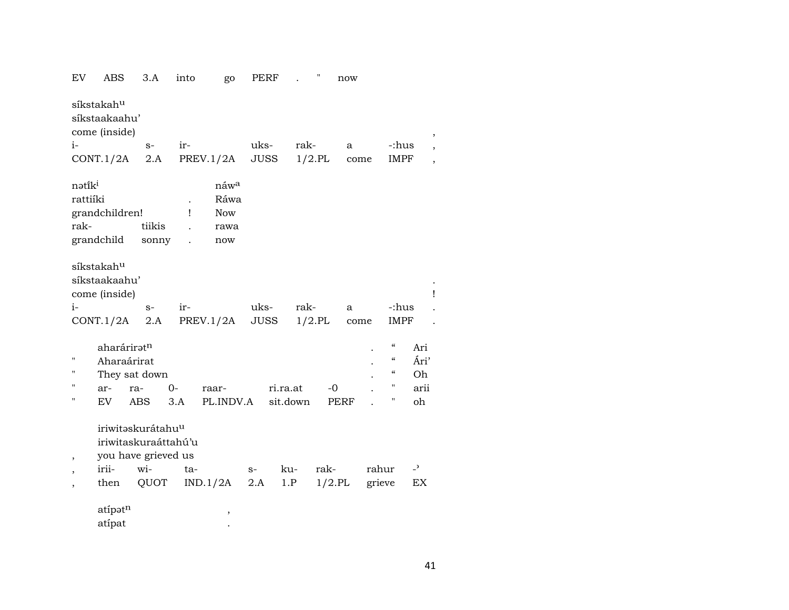| EV                                     | ABS                                                                          | 3.A             | into                      | go                                        | <b>PERF</b> |          | Π           | now  |                                                                                                                               |                           |
|----------------------------------------|------------------------------------------------------------------------------|-----------------|---------------------------|-------------------------------------------|-------------|----------|-------------|------|-------------------------------------------------------------------------------------------------------------------------------|---------------------------|
|                                        | síkstakah <sup>u</sup><br>síkstaakaahu'<br>come (inside)                     |                 |                           |                                           |             |          |             |      |                                                                                                                               | ,                         |
| $i-$                                   |                                                                              | $S-$            | ir-                       |                                           | uks-        | rak-     |             | a    | -:hus                                                                                                                         |                           |
|                                        | CONT.1/2A                                                                    | 2.A             |                           | PREV.1/2A                                 | JUSS        |          | $1/2$ .PL   | come | <b>IMPF</b>                                                                                                                   |                           |
| nətik <sup>i</sup><br>rattiíki<br>rak- | grandchildren!<br>grandchild                                                 | tiikis<br>sonny | $\ddot{\phantom{0}}$<br>Ţ | náwa<br>Ráwa<br><b>Now</b><br>rawa<br>now |             |          |             |      |                                                                                                                               |                           |
|                                        | síkstakah <sup>u</sup><br>síkstaakaahu'<br>come (inside)                     |                 |                           |                                           |             |          |             |      |                                                                                                                               | ı                         |
| $i-$                                   |                                                                              | $S-$            | ir-                       |                                           | uks-        | rak-     |             | a    | -:hus                                                                                                                         |                           |
|                                        | CONT.1/2A                                                                    | 2.A             |                           | PREV.1/2A                                 | JUSS        |          | $1/2$ .PL   | come | <b>IMPF</b>                                                                                                                   |                           |
| н<br>п<br>$\blacksquare$<br>п          | aharáriratn<br>Aharaárirat<br>They sat down<br>ar-                           | ra-             | $0-$                      | raar-                                     |             | ri.ra.at | $-0$        |      | $\boldsymbol{\mathcal{C}}$<br>$\boldsymbol{\zeta}\boldsymbol{\zeta}$<br>$\boldsymbol{\zeta}\boldsymbol{\zeta}$<br>$\mathbf H$ | Ari<br>Ári'<br>Oh<br>arii |
|                                        | EV.                                                                          | <b>ABS</b>      | 3.A                       | PL.INDV.A                                 |             | sit.down | <b>PERF</b> |      | н                                                                                                                             | oh                        |
| ,                                      | iriwitaskurátahu <sup>u</sup><br>iriwitaskuraáttahú'u<br>you have grieved us |                 |                           |                                           |             |          |             |      |                                                                                                                               |                           |
|                                        | irii-                                                                        | wi-             | ta-                       |                                           | $S-$        | ku-      | rak-        |      | rahur                                                                                                                         | $\overline{\phantom{0}}$  |
|                                        | then                                                                         | QUOT            |                           | IND.1/2A                                  | 2.A         | 1.P      | $1/2$ .PL   |      | grieve                                                                                                                        | EX                        |
|                                        | atípatn<br>atípat                                                            |                 |                           | $\pmb{\mathcal{I}}$                       |             |          |             |      |                                                                                                                               |                           |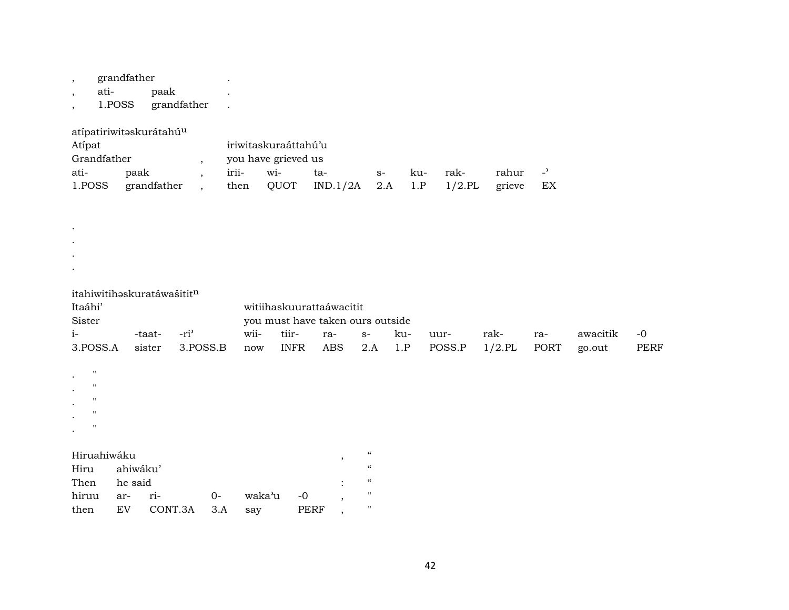, grandfather .

. . . .

- , ati- paak .
- , 1.POSS grandfather .

atípatiriwitəskurátahú $^{\rm u}$ 

| Atípat      |             | iriwitaskuraáttahú'u |                     |                                     |      |     |      |           |  |  |  |  |
|-------------|-------------|----------------------|---------------------|-------------------------------------|------|-----|------|-----------|--|--|--|--|
| Grandfather |             |                      | you have grieved us |                                     |      |     |      |           |  |  |  |  |
| ati-        | paak        | irii-                | $W1-$               | ta-                                 | $S-$ | -ku | rak- | rahur -'  |  |  |  |  |
| 1.POSS      | grandfather |                      |                     | then $QUOT$ IND.1/2A 2.A 1.P 1/2.PL |      |     |      | grieve EX |  |  |  |  |

itahiwitihəskuratáwašitit $^{\rm n}$ 

| Itaáhi'                                                                                                                                             |          |         |          | witiihaskuurattaáwacitit |                                  |            |                            |     |        |           |      |          |             |  |
|-----------------------------------------------------------------------------------------------------------------------------------------------------|----------|---------|----------|--------------------------|----------------------------------|------------|----------------------------|-----|--------|-----------|------|----------|-------------|--|
| Sister                                                                                                                                              |          |         |          |                          | you must have taken ours outside |            |                            |     |        |           |      |          |             |  |
| $i-$                                                                                                                                                |          | -taat-  | $-ri3$   | wii-                     | tiir-                            | ra-        | $S-$                       | ku- | uur-   | rak-      | ra-  | awacitik | $-0$        |  |
| 3.POSS.A                                                                                                                                            |          | sister  | 3.POSS.B | now                      | <b>INFR</b>                      | <b>ABS</b> | 2.A                        | 1.P | POSS.P | $1/2$ .PL | PORT | go.out   | <b>PERF</b> |  |
| $\mathbf{H}$<br>$\bullet$<br>$\blacksquare$<br>$\bullet$<br>$\blacksquare$<br>$\cdot$<br>$^{\prime\prime}$<br>$\bullet$<br>$^{\prime}$<br>$\bullet$ |          |         |          |                          |                                  |            |                            |     |        |           |      |          |             |  |
| Hiruahiwáku                                                                                                                                         |          |         |          |                          |                                  | $\cdot$    | $\mathcal{C}$              |     |        |           |      |          |             |  |
| Hiru                                                                                                                                                | ahiwáku' |         |          |                          |                                  |            | $\mathcal{C}\mathcal{C}$   |     |        |           |      |          |             |  |
| Then                                                                                                                                                | he said  |         |          |                          |                                  | ٠          | $\boldsymbol{\mathcal{C}}$ |     |        |           |      |          |             |  |
| hiruu                                                                                                                                               | ar-      | ri-     | $O-$     | waka'u                   | $-0$                             | ,          | $\mathbf{H}$               |     |        |           |      |          |             |  |
| then                                                                                                                                                | EV       | CONT.3A | 3.A      | say                      | <b>PERF</b>                      | $\cdot$    | $\mathbf{H}$               |     |        |           |      |          |             |  |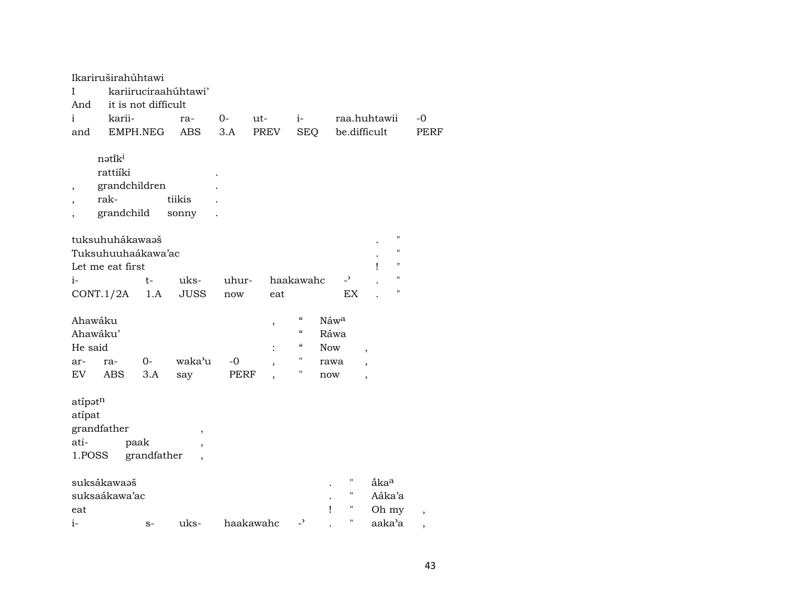| Ι<br>And<br>i<br>and                | Ikariruširahúhtawi<br>it is not difficult<br>karii-<br>EMPH.NEG |                     | kariiruciraahúhtawi'<br>ra-<br><b>ABS</b> | $O-$<br>3.A  | ut-<br>PREV         | $i-$<br><b>SEQ</b>                                                                               |                                    |                                | raa.huhtawii<br>be.difficult                         |               | -0<br><b>PERF</b>        |  |
|-------------------------------------|-----------------------------------------------------------------|---------------------|-------------------------------------------|--------------|---------------------|--------------------------------------------------------------------------------------------------|------------------------------------|--------------------------------|------------------------------------------------------|---------------|--------------------------|--|
| $\,$<br>$\overline{\phantom{a}}$    | nətiki<br>rattiíki<br>grandchildren<br>rak-<br>grandchild       |                     | tiikis<br>sonny                           |              |                     |                                                                                                  |                                    |                                |                                                      |               |                          |  |
|                                     | tuksuhuhákawaaš<br>Tuksuhuuhaákawa'ac<br>Let me eat first       |                     |                                           |              |                     |                                                                                                  |                                    |                                | ı                                                    | 11<br>П<br>11 |                          |  |
| $i-$                                | CONT.1/2A                                                       | $t-$<br>1.A         | uks-<br><b>JUSS</b>                       | uhur-<br>now | eat                 | haakawahc                                                                                        |                                    | $\overline{\phantom{a}}$<br>EX |                                                      | 11<br>11      |                          |  |
| Ahawáku<br>He said<br>ar-           | Ahawáku'<br>ra-                                                 | $O -$               | waka'u                                    | -0           | ,<br>$\ddot{\cdot}$ | $\mathcal{C}\mathcal{C}$<br>$\mathcal{C}\mathcal{C}$<br>$\mathcal{C}\mathcal{C}$<br>$\mathbf{H}$ | Náwa<br>Ráwa<br><b>Now</b><br>rawa |                                | $\overline{\phantom{a}}$<br>$\overline{\phantom{a}}$ |               |                          |  |
| EV                                  | <b>ABS</b>                                                      | 3.A                 | say                                       | PERF         |                     | $\pmb{\mathsf{H}}$                                                                               | now                                |                                | $\overline{\phantom{a}}$                             |               |                          |  |
| atípatn<br>atípat<br>ati-<br>1.POSS | grandfather                                                     | paak<br>grandfather | $^\mathrm{,}$<br>$\cdot$                  |              |                     |                                                                                                  |                                    |                                |                                                      |               |                          |  |
| eat                                 | suksákawaaš<br>suksaákawa'ac                                    |                     |                                           |              |                     |                                                                                                  | Ţ                                  | $\pmb{\mathsf{H}}$<br>п<br>Ħ   | åka <sup>a</sup><br>Aáka'a<br>Oh my                  |               | $\overline{\phantom{a}}$ |  |
| $i-$                                |                                                                 | $S-$                | uks-                                      |              | haakawahc           | $\overline{ }$                                                                                   |                                    | п                              | aaka'a                                               |               | ,                        |  |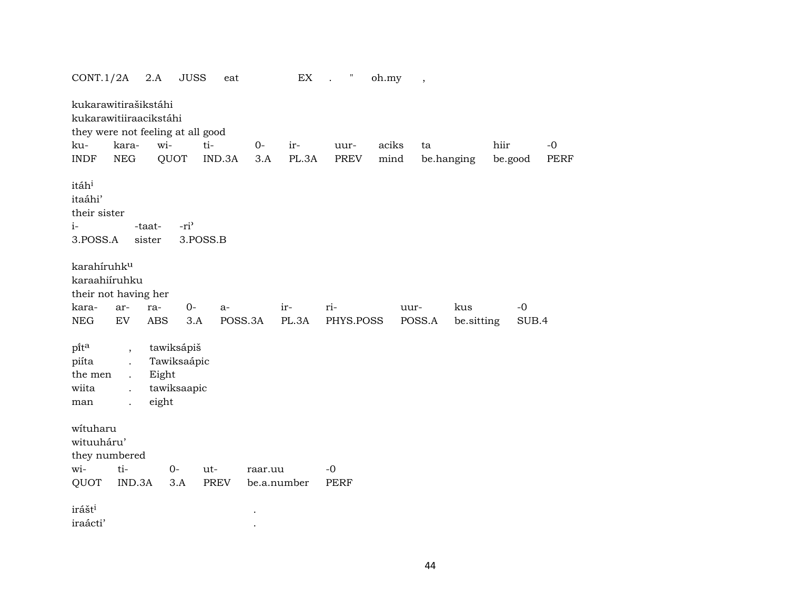| CONT.1/2A                                                        | 2.A                                                                                                                               | <b>JUSS</b>                                       | eat           |              | EX           | $\pmb{\mathsf{H}}$<br>$\cdot$ | oh.my         | $\, ,$         |                   |                 |                     |
|------------------------------------------------------------------|-----------------------------------------------------------------------------------------------------------------------------------|---------------------------------------------------|---------------|--------------|--------------|-------------------------------|---------------|----------------|-------------------|-----------------|---------------------|
| ku-<br><b>INDF</b>                                               | kukarawitirašikstáhi<br>kukarawitiiraacikstáhi<br>they were not feeling at all good<br>kara-<br><b>NEG</b>                        | wi-<br>QUOT                                       | ti-<br>IND.3A | $O -$<br>3.A | ir-<br>PL.3A | uur-<br><b>PREV</b>           | aciks<br>mind | ta             | be.hanging        | hiir<br>be.good | $-0$<br><b>PERF</b> |
| itáh <sup>i</sup><br>itaáhi'<br>their sister<br>$i-$<br>3.POSS.A | -taat-<br>sister                                                                                                                  | -ri <sup>3</sup>                                  | 3.POSS.B      |              |              |                               |               |                |                   |                 |                     |
| karahíruhk <sup>u</sup><br>karaahiiruhku<br>kara-<br>NEG         | their not having her<br>ar-<br>ra-<br>EV<br><b>ABS</b>                                                                            | $0-$<br>3.A                                       | $a-$          | POSS.3A      | ir-<br>PL.3A | ri-<br>PHYS.POSS              |               | uur-<br>POSS.A | kus<br>be.sitting | $-0$<br>SUB.4   |                     |
| pita<br>piíta<br>the men<br>wiita<br>man                         | $\overline{\phantom{a}}$<br>$\ddot{\phantom{a}}$<br>$\ddot{\phantom{a}}$<br>$\ddot{\phantom{a}}$<br>eight<br>$\ddot{\phantom{0}}$ | tawiksápiš<br>Tawiksaápic<br>Eight<br>tawiksaapic |               |              |              |                               |               |                |                   |                 |                     |
| wituharu<br>wituuháru'<br>they numbered<br>wi-<br>QUOT           | ti-<br>IND.3A                                                                                                                     | $O -$<br>3.A                                      | ut-<br>PREV   | raar.uu      | be.a.number  | $-0$<br><b>PERF</b>           |               |                |                   |                 |                     |
| irášt <sup>i</sup><br>iraácti'                                   |                                                                                                                                   |                                                   |               |              |              |                               |               |                |                   |                 |                     |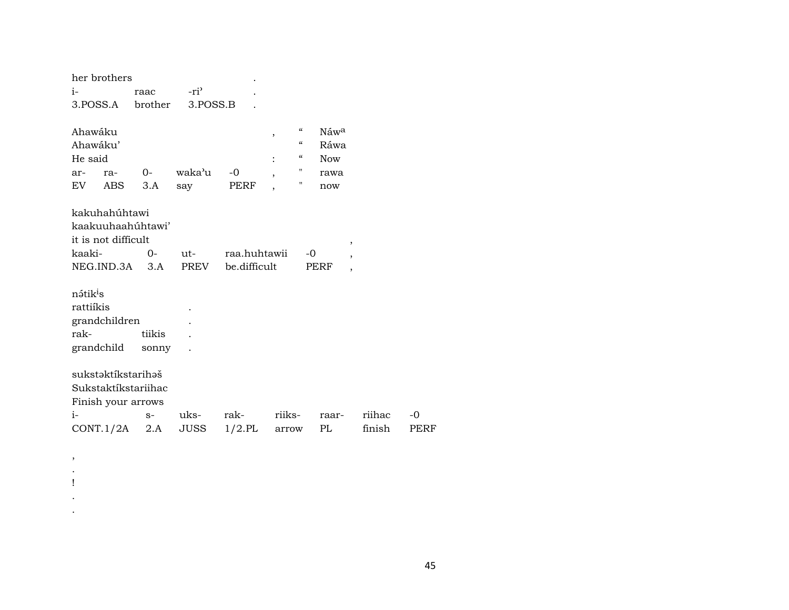| her brothers                                                                                  |                 |                         |                              |                                                                                             |                                                                                                                 |        |      |
|-----------------------------------------------------------------------------------------------|-----------------|-------------------------|------------------------------|---------------------------------------------------------------------------------------------|-----------------------------------------------------------------------------------------------------------------|--------|------|
| $i-$                                                                                          | raac            | $-ri$                   |                              |                                                                                             |                                                                                                                 |        |      |
| 3.POSS.A brother 3.POSS.B                                                                     |                 |                         |                              |                                                                                             |                                                                                                                 |        |      |
| Ahawáku<br>Ahawáku'<br>He said<br>ar-<br>ra-<br>EV<br>ABS                                     | $0-$<br>3.A     | waka'u<br>say           | $-0$<br>PERF                 | ,<br>$\mathcal{C}\mathcal{C}$<br>$\ddot{\cdot}$<br>п<br>,<br>11<br>$\overline{\phantom{a}}$ | $\mathcal{C}\mathcal{C}$<br>Náwa<br>$\boldsymbol{\zeta}\boldsymbol{\zeta}$<br>Ráwa<br><b>Now</b><br>rawa<br>now |        |      |
| kakuhahúhtawi<br>kaakuuhaahúhtawi'<br>it is not difficult<br>kaaki-<br>$NEG.ID.3A \qquad 3.A$ | $O -$           | $ut$ - $\qquad$<br>PREV | raa.huhtawii<br>be.difficult |                                                                                             | $^\mathrm{^{^\circ}}$<br>$-0$<br>$\overline{ }$<br>PERF<br>$\overline{\phantom{a}}$                             |        |      |
| nátik <sup>i</sup> s<br>rattiíkis<br>grandchildren<br>rak-<br>grandchild                      | tiikis<br>sonny |                         |                              |                                                                                             |                                                                                                                 |        |      |
| sukstəktikstarihəš<br>Sukstaktíkstariihac<br>Finish your arrows<br>$i-$                       | $S-$            | uks-                    | rak-                         | riiks-                                                                                      | raar-                                                                                                           | riihac | $-0$ |
| $CONT.1/2A$ 2.A                                                                               |                 | JUSS                    | $1/2$ .PL                    | arrow                                                                                       | PL                                                                                                              | finish | PERF |

 $\,$  ,  $\langle \cdot \rangle$  $\mathbf{I}$  $\blacksquare$  $\langle \cdot \rangle$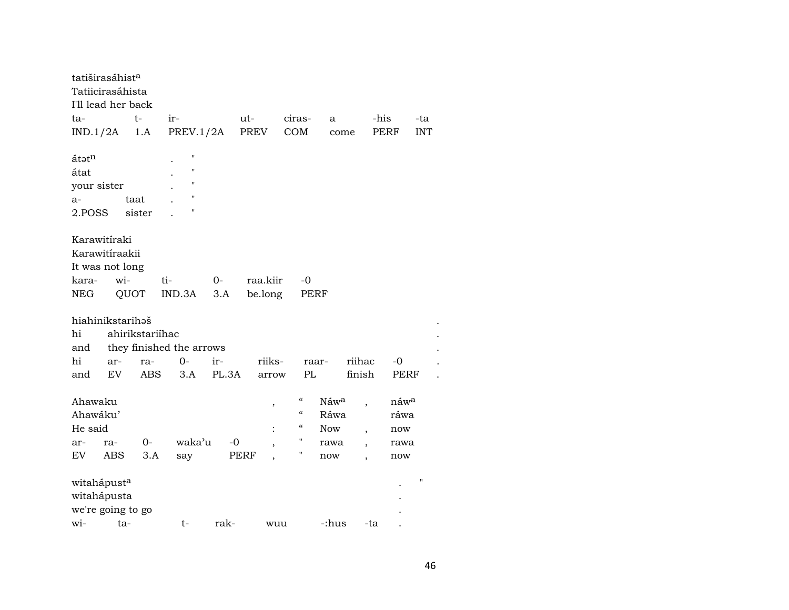| tatiširasáhist <sup>a</sup> |     |                 |                                  |       |          |            |                  |        |      |                   |
|-----------------------------|-----|-----------------|----------------------------------|-------|----------|------------|------------------|--------|------|-------------------|
| Tatiicirasáhista            |     |                 |                                  |       |          |            |                  |        |      |                   |
| I'll lead her back          |     |                 |                                  |       |          |            |                  |        |      |                   |
| ta-                         |     | $t-$            | ir-                              |       | ut-      | ciras-     | a                |        | -his | -ta               |
| IND.1/2A                    |     | 1.A             | PREV.1/2A                        |       | PREV     | COM        | come             |        | PERF | <b>INT</b>        |
|                             |     |                 |                                  |       |          |            |                  |        |      |                   |
| átatn                       |     |                 | П                                |       |          |            |                  |        |      |                   |
| átat                        |     |                 | $\pmb{\mathsf{H}}$               |       |          |            |                  |        |      |                   |
| your sister                 |     |                 | п                                |       |          |            |                  |        |      |                   |
| a-                          |     | taat            | $\pmb{\mathsf{H}}$               |       |          |            |                  |        |      |                   |
| 2.POSS                      |     | sister          | н                                |       |          |            |                  |        |      |                   |
|                             |     |                 |                                  |       |          |            |                  |        |      |                   |
| Karawitíraki                |     |                 |                                  |       |          |            |                  |        |      |                   |
| Karawitíraakii              |     |                 |                                  |       |          |            |                  |        |      |                   |
| It was not long             |     |                 |                                  |       |          |            |                  |        |      |                   |
| kara-                       | wi- |                 | ti-                              | $0-$  | raa.kiir | -0         |                  |        |      |                   |
| <b>NEG</b>                  |     | QUOT            | IND.3A                           | 3.A   | be.long  |            | PERF             |        |      |                   |
|                             |     |                 |                                  |       |          |            |                  |        |      |                   |
| hiahinikstarihəš<br>hi      |     | ahirikstariíhac |                                  |       |          |            |                  |        |      |                   |
|                             |     |                 |                                  |       |          |            |                  |        |      |                   |
| and<br>hi                   |     |                 | they finished the arrows<br>$0-$ |       | riiks-   |            |                  | riihac |      |                   |
|                             | ar- | ra-             |                                  | ir-   |          | PL         | raar-            |        | -0   |                   |
| and                         | EV  | <b>ABS</b>      | 3.A                              | PL.3A | arrow    |            |                  | finish | PERF |                   |
| Ahawaku                     |     |                 |                                  |       | $\, ,$   | "          | Náw <sup>a</sup> |        | náwa |                   |
| Ahawáku'                    |     |                 |                                  |       |          | $\epsilon$ | Ráwa             |        | ráwa |                   |
| He said                     |     |                 |                                  |       |          | "          | <b>Now</b>       |        | now  |                   |
| ar-                         | ra- | 0-              | waka'u                           | $-0$  |          | п          | rawa             |        | rawa |                   |
| EV.                         | ABS | 3.A             | say                              |       | PERF     | н          | now              |        | now  |                   |
|                             |     |                 |                                  |       |          |            |                  |        |      |                   |
| witahápust <sup>a</sup>     |     |                 |                                  |       |          |            |                  |        |      | $^{\prime\prime}$ |
| witahápusta                 |     |                 |                                  |       |          |            |                  |        |      |                   |
| we're going to go           |     |                 |                                  |       |          |            |                  |        |      |                   |
| wi-                         |     | ta-             | t-                               | rak-  | wuu      |            | -:hus            | -ta    |      |                   |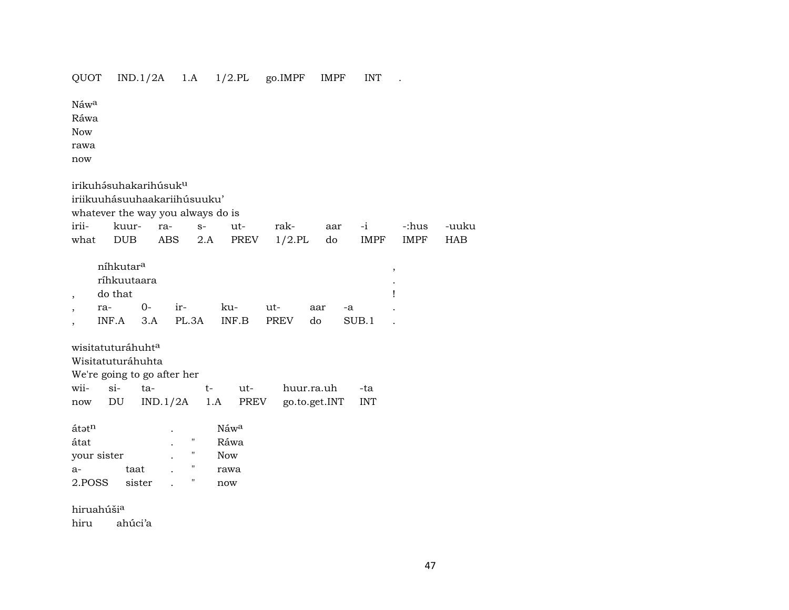## QUOT IND.1/2A 1.A 1/2.PL go.IMPF IMPF INT .

Náw<sup>a</sup>

Ráwa

Now

rawa

now

 $irikuh$ ásuhakarihúsuk $^u$ 

iriikuuhásuuhaakariihúsuuku'

whatever the way you always do is  $\cdot$  ...

|  |  | irii- kuur- ra- s- ut- rak- aar -i -:hus -uuku |  |  |
|--|--|------------------------------------------------|--|--|
|  |  | what DUB ABS 2.A PREV 1/2.PL do IMPF IMPF HAB  |  |  |

| níhkutar <sup>a</sup> |      |       |       |             |     |       |   |
|-----------------------|------|-------|-------|-------------|-----|-------|---|
| ríhkuutaara           |      |       |       |             |     |       | ٠ |
| do that               |      |       |       |             |     |       |   |
| ra-                   | $0-$ | $ir-$ | ku-   | ut-         | aar | $-a$  |   |
| $INF.A$ $3.A$ $PL.3A$ |      |       | INF.B | <b>PREV</b> | do  | SUB 1 |   |

wisitatuturáhuht<sup>a</sup>

Wisitatuturáhuhta

We're going to go after her

| wii- si- ta- |  |  | t- ut- huur.ra.uh -ta                      |  |
|--------------|--|--|--------------------------------------------|--|
|              |  |  | now DU IND.1/2A 1.A PREV go.to.get.INT INT |  |

| átət <sup>n</sup> |        | $\bullet$ |   | Náw <sup>a</sup> |
|-------------------|--------|-----------|---|------------------|
| átat              |        | $\bullet$ | п | Ráwa             |
| your sister       |        | ٠         | п | <b>Now</b>       |
| $a -$             | taat   |           | п | rawa             |
| 2.POSS            | sister |           | п | now              |

hiruahúši<sup>a</sup> hiru ahúci'a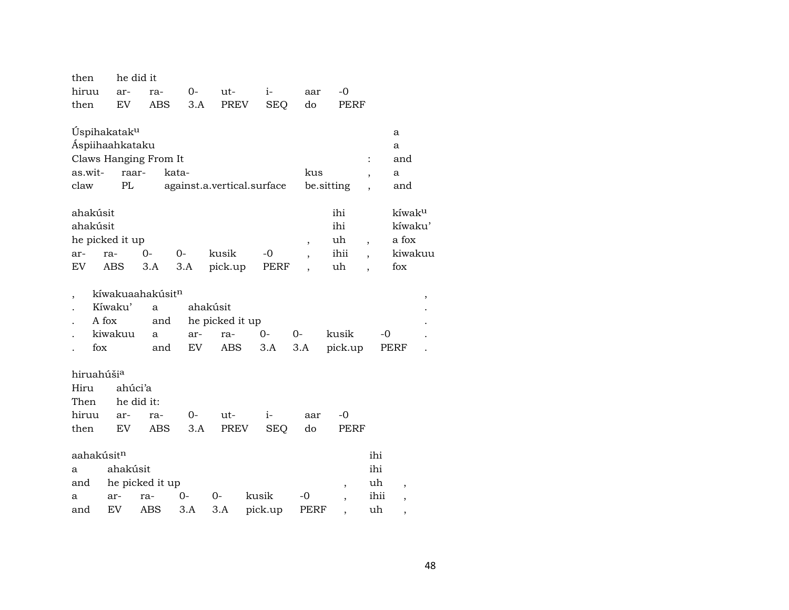| $0-$<br>hiruu<br>ut-<br>$i-$<br>-0<br>ar-<br>ra-<br>aar<br>EV<br><b>ABS</b><br>3.A<br><b>PREV</b><br><b>SEQ</b><br>do<br>PERF<br>then<br>Úspihakatak <sup>u</sup><br>a<br>Áspiihaahkataku<br>a<br>Claws Hanging From It<br>and<br>:<br>as.wit-<br>raar-<br>kata-<br>kus<br>a<br>$\, ,$<br>PL<br>against.a.vertical.surface<br>be.sitting<br>claw<br>and<br>ahakúsit<br>ihi<br>kíwak <sup>u</sup><br>ahakúsit<br>ihi<br>kíwaku'<br>he picked it up<br>uh<br>a fox<br>$\overline{\phantom{a}}$<br>$\overline{\phantom{a}}$<br>$0-$<br>kusik<br>ihii<br>kiwakuu<br>$0-$<br>$-0$<br>ra-<br>ar-<br>$\overline{\phantom{a}}$<br>$\overline{\phantom{a}}$<br>uh<br>EV<br><b>ABS</b><br>fox<br>3.A<br>3.A<br>pick.up<br>PERF<br>kíwakuaahakúsit <sup>n</sup><br>,<br>Kíwaku'<br>ahakúsit<br>a<br>A fox<br>he picked it up<br>and<br>kiwakuu<br>$0-$<br>kusik<br>$0-$<br>-0<br>ar-<br>ra-<br>a<br>fox<br>EV<br>ABS<br>3.A<br>3.A<br>and<br>pick.up<br>PERF<br>hiruahúši <sup>a</sup><br>ahúci'a<br>Hiru<br>Then<br>he did it:<br>hiruu<br>$-0$<br>$0-$<br>ut-<br>$i-$<br>ar-<br>ra-<br>aar<br>EV<br>3.A<br><b>PREV</b><br><b>SEQ</b><br>do<br>then<br>ABS<br>PERF | then | he did it |  |  |  |  |  |
|----------------------------------------------------------------------------------------------------------------------------------------------------------------------------------------------------------------------------------------------------------------------------------------------------------------------------------------------------------------------------------------------------------------------------------------------------------------------------------------------------------------------------------------------------------------------------------------------------------------------------------------------------------------------------------------------------------------------------------------------------------------------------------------------------------------------------------------------------------------------------------------------------------------------------------------------------------------------------------------------------------------------------------------------------------------------------------------------------------------------------------------------------------|------|-----------|--|--|--|--|--|
|                                                                                                                                                                                                                                                                                                                                                                                                                                                                                                                                                                                                                                                                                                                                                                                                                                                                                                                                                                                                                                                                                                                                                          |      |           |  |  |  |  |  |
|                                                                                                                                                                                                                                                                                                                                                                                                                                                                                                                                                                                                                                                                                                                                                                                                                                                                                                                                                                                                                                                                                                                                                          |      |           |  |  |  |  |  |
|                                                                                                                                                                                                                                                                                                                                                                                                                                                                                                                                                                                                                                                                                                                                                                                                                                                                                                                                                                                                                                                                                                                                                          |      |           |  |  |  |  |  |
|                                                                                                                                                                                                                                                                                                                                                                                                                                                                                                                                                                                                                                                                                                                                                                                                                                                                                                                                                                                                                                                                                                                                                          |      |           |  |  |  |  |  |
|                                                                                                                                                                                                                                                                                                                                                                                                                                                                                                                                                                                                                                                                                                                                                                                                                                                                                                                                                                                                                                                                                                                                                          |      |           |  |  |  |  |  |
|                                                                                                                                                                                                                                                                                                                                                                                                                                                                                                                                                                                                                                                                                                                                                                                                                                                                                                                                                                                                                                                                                                                                                          |      |           |  |  |  |  |  |
|                                                                                                                                                                                                                                                                                                                                                                                                                                                                                                                                                                                                                                                                                                                                                                                                                                                                                                                                                                                                                                                                                                                                                          |      |           |  |  |  |  |  |
|                                                                                                                                                                                                                                                                                                                                                                                                                                                                                                                                                                                                                                                                                                                                                                                                                                                                                                                                                                                                                                                                                                                                                          |      |           |  |  |  |  |  |
|                                                                                                                                                                                                                                                                                                                                                                                                                                                                                                                                                                                                                                                                                                                                                                                                                                                                                                                                                                                                                                                                                                                                                          |      |           |  |  |  |  |  |
|                                                                                                                                                                                                                                                                                                                                                                                                                                                                                                                                                                                                                                                                                                                                                                                                                                                                                                                                                                                                                                                                                                                                                          |      |           |  |  |  |  |  |
|                                                                                                                                                                                                                                                                                                                                                                                                                                                                                                                                                                                                                                                                                                                                                                                                                                                                                                                                                                                                                                                                                                                                                          |      |           |  |  |  |  |  |
|                                                                                                                                                                                                                                                                                                                                                                                                                                                                                                                                                                                                                                                                                                                                                                                                                                                                                                                                                                                                                                                                                                                                                          |      |           |  |  |  |  |  |
|                                                                                                                                                                                                                                                                                                                                                                                                                                                                                                                                                                                                                                                                                                                                                                                                                                                                                                                                                                                                                                                                                                                                                          |      |           |  |  |  |  |  |
|                                                                                                                                                                                                                                                                                                                                                                                                                                                                                                                                                                                                                                                                                                                                                                                                                                                                                                                                                                                                                                                                                                                                                          |      |           |  |  |  |  |  |
|                                                                                                                                                                                                                                                                                                                                                                                                                                                                                                                                                                                                                                                                                                                                                                                                                                                                                                                                                                                                                                                                                                                                                          |      |           |  |  |  |  |  |
|                                                                                                                                                                                                                                                                                                                                                                                                                                                                                                                                                                                                                                                                                                                                                                                                                                                                                                                                                                                                                                                                                                                                                          |      |           |  |  |  |  |  |
|                                                                                                                                                                                                                                                                                                                                                                                                                                                                                                                                                                                                                                                                                                                                                                                                                                                                                                                                                                                                                                                                                                                                                          |      |           |  |  |  |  |  |
| aahakúsit <sup>n</sup><br>ihi<br>ihi<br>ahakúsit<br>a<br>he picked it up<br>uh<br>and                                                                                                                                                                                                                                                                                                                                                                                                                                                                                                                                                                                                                                                                                                                                                                                                                                                                                                                                                                                                                                                                    |      |           |  |  |  |  |  |
| ,<br>$\,$<br>0-<br>$0-$<br>kusik<br>ihii<br>-0<br>ar-<br>ra-<br>a                                                                                                                                                                                                                                                                                                                                                                                                                                                                                                                                                                                                                                                                                                                                                                                                                                                                                                                                                                                                                                                                                        |      |           |  |  |  |  |  |
| $\, ,$<br>EV<br>3.A<br>ABS<br>3.A<br>pick.up<br>uh<br>PERF<br>and<br>,                                                                                                                                                                                                                                                                                                                                                                                                                                                                                                                                                                                                                                                                                                                                                                                                                                                                                                                                                                                                                                                                                   |      |           |  |  |  |  |  |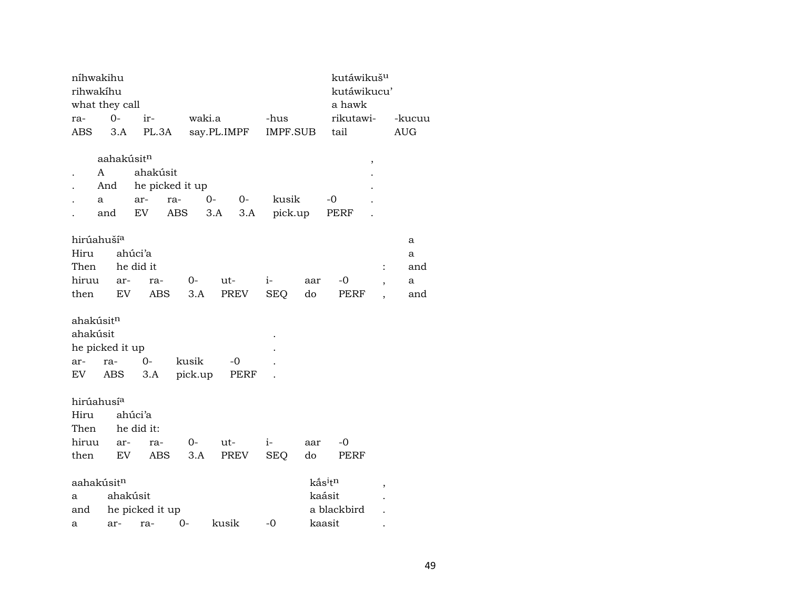| níhwakihu              |                        |                 |                   |              |            |          | kutáwikuš <sup>u</sup>          |                          |            |
|------------------------|------------------------|-----------------|-------------------|--------------|------------|----------|---------------------------------|--------------------------|------------|
| rihwakíhu              |                        |                 |                   |              |            |          | kutáwikucu'                     |                          |            |
| what they call         |                        |                 |                   |              |            |          | a hawk                          |                          |            |
| ra-                    | $0 -$                  | ir-             | waki.a            |              | -hus       |          | rikutawi-                       |                          | -kucuu     |
| <b>ABS</b>             | 3.A                    |                 | PL.3A say.PL.IMPF |              |            | IMPF.SUB | tail                            |                          | <b>AUG</b> |
|                        |                        |                 |                   |              |            |          |                                 |                          |            |
|                        | aahakúsit <sup>n</sup> |                 |                   |              |            |          |                                 | $\,$                     |            |
| A                      |                        | ahakúsit        |                   |              |            |          |                                 |                          |            |
|                        | And                    |                 | he picked it up   |              |            |          |                                 |                          |            |
| a                      |                        | ar-             | ra-               | $0-$<br>$0-$ | kusik      |          | -0                              |                          |            |
|                        | and                    | EV              | ABS               | 3.A          | 3.A        | pick.up  | PERF                            |                          |            |
|                        |                        |                 |                   |              |            |          |                                 |                          |            |
| hirúahuší <sup>a</sup> |                        |                 |                   |              |            |          |                                 |                          | a          |
| Hiru                   |                        | ahúci'a         |                   |              |            |          |                                 |                          | a          |
| Then                   |                        | he did it       |                   |              |            |          |                                 | $\ddot{\cdot}$           | and        |
| hiruu                  | ar-                    | ra-             | 0-                | ut-          | $i-$       | aar      | -0                              |                          | a          |
| then                   | EV                     | ABS             | 3.A               | PREV         | <b>SEQ</b> | do       | PERF                            | $\ddot{\phantom{0}}$     | and        |
|                        |                        |                 |                   |              |            |          |                                 |                          |            |
| ahakúsitn              |                        |                 |                   |              |            |          |                                 |                          |            |
| ahakúsit               |                        |                 |                   |              |            |          |                                 |                          |            |
| he picked it up        |                        |                 |                   |              |            |          |                                 |                          |            |
| ar-                    | ra-                    | $O -$           | kusik             | -0           |            |          |                                 |                          |            |
| EV                     | ABS                    | 3.A             | pick.up           | PERF         |            |          |                                 |                          |            |
|                        |                        |                 |                   |              |            |          |                                 |                          |            |
| hirúahusí <sup>a</sup> |                        |                 |                   |              |            |          |                                 |                          |            |
| Hiru                   |                        | ahúci'a         |                   |              |            |          |                                 |                          |            |
| Then                   |                        | he did it:      |                   |              |            |          |                                 |                          |            |
| hiruu                  | ar-                    | ra-             | 0-                | ut-          | $i-$       | aar      | $-0$                            |                          |            |
| then                   | EV                     | <b>ABS</b>      | 3.A               | PREV         | <b>SEQ</b> | do       | PERF                            |                          |            |
|                        |                        |                 |                   |              |            |          |                                 |                          |            |
| aahakúsit <sup>n</sup> |                        |                 |                   |              |            |          | kás <sup>i</sup> t <sup>n</sup> | $\overline{\phantom{a}}$ |            |
| a                      | ahakúsit               |                 |                   |              |            |          | kaásit                          |                          |            |
| and                    |                        | he picked it up |                   |              |            |          | a blackbird                     |                          |            |
| а                      | ar-                    | ra-             | $0-$              | kusik        | $-0$       |          | kaasit                          |                          |            |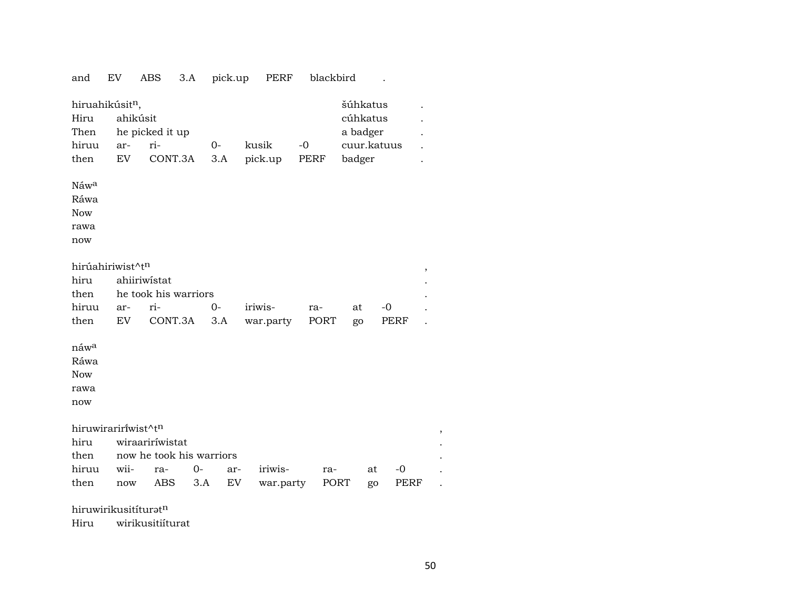|                                                       |                                                      | ABS<br>3.A                                  |                                  | pick.up | PERF             | blackbird    |                                                           |             |      |
|-------------------------------------------------------|------------------------------------------------------|---------------------------------------------|----------------------------------|---------|------------------|--------------|-----------------------------------------------------------|-------------|------|
| Hiru<br>Then<br>hiruu<br>then                         | hiruahikúsit <sup>n</sup> ,<br>ahikúsit<br>ar-<br>EV | he picked it up<br>ri-<br>CONT.3A           | $0-$                             | 3.A     | kusik<br>pick.up | $-0$<br>PERF | šúhkatus<br>cúhkatus<br>a badger<br>cuur.katuus<br>badger |             |      |
| Náw <sup>a</sup><br>Ráwa<br><b>Now</b><br>rawa<br>now |                                                      |                                             |                                  |         |                  |              |                                                           |             |      |
| hiru<br>then<br>hiruu                                 | hirúahiriwist^tn<br>ar-                              | ahiiriwistat<br>he took his warriors<br>ri- | $0-$                             |         | iriwis-          | ra-          | at                                                        | $-0$        | $\,$ |
| then                                                  | EV                                                   | CONT.3A                                     |                                  | 3.A     | war.party        | PORT         | go                                                        | <b>PERF</b> |      |
| náw <sup>a</sup><br>Ráwa                              |                                                      |                                             |                                  |         |                  |              |                                                           |             |      |
| <b>Now</b><br>rawa<br>now                             |                                                      |                                             |                                  |         |                  |              |                                                           |             |      |
|                                                       | hiruwiraririwist^tn                                  |                                             |                                  |         |                  |              |                                                           |             | ,    |
| hiru                                                  |                                                      | wiraariríwistat                             |                                  |         |                  |              |                                                           |             |      |
| then<br>hiruu                                         | wii-                                                 | ra-                                         | now he took his warriors<br>$0-$ | ar-     | iriwis-          | ra-          | at                                                        | $-0$        |      |

hiruwirikusitíturat $^n$ 

Hiru wirikusitiíturat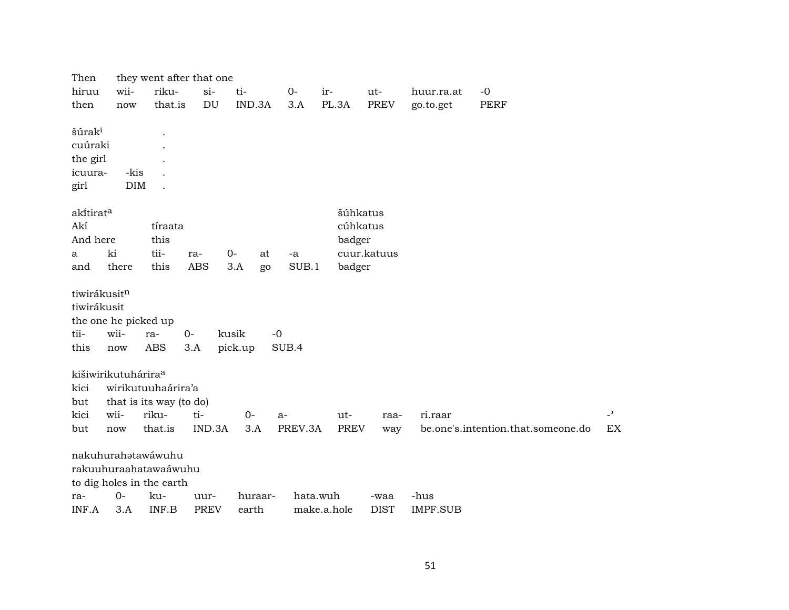| Then                            |            | they went after that one  |             |            |          |             |             |                 |                                    |                |
|---------------------------------|------------|---------------------------|-------------|------------|----------|-------------|-------------|-----------------|------------------------------------|----------------|
| hiruu                           | wii-       | riku-                     | $si-$       | ti-        | $0-$     | ir-         | ut-         | huur.ra.at      | $-0$                               |                |
| then                            | now        | that.is                   | DU          | IND.3A     | 3.A      | PL.3A       | <b>PREV</b> | go.to.get       | <b>PERF</b>                        |                |
|                                 |            |                           |             |            |          |             |             |                 |                                    |                |
| šúrak <sup>i</sup>              |            |                           |             |            |          |             |             |                 |                                    |                |
| cuúraki                         |            |                           |             |            |          |             |             |                 |                                    |                |
| the girl                        |            |                           |             |            |          |             |             |                 |                                    |                |
| icuura-                         | -kis       |                           |             |            |          |             |             |                 |                                    |                |
| girl                            | <b>DIM</b> |                           |             |            |          |             |             |                 |                                    |                |
| akitirat <sup>a</sup>           |            |                           |             |            |          | šúhkatus    |             |                 |                                    |                |
| Akí                             |            | tíraata                   |             |            |          | cúhkatus    |             |                 |                                    |                |
| And here                        |            | this                      |             |            |          | badger      |             |                 |                                    |                |
| a                               | ki         | tii-                      | ra-         | $0-$<br>at | -a       |             | cuur.katuus |                 |                                    |                |
| and                             | there      | this                      | <b>ABS</b>  | 3.A<br>go  | SUB.1    | badger      |             |                 |                                    |                |
|                                 |            |                           |             |            |          |             |             |                 |                                    |                |
| tiwirákusitn                    |            |                           |             |            |          |             |             |                 |                                    |                |
| tiwirákusit                     |            |                           |             |            |          |             |             |                 |                                    |                |
| the one he picked up            |            |                           |             |            |          |             |             |                 |                                    |                |
| tii-                            | wii-       | ra-                       | $0-$        | kusik      | $-0$     |             |             |                 |                                    |                |
| this                            | now        | ABS                       | 3.A         | pick.up    | SUB.4    |             |             |                 |                                    |                |
|                                 |            |                           |             |            |          |             |             |                 |                                    |                |
| kišiwirikutuhárira <sup>a</sup> |            |                           |             |            |          |             |             |                 |                                    |                |
| kici                            |            | wirikutuuhaárira'a        |             |            |          |             |             |                 |                                    |                |
| but                             |            | that is its way (to do)   |             |            |          |             |             |                 |                                    |                |
| kici                            | wii-       | riku-                     | ti-         | $0-$       | $a-$     | ut-         | raa-        | ri.raar         |                                    | $\overline{a}$ |
| but                             | now        | that.is                   | IND.3A      | 3.A        | PREV.3A  | <b>PREV</b> | way         |                 | be.one's.intention.that.someone.do | EX             |
|                                 |            | nakuhurahatawáwuhu        |             |            |          |             |             |                 |                                    |                |
|                                 |            |                           |             |            |          |             |             |                 |                                    |                |
|                                 |            | rakuuhuraahatawaáwuhu     |             |            |          |             |             |                 |                                    |                |
|                                 | $0-$       | to dig holes in the earth |             |            |          |             |             |                 |                                    |                |
| ra-                             |            | ku-                       | uur-        | huraar-    | hata.wuh |             | -waa        | -hus            |                                    |                |
| INF.A                           | 3.A        | INF.B                     | <b>PREV</b> | earth      |          | make.a.hole | <b>DIST</b> | <b>IMPF.SUB</b> |                                    |                |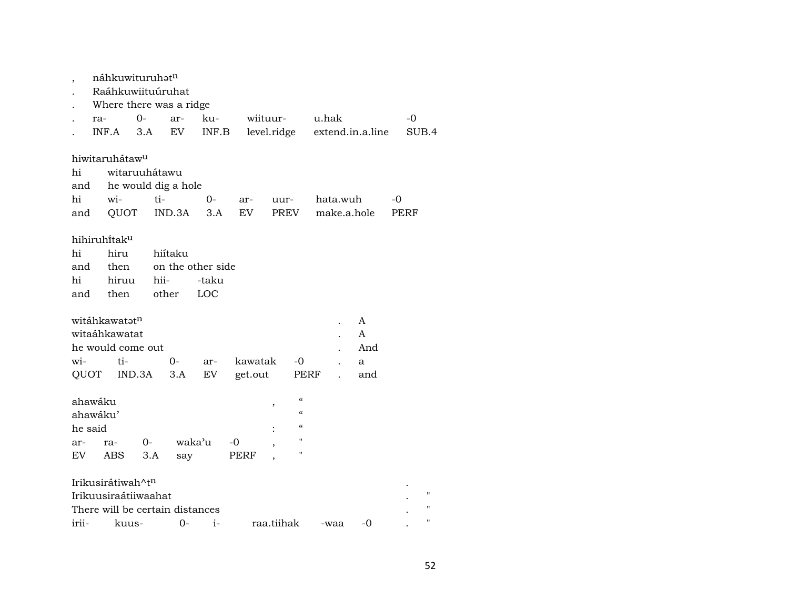|          |     | náhkuwituruhatn                 |        |       |         |                   |    |         |             |                                        |       |          |                  |    |      |             |
|----------|-----|---------------------------------|--------|-------|---------|-------------------|----|---------|-------------|----------------------------------------|-------|----------|------------------|----|------|-------------|
|          |     | Raáhkuwiituúruhat               |        |       |         |                   |    |         |             |                                        |       |          |                  |    |      |             |
|          |     | Where there was a ridge         |        |       |         |                   |    |         |             |                                        |       |          |                  |    |      |             |
|          | ra- |                                 | $0-$   |       | ar-     | ku-               |    |         | wiituur-    |                                        | u.hak |          |                  |    | $-0$ |             |
|          |     | INF.A                           | 3.A    |       | EV      | INF.B             |    |         | level.ridge |                                        |       |          | extend.in.a.line |    |      | SUB.4       |
|          |     |                                 |        |       |         |                   |    |         |             |                                        |       |          |                  |    |      |             |
|          |     | hiwitaruhátaw <sup>u</sup>      |        |       |         |                   |    |         |             |                                        |       |          |                  |    |      |             |
| hi       |     | witaruuhátawu                   |        |       |         |                   |    |         |             |                                        |       |          |                  |    |      |             |
| and      |     | he would dig a hole             |        |       |         |                   |    |         |             |                                        |       |          |                  |    |      |             |
| hi       |     | wi-                             |        | ti-   |         | 0-                |    | ar-     | uur-        |                                        |       | hata.wuh |                  | -0 |      |             |
| and      |     | QUOT                            |        |       | IND.3A  | 3.A               |    | EV      |             | PREV                                   |       |          | make.a.hole      |    | PERF |             |
|          |     |                                 |        |       |         |                   |    |         |             |                                        |       |          |                  |    |      |             |
|          |     | hihiruhitaku                    |        |       |         |                   |    |         |             |                                        |       |          |                  |    |      |             |
| hi       |     | hiru                            |        |       | hiítaku |                   |    |         |             |                                        |       |          |                  |    |      |             |
| and      |     | then                            |        |       |         | on the other side |    |         |             |                                        |       |          |                  |    |      |             |
| hi       |     | hiruu                           |        | hii-  |         | -taku             |    |         |             |                                        |       |          |                  |    |      |             |
| and      |     | then                            |        | other |         | LOC               |    |         |             |                                        |       |          |                  |    |      |             |
|          |     |                                 |        |       |         |                   |    |         |             |                                        |       |          |                  |    |      |             |
|          |     | witáhkawatatn                   |        |       |         |                   |    |         |             |                                        |       |          | A                |    |      |             |
|          |     | witaáhkawatat                   |        |       |         |                   |    |         |             |                                        |       |          | A                |    |      |             |
|          |     | he would come out               |        |       |         |                   |    |         |             |                                        |       |          | And              |    |      |             |
| wi-      |     | ti-                             |        |       | $0-$    | ar-               |    | kawatak |             | $-0$                                   |       |          | a                |    |      |             |
| QUOT     |     |                                 |        |       |         | EV                |    | get.out |             |                                        |       |          |                  |    |      |             |
|          |     |                                 | IND.3A |       | 3.A     |                   |    |         |             | PERF                                   |       |          | and              |    |      |             |
|          |     |                                 |        |       |         |                   |    |         |             | $\boldsymbol{\zeta}\boldsymbol{\zeta}$ |       |          |                  |    |      |             |
| ahawáku  |     |                                 |        |       |         |                   |    |         | ,           | $\boldsymbol{\zeta}\boldsymbol{\zeta}$ |       |          |                  |    |      |             |
| ahawáku' |     |                                 |        |       |         |                   |    |         |             | $\mathcal{C}$                          |       |          |                  |    |      |             |
| he said  |     |                                 |        |       |         |                   |    |         |             | п                                      |       |          |                  |    |      |             |
| ar-      |     | ra-                             | $0-$   |       |         | waka'u            | -0 |         |             | п                                      |       |          |                  |    |      |             |
| EV.      |     | ABS                             | 3.A    |       | say     |                   |    | PERF    |             |                                        |       |          |                  |    |      |             |
|          |     | Irikusirátiwah^t <sup>n</sup>   |        |       |         |                   |    |         |             |                                        |       |          |                  |    |      |             |
|          |     | Irikuusiraátiiwaahat            |        |       |         |                   |    |         |             |                                        |       |          |                  |    |      |             |
|          |     | There will be certain distances |        |       |         |                   |    |         |             |                                        |       |          |                  |    |      |             |
|          |     |                                 |        |       |         |                   |    |         |             |                                        |       |          |                  |    |      | $^{\prime}$ |
| irii-    |     | kuus-                           |        |       | 0-      | $i-$              |    |         | raa.tiihak  |                                        |       | -waa     | -0               |    |      |             |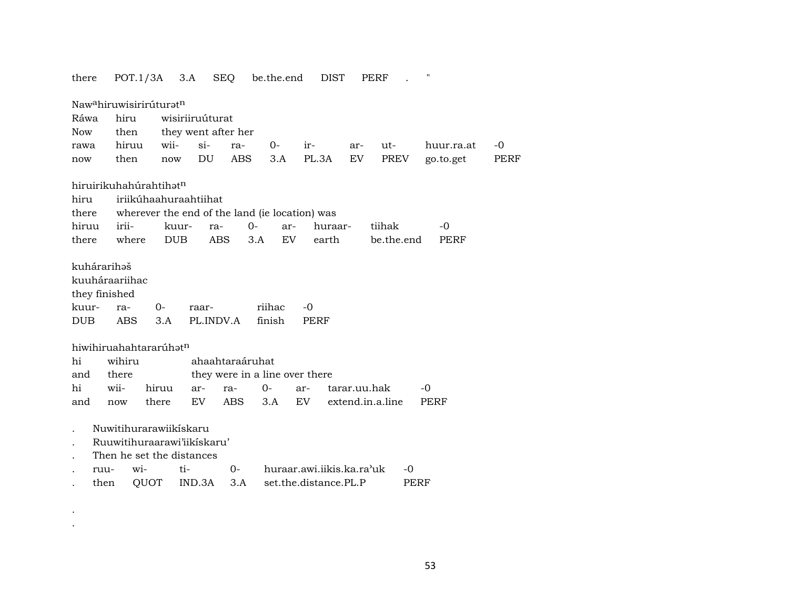| there                                               | POT.1/3A                                                                           | 3.A                                            | <b>SEQ</b>         |                                | be.the.end       | <b>DIST</b>               |              | PERF             | 11         |             |
|-----------------------------------------------------|------------------------------------------------------------------------------------|------------------------------------------------|--------------------|--------------------------------|------------------|---------------------------|--------------|------------------|------------|-------------|
|                                                     | Naw <sup>a</sup> hiruwisirirúturat <sup>n</sup>                                    |                                                |                    |                                |                  |                           |              |                  |            |             |
| Ráwa                                                | hiru                                                                               | wisiriiruúturat                                |                    |                                |                  |                           |              |                  |            |             |
| <b>Now</b>                                          | then                                                                               | they went after her                            |                    |                                |                  |                           |              |                  |            |             |
| rawa                                                | hiruu                                                                              | wii-                                           | $si-$              | ra-                            | $O-$             | ir-                       | ar-          | ut-              | huur.ra.at | $-0$        |
| now                                                 | then                                                                               | now                                            | DU                 | <b>ABS</b>                     | 3.A              | PL.3A                     | EV.          | <b>PREV</b>      | go.to.get  | <b>PERF</b> |
|                                                     |                                                                                    |                                                |                    |                                |                  |                           |              |                  |            |             |
|                                                     | hiruirikuhahúrahtihat <sup>n</sup>                                                 |                                                |                    |                                |                  |                           |              |                  |            |             |
| hiru                                                |                                                                                    | iriikúhaahuraahtiihat                          |                    |                                |                  |                           |              |                  |            |             |
| there                                               |                                                                                    | wherever the end of the land (ie location) was |                    |                                |                  |                           |              |                  |            |             |
| hiruu                                               | irii-                                                                              | kuur-                                          | ra-                | $0-$                           | ar-              | huraar-                   |              | tiihak           | $-0$       |             |
| there                                               | where                                                                              | <b>DUB</b>                                     | <b>ABS</b>         | 3.A                            | <b>EV</b>        | earth                     |              | be.the.end       | PERF       |             |
| kuhárarihaš<br>they finished<br>kuur-<br><b>DUB</b> | kuuháraariihac<br>ra-<br><b>ABS</b>                                                | 0-<br>3.A                                      | raar-<br>PL.INDV.A |                                | riihac<br>finish | $-0$<br>PERF              |              |                  |            |             |
|                                                     |                                                                                    |                                                |                    |                                |                  |                           |              |                  |            |             |
|                                                     | hiwihiruahahtararúhatn                                                             |                                                |                    |                                |                  |                           |              |                  |            |             |
| hi                                                  | wihiru                                                                             |                                                |                    | ahaahtaraáruhat                |                  |                           |              |                  |            |             |
| and                                                 | there                                                                              |                                                |                    | they were in a line over there |                  |                           |              |                  |            |             |
| hi                                                  | wii-                                                                               | hiruu                                          | ar-                | ra-                            | $0-$             | ar-                       | tarar.uu.hak |                  | -0         |             |
| and                                                 | now                                                                                | there                                          | EV                 | <b>ABS</b>                     | 3.A              | EV <sub></sub>            |              | extend.in.a.line | PERF       |             |
|                                                     | Nuwitihurarawiikískaru<br>Ruuwitihuraarawi'iikiskaru'<br>Then he set the distances |                                                |                    |                                |                  |                           |              |                  |            |             |
| ruu-                                                | wi-                                                                                | ti-                                            |                    | $O -$                          |                  | huraar.awi.iikis.ka.ra'uk |              | -0               |            |             |
| then                                                | QUOT                                                                               |                                                | IND.3A             | 3.A                            |                  | set.the.distance.PL.P     |              | PERF             |            |             |
|                                                     |                                                                                    |                                                |                    |                                |                  |                           |              |                  |            |             |

. .

53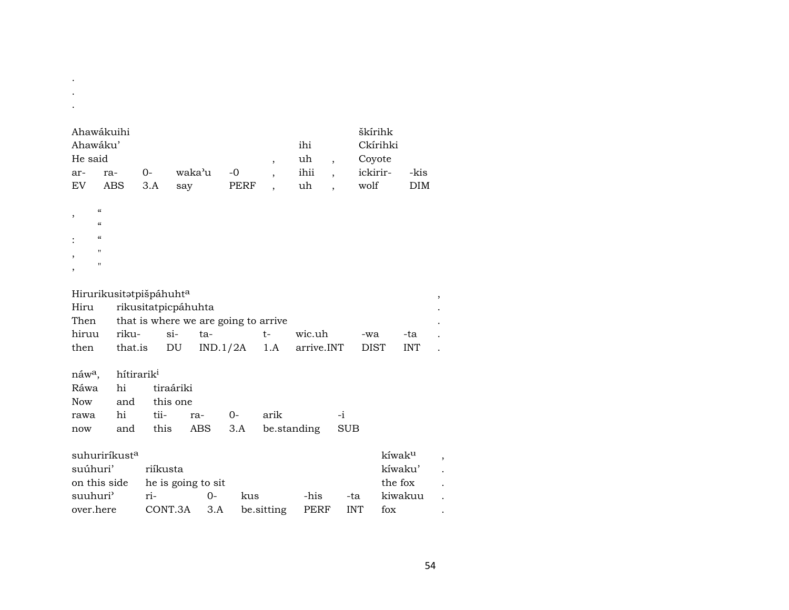| Ahawákuihi<br>Ahawáku'<br>He said<br>ar-<br>ra-<br>EV<br>ABS                                                                  | waka'u<br>$0-$<br>3.A<br>say                                    | $-0$<br>PERF                     | ihi<br>uh<br>$\, ,$<br>ihii<br>uh | $\overline{\phantom{a}}$          | škírihk<br>Ckírihki<br>Coyote<br>ickirir-<br>wolf | -kis<br>DIM       |
|-------------------------------------------------------------------------------------------------------------------------------|-----------------------------------------------------------------|----------------------------------|-----------------------------------|-----------------------------------|---------------------------------------------------|-------------------|
| $\pmb{\zeta}\pmb{\zeta}$<br>,<br>$\pmb{\zeta}\pmb{\zeta}$<br>$\pmb{\zeta}\pmb{\zeta}$<br>$\pmb{\mathsf{H}}$<br>$\blacksquare$ |                                                                 |                                  |                                   |                                   |                                                   |                   |
| Hirurikusitatpišpáhuhta<br>Hiru<br>Then                                                                                       | rikusitatpicpáhuhta<br>that is where we are going to arrive     |                                  |                                   |                                   |                                                   | $\, ,$            |
| hiruu<br>riku-<br>that.is<br>then                                                                                             | $si-$<br>DU                                                     | ta-<br>IND.1/2A                  | $t-$<br>1.A                       | wic.uh<br>arrive.INT              | -wa<br><b>DIST</b>                                | -ta<br><b>INT</b> |
| náw <sup>a</sup> ,<br>Ráwa<br>hi<br><b>Now</b><br>and<br>hi<br>rawa<br>and<br>now                                             | hítirarik <sup>i</sup><br>tiraáriki<br>this one<br>tii-<br>this | $0-$<br>ra-<br><b>ABS</b><br>3.A | arik<br>be.standing               | -i<br><b>SUB</b>                  |                                                   |                   |
| suhuriríkust <sup>a</sup><br>suúhuri'<br>on this side<br>suuhuri <sup></sup><br>over.here                                     | riíkusta<br>he is going to sit<br>ri-<br>CONT.3A                | $0 -$<br>kus<br>3.A              | be.sitting                        | -his<br>-ta<br>PERF<br><b>INT</b> | kíwaku<br>kíwaku'<br>the fox<br>kiwakuu<br>fox    | ,                 |

.

54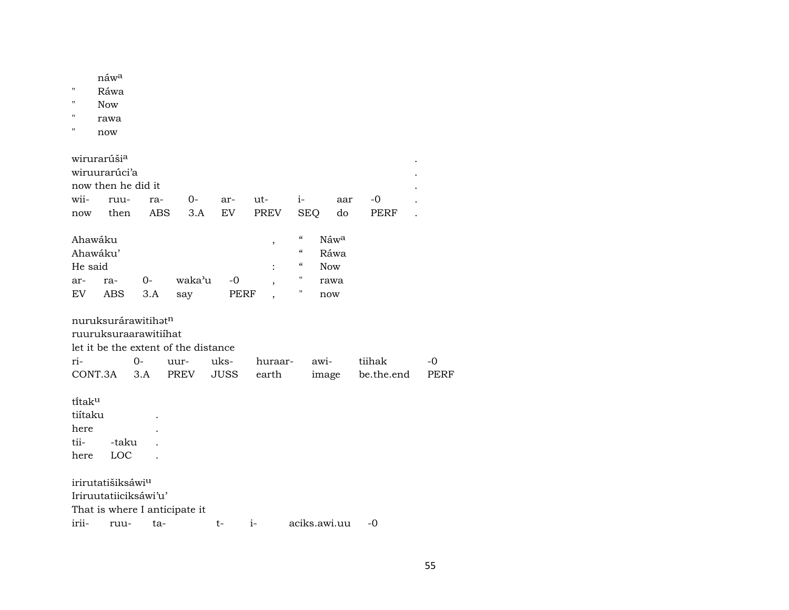| $\pmb{\mathsf{H}}$<br>п<br>$\mathbf{H}$<br>п | náw <sup>a</sup><br>Ráwa<br><b>Now</b><br>rawa<br>now |       |            |                                      |             |      |         |                                                |              |            |      |
|----------------------------------------------|-------------------------------------------------------|-------|------------|--------------------------------------|-------------|------|---------|------------------------------------------------|--------------|------------|------|
|                                              | wirurarúši <sup>a</sup>                               |       |            |                                      |             |      |         |                                                |              |            |      |
|                                              | wiruurarúci'a                                         |       |            |                                      |             |      |         |                                                |              |            |      |
|                                              | now then he did it                                    |       |            |                                      |             |      |         |                                                |              |            |      |
| wii-                                         | ruu-                                                  |       | ra-        | $0-$                                 | ar-         | ut-  |         | $i-$                                           | aar          | -0         |      |
| now                                          | then                                                  |       | <b>ABS</b> | 3.A                                  | EV          |      | PREV    | <b>SEQ</b>                                     | do           | PERF       |      |
| Ahawáku<br>Ahawáku'                          |                                                       |       |            |                                      |             |      | $\, ,$  | $\epsilon\epsilon$<br>$\mathcal{C}\mathcal{C}$ | Náwa<br>Ráwa |            |      |
| He said                                      |                                                       |       |            |                                      |             |      |         | $\boldsymbol{\zeta}\boldsymbol{\zeta}$<br>н.   | <b>Now</b>   |            |      |
| ar-                                          | ra-                                                   | $O -$ |            | waka'u                               | $-0$        |      |         | 11                                             | rawa         |            |      |
| EV                                           | <b>ABS</b>                                            | 3.A   |            | say                                  | <b>PERF</b> |      |         |                                                | now          |            |      |
|                                              | nuruksurárawitihatn<br>ruuruksuraarawitiihat          |       |            | let it be the extent of the distance |             |      |         |                                                |              |            |      |
| ri-                                          |                                                       | $0-$  |            | uur-                                 | uks-        |      | huraar- |                                                | awi-         | tiihak     | -0   |
| CONT.3A                                      |                                                       | 3.A   |            | PREV                                 | <b>JUSS</b> |      | earth   |                                                | image        | be.the.end | PERF |
| titaku<br>tiítaku<br>here<br>tii-<br>here    | -taku<br>LOC                                          |       |            |                                      |             |      |         |                                                |              |            |      |
|                                              | irirutatišiksáwi <sup>u</sup>                         |       |            |                                      |             |      |         |                                                |              |            |      |
|                                              | Iriruutatiiciksáwi'u'                                 |       |            |                                      |             |      |         |                                                |              |            |      |
|                                              | That is where I anticipate it                         |       |            |                                      |             |      |         |                                                |              |            |      |
| irii-                                        | ruu-                                                  |       | ta-        |                                      | t-          | $i-$ |         |                                                | aciks.awi.uu | -0         |      |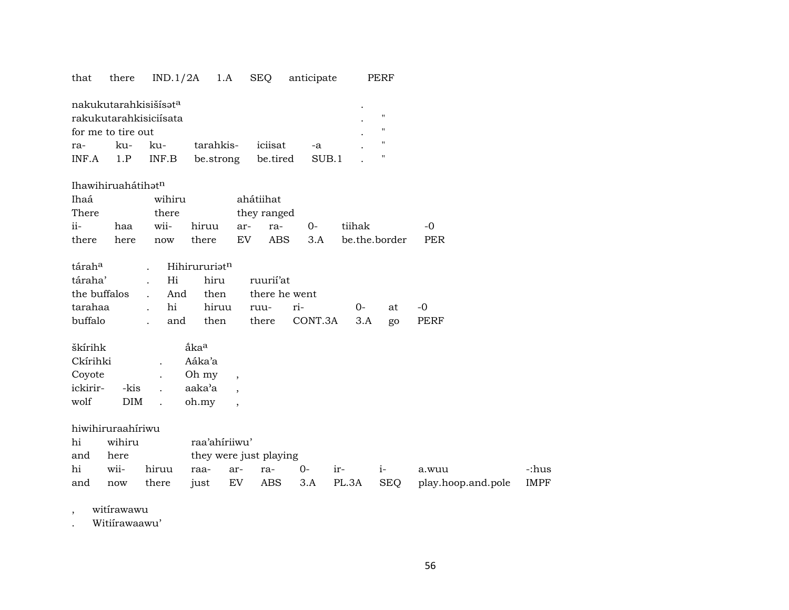### that there IND.1/2A 1.A SEQ anticipate PERF

| nakukutarahkisišisət <sup>a</sup> |  |         |                          |  |    |  |  |  |  |  |  |  |
|-----------------------------------|--|---------|--------------------------|--|----|--|--|--|--|--|--|--|
| rakukutarahkisiciisata            |  |         |                          |  |    |  |  |  |  |  |  |  |
| for me to tire out                |  |         |                          |  |    |  |  |  |  |  |  |  |
| ra-                               |  | ku- ku- | tarahkis- iciisat        |  | -а |  |  |  |  |  |  |  |
| $INF.A$ $1.P$ $INF.B$             |  |         | be.strong be.tired SUB.1 |  |    |  |  |  |  |  |  |  |

#### Ihawihiruahátihatn

| Ihaá                              |                      | wihiru |                    | ahátiihat |  |          |                          |               |
|-----------------------------------|----------------------|--------|--------------------|-----------|--|----------|--------------------------|---------------|
| There                             |                      | there  | they ranged        |           |  |          |                          |               |
| $i$ <sup><math>i</math></sup> $-$ | haa                  |        | wii- hiruu ar- ra- |           |  | $\Omega$ | tiihak                   | $\sim$ $\sim$ |
| there                             | here<br>there<br>now |        |                    |           |  |          | EV ABS 3.A be.the.border | PER           |

|  | tárah <sup>a</sup> . Hihirururiat <sup>n</sup> | táraha' . Hi hiru ruurii'at<br>the buffalos . And then there he went | tarahaa . hi hiruu ruu- ri-   0- at -0<br>buffalo . and then there CONT.3A 3.A go PERF |
|--|------------------------------------------------|----------------------------------------------------------------------|----------------------------------------------------------------------------------------|

| škírihk  |            | akaa   |  |
|----------|------------|--------|--|
| Ckírihki |            | Aáka'a |  |
| Covote   |            | Oh my  |  |
| ickirir- | -kis       | aaka'a |  |
| wolf     | <b>DIM</b> | oh.my  |  |

hiwihiruraahíriwu

| hi  | wihiru |       | raa'ahiriiwu'          |  |  |        |       |  |                                                         |       |  |  |  |  |
|-----|--------|-------|------------------------|--|--|--------|-------|--|---------------------------------------------------------|-------|--|--|--|--|
| and | here   |       | they were just playing |  |  |        |       |  |                                                         |       |  |  |  |  |
| hi  | wii-   | hiruu | raa- ar- ra-           |  |  | $()$ - | $ir-$ |  | a.wuu                                                   | -:hus |  |  |  |  |
| and | now    |       |                        |  |  |        |       |  | there just EV ABS 3.A PL.3A SEQ play.hoop.and.pole IMPF |       |  |  |  |  |

, witírawawu

. Witiírawaawu'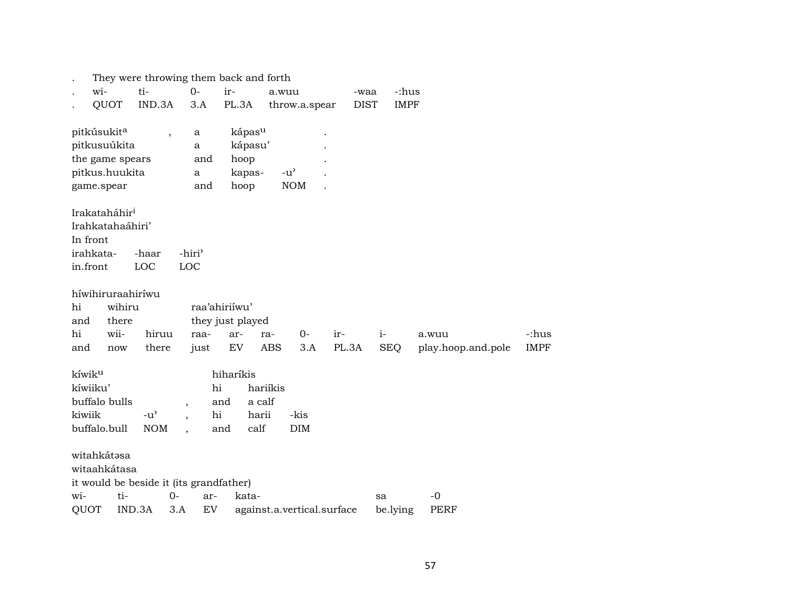| They were throwing them back and forth        |                    |                    |                                     |       |             |                    |             |
|-----------------------------------------------|--------------------|--------------------|-------------------------------------|-------|-------------|--------------------|-------------|
| ti-<br>wi-                                    | $0-$               | ir-                | a.wuu                               |       | -waa        | -:hus              |             |
| QUOT<br>IND.3A                                | 3.A                | PL.3A              | throw.a.spear                       |       | <b>DIST</b> | <b>IMPF</b>        |             |
|                                               |                    |                    |                                     |       |             |                    |             |
| pitkúsukit <sup>a</sup>                       | a                  | kápas <sup>u</sup> |                                     |       |             |                    |             |
| pitkusuúkita                                  | a                  | kápasu'            |                                     |       |             |                    |             |
| the game spears                               | and                | hoop               |                                     |       |             |                    |             |
| pitkus.huukita                                | a                  | kapas-             | $-u$ <sup><math>\prime</math></sup> |       |             |                    |             |
| game.spear                                    | and                | hoop               | <b>NOM</b>                          |       |             |                    |             |
| Irakataháhir <sup>i</sup>                     |                    |                    |                                     |       |             |                    |             |
| Irahkatahaáhiri'                              |                    |                    |                                     |       |             |                    |             |
| In front                                      |                    |                    |                                     |       |             |                    |             |
| irahkata-<br>-haar                            | -hiri <sup>3</sup> |                    |                                     |       |             |                    |             |
| in.front<br>LOC                               | LOC                |                    |                                     |       |             |                    |             |
|                                               |                    |                    |                                     |       |             |                    |             |
| híwihiruraahiríwu                             |                    |                    |                                     |       |             |                    |             |
| wihiru<br>hi                                  |                    | raa'ahiriíwu'      |                                     |       |             |                    |             |
| there<br>and                                  |                    | they just played   |                                     |       |             |                    |             |
| wii-<br>hiruu<br>hi                           | raa-               | ar-                | $O -$<br>ra-                        | ir-   | $i-$        | a.wuu              | -:hus       |
| there<br>and<br>now                           | just               | EV                 | <b>ABS</b><br>3.A                   | PL.3A | <b>SEQ</b>  | play.hoop.and.pole | <b>IMPF</b> |
|                                               |                    |                    |                                     |       |             |                    |             |
| kíwik <sup>u</sup>                            |                    | hiharíkis          |                                     |       |             |                    |             |
| kíwiiku'                                      | hi                 |                    | hariíkis                            |       |             |                    |             |
| buffalo bulls                                 | $\overline{ }$     | a calf<br>and      |                                     |       |             |                    |             |
| kiwiik<br>$-u$ <sup><math>\prime</math></sup> | hi                 | harii              | -kis                                |       |             |                    |             |
| buffalo.bull<br><b>NOM</b>                    |                    | calf<br>and        | DIM                                 |       |             |                    |             |
| witahkátasa                                   |                    |                    |                                     |       |             |                    |             |
| witaahkátasa                                  |                    |                    |                                     |       |             |                    |             |
| it would be beside it (its grandfather)       |                    |                    |                                     |       |             |                    |             |
| wi-<br>ti-                                    | $O -$<br>ar-       | kata-              |                                     |       | sa          | $-0$               |             |
| QUOT<br>IND.3A                                | ${\rm EV}$<br>3.A  |                    | against.a.vertical.surface          |       | be.lying    | <b>PERF</b>        |             |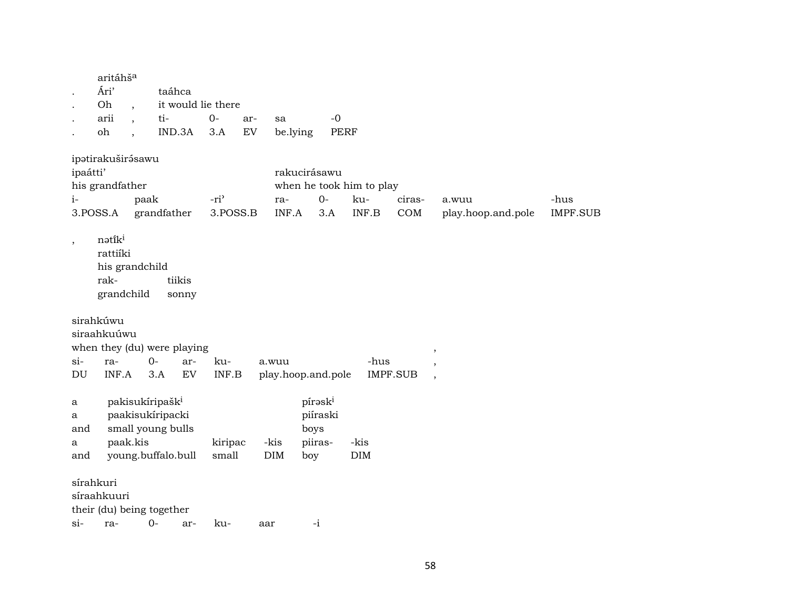|                           | aritáhš <sup>a</sup><br>Ári'<br>Oh                         |          | taáhca                                                                                     | it would lie there |                  |                    |                                                           |                     |                          |                 |                          |                 |
|---------------------------|------------------------------------------------------------|----------|--------------------------------------------------------------------------------------------|--------------------|------------------|--------------------|-----------------------------------------------------------|---------------------|--------------------------|-----------------|--------------------------|-----------------|
|                           |                                                            |          |                                                                                            |                    |                  |                    |                                                           |                     |                          |                 |                          |                 |
|                           | arii<br>oh                                                 |          | ti-<br>IND.3A                                                                              | $O -$<br>3.A       | ar-<br>EV        | sa                 | be.lying                                                  | $-0$<br><b>PERF</b> |                          |                 |                          |                 |
|                           | ipatirakuširásawu                                          |          |                                                                                            |                    |                  |                    | rakucirásawu                                              |                     |                          |                 |                          |                 |
| ipaátti'                  | his grandfather                                            |          |                                                                                            |                    |                  |                    |                                                           |                     | when he took him to play |                 |                          |                 |
| $i-$                      |                                                            | paak     |                                                                                            | $-ri$              |                  | ra-                |                                                           | $0-$                | ku-                      | ciras-          | a.wuu                    | -hus            |
| 3.POSS.A                  |                                                            |          | grandfather                                                                                |                    | 3.POSS.B         | INF.A              |                                                           | 3.A                 | INF.B                    | COM             | play.hoop.and.pole       | <b>IMPF.SUB</b> |
| $\, ,$                    | nətiki<br>rattiíki<br>his grandchild<br>rak-<br>grandchild |          | tiikis<br>sonny                                                                            |                    |                  |                    |                                                           |                     |                          |                 |                          |                 |
|                           | sirahkúwu<br>siraahkuúwu                                   |          | when they (du) were playing                                                                |                    |                  |                    |                                                           |                     |                          |                 |                          |                 |
| $\sin$                    | ra-                                                        |          | 0-                                                                                         | ar-                | ku-              | a.wuu              |                                                           |                     | -hus                     |                 | $\overline{\phantom{a}}$ |                 |
| DU                        | INF.A                                                      |          | 3.A                                                                                        | EV                 | INF.B            | play.hoop.and.pole |                                                           |                     |                          | <b>IMPF.SUB</b> | $\cdot$<br>$\cdot$       |                 |
| a<br>a<br>and<br>a<br>and |                                                            | paak.kis | pakisukíripašk <sup>i</sup><br>paakisukíripacki<br>small young bulls<br>young.buffalo.bull |                    | kiripac<br>small | -kis<br>$\rm{DIM}$ | pírask <sup>i</sup><br>piíraski<br>boys<br>piiras-<br>boy |                     | -kis<br>$\rm{DIM}$       |                 |                          |                 |
| sírahkuri                 | síraahkuuri                                                |          | their (du) being together                                                                  |                    |                  |                    |                                                           |                     |                          |                 |                          |                 |
| $\sin$                    | ra-                                                        |          | $O -$                                                                                      | ar-                | ku-              | aar                | $-i$                                                      |                     |                          |                 |                          |                 |
|                           |                                                            |          |                                                                                            |                    |                  |                    |                                                           |                     |                          |                 |                          |                 |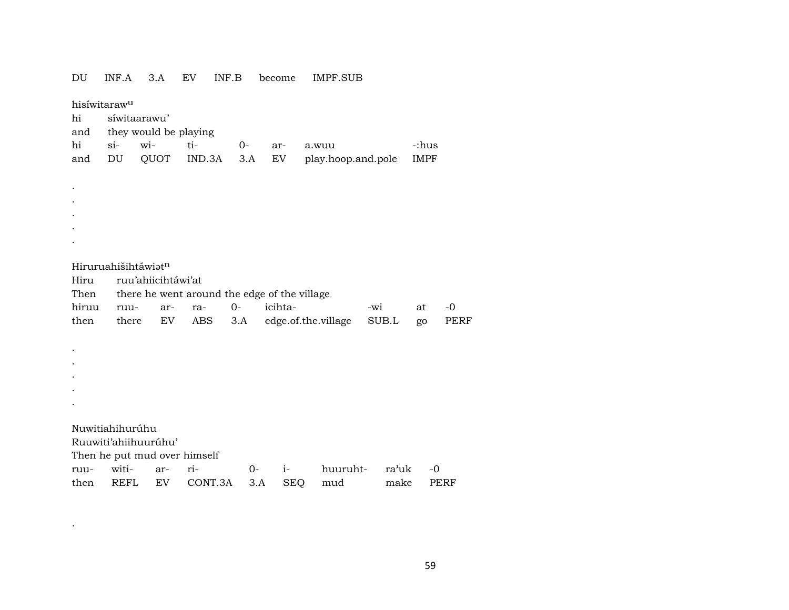| DU           | INF.A                    | 3.A                                                 | EV            | INF.B       | become    |            | IMPF.SUB                    |       |                      |      |
|--------------|--------------------------|-----------------------------------------------------|---------------|-------------|-----------|------------|-----------------------------|-------|----------------------|------|
|              | hisíwitaraw <sup>u</sup> |                                                     |               |             |           |            |                             |       |                      |      |
| hi           |                          | síwitaarawu'                                        |               |             |           |            |                             |       |                      |      |
| and          |                          | they would be playing                               |               |             |           |            |                             |       |                      |      |
| hi<br>and    | $si-$<br>DU              | wi-<br>QUOT                                         | ti-<br>IND.3A | $0-$<br>3.A | ar-<br>EV |            | a.wuu<br>play.hoop.and.pole |       | -:hus<br><b>IMPF</b> |      |
|              |                          |                                                     |               |             |           |            |                             |       |                      |      |
|              |                          |                                                     |               |             |           |            |                             |       |                      |      |
|              |                          |                                                     |               |             |           |            |                             |       |                      |      |
|              |                          |                                                     |               |             |           |            |                             |       |                      |      |
|              |                          |                                                     |               |             |           |            |                             |       |                      |      |
|              |                          |                                                     |               |             |           |            |                             |       |                      |      |
|              |                          |                                                     |               |             |           |            |                             |       |                      |      |
|              | Hiruruahišihtáwiatn      |                                                     |               |             |           |            |                             |       |                      |      |
| Hiru<br>Then |                          | ruu'ahiicihtáwi'at                                  |               |             |           |            |                             |       |                      |      |
| hiruu        | ruu-                     | there he went around the edge of the village<br>ar- | ra-           | $0 -$       |           | icihta-    |                             | -wi   | at                   | $-0$ |
| then         | there                    | EV                                                  | ABS           | 3.A         |           |            | edge.of.the.village         | SUB.L | go                   | PERF |
|              |                          |                                                     |               |             |           |            |                             |       |                      |      |
|              |                          |                                                     |               |             |           |            |                             |       |                      |      |
|              |                          |                                                     |               |             |           |            |                             |       |                      |      |
|              |                          |                                                     |               |             |           |            |                             |       |                      |      |
|              |                          |                                                     |               |             |           |            |                             |       |                      |      |
|              |                          |                                                     |               |             |           |            |                             |       |                      |      |
|              | Nuwitiahihurúhu          |                                                     |               |             |           |            |                             |       |                      |      |
|              |                          | Ruuwiti'ahiihuurúhu'                                |               |             |           |            |                             |       |                      |      |
|              |                          | Then he put mud over himself                        |               |             |           |            |                             |       |                      |      |
| ruu-         | witi-                    | ar-                                                 | ri-           |             | $0-$      | $i-$       | huuruht-                    | ra'uk | $-0$                 |      |
| then         | REFL                     | EV                                                  | CONT.3A       |             | 3.A       | <b>SEQ</b> | mud                         | make  |                      | PERF |

 $\mathcal{L}^{\text{max}}_{\text{max}}$  and  $\mathcal{L}^{\text{max}}_{\text{max}}$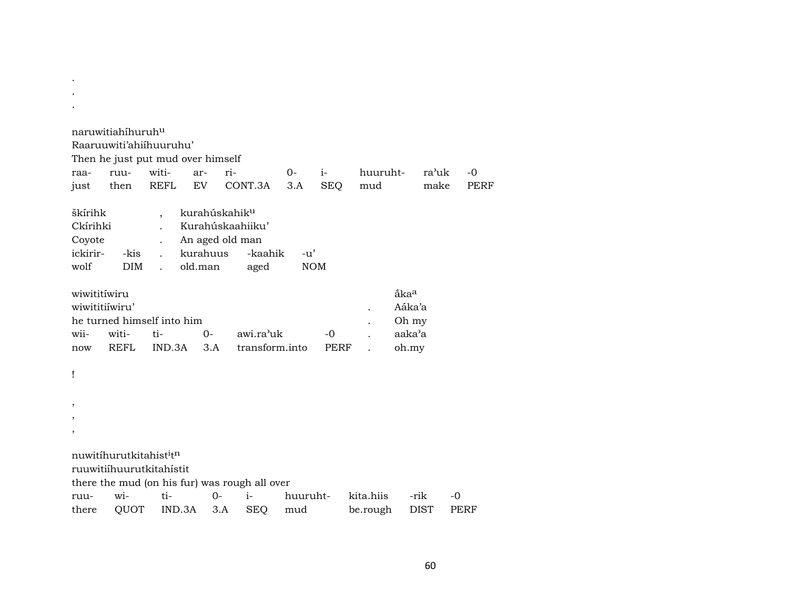|                          | naruwitiahíhuruh <sup>u</sup>      | Raaruuwiti'ahiihuuruhu'           |                           |                                               |            |            |           |                  |                    |      |
|--------------------------|------------------------------------|-----------------------------------|---------------------------|-----------------------------------------------|------------|------------|-----------|------------------|--------------------|------|
|                          |                                    | Then he just put mud over himself |                           |                                               |            |            |           |                  |                    |      |
| raa-                     | ruu-                               | witi-                             | ar-                       | ri-                                           | $O-$       | $i-$       | huuruht-  |                  | ra <sup>3</sup> uk | $-0$ |
| just                     | then                               | <b>REFL</b>                       | EV                        | CONT.3A                                       | 3.A        | <b>SEQ</b> | mud       |                  | make               | PERF |
|                          |                                    |                                   |                           |                                               |            |            |           |                  |                    |      |
| škírihk                  |                                    |                                   | kurahúskahik <sup>u</sup> |                                               |            |            |           |                  |                    |      |
| Ckírihki                 |                                    |                                   |                           | Kurahúskaahiiku'                              |            |            |           |                  |                    |      |
| Coyote                   |                                    |                                   | An aged old man           |                                               |            |            |           |                  |                    |      |
| ickirir-                 | -kis                               |                                   | kurahuus                  | -kaahik                                       | $-u'$      |            |           |                  |                    |      |
| wolf                     | <b>DIM</b>                         | $\mathbf{r}$                      | old.man                   | aged                                          | <b>NOM</b> |            |           |                  |                    |      |
| wiwititiwiru             |                                    |                                   |                           |                                               |            |            |           | åka <sup>a</sup> |                    |      |
| wiwititiíwiru'           |                                    |                                   |                           |                                               |            |            |           | Aáka'a           |                    |      |
|                          |                                    | he turned himself into him        |                           |                                               |            |            |           | Oh my            |                    |      |
| wii-                     | witi-                              | ti-                               | $O -$                     | awi.ra'uk                                     |            | -0         |           | aaka'a           |                    |      |
| now                      | REFL                               | IND.3A                            | 3.A                       | transform.into                                |            | PERF       |           | oh.my            |                    |      |
| Ţ                        |                                    |                                   |                           |                                               |            |            |           |                  |                    |      |
| $\overline{\phantom{a}}$ |                                    |                                   |                           |                                               |            |            |           |                  |                    |      |
| $\,$                     |                                    |                                   |                           |                                               |            |            |           |                  |                    |      |
| ,                        |                                    |                                   |                           |                                               |            |            |           |                  |                    |      |
|                          |                                    |                                   |                           |                                               |            |            |           |                  |                    |      |
|                          | nuwitihurutkitahist <sup>itn</sup> |                                   |                           |                                               |            |            |           |                  |                    |      |
|                          |                                    | ruuwitiíhuurutkitahístit          |                           |                                               |            |            |           |                  |                    |      |
|                          |                                    |                                   |                           | there the mud (on his fur) was rough all over |            |            |           |                  |                    |      |
| ruu-                     | wi-                                | ti-                               | $0-$                      | i-                                            | huuruht-   |            | kita.hiis | -rik             |                    | $-0$ |
| there                    | QUOT                               | IND.3A                            | 3.A                       | <b>SEQ</b>                                    | mud        |            | be.rough  | <b>DIST</b>      |                    | PERF |

. .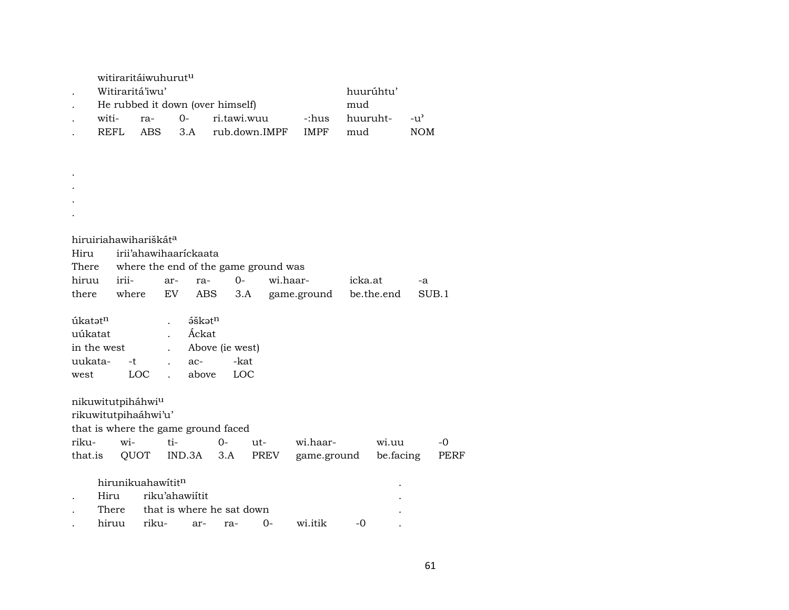|                                |             |       | witiraritáiwuhurut <sup>u</sup>     |              |                          |      |                           |                                      |             |          |            |               |      |
|--------------------------------|-------------|-------|-------------------------------------|--------------|--------------------------|------|---------------------------|--------------------------------------|-------------|----------|------------|---------------|------|
|                                |             |       | Witiraritá'iwu'                     |              |                          |      |                           |                                      |             |          | huurúhtu'  |               |      |
|                                |             |       | He rubbed it down (over himself)    |              |                          |      |                           |                                      |             | mud      |            |               |      |
|                                | witi-       |       | ra-                                 |              | $0-$                     |      | ri.tawi.wuu               |                                      | -:hus       | huuruht- |            | $-u^{\prime}$ |      |
|                                | <b>REFL</b> |       | <b>ABS</b>                          |              | 3.A                      |      | rub.down.IMPF             |                                      | <b>IMPF</b> | mud      |            | <b>NOM</b>    |      |
|                                |             |       |                                     |              |                          |      |                           |                                      |             |          |            |               |      |
|                                |             |       |                                     |              |                          |      |                           |                                      |             |          |            |               |      |
|                                |             |       |                                     |              |                          |      |                           |                                      |             |          |            |               |      |
|                                |             |       |                                     |              |                          |      |                           |                                      |             |          |            |               |      |
|                                |             |       |                                     |              |                          |      |                           |                                      |             |          |            |               |      |
|                                |             |       |                                     |              |                          |      |                           |                                      |             |          |            |               |      |
|                                |             |       |                                     |              |                          |      |                           |                                      |             |          |            |               |      |
|                                |             |       | hiruiriahawihariškát <sup>a</sup>   |              |                          |      |                           |                                      |             |          |            |               |      |
| Hiru                           |             |       | irii'ahawihaarickaata               |              |                          |      |                           |                                      |             |          |            |               |      |
| There                          |             |       |                                     |              |                          |      |                           | where the end of the game ground was |             |          |            |               |      |
| hiruu                          |             | irii- |                                     | ar-          | ra-                      |      | $0 -$                     | wi.haar-                             |             | icka.at  |            | -a            |      |
| there                          |             | where |                                     | EV           | ABS                      |      | 3.A                       |                                      | game.ground |          | be.the.end | SUB.1         |      |
|                                |             |       |                                     |              |                          |      |                           |                                      |             |          |            |               |      |
| úkatət <sup>n</sup><br>uúkatat |             |       |                                     |              | áškatn<br>Áckat          |      |                           |                                      |             |          |            |               |      |
| in the west                    |             |       |                                     |              |                          |      |                           |                                      |             |          |            |               |      |
| uukata-                        |             | -t    |                                     |              | Above (ie west)<br>$ac-$ |      | -kat                      |                                      |             |          |            |               |      |
|                                |             |       | LOC                                 |              | above                    |      | LOC                       |                                      |             |          |            |               |      |
| west                           |             |       |                                     | $\mathbf{r}$ |                          |      |                           |                                      |             |          |            |               |      |
|                                |             |       | nikuwitutpiháhwiu                   |              |                          |      |                           |                                      |             |          |            |               |      |
|                                |             |       | rikuwitutpihaáhwi'u'                |              |                          |      |                           |                                      |             |          |            |               |      |
|                                |             |       | that is where the game ground faced |              |                          |      |                           |                                      |             |          |            |               |      |
| riku-                          |             | wi-   |                                     | ti-          |                          | $0-$ | ut-                       |                                      | wi.haar-    |          | wi.uu      |               | $-0$ |
| that.is                        |             | QUOT  |                                     | IND.3A       |                          | 3.A  |                           | PREV                                 | game.ground |          | be facing  |               | PERF |
|                                |             |       |                                     |              |                          |      |                           |                                      |             |          |            |               |      |
|                                |             |       | hirunikuahawítitn                   |              |                          |      |                           |                                      |             |          |            |               |      |
|                                | Hiru        |       | riku'ahawiítit                      |              |                          |      |                           |                                      |             |          |            |               |      |
|                                | There       |       |                                     |              |                          |      | that is where he sat down |                                      |             |          |            |               |      |
|                                | hiruu       |       | riku-                               |              | ar-                      | ra-  |                           | 0-                                   | wi.itik     | -0       |            |               |      |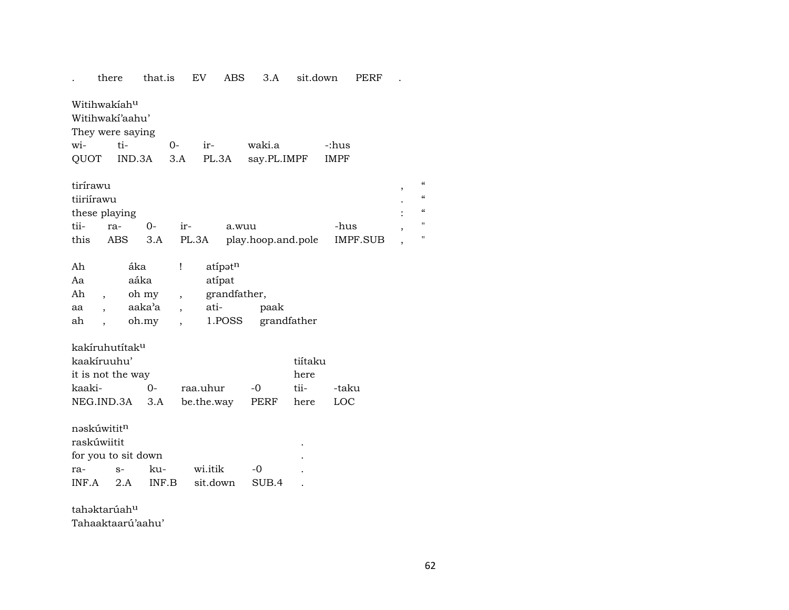|                                                                                        | there             | that.is                                                   | EV                     | <b>ABS</b>                                  | 3.A                   | sit.down                        |                      | <b>PERF</b>     |                               |                                                                              |
|----------------------------------------------------------------------------------------|-------------------|-----------------------------------------------------------|------------------------|---------------------------------------------|-----------------------|---------------------------------|----------------------|-----------------|-------------------------------|------------------------------------------------------------------------------|
| Witihwakiah <sup>u</sup><br>Witihwakí'aahu'<br>They were saying<br>wi-<br>QUOT         | ti-<br>IND.3A     | $0-$<br>3.A                                               | ir-<br>PL.3A           |                                             | waki.a<br>say.PL.IMPF |                                 | -:hus<br><b>IMPF</b> |                 |                               |                                                                              |
| tirírawu<br>tiiriírawu<br>these playing<br>tii-<br>this                                | ra-<br><b>ABS</b> | $O -$<br>3.A                                              | ir-<br>PL.3A           | a.wuu                                       | play.hoop.and.pole    |                                 | -hus                 | <b>IMPF.SUB</b> | ,<br>$\overline{\phantom{a}}$ | $\boldsymbol{\zeta}\boldsymbol{\zeta}$<br>$\epsilon$<br>$\epsilon$<br>п<br>П |
| Ah<br>Aa<br>Ah<br>aa<br>ah                                                             | áka<br>aáka       | Ţ<br>oh my<br>$\overline{\phantom{a}}$<br>aaka'a<br>oh.my | ati-                   | atípatn<br>atípat<br>grandfather,<br>1.POSS | paak                  | grandfather                     |                      |                 |                               |                                                                              |
| kakíruhutítak <sup>u</sup><br>kaakíruuhu'<br>it is not the way<br>kaaki-<br>NEG.IND.3A |                   | $0 -$<br>3.A                                              | raa.uhur<br>be.the.way |                                             | $-0$<br>PERF          | tiítaku<br>here<br>tii-<br>here | -taku<br>LOC         |                 |                               |                                                                              |
| nəskúwititn<br>raskúwiitit<br>for you to sit down<br>ra-<br>INF.A                      | $S-$<br>2.A       | ku-<br>INF.B                                              | wi.itik<br>sit.down    |                                             | $-0$<br>SUB.4         |                                 |                      |                 |                               |                                                                              |

tahəktarúah<sup>u</sup>

Tahaaktaarú'aahu'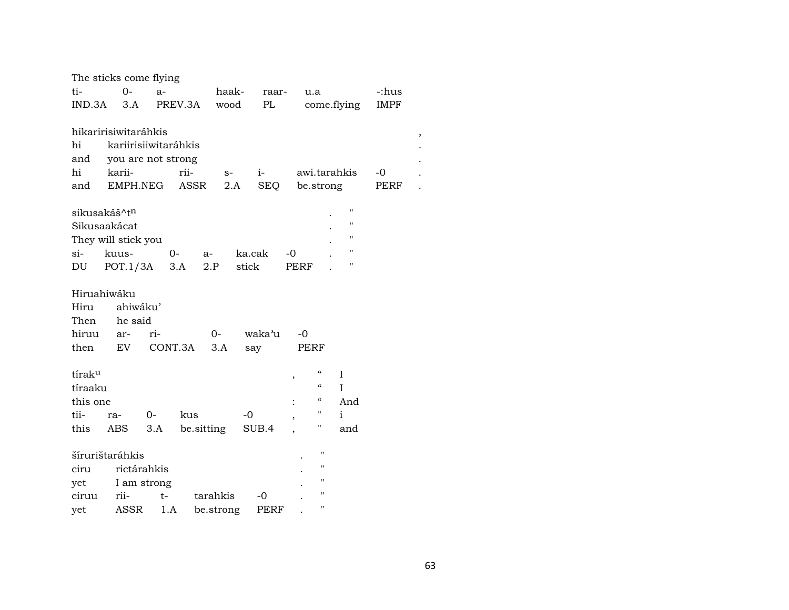| ti-                                      | The sticks come flying<br>$O -$            | $a-$        |            | haak-     | raar-  |      | u.a            |                                                                | -:hus       |
|------------------------------------------|--------------------------------------------|-------------|------------|-----------|--------|------|----------------|----------------------------------------------------------------|-------------|
| IND.3A                                   | 3.A                                        |             | PREV.3A    | wood      | PL     |      |                | come.flying                                                    | <b>IMPF</b> |
|                                          | hikaririsiwitaráhkis                       |             |            |           |        |      |                |                                                                |             |
| hi<br>and                                | kariirisiiwitaráhkis<br>you are not strong |             |            |           |        |      |                |                                                                |             |
| hi                                       | karii-                                     |             | rii-       | $S-$      | $i-$   |      |                | awi.tarahkis                                                   | $-0$        |
| and                                      | EMPH.NEG                                   |             | ASSR       | 2.A       | SEQ    |      | be.strong      |                                                                | PERF        |
| sikusakáš^t <sup>n</sup><br>Sikusaakácat | They will stick you                        |             |            |           |        |      |                | $\pmb{\mathsf{H}}$<br>$\pmb{\mathsf{H}}$<br>$\pmb{\mathsf{H}}$ |             |
| si-                                      | kuus-                                      | $0-$        |            | a-        | ka.cak | -0   |                | $\pmb{\mathsf{H}}$                                             |             |
| DU                                       | $POT.1/3A$ 3.A                             |             |            | 2.P       | stick  | PERF |                | $\pmb{\mathsf{H}}$                                             |             |
| Hiruahiwáku                              |                                            |             |            |           |        |      |                |                                                                |             |
| Hiru                                     | ahiwáku'                                   |             |            |           |        |      |                |                                                                |             |
| Then                                     | he said                                    |             |            |           |        |      |                |                                                                |             |
| hiruu                                    | ar-                                        | ri-         |            | $0 -$     | waka'u | $-0$ |                |                                                                |             |
| then                                     | EV                                         | CONT.3A     |            | 3.A       | say    |      | PERF           |                                                                |             |
| tíraku                                   |                                            |             |            |           |        | ,    | 4              | $\rm I$                                                        |             |
| tíraaku                                  |                                            |             |            |           |        |      | "              | T                                                              |             |
| this one                                 |                                            |             |            |           |        |      | $\epsilon$     | And                                                            |             |
| tii-                                     | ra-                                        | $O-$        | kus        |           | -0     | ,    | н              | $\mathbf{i}$                                                   |             |
| this                                     | ABS                                        | 3.A         | be sitting |           | SUB.4  |      | "              | and                                                            |             |
|                                          | šírurištaráhkis                            |             |            |           |        |      | $\blacksquare$ |                                                                |             |
| ciru                                     |                                            | rictárahkis |            |           |        |      | $\blacksquare$ |                                                                |             |
| yet                                      |                                            | I am strong |            |           |        |      | "              |                                                                |             |
| ciruu                                    | rii-                                       | $t-$        |            | tarahkis  | -0     |      | $^{\prime}$    |                                                                |             |
| yet                                      | ASSR                                       | 1.A         |            | be.strong | PERF   |      | $\blacksquare$ |                                                                |             |

 $\, ,$ 

 $\overline{a}$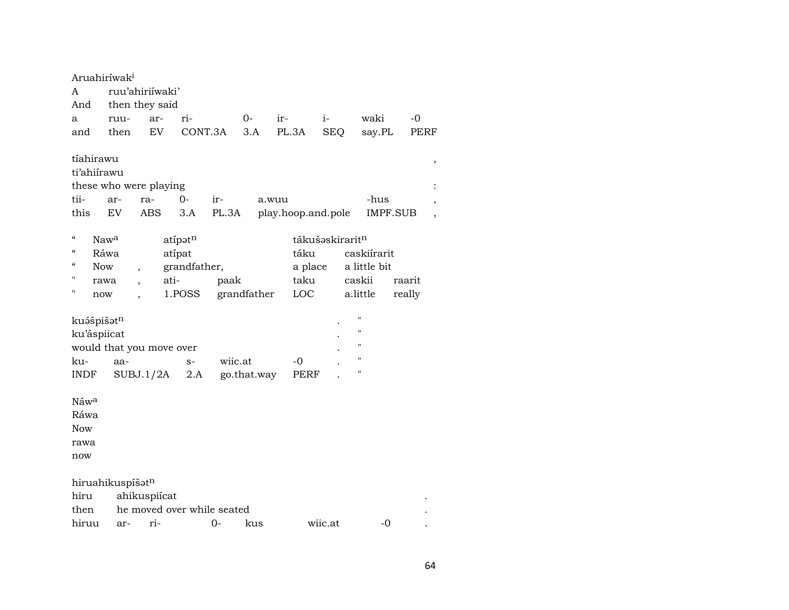| A<br>And<br>a<br>and                                  | Aruahiríwak <sup>i</sup><br>ruu-<br>then                        | ruu'ahiriíwaki'<br>then they said<br>ar- | EV             | ri-<br>CONT.3A                    |                                    | $0-$<br>3.A | ir-   | PL.3A                                                         | $i-$<br><b>SEQ</b> | waki<br>say.PL                                    | -0               | <b>PERF</b> |
|-------------------------------------------------------|-----------------------------------------------------------------|------------------------------------------|----------------|-----------------------------------|------------------------------------|-------------|-------|---------------------------------------------------------------|--------------------|---------------------------------------------------|------------------|-------------|
| tii-<br>this                                          | tíahirawu<br>ti'ahiirawu<br>these who were playing<br>ar-<br>EV | ra-<br><b>ABS</b>                        |                | $O -$<br>3.A                      | ir-<br>PL.3A                       |             | a.wuu | play.hoop.and.pole                                            |                    | -hus                                              | <b>IMPF.SUB</b>  | ,<br>,      |
| $\mathcal{C}$<br>$\epsilon$<br>$\epsilon$<br>п<br>п   | Naw <sup>a</sup><br>Ráwa<br><b>Now</b><br>rawa<br>now           | $\overline{\phantom{a}}$                 | atípat<br>ati- | atipatn<br>grandfather,<br>1.POSS | paak                               | grandfather |       | tákušaskirarit <sup>n</sup><br>táku<br>a place<br>taku<br>LOC |                    | caskiírarit<br>a little bit<br>caskii<br>a.little | raarit<br>really |             |
| ku-<br><b>INDF</b>                                    | kuášpišatn<br>ku'áspiicat<br>would that you move over<br>aa-    | SUBJ.1/2A                                |                | $S-$<br>2.A                       | wiic.at                            | go.that.way |       | -0<br>PERF                                                    |                    | Ħ<br>$^{\prime}$<br>"<br>н<br>11                  |                  |             |
| Náw <sup>a</sup><br>Ráwa<br><b>Now</b><br>rawa<br>now |                                                                 |                                          |                |                                   |                                    |             |       |                                                               |                    |                                                   |                  |             |
| hiru<br>then<br>hiruu                                 | hiruahikuspíšatn<br>ar-                                         | ahikuspiícat<br>ri-                      |                |                                   | he moved over while seated<br>$0-$ | kus         |       |                                                               | wiic.at            | $-0$                                              |                  |             |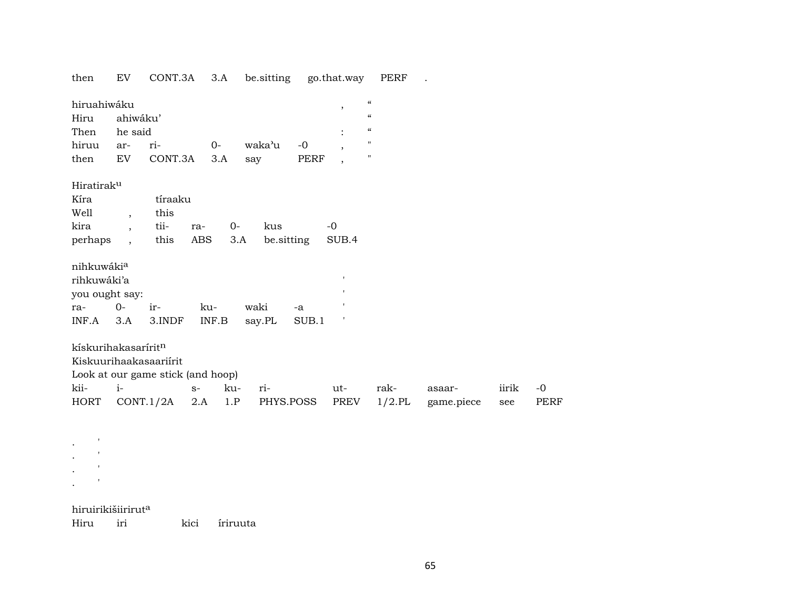then EV CONT.3A 3.A be.sitting go.that.way PERF .

| hiruahiwáku                     |                          |                                   |            |       |        |            | $\overline{\phantom{a}}$ | $\boldsymbol{\mathcal{C}}$ |            |       |             |
|---------------------------------|--------------------------|-----------------------------------|------------|-------|--------|------------|--------------------------|----------------------------|------------|-------|-------------|
| Hiru                            | ahiwáku'                 |                                   |            |       |        |            |                          | $\mathcal{C}$              |            |       |             |
| Then                            | he said                  |                                   |            |       |        |            |                          | $\mathcal{C}$              |            |       |             |
| hiruu                           | ar-                      | ri-                               | $0-$       |       | waka'u | $-0$       | $\cdot$                  | $\mathbf H$                |            |       |             |
| then                            | EV                       | CONT.3A                           |            | 3.A   | say    | PERF       | $\overline{ }$           | $\mathbf H$                |            |       |             |
| Hiratiraku                      |                          |                                   |            |       |        |            |                          |                            |            |       |             |
| Kíra                            |                          | tíraaku                           |            |       |        |            |                          |                            |            |       |             |
| Well                            | $\overline{\phantom{a}}$ | this                              |            |       |        |            |                          |                            |            |       |             |
| kira                            | $\overline{\phantom{a}}$ | tii-                              | ra-        | $0 -$ | kus    |            | $-0$                     |                            |            |       |             |
| perhaps                         | $\ddot{\phantom{0}}$     | this                              | <b>ABS</b> | 3.A   |        | be.sitting | SUB.4                    |                            |            |       |             |
| nihkuwákia                      |                          |                                   |            |       |        |            |                          |                            |            |       |             |
| rihkuwáki'a                     |                          |                                   |            |       |        |            | $\mathbf{I}$             |                            |            |       |             |
| you ought say:                  |                          |                                   |            |       |        |            | $\mathbf{I}$             |                            |            |       |             |
| ra-                             | $O -$                    | ir-                               | ku-        |       | waki   | -a         |                          |                            |            |       |             |
| INF.A                           | 3.A                      | 3.INDF                            | INF.B      |       | say.PL | SUB.1      | $\,$ $\,$                |                            |            |       |             |
| kískurihakasarírit <sup>n</sup> |                          |                                   |            |       |        |            |                          |                            |            |       |             |
|                                 |                          | Kiskuurihaakasaariirit            |            |       |        |            |                          |                            |            |       |             |
|                                 |                          | Look at our game stick (and hoop) |            |       |        |            |                          |                            |            |       |             |
| kii-                            | $i-$                     |                                   | $S-$       | ku-   | ri-    |            | ut-                      | rak-                       | asaar-     | iirik | $-0$        |
| HORT                            |                          | CONT.1/2A                         | 2.A        | 1.P   |        | PHYS.POSS  | PREV                     | $1/2$ .PL                  | game.piece | see   | <b>PERF</b> |

. <br> <br> $\sim$  $\mathbf{r} = \mathbf{r}$ .  $\sim$ . <br> <br> $\sim$ 

#### hiruirikišiirirut<sup>a</sup>

Hiru iri kici íriruuta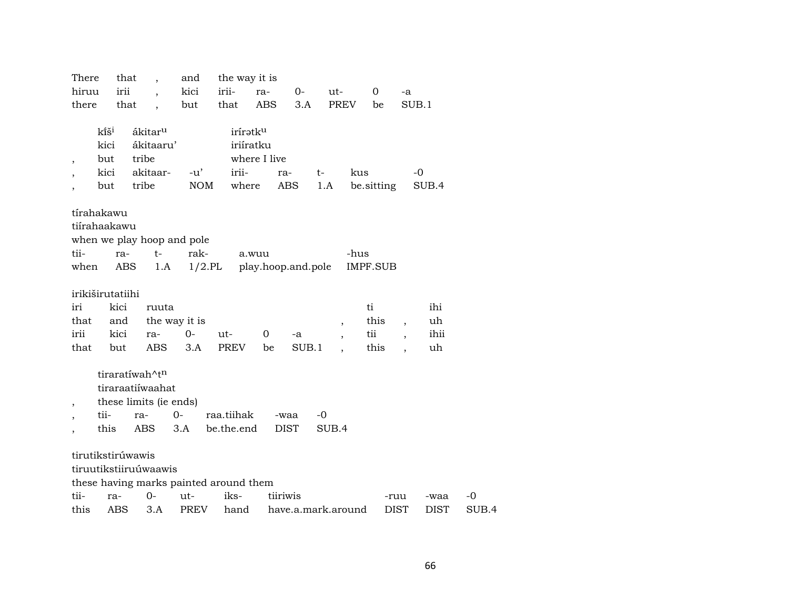| There                    | that              | $\overline{\phantom{a}}$ | and                                    | the way it is        |                    |                    |                |                 |             |                          |             |       |
|--------------------------|-------------------|--------------------------|----------------------------------------|----------------------|--------------------|--------------------|----------------|-----------------|-------------|--------------------------|-------------|-------|
| hiruu                    | irii              |                          | kici                                   | irii-                | ra-                | $0-$               | ut-            | $\overline{0}$  |             | -a                       |             |       |
| there                    | that              | $\overline{\phantom{a}}$ | but                                    | that                 | ABS                | 3.A                | PREV           | be              |             | SUB.1                    |             |       |
|                          |                   |                          |                                        |                      |                    |                    |                |                 |             |                          |             |       |
|                          | kîš <sup>i</sup>  | ákitar <sup>u</sup>      |                                        | irírətk <sup>u</sup> |                    |                    |                |                 |             |                          |             |       |
|                          | kici              | ákitaaru'                |                                        | iriíratku            |                    |                    |                |                 |             |                          |             |       |
| $\overline{\phantom{a}}$ | but               | tribe                    |                                        |                      | where I live       |                    |                |                 |             |                          |             |       |
|                          | kici              | akitaar-                 | $-u'$                                  | irii-                | ra-                |                    | $t-$           | kus             |             | $-0$                     |             |       |
| $\overline{\phantom{a}}$ | but               | tribe                    | <b>NOM</b>                             | where                |                    | ABS                | 1.A            | be sitting      |             |                          | SUB.4       |       |
|                          |                   |                          |                                        |                      |                    |                    |                |                 |             |                          |             |       |
|                          | tírahakawu        |                          |                                        |                      |                    |                    |                |                 |             |                          |             |       |
|                          | tiírahaakawu      |                          |                                        |                      |                    |                    |                |                 |             |                          |             |       |
|                          |                   |                          | when we play hoop and pole             |                      |                    |                    |                |                 |             |                          |             |       |
| tii-                     | ra-               | $t-$                     | rak-                                   | a.wuu                |                    |                    |                | -hus            |             |                          |             |       |
| when                     | ABS               |                          | 1.A                                    | $1/2$ .PL            | play.hoop.and.pole |                    |                | <b>IMPF.SUB</b> |             |                          |             |       |
|                          |                   |                          |                                        |                      |                    |                    |                |                 |             |                          |             |       |
|                          | irikiširutatiihi  |                          |                                        |                      |                    |                    |                |                 |             |                          |             |       |
| iri                      | kici              | ruuta                    |                                        |                      |                    |                    |                | ti              |             |                          | ihi         |       |
| that                     | and               |                          | the way it is                          |                      |                    |                    | $\overline{ }$ | this            |             | $\overline{\phantom{a}}$ | uh          |       |
| irii                     | kici              | ra-                      | $0-$                                   | ut-                  | 0                  | -a                 |                | tii             |             |                          | ihii        |       |
| that                     | but               | <b>ABS</b>               | 3.A                                    | PREV                 | be                 | SUB.1              |                | this            |             |                          | uh          |       |
|                          |                   |                          |                                        |                      |                    |                    |                |                 |             |                          |             |       |
|                          |                   | tiraratíwah^tn           |                                        |                      |                    |                    |                |                 |             |                          |             |       |
|                          |                   | tiraraatiíwaahat         |                                        |                      |                    |                    |                |                 |             |                          |             |       |
| $\overline{\phantom{a}}$ |                   | these limits (ie ends)   |                                        |                      |                    |                    |                |                 |             |                          |             |       |
| $\overline{\phantom{a}}$ | tii-              | ra-                      | $0-$                                   | raa.tiihak           |                    | -waa               | $-0$           |                 |             |                          |             |       |
| $\overline{\phantom{a}}$ | this              | ABS                      | 3.A                                    | be.the.end           |                    | <b>DIST</b>        | SUB.4          |                 |             |                          |             |       |
|                          |                   |                          |                                        |                      |                    |                    |                |                 |             |                          |             |       |
|                          | tirutikstirúwawis |                          |                                        |                      |                    |                    |                |                 |             |                          |             |       |
|                          |                   | tiruutikstiiruúwaawis    |                                        |                      |                    |                    |                |                 |             |                          |             |       |
|                          |                   |                          | these having marks painted around them |                      |                    |                    |                |                 |             |                          |             |       |
| tii-                     | ra-               | $0-$                     | ut-                                    | iks-                 | tiiriwis           |                    |                |                 | -ruu        |                          | -waa        | -0    |
| this                     | ABS               | 3.A                      | PREV                                   | hand                 |                    | have.a.mark.around |                |                 | <b>DIST</b> |                          | <b>DIST</b> | SUB.4 |
|                          |                   |                          |                                        |                      |                    |                    |                |                 |             |                          |             |       |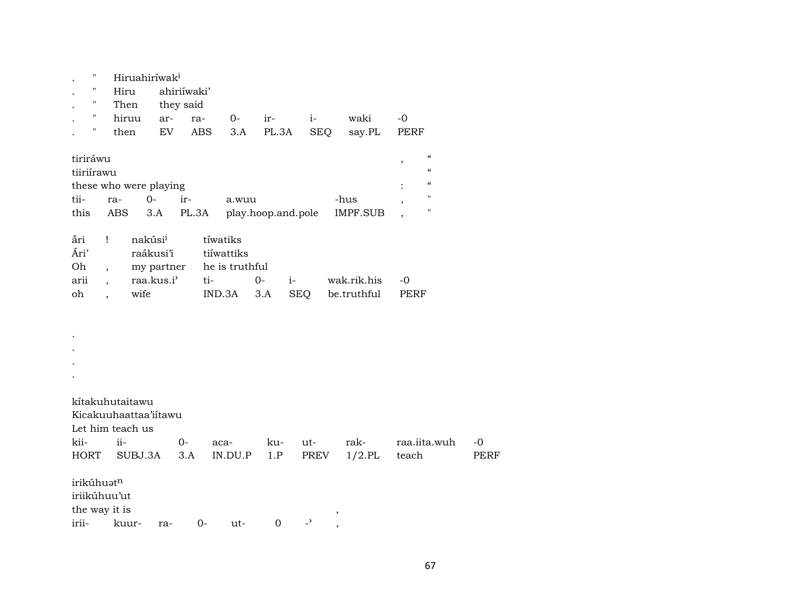| $\pmb{\mathsf{H}}$ | Hiruahiríwak <sup>i</sup>           |            |             |                |                    |                                                      |                 |                                                  |             |
|--------------------|-------------------------------------|------------|-------------|----------------|--------------------|------------------------------------------------------|-----------------|--------------------------------------------------|-------------|
| $\pmb{\mathsf{H}}$ | Hiru                                |            | ahiriíwaki' |                |                    |                                                      |                 |                                                  |             |
| 11                 | Then                                | they said  |             |                |                    |                                                      |                 |                                                  |             |
| $\mathbf{H}$       | hiruu                               | ar-        | ra-         | $0-$           | ir-                | $i-$                                                 | waki            | $-0$                                             |             |
| $\pmb{\mathsf{H}}$ | then                                | EV         | <b>ABS</b>  | 3.A            | PL.3A              | <b>SEQ</b>                                           | say.PL          | PERF                                             |             |
|                    |                                     |            |             |                |                    |                                                      |                 |                                                  |             |
| tiriráwu           |                                     |            |             |                |                    |                                                      |                 | $\boldsymbol{\zeta}\boldsymbol{\zeta}$<br>$\, ,$ |             |
| tiiriírawu         |                                     |            |             |                |                    |                                                      |                 | $\boldsymbol{\zeta}\boldsymbol{\zeta}$           |             |
|                    | these who were playing              |            |             |                |                    |                                                      |                 | $\mathcal{C}\mathcal{C}$                         |             |
| tii-               | ra-                                 | $0-$       | ir-         | a.wuu          |                    |                                                      | -hus            | $\pmb{\mathsf{H}}$<br>$\overline{\phantom{a}}$   |             |
| this               | ABS                                 | 3.A        | PL.3A       |                | play.hoop.and.pole |                                                      | <b>IMPF.SUB</b> | П                                                |             |
|                    |                                     |            |             |                |                    |                                                      |                 |                                                  |             |
| ári                | nakúsi <sup>i</sup><br>$\mathbf{I}$ |            |             | tíwatiks       |                    |                                                      |                 |                                                  |             |
| Ári'               |                                     | raákusi'i  |             | tiíwattiks     |                    |                                                      |                 |                                                  |             |
| Oh                 | $\ddot{\phantom{0}}$                | my partner |             | he is truthful |                    |                                                      |                 |                                                  |             |
| arii               | $\ddot{\phantom{0}}$                | raa.kus.i' | ti-         |                | $O -$              | $i$ -                                                | wak.rik.his     | $-0$                                             |             |
| oh                 | wife                                |            |             | IND.3A         | 3.A                | <b>SEQ</b>                                           | be.truthful     | PERF                                             |             |
|                    |                                     |            |             |                |                    |                                                      |                 |                                                  |             |
|                    |                                     |            |             |                |                    |                                                      |                 |                                                  |             |
|                    |                                     |            |             |                |                    |                                                      |                 |                                                  |             |
|                    |                                     |            |             |                |                    |                                                      |                 |                                                  |             |
|                    |                                     |            |             |                |                    |                                                      |                 |                                                  |             |
|                    |                                     |            |             |                |                    |                                                      |                 |                                                  |             |
|                    |                                     |            |             |                |                    |                                                      |                 |                                                  |             |
|                    | kítakuhutaitawu                     |            |             |                |                    |                                                      |                 |                                                  |             |
|                    | Kicakuuhaattaa'iitawu               |            |             |                |                    |                                                      |                 |                                                  |             |
|                    | Let him teach us                    |            |             |                |                    |                                                      |                 |                                                  |             |
| kii-               | ii-                                 | $0-$       |             | aca-           | ku-                | ut-                                                  | rak-            | raa.iita.wuh                                     | $-0$        |
| HORT               | SUBJ.3A                             |            | 3.A         | IN.DU.P        | 1.P                | PREV                                                 | $1/2$ .PL       | teach                                            | <b>PERF</b> |
|                    |                                     |            |             |                |                    |                                                      |                 |                                                  |             |
| irikúhuatn         |                                     |            |             |                |                    |                                                      |                 |                                                  |             |
| iriikúhuu'ut       |                                     |            |             |                |                    |                                                      |                 |                                                  |             |
| the way it is      |                                     |            |             |                |                    | $\, ,$                                               |                 |                                                  |             |
| irii-              | kuur-                               | ra-        | $0-$        | ut-            | $\mathbf 0$        | $\overline{\phantom{0}}$<br>$\overline{\phantom{a}}$ |                 |                                                  |             |
|                    |                                     |            |             |                |                    |                                                      |                 |                                                  |             |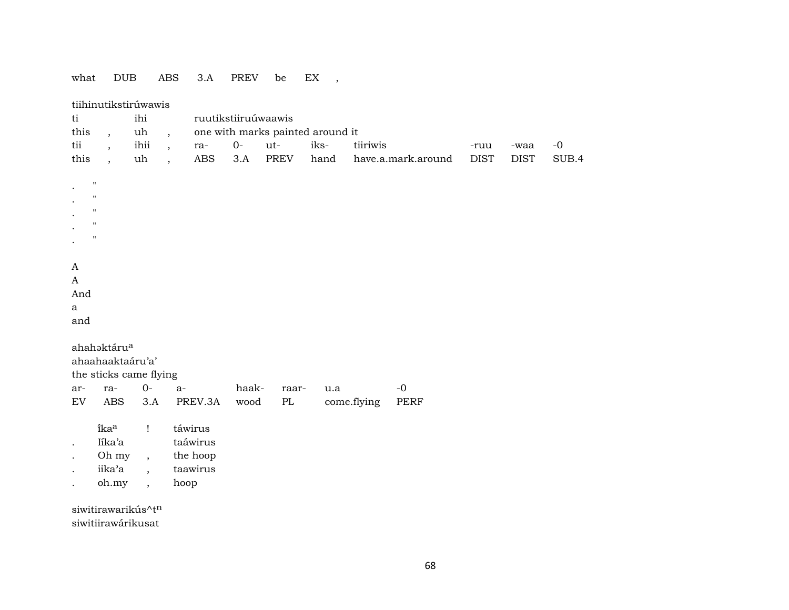# what  $\texttt{DUB}$  ABS 3.A PREV be EX ,

| this<br>uh<br>$\overline{\phantom{a}}$<br>$\overline{ }$ ,                                                                                                                  |
|-----------------------------------------------------------------------------------------------------------------------------------------------------------------------------|
| one with marks painted around it                                                                                                                                            |
| $\rm ti$<br>ihii<br>$0-$<br>iks-<br>$-{\rm O}$<br>ut-<br>tiiriwis<br>ra-<br>-ruu<br>-waa<br>$\overline{\phantom{a}}$<br>$\overline{a}$                                      |
| this<br>uh<br><b>ABS</b><br>3.A<br><b>PREV</b><br><b>DIST</b><br>SUB.4<br>hand<br>have.a.mark.around<br><b>DIST</b><br>$\overline{\phantom{a}}$<br>$\overline{\phantom{a}}$ |
|                                                                                                                                                                             |
| $\mathbf H$                                                                                                                                                                 |
| $\mathsf{H}$                                                                                                                                                                |
| $\mathsf{H}$                                                                                                                                                                |
| $\mathbf H$                                                                                                                                                                 |
| $\mathbf{H}$                                                                                                                                                                |
|                                                                                                                                                                             |
| A                                                                                                                                                                           |
| A                                                                                                                                                                           |
| And                                                                                                                                                                         |
| $\mathbf{a}$                                                                                                                                                                |
| and                                                                                                                                                                         |
|                                                                                                                                                                             |
| ahahaktáru <sup>a</sup>                                                                                                                                                     |
| ahaahaaktaáru'a'                                                                                                                                                            |
| the sticks came flying                                                                                                                                                      |
| $0-$<br>$-{\bf 0}$<br>haak-<br>ra-<br>raar-<br>u.a<br>ar-<br>a-                                                                                                             |
| <b>ABS</b><br>$\mathop{\rm EV}\nolimits$<br>3.A<br>PREV.3A<br>wood<br>$\rm PL$<br>come.flying<br>PERF                                                                       |
| ikaa<br>táwirus<br>$\mathbf{I}$                                                                                                                                             |
| taáwirus<br>Iíka'a                                                                                                                                                          |
| Oh my<br>the hoop                                                                                                                                                           |
| $\overline{\phantom{a}}$<br>iika'a<br>taawirus                                                                                                                              |
| $\overline{\phantom{a}}$<br>oh.my<br>hoop                                                                                                                                   |
| $\cdot$                                                                                                                                                                     |
| siwitirawarikús^tn                                                                                                                                                          |
| siwitiirawárikusat                                                                                                                                                          |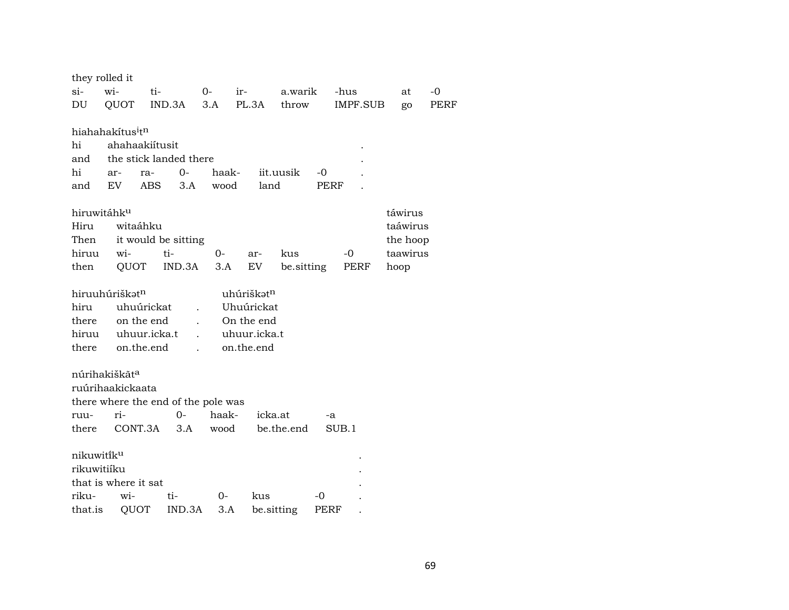|             | they rolled it                           |                        |                                     |              |                 |                 |          |      |
|-------------|------------------------------------------|------------------------|-------------------------------------|--------------|-----------------|-----------------|----------|------|
| si-         | wi-                                      | ti-                    | $0-$                                | ir-          | a.warik         | -hus            | at       | $-0$ |
| DU          | QUOT                                     | IND.3A                 | 3.A                                 | PL.3A        | throw           | <b>IMPF.SUB</b> | go       | PERF |
|             |                                          |                        |                                     |              |                 |                 |          |      |
|             | hiahahakítus <sup>i</sup> t <sup>n</sup> |                        |                                     |              |                 |                 |          |      |
| hi          |                                          | ahahaakiítusit         |                                     |              |                 |                 |          |      |
| and         |                                          | the stick landed there |                                     |              |                 |                 |          |      |
| hi          | ar-<br><b>EV</b>                         | $O -$<br>ra-           | haak-<br>wood                       |              | iit.uusik<br>-0 |                 |          |      |
| and         |                                          | <b>ABS</b>             | 3.A                                 | land         |                 | <b>PERF</b>     |          |      |
|             | hiruwitáhku                              |                        |                                     |              |                 |                 | táwirus  |      |
| Hiru        | witaáhku                                 |                        |                                     |              |                 |                 | taáwirus |      |
| Then        |                                          | it would be sitting    |                                     |              |                 |                 | the hoop |      |
| hiruu       | wi-                                      | ti-                    | $0-$                                | ar-          | kus             | $-0$            | taawirus |      |
| then        | QUOT                                     | IND.3A                 | 3.A                                 | EV.          | be sitting      | PERF            | hoop     |      |
|             |                                          |                        |                                     |              |                 |                 |          |      |
|             | hiruuhúriškət <sup>n</sup>               |                        |                                     | uhúriškatn   |                 |                 |          |      |
| hiru        |                                          | uhuúrickat             | $\overline{a}$                      | Uhuúrickat   |                 |                 |          |      |
| there       |                                          | on the end             |                                     | On the end   |                 |                 |          |      |
| hiruu       |                                          | uhuur.icka.t           |                                     | uhuur.icka.t |                 |                 |          |      |
| there       |                                          | on.the.end             |                                     | on.the.end   |                 |                 |          |      |
|             | núrihakiškāt <sup>a</sup>                |                        |                                     |              |                 |                 |          |      |
|             | ruúrihaakickaata                         |                        |                                     |              |                 |                 |          |      |
|             |                                          |                        | there where the end of the pole was |              |                 |                 |          |      |
| ruu-        | ri-                                      | $O -$                  | haak-                               |              | icka.at         | -a              |          |      |
| there       |                                          | CONT.3A                | 3.A<br>wood                         |              | be.the.end      | SUB.1           |          |      |
|             |                                          |                        |                                     |              |                 |                 |          |      |
| nikuwitiku  |                                          |                        |                                     |              |                 |                 |          |      |
| rikuwitiíku |                                          |                        |                                     |              |                 |                 |          |      |
|             | that is where it sat                     |                        |                                     |              |                 |                 |          |      |
| riku-       | wi-                                      | ti-                    | $0-$                                | kus          | -0              |                 |          |      |
| that.is     | QUOT                                     |                        | IND.3A<br>3.A                       |              | be.sitting      | PERF            |          |      |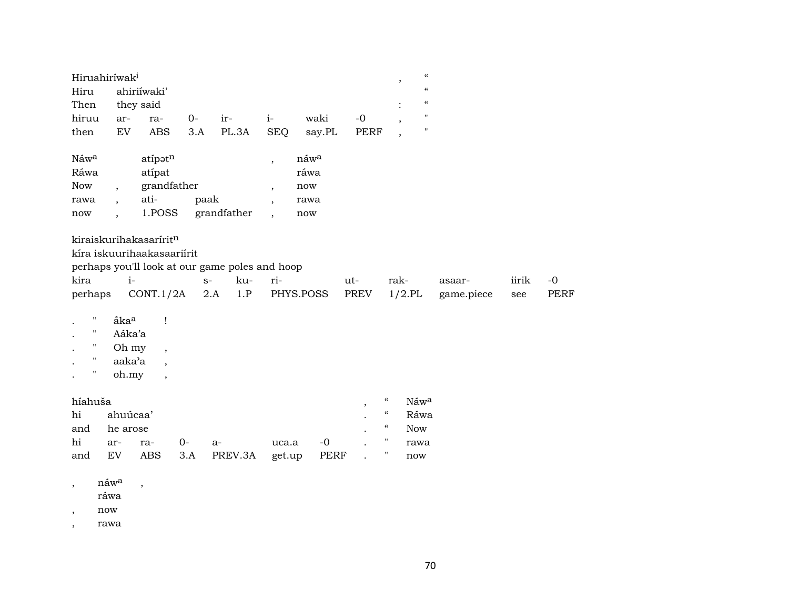| Hiruahiríwak <sup>i</sup><br>Hiru                                       |                                                                | ahiriíwaki'                                                                                                                                  |       |                                                                             |                          |             |                       |                            | $\pmb{\mathcal{C}}$<br>$^\mathrm{,}$<br>$\pmb{\zeta}\pmb{\zeta}$ |                      |              |                     |
|-------------------------------------------------------------------------|----------------------------------------------------------------|----------------------------------------------------------------------------------------------------------------------------------------------|-------|-----------------------------------------------------------------------------|--------------------------|-------------|-----------------------|----------------------------|------------------------------------------------------------------|----------------------|--------------|---------------------|
| Then                                                                    |                                                                | they said                                                                                                                                    |       |                                                                             |                          |             |                       |                            | $\pmb{\zeta}\pmb{\zeta}$                                         |                      |              |                     |
| hiruu                                                                   | ar-                                                            | ra-                                                                                                                                          | $0-$  | ir-                                                                         | $i-$                     | waki        | $-0$                  |                            | $\pmb{\mathsf{H}}$<br>$\overline{\phantom{a}}$                   |                      |              |                     |
| then                                                                    | <b>EV</b>                                                      | <b>ABS</b>                                                                                                                                   | 3.A   | PL.3A                                                                       | <b>SEQ</b>               | say.PL      | <b>PERF</b>           |                            | $\pmb{\mathsf{H}}$<br>$\overline{\phantom{a}}$                   |                      |              |                     |
| Náwa                                                                    |                                                                | atipatn                                                                                                                                      |       |                                                                             | $\overline{ }$           | náwa        |                       |                            |                                                                  |                      |              |                     |
| Ráwa                                                                    |                                                                | atipat                                                                                                                                       |       |                                                                             |                          | ráwa        |                       |                            |                                                                  |                      |              |                     |
| Now                                                                     | $\overline{\phantom{a}}$                                       | grandfather                                                                                                                                  |       |                                                                             | $\overline{\phantom{a}}$ | now         |                       |                            |                                                                  |                      |              |                     |
| rawa                                                                    | $\overline{\phantom{a}}$                                       | ati-                                                                                                                                         |       | paak                                                                        |                          | rawa        |                       |                            |                                                                  |                      |              |                     |
| now                                                                     | $\ddot{\phantom{0}}$                                           | 1.POSS                                                                                                                                       |       | grandfather                                                                 | $\cdot$                  | now         |                       |                            |                                                                  |                      |              |                     |
| kira<br>perhaps<br>$\pmb{\mathsf{H}}$<br>$\mathbf{H}$<br>11<br>11<br>11 | $i-$<br>åka <sup>a</sup><br>Aáka'a<br>Oh my<br>aaka'a<br>oh.my | kiraiskurihakasaríritn<br>kíra iskuurihaakasaariírit<br>CONT.1/2A<br>Ţ<br>$\overline{ }$<br>$\ddot{\phantom{0}}$<br>$\overline{\phantom{a}}$ |       | perhaps you'll look at our game poles and hoop<br>ku-<br>$S-$<br>1.P<br>2.A | ri-                      | PHYS.POSS   | ut-<br>PREV           |                            | rak-<br>$1/2$ .PL                                                | asaar-<br>game.piece | iirik<br>see | $-0$<br><b>PERF</b> |
| híahuša                                                                 |                                                                |                                                                                                                                              |       |                                                                             |                          |             | $^\mathrm{^{^\circ}}$ | $\epsilon\epsilon$         | Náwa                                                             |                      |              |                     |
|                                                                         |                                                                |                                                                                                                                              |       |                                                                             |                          |             |                       | $\boldsymbol{\mathcal{C}}$ | Ráwa                                                             |                      |              |                     |
| hi                                                                      | ahuúcaa'                                                       |                                                                                                                                              |       |                                                                             |                          |             |                       |                            |                                                                  |                      |              |                     |
| and                                                                     | he arose                                                       |                                                                                                                                              |       |                                                                             |                          |             |                       | $\mathcal{C}$              | <b>Now</b>                                                       |                      |              |                     |
| hi                                                                      | ar-                                                            | ra-                                                                                                                                          | $0 -$ | $a-$                                                                        | uca.a                    | $-0$        |                       | $\pmb{\mathsf{H}}$         | rawa                                                             |                      |              |                     |
| and                                                                     | EV                                                             | <b>ABS</b>                                                                                                                                   | 3.A   | PREV.3A                                                                     | get.up                   | <b>PERF</b> |                       | "                          | now                                                              |                      |              |                     |

,  $n$ áw $^a$  ,

ráwa

, now

, rawa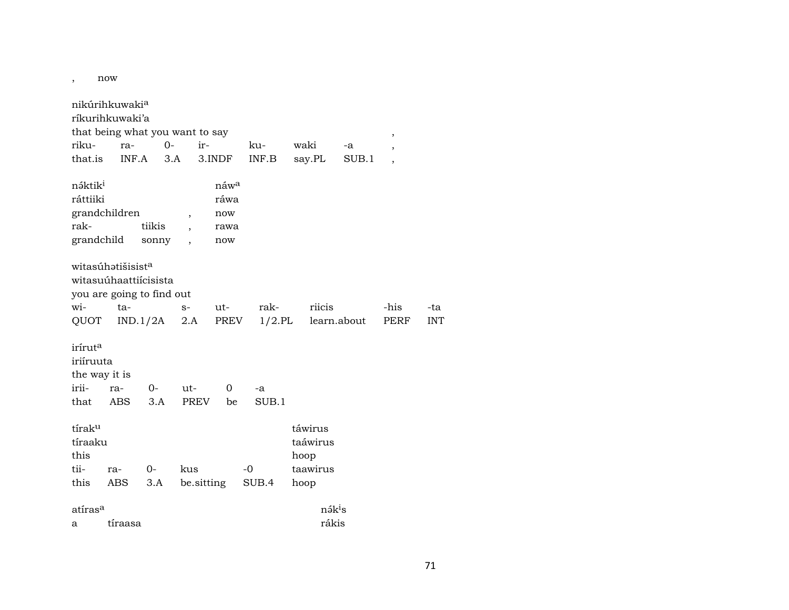, now

|                     | nikúrihkuwaki <sup>a</sup>    |                                 |                          |                  |           |                    |             |                          |            |
|---------------------|-------------------------------|---------------------------------|--------------------------|------------------|-----------|--------------------|-------------|--------------------------|------------|
|                     | ríkurihkuwaki'a               |                                 |                          |                  |           |                    |             |                          |            |
|                     |                               | that being what you want to say |                          |                  |           |                    |             | $\, ,$                   |            |
| riku-               | ra-                           | $0 -$                           | ir-                      |                  | ku-       | waki               | -a          | ,                        |            |
| that.is             | INF.A                         | 3.A                             |                          | 3.INDF           | INF.B     | say.PL             | SUB.1       | $\overline{\phantom{a}}$ |            |
| náktik <sup>i</sup> |                               |                                 |                          | náw <sup>a</sup> |           |                    |             |                          |            |
| ráttiiki            |                               |                                 |                          | ráwa             |           |                    |             |                          |            |
|                     | grandchildren                 |                                 | $\overline{\phantom{a}}$ | now              |           |                    |             |                          |            |
| rak-                |                               | tiikis                          |                          | rawa             |           |                    |             |                          |            |
| grandchild          |                               | sonny                           |                          | now              |           |                    |             |                          |            |
|                     | witasúhatišisist <sup>a</sup> |                                 |                          |                  |           |                    |             |                          |            |
|                     |                               | witasuúhaattiícisista           |                          |                  |           |                    |             |                          |            |
|                     |                               | you are going to find out       |                          |                  |           |                    |             |                          |            |
| wi-                 | ta-                           |                                 | $S-$                     | ut-              | rak-      | riicis             |             | -his                     | -ta        |
| QUOT                |                               | IND.1/2A                        | 2.A                      | PREV             | $1/2$ .PL |                    | learn.about | PERF                     | <b>INT</b> |
| irírut <sup>a</sup> |                               |                                 |                          |                  |           |                    |             |                          |            |
| iriíruuta           |                               |                                 |                          |                  |           |                    |             |                          |            |
| the way it is       |                               |                                 |                          |                  |           |                    |             |                          |            |
| irii-               | ra-                           | $0-$                            | $ut -$                   | $\mathbf 0$      | -a        |                    |             |                          |            |
| that                | ABS                           | 3.A                             | <b>PREV</b>              | be               | SUB.1     |                    |             |                          |            |
| tírak <sup>u</sup>  |                               |                                 |                          |                  |           | táwirus            |             |                          |            |
| tíraaku             |                               |                                 |                          |                  |           | taáwirus           |             |                          |            |
| this                |                               |                                 |                          |                  |           | hoop               |             |                          |            |
| tii-                | ra-                           | $O -$                           | kus                      |                  | $-0$      | taawirus           |             |                          |            |
| this                | ABS                           | 3.A                             | be sitting               |                  | SUB.4     | hoop               |             |                          |            |
| atíras <sup>a</sup> |                               |                                 |                          |                  |           | nák <sup>i</sup> s |             |                          |            |
| а                   | tíraasa                       |                                 |                          |                  |           | rákis              |             |                          |            |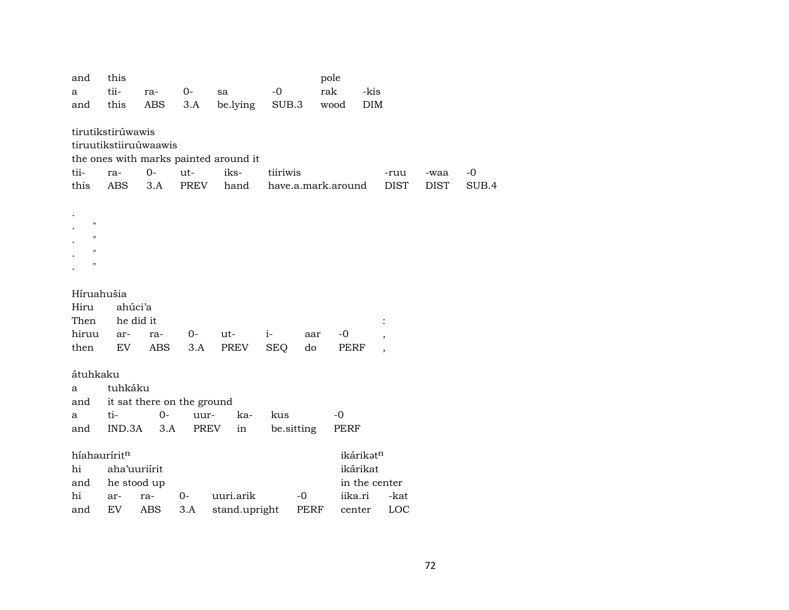| and                | this               |                       |                            |                                       |                    |      | pole    |               |                          |             |       |
|--------------------|--------------------|-----------------------|----------------------------|---------------------------------------|--------------------|------|---------|---------------|--------------------------|-------------|-------|
| a                  | tii-               | ra-                   | $0 -$                      | sa                                    | $-0$               |      | rak     | -kis          |                          |             |       |
| and                | this               | ABS                   | 3.A                        | be.lying                              | SUB.3              |      | wood    | <b>DIM</b>    |                          |             |       |
|                    |                    |                       |                            |                                       |                    |      |         |               |                          |             |       |
|                    | tirutikstirúwawis  |                       |                            |                                       |                    |      |         |               |                          |             |       |
|                    |                    | tiruutikstiiruúwaawis |                            |                                       |                    |      |         |               |                          |             |       |
|                    |                    |                       |                            | the ones with marks painted around it |                    |      |         |               |                          |             |       |
| tii-               | ra-                | $0-$                  | ut-                        | iks-                                  | tiiriwis           |      |         |               | -ruu                     | -waa        | $-0$  |
| this               | <b>ABS</b>         | 3.A                   | PREV                       | hand                                  | have.a.mark.around |      |         |               | <b>DIST</b>              | <b>DIST</b> | SUB.4 |
|                    |                    |                       |                            |                                       |                    |      |         |               |                          |             |       |
|                    |                    |                       |                            |                                       |                    |      |         |               |                          |             |       |
| $\bar{\mathbf{H}}$ |                    |                       |                            |                                       |                    |      |         |               |                          |             |       |
| п                  |                    |                       |                            |                                       |                    |      |         |               |                          |             |       |
| П                  |                    |                       |                            |                                       |                    |      |         |               |                          |             |       |
| П                  |                    |                       |                            |                                       |                    |      |         |               |                          |             |       |
|                    |                    |                       |                            |                                       |                    |      |         |               |                          |             |       |
| Híruahušia         |                    |                       |                            |                                       |                    |      |         |               |                          |             |       |
| Hiru               | ahúci'a            |                       |                            |                                       |                    |      |         |               |                          |             |       |
| Then               |                    | he did it             |                            |                                       |                    |      |         |               |                          |             |       |
| hiruu              | ar-                | ra-                   | 0-                         | ut-                                   | $i-$               | aar  | -0      |               | $\overline{\phantom{a}}$ |             |       |
| then               | EV                 | ABS                   | 3.A                        | PREV                                  | <b>SEQ</b>         | do   | PERF    |               | $\overline{\phantom{a}}$ |             |       |
|                    |                    |                       |                            |                                       |                    |      |         |               |                          |             |       |
| átuhkaku           |                    |                       |                            |                                       |                    |      |         |               |                          |             |       |
| a                  | tuhkáku            |                       |                            |                                       |                    |      |         |               |                          |             |       |
| and                |                    |                       | it sat there on the ground |                                       |                    |      |         |               |                          |             |       |
| a                  | ti-                | $O -$                 | uur-                       | ka-                                   | kus                |      | $-0$    |               |                          |             |       |
| and                | IND.3A             | 3.A                   | PREV                       | in                                    | be.sitting         |      | PERF    |               |                          |             |       |
|                    |                    |                       |                            |                                       |                    |      |         |               |                          |             |       |
| híahauríritn       |                    |                       |                            |                                       |                    |      |         | ikárikatn     |                          |             |       |
| hi                 | aha'uuriírit       |                       |                            |                                       |                    |      |         | ikárikat      |                          |             |       |
|                    |                    |                       |                            |                                       |                    |      |         | in the center |                          |             |       |
| and                |                    |                       |                            |                                       |                    |      |         |               |                          |             |       |
| hi                 | he stood up<br>ar- | ra-                   | 0-                         | uuri.arik                             |                    | $-0$ | iika.ri |               | -kat                     |             |       |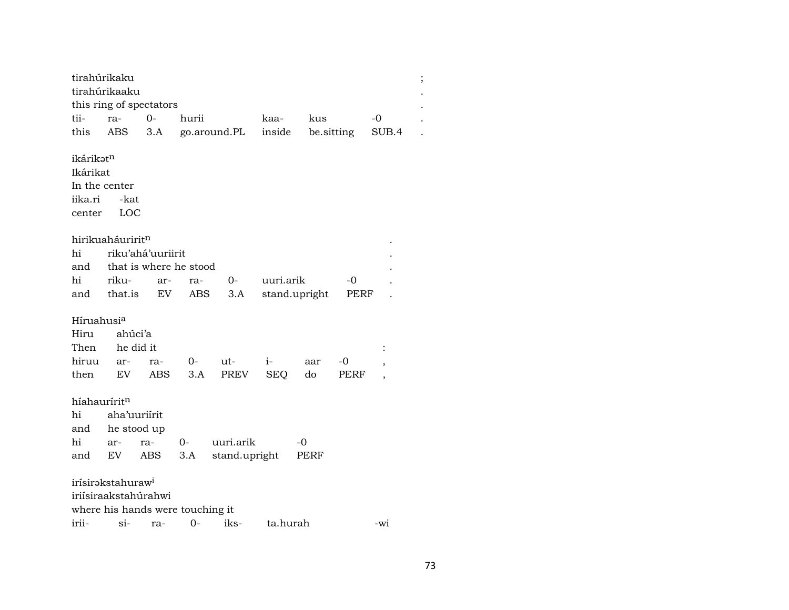| tirahúrikaku             |                               |                                  |       |               |            |               |      |                          |  |
|--------------------------|-------------------------------|----------------------------------|-------|---------------|------------|---------------|------|--------------------------|--|
|                          | tirahúrikaaku                 |                                  |       |               |            |               |      |                          |  |
|                          |                               | this ring of spectators          |       |               |            |               |      |                          |  |
| tii-                     | ra-                           | $0-$                             | hurii |               | kaa-       | kus           |      | -0                       |  |
| this                     | ABS                           | 3.A                              |       | go.around.PL  | inside     | be.sitting    |      | SUB.4                    |  |
|                          |                               |                                  |       |               |            |               |      |                          |  |
| ikárikət <sup>n</sup>    |                               |                                  |       |               |            |               |      |                          |  |
| Ikárikat                 |                               |                                  |       |               |            |               |      |                          |  |
| In the center            |                               |                                  |       |               |            |               |      |                          |  |
| iika.ri                  | -kat                          |                                  |       |               |            |               |      |                          |  |
| center                   | LOC                           |                                  |       |               |            |               |      |                          |  |
|                          |                               |                                  |       |               |            |               |      |                          |  |
|                          | hirikuaháuririt <sup>n</sup>  |                                  |       |               |            |               |      |                          |  |
| hi                       |                               | riku'ahá'uuriirit                |       |               |            |               |      |                          |  |
| and                      |                               | that is where he stood           |       |               |            |               |      |                          |  |
| hi                       | riku-                         | ar-                              | ra-   | 0-            | uuri.arik  |               | -0   |                          |  |
| and                      | that.is                       | EV                               | ABS   | 3.A           |            | stand.upright | PERF |                          |  |
|                          |                               |                                  |       |               |            |               |      |                          |  |
| Híruahusia               |                               |                                  |       |               |            |               |      |                          |  |
| Hiru                     | ahúci'a                       |                                  |       |               |            |               |      |                          |  |
| Then                     | he did it                     |                                  |       |               |            |               |      | ÷                        |  |
| hiruu                    | ar-                           | ra-                              | 0-    | ut-           | $i-$       | aar           | $-0$ | $\overline{\phantom{a}}$ |  |
| then                     | EV                            | ABS                              | 3.A   | PREV          | <b>SEQ</b> | do            | PERF | $\overline{\phantom{a}}$ |  |
|                          |                               |                                  |       |               |            |               |      |                          |  |
| híahaurírit <sup>n</sup> |                               |                                  |       |               |            |               |      |                          |  |
| hi                       | aha'uuriirit                  |                                  |       |               |            |               |      |                          |  |
| and                      | he stood up                   |                                  |       |               |            |               |      |                          |  |
| hi                       | ar-                           | ra-                              | $0-$  | uuri.arik     |            | -0            |      |                          |  |
| and                      | EV                            | ABS                              | 3.A   | stand.upright |            | PERF          |      |                          |  |
|                          |                               |                                  |       |               |            |               |      |                          |  |
|                          | irísirəkstahuraw <sup>i</sup> |                                  |       |               |            |               |      |                          |  |
|                          | iriísiraakstahúrahwi          |                                  |       |               |            |               |      |                          |  |
|                          |                               | where his hands were touching it |       |               |            |               |      |                          |  |
| irii-                    | si-                           | ra-                              | $O -$ | iks-          | ta.hurah   |               |      | -wi                      |  |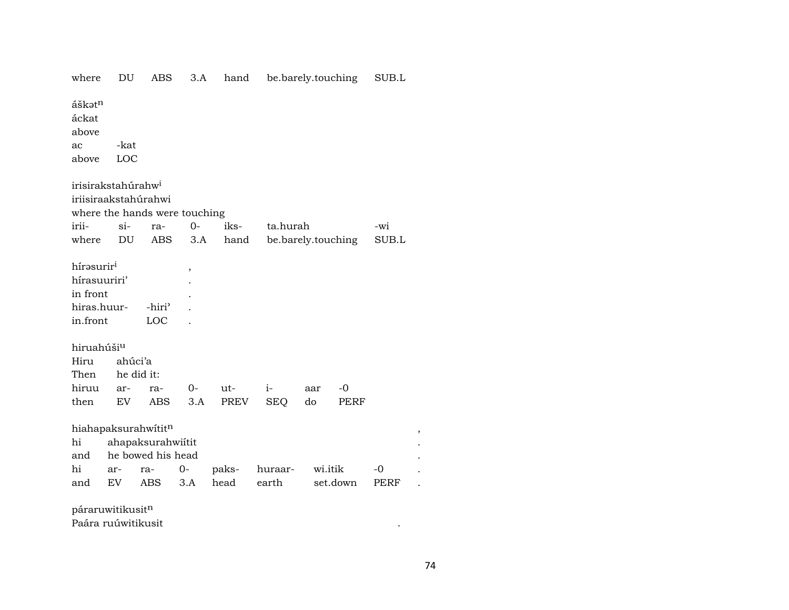| where                          | DU                         | <b>ABS</b>                                            | 3.A            | hand  | be.barely.touching |         |            | $\rm SUB.L$ |                      |  |
|--------------------------------|----------------------------|-------------------------------------------------------|----------------|-------|--------------------|---------|------------|-------------|----------------------|--|
| áškatn<br>áckat<br>above<br>ac | -kat                       |                                                       |                |       |                    |         |            |             |                      |  |
| above                          | LOC                        |                                                       |                |       |                    |         |            |             |                      |  |
| irisirakstahúrahw <sup>i</sup> |                            | iriisiraakstahúrahwi<br>where the hands were touching |                |       |                    |         |            |             |                      |  |
| irii-                          | $si-$                      | ra-                                                   | $0-$           | iks-  | ta.hurah           |         |            | -wi         |                      |  |
| where                          | DU                         | <b>ABS</b>                                            | 3.A            | hand  | be.barely.touching |         |            | SUB.L       |                      |  |
| hírasuriri                     |                            |                                                       | $\overline{ }$ |       |                    |         |            |             |                      |  |
| hírasuuriri'                   |                            |                                                       |                |       |                    |         |            |             |                      |  |
| in front                       |                            |                                                       |                |       |                    |         |            |             |                      |  |
| hiras.huur-                    |                            | -hiri'                                                |                |       |                    |         |            |             |                      |  |
| in.front                       |                            | LOC                                                   |                |       |                    |         |            |             |                      |  |
| hiruahúšiu                     |                            |                                                       |                |       |                    |         |            |             |                      |  |
| Hiru                           | ahúci'a                    |                                                       |                |       |                    |         |            |             |                      |  |
| Then                           |                            | he did it:                                            |                |       |                    |         |            |             |                      |  |
| hiruu                          | ar-                        | ra-                                                   | $0-$           | ut-   | $i-$               | aar     | $-{\bf 0}$ |             |                      |  |
| then                           | ${\rm EV}$                 | <b>ABS</b>                                            | 3.A            | PREV  | <b>SEQ</b>         | do      | PERF       |             |                      |  |
|                                |                            | hiahapaksurahwititn                                   |                |       |                    |         |            |             | $\, ,$               |  |
| hi                             |                            | ahapaksurahwiítit                                     |                |       |                    |         |            |             |                      |  |
| and                            |                            | he bowed his head                                     |                |       |                    |         |            |             |                      |  |
| hi                             | ar-                        | ra-                                                   | $0-$           | paks- | huraar-            | wi.itik |            | $-0$        |                      |  |
| and                            | $\mathop{\rm EV}\nolimits$ | $\operatorname{ABS}$                                  | 3.A            | head  | earth              |         | set.down   | <b>PERF</b> | $\ddot{\phantom{0}}$ |  |
| páraruwitikusitn               |                            |                                                       |                |       |                    |         |            |             |                      |  |

Paára ruúwitikusit

 $\mathcal{L}^{\text{max}}_{\text{max}}$  .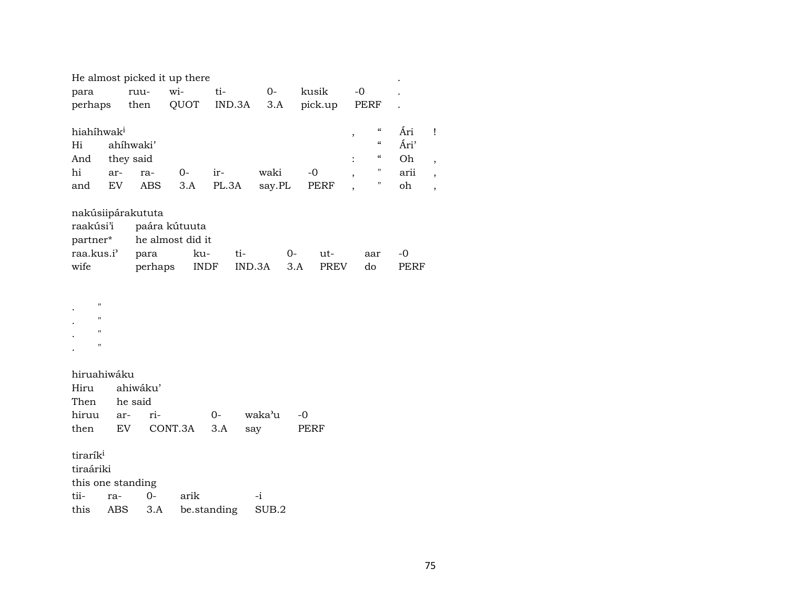|                        |     |                   | He almost picked it up there |       |        |        |      |             |                          |                                        |      |                          |
|------------------------|-----|-------------------|------------------------------|-------|--------|--------|------|-------------|--------------------------|----------------------------------------|------|--------------------------|
| para                   |     | ruu-              | wi-                          | ti-   |        | $0-$   |      | kusik       | $-0$                     |                                        |      |                          |
| perhaps                |     | then              | QUOT                         |       | IND.3A | 3.A    |      | pick.up     |                          | PERF                                   |      |                          |
| hiahihwak <sup>i</sup> |     |                   |                              |       |        |        |      |             | $\overline{\phantom{a}}$ | $\boldsymbol{\mathcal{C}}$             | Ári  |                          |
| Hi                     |     | ahíhwaki'         |                              |       |        |        |      |             |                          | $\boldsymbol{\zeta}\boldsymbol{\zeta}$ | Ári' |                          |
| And                    |     | they said         |                              |       |        |        |      |             |                          | $\boldsymbol{\zeta}\boldsymbol{\zeta}$ | Oh   | ,                        |
| hi                     | ar- | ra-               | $0-$                         | ir-   |        | waki   |      | $-0$        | $\overline{ }$           | $\pmb{\mathsf{H}}$                     | arii | $\overline{\phantom{a}}$ |
| and                    | EV  | ABS               | 3.A                          | PL.3A |        | say.PL |      | PERF        | $\overline{ }$           | $\pmb{\mathsf{H}}$                     | oh   | $\overline{ }$           |
|                        |     | nakúsiipárakututa |                              |       |        |        |      |             |                          |                                        |      |                          |
| raakúsi'i              |     |                   | paára kútuuta                |       |        |        |      |             |                          |                                        |      |                          |
| partner*               |     |                   | he almost did it             |       |        |        |      |             |                          |                                        |      |                          |
| raa.kus.i'             |     | para              | ku-                          |       | ti-    |        | $0-$ | ut-         |                          | aar                                    | $-0$ |                          |
| wife                   |     | perhaps           |                              | INDF  | IND.3A |        | 3.A  | <b>PREV</b> |                          | do                                     | PERF |                          |
|                        |     |                   |                              |       |        |        |      |             |                          |                                        |      |                          |
| $^{\prime\prime}$      |     |                   |                              |       |        |        |      |             |                          |                                        |      |                          |
| $\pmb{\mathsf{H}}$     |     |                   |                              |       |        |        |      |             |                          |                                        |      |                          |
| $\pmb{\mathsf{H}}$     |     |                   |                              |       |        |        |      |             |                          |                                        |      |                          |
| $^{\prime\prime}$      |     |                   |                              |       |        |        |      |             |                          |                                        |      |                          |
|                        |     |                   |                              |       |        |        |      |             |                          |                                        |      |                          |

hiruahiwáku Hiru ahiwáku' Then he said<br>hiruu ar- rihiruu ar- ri- 0- waka"u -0 then EV CONT.3A 3.A say

tirarík $^{\rm i}$ tiraáriki this one standing tii- ra- 0- arik -i this ABS 3.A be.standing SUB.2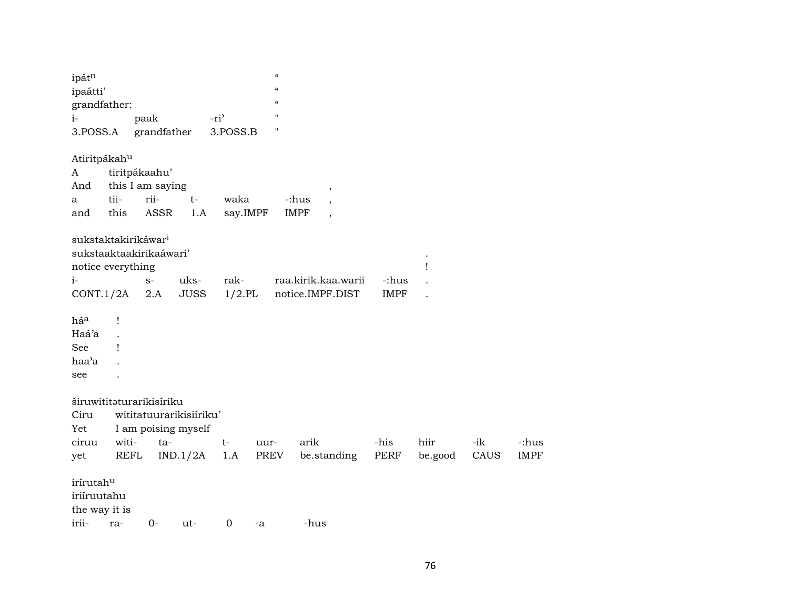| ipátn<br>ipaátti'<br>grandfather: |                  |             |                         |                  | $\boldsymbol{\zeta}\boldsymbol{\zeta}$<br>$\boldsymbol{\mathcal{C}}$<br>$\epsilon$ |                                         |             |         |       |             |
|-----------------------------------|------------------|-------------|-------------------------|------------------|------------------------------------------------------------------------------------|-----------------------------------------|-------------|---------|-------|-------------|
| $i-$                              |                  | paak        |                         | -ri <sup>3</sup> | $\pmb{\mathsf{H}}$                                                                 |                                         |             |         |       |             |
| 3.POSS.A                          |                  |             | grandfather             | 3.POSS.B         | п                                                                                  |                                         |             |         |       |             |
| Atiritpákahu                      |                  |             |                         |                  |                                                                                    |                                         |             |         |       |             |
| A                                 | tiritpákaahu'    |             |                         |                  |                                                                                    |                                         |             |         |       |             |
| And                               | this I am saying |             |                         |                  |                                                                                    | $\,$                                    |             |         |       |             |
| a                                 | tii-             | rii-        | $t-$                    | waka             |                                                                                    | -:hus<br>$\overline{\phantom{a}}$       |             |         |       |             |
| and                               | this             | <b>ASSR</b> | 1.A                     |                  | say.IMPF                                                                           | <b>IMPF</b><br>$\overline{\phantom{a}}$ |             |         |       |             |
| sukstaktakirikáwar <sup>i</sup>   |                  |             |                         |                  |                                                                                    |                                         |             |         |       |             |
| sukstaaktaakirikaáwari'           |                  |             |                         |                  |                                                                                    |                                         |             |         |       |             |
| notice everything                 |                  |             |                         |                  |                                                                                    |                                         |             |         |       |             |
| $i-$                              |                  | $S-$        | uks-                    | rak-             |                                                                                    | raa.kirik.kaa.warii                     | -:hus       |         |       |             |
| CONT.1/2A                         |                  | 2.A         | <b>JUSS</b>             | $1/2$ .PL        |                                                                                    | notice.IMPF.DIST                        | <b>IMPF</b> |         |       |             |
| há <sup>a</sup>                   | Ţ                |             |                         |                  |                                                                                    |                                         |             |         |       |             |
| Haá'a                             |                  |             |                         |                  |                                                                                    |                                         |             |         |       |             |
| See                               | Ţ                |             |                         |                  |                                                                                    |                                         |             |         |       |             |
| haa'a                             |                  |             |                         |                  |                                                                                    |                                         |             |         |       |             |
| see                               |                  |             |                         |                  |                                                                                    |                                         |             |         |       |             |
| širuwititaturarikisíriku          |                  |             |                         |                  |                                                                                    |                                         |             |         |       |             |
| Ciru                              |                  |             | wititatuurarikisiiriku' |                  |                                                                                    |                                         |             |         |       |             |
| Yet                               |                  |             | I am poising myself     |                  |                                                                                    |                                         |             |         |       |             |
| ciruu                             | witi-            |             | ta-                     | $t-$             | uur-                                                                               | arik                                    | -his        | hiir    | $-ik$ | -:hus       |
| yet                               | REFL             |             | IND.1/2A                | 1.A              | PREV                                                                               | be.standing                             | PERF        | be.good | CAUS  | <b>IMPF</b> |
| irírutahu                         |                  |             |                         |                  |                                                                                    |                                         |             |         |       |             |
| iriíruutahu                       |                  |             |                         |                  |                                                                                    |                                         |             |         |       |             |
| the way it is                     |                  |             |                         |                  |                                                                                    |                                         |             |         |       |             |
| irii- ra-                         |                  |             | $()$ - 11†-             | 0.               | $-A$                                                                               | -hus                                    |             |         |       |             |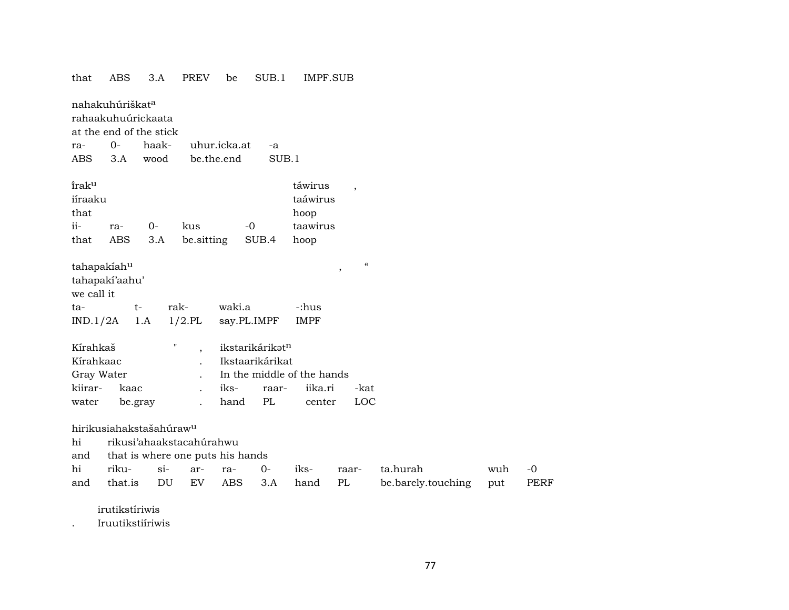| that                                                    | <b>ABS</b>                                                                   | 3.A   | <b>PREV</b>                      | be           | SUB.1                                             | IMPF.SUB                                        |                                    |                    |     |             |
|---------------------------------------------------------|------------------------------------------------------------------------------|-------|----------------------------------|--------------|---------------------------------------------------|-------------------------------------------------|------------------------------------|--------------------|-----|-------------|
|                                                         | nahakuhúriškat <sup>a</sup><br>rahaakuhuúrickaata<br>at the end of the stick |       |                                  |              |                                                   |                                                 |                                    |                    |     |             |
| ra-                                                     | $0-$                                                                         | haak- |                                  | uhur.icka.at | -a                                                |                                                 |                                    |                    |     |             |
| ABS                                                     | 3.A                                                                          | wood  | be.the.end                       |              | SUB.1                                             |                                                 |                                    |                    |     |             |
|                                                         |                                                                              |       |                                  |              |                                                   |                                                 |                                    |                    |     |             |
| <i>iraku</i>                                            |                                                                              |       |                                  |              |                                                   | táwirus                                         |                                    |                    |     |             |
| iíraaku                                                 |                                                                              |       |                                  |              |                                                   | taáwirus                                        |                                    |                    |     |             |
| that                                                    |                                                                              |       |                                  |              |                                                   | hoop                                            |                                    |                    |     |             |
| ii-                                                     | ra-                                                                          | 0-    | kus                              |              | $-0$                                              | taawirus                                        |                                    |                    |     |             |
| that                                                    | <b>ABS</b>                                                                   | 3.A   | be.sitting                       |              | SUB.4                                             | hoop                                            |                                    |                    |     |             |
| tahapakiahu<br>we call it                               | tahapakí'aahu'                                                               |       |                                  |              |                                                   |                                                 | $\pmb{\zeta}\pmb{\zeta}$<br>$\, ,$ |                    |     |             |
| ta-                                                     | $t-$                                                                         | rak-  |                                  | waki.a       |                                                   | -:hus                                           |                                    |                    |     |             |
| IND.1/2A                                                |                                                                              | 1.A   | $1/2$ .PL                        |              | say.PL.IMPF                                       | <b>IMPF</b>                                     |                                    |                    |     |             |
| Kírahkaš<br>Kírahkaac<br>Gray Water<br>kiirar-<br>water | kaac<br>be.gray                                                              | п     |                                  | iks-<br>hand | ikstarikárikatn<br>Ikstaarikárikat<br>raar-<br>PL | In the middle of the hands<br>iika.ri<br>center | -kat<br>LOC                        |                    |     |             |
|                                                         |                                                                              |       |                                  |              |                                                   |                                                 |                                    |                    |     |             |
|                                                         | hirikusiahakstašahúraw <sup>u</sup>                                          |       |                                  |              |                                                   |                                                 |                                    |                    |     |             |
| hi                                                      |                                                                              |       | rikusi'ahaakstacahúrahwu         |              |                                                   |                                                 |                                    |                    |     |             |
| and                                                     |                                                                              |       | that is where one puts his hands |              |                                                   |                                                 |                                    |                    |     |             |
| hi                                                      | riku-                                                                        | $si-$ | ar-                              | ra-          | $0-$                                              | iks-                                            | raar-                              | ta.hurah           | wuh | -0          |
| and                                                     | that.is                                                                      | DU    | EV                               | <b>ABS</b>   | 3.A                                               | hand                                            | PL                                 | be.barely.touching | put | <b>PERF</b> |
|                                                         | irutikstíriwis                                                               |       |                                  |              |                                                   |                                                 |                                    |                    |     |             |

Iruutikstiíriwis  $\mathbb{R}^2$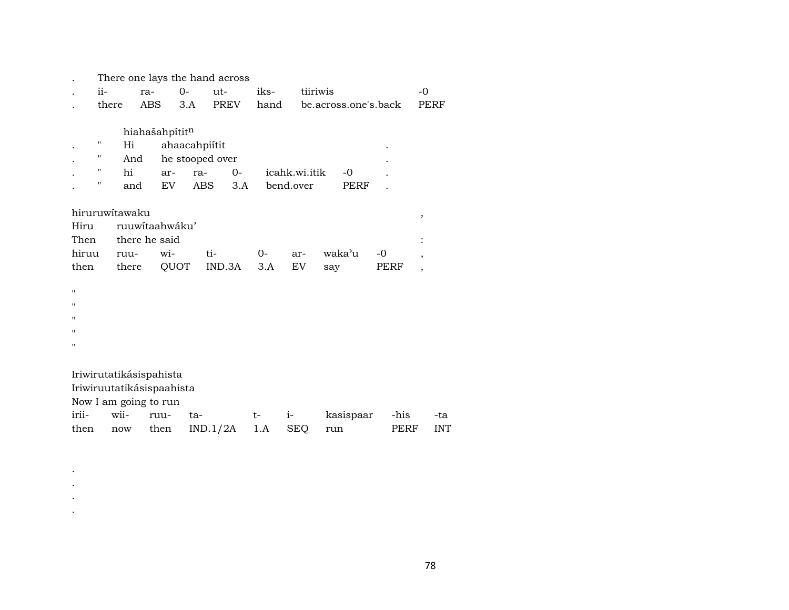|       |                |                           |                 | There one lays the hand across |      |               |                      |      |                          |
|-------|----------------|---------------------------|-----------------|--------------------------------|------|---------------|----------------------|------|--------------------------|
|       | ii-            | ra-                       | $0-$            | ut-                            | iks- | tiiriwis      |                      |      | $-0$                     |
|       | there          | <b>ABS</b>                | 3.A             | <b>PREV</b>                    | hand |               | be.across.one's.back |      | PERF                     |
|       |                |                           |                 |                                |      |               |                      |      |                          |
|       |                | hiahašahpítitn            |                 |                                |      |               |                      |      |                          |
|       | 11             | Hi                        | ahaacahpiitit   |                                |      |               |                      |      |                          |
|       | н              | And                       | he stooped over |                                |      |               |                      |      |                          |
|       | н<br>hi        | ar-                       | ra-             | $0-$                           |      | icahk.wi.itik | -0                   |      |                          |
|       | "              | EV<br>and                 | ABS             | 3.A                            |      | bend.over     | PERF                 |      |                          |
|       |                |                           |                 |                                |      |               |                      |      |                          |
|       | hiruruwitawaku |                           |                 |                                |      |               |                      |      | ,                        |
| Hiru  |                | ruuwitaahwáku'            |                 |                                |      |               |                      |      |                          |
| Then  |                | there he said             |                 |                                |      |               |                      |      |                          |
| hiruu | ruu-           | wi-                       |                 | ti-                            | 0-   | ar-           | waka'u               | $-0$ | ,                        |
| then  |                | there                     | QUOT            | IND.3A                         | 3.A  | <b>EV</b>     | say                  | PERF | $\overline{\phantom{a}}$ |
|       |                |                           |                 |                                |      |               |                      |      |                          |
| 11    |                |                           |                 |                                |      |               |                      |      |                          |
| 11    |                |                           |                 |                                |      |               |                      |      |                          |
| 11    |                |                           |                 |                                |      |               |                      |      |                          |
| 11    |                |                           |                 |                                |      |               |                      |      |                          |
| 11    |                |                           |                 |                                |      |               |                      |      |                          |
|       |                |                           |                 |                                |      |               |                      |      |                          |
|       |                | Iriwirutatikásispahista   |                 |                                |      |               |                      |      |                          |
|       |                | Iriwiruutatikásispaahista |                 |                                |      |               |                      |      |                          |
|       |                | Now I am going to run     |                 |                                |      |               |                      |      |                          |
| irii- | wii-           | ruu-                      | ta-             |                                | $t-$ | $i-$          | kasispaar            | -his | -ta                      |
| then  | now            | then                      |                 | IND.1/2A                       | 1.A  | <b>SEQ</b>    | run                  | PERF | <b>INT</b>               |
|       |                |                           |                 |                                |      |               |                      |      |                          |

. . . .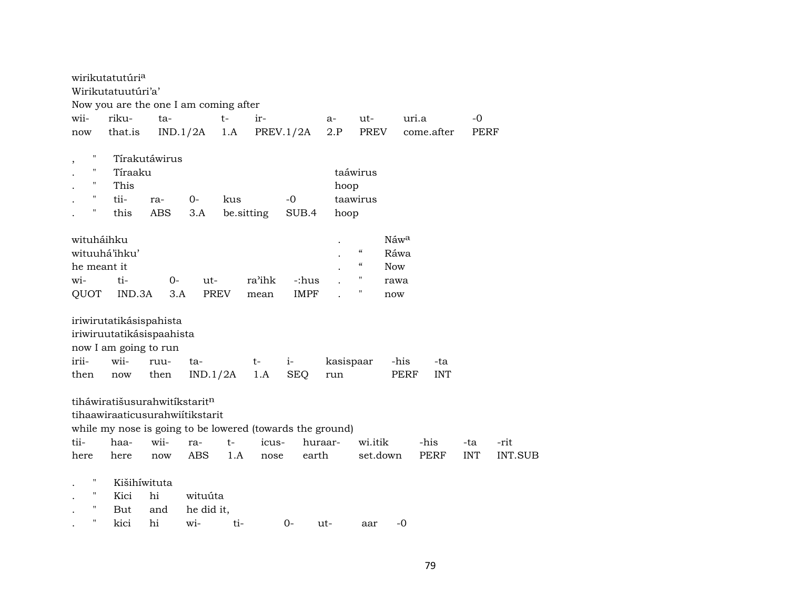|             | wirikutatutúri <sup>a</sup>                               |               |             |            |        |             |           |                                        |            |             |            |                |
|-------------|-----------------------------------------------------------|---------------|-------------|------------|--------|-------------|-----------|----------------------------------------|------------|-------------|------------|----------------|
|             | Wirikutatuutúri'a'                                        |               |             |            |        |             |           |                                        |            |             |            |                |
|             | Now you are the one I am coming after                     |               |             |            |        |             |           |                                        |            |             |            |                |
| wii-        | riku-                                                     | ta-           |             | $t-$       | ir-    |             | a-        | ut-                                    | uri.a      |             | $-0$       |                |
| now         | that.is                                                   | IND.1/2A      |             | 1.A        |        | PREV.1/2A   | 2.P       | <b>PREV</b>                            |            | come.after  | PERF       |                |
|             |                                                           |               |             |            |        |             |           |                                        |            |             |            |                |
| $\, ,$      |                                                           | Tírakutáwirus |             |            |        |             |           |                                        |            |             |            |                |
| 11          | Tíraaku                                                   |               |             |            |        |             |           | taáwirus                               |            |             |            |                |
| 11          | This                                                      |               |             |            |        |             | hoop      |                                        |            |             |            |                |
| н           | tii-                                                      | ra-           | $0-$        | kus        |        | $-0$        |           | taawirus                               |            |             |            |                |
| н           | this                                                      | <b>ABS</b>    | 3.A         | be.sitting |        | SUB.4       | hoop      |                                        |            |             |            |                |
|             |                                                           |               |             |            |        |             |           |                                        |            |             |            |                |
| wituháihku  |                                                           |               |             |            |        |             |           |                                        | Náwa       |             |            |                |
|             | wituuhá'ihku'                                             |               |             |            |        |             |           | $\boldsymbol{\zeta}\boldsymbol{\zeta}$ | Ráwa       |             |            |                |
| he meant it |                                                           |               |             |            |        |             |           | $\boldsymbol{\zeta}\boldsymbol{\zeta}$ | <b>Now</b> |             |            |                |
| wi-         | ti-                                                       | $0-$          | ut-         |            | ra'ihk | -:hus       |           | п                                      | rawa       |             |            |                |
| QUOT        | IND.3A                                                    | 3.A           | <b>PREV</b> |            | mean   | <b>IMPF</b> |           | П                                      | now        |             |            |                |
|             |                                                           |               |             |            |        |             |           |                                        |            |             |            |                |
|             | iriwirutatikásispahista                                   |               |             |            |        |             |           |                                        |            |             |            |                |
|             | iriwiruutatikásispaahista                                 |               |             |            |        |             |           |                                        |            |             |            |                |
|             | now I am going to run                                     |               |             |            |        |             |           |                                        |            |             |            |                |
| irii-       | wii-                                                      | ruu-          | ta-         |            | t-     | $i-$        | kasispaar |                                        | -his       | -ta         |            |                |
| then        | now                                                       | then          | IND.1/2A    |            | 1.A    | <b>SEQ</b>  | run       |                                        | PERF       | <b>INT</b>  |            |                |
|             |                                                           |               |             |            |        |             |           |                                        |            |             |            |                |
|             | tiháwiratišusurahwitíkstaritn                             |               |             |            |        |             |           |                                        |            |             |            |                |
|             | tihaawiraaticusurahwiitikstarit                           |               |             |            |        |             |           |                                        |            |             |            |                |
|             | while my nose is going to be lowered (towards the ground) |               |             |            |        |             |           |                                        |            |             |            |                |
| tii-        | haa-                                                      | wii-          | ra-         | $t-$       | icus-  | huraar-     |           | wi.itik                                |            | -his        | -ta        | -rit           |
|             |                                                           |               | <b>ABS</b>  | 1.A        |        | earth       |           | set.down                               |            | <b>PERF</b> | <b>INT</b> | <b>INT.SUB</b> |
| here        | here                                                      | now           |             |            | nose   |             |           |                                        |            |             |            |                |
| н           |                                                           |               |             |            |        |             |           |                                        |            |             |            |                |
| п           | Kišihíwituta                                              |               |             |            |        |             |           |                                        |            |             |            |                |
| н           | Kici                                                      | hi            | wituúta     |            |        |             |           |                                        |            |             |            |                |
| 11          | But                                                       | and           | he did it,  |            |        |             |           |                                        |            |             |            |                |
|             | kici                                                      | hi            | wi-         | ti-        |        | $O -$       | ut-       | aar                                    | $-0$       |             |            |                |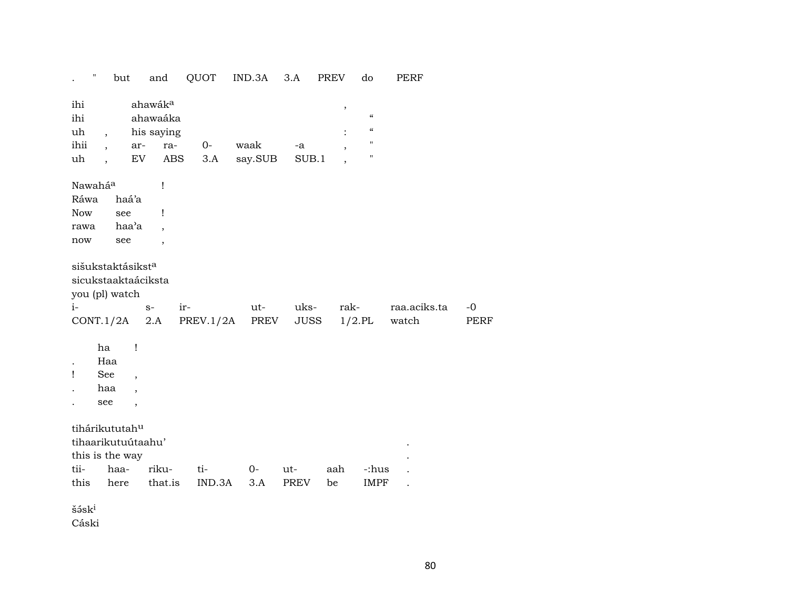|                                              | $\pmb{\mathsf{H}}$                                                               | but                                                            | and                                                                                     | QUOT             | IND.3A          | 3.A                 | <b>PREV</b>                     | do                                                                                  | PERF                  |              |
|----------------------------------------------|----------------------------------------------------------------------------------|----------------------------------------------------------------|-----------------------------------------------------------------------------------------|------------------|-----------------|---------------------|---------------------------------|-------------------------------------------------------------------------------------|-----------------------|--------------|
| ihi<br>ihi<br>uh<br>ihii<br>uh               | $\overline{\phantom{a}}$<br>$\overline{\phantom{a}}$<br>$\overline{\phantom{a}}$ |                                                                | ahawák <sup>a</sup><br>ahawaáka<br>his saying<br>ra-<br>ar-<br>${\rm EV}$<br><b>ABS</b> | $0-$<br>3.A      | waak<br>say.SUB | -a<br>SUB.1         | $\pmb{\cdot}$<br>$\overline{ }$ | $\boldsymbol{\mathcal{C}}$<br>$\boldsymbol{\mathcal{C}}$<br>$\pmb{\mathsf{H}}$<br>П |                       |              |
| Nawaháa<br>Ráwa<br><b>Now</b><br>rawa<br>now |                                                                                  | haá'a<br>see<br>haa'a<br>see                                   | Ţ<br>Ţ<br>$\overline{\phantom{a}}$                                                      |                  |                 |                     |                                 |                                                                                     |                       |              |
| $i-$                                         |                                                                                  | sišukstaktásikst <sup>a</sup><br>you (pl) watch<br>CONT.1/2A   | sicukstaaktaáciksta<br>$S-$<br>2.A                                                      | ir-<br>PREV.1/2A | ut-<br>PREV     | uks-<br><b>JUSS</b> | rak-                            | $1/2$ .PL                                                                           | raa.aciks.ta<br>watch | $-0$<br>PERF |
| Ţ                                            | ha<br>Haa<br>See<br>haa<br>see                                                   | Ţ<br>$\overline{\phantom{a}}$<br>$\overline{\phantom{a}}$<br>, |                                                                                         |                  |                 |                     |                                 |                                                                                     |                       |              |
| tii-<br>this                                 |                                                                                  | tihárikututahu<br>this is the way<br>haa-<br>here              | tihaarikutuútaahu'<br>riku-<br>that.is                                                  | ti-<br>IND.3A    | $O -$<br>3.A    | ut-<br>PREV         | aah<br>be                       | -:hus<br><b>IMPF</b>                                                                |                       |              |
| šáski                                        |                                                                                  |                                                                |                                                                                         |                  |                 |                     |                                 |                                                                                     |                       |              |

Cáski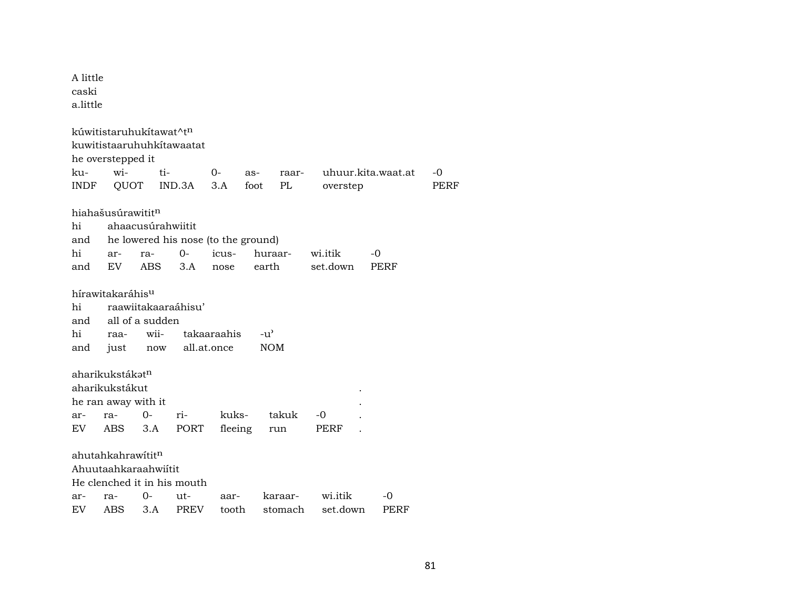| A little<br>caski<br>a.little |                                     |                   |                                     |             |         |               |          |                    |      |
|-------------------------------|-------------------------------------|-------------------|-------------------------------------|-------------|---------|---------------|----------|--------------------|------|
|                               | kúwitistaruhukítawat^t <sup>n</sup> |                   |                                     |             |         |               |          |                    |      |
|                               | kuwitistaaruhuhkitawaatat           |                   |                                     |             |         |               |          |                    |      |
|                               | he overstepped it<br>wi-            |                   |                                     |             |         |               |          |                    |      |
| ku-                           |                                     | ti-               |                                     | $0-$        | as-     | raar-         |          | uhuur.kita.waat.at | -0   |
| <b>INDF</b>                   | QUOT                                |                   | IND.3A                              | 3.A         | foot    | PL            | overstep |                    | PERF |
|                               | hiahašusúrawititn                   |                   |                                     |             |         |               |          |                    |      |
| hi                            |                                     | ahaacusúrahwiitit |                                     |             |         |               |          |                    |      |
| and                           |                                     |                   | he lowered his nose (to the ground) |             |         |               |          |                    |      |
| hi                            | ar-                                 | ra-               | $0-$                                | icus-       |         | huraar-       | wi.itik  | -0                 |      |
| and                           | EV.                                 | <b>ABS</b>        | 3.A                                 | nose        |         | earth         | set.down | <b>PERF</b>        |      |
|                               |                                     |                   |                                     |             |         |               |          |                    |      |
|                               | hírawitakaráhis <sup>u</sup>        |                   |                                     |             |         |               |          |                    |      |
| hi                            |                                     |                   | raawiitakaaraáhisu'                 |             |         |               |          |                    |      |
| and                           |                                     | all of a sudden   |                                     |             |         |               |          |                    |      |
| hi                            | raa-                                | wii-              |                                     | takaaraahis |         | $-u^{\prime}$ |          |                    |      |
| and                           | just                                | now               |                                     | all.at.once |         | <b>NOM</b>    |          |                    |      |
|                               |                                     |                   |                                     |             |         |               |          |                    |      |
|                               | aharikukstákət <sup>n</sup>         |                   |                                     |             |         |               |          |                    |      |
|                               | aharikukstákut                      |                   |                                     |             |         |               |          |                    |      |
|                               | he ran away with it                 |                   |                                     |             |         |               |          |                    |      |
| ar-                           | ra-                                 | 0-                | ri-                                 | kuks-       |         | takuk         | -0       |                    |      |
| EV.                           | ABS.                                | 3.A               | PORT                                |             | fleeing | run           | PERF     |                    |      |
|                               |                                     |                   |                                     |             |         |               |          |                    |      |
|                               | ahutahkahrawitit <sup>n</sup>       |                   |                                     |             |         |               |          |                    |      |
|                               | Ahuutaahkaraahwiítit                |                   |                                     |             |         |               |          |                    |      |
|                               |                                     |                   | He clenched it in his mouth         |             |         |               |          |                    |      |
| ar-                           | ra-                                 | 0-                | ut-                                 | aar-        |         | karaar-       | wi.itik  | -0                 |      |
| EV                            | ABS                                 | 3.A               | <b>PREV</b>                         | tooth       |         | stomach       | set.down | PERF               |      |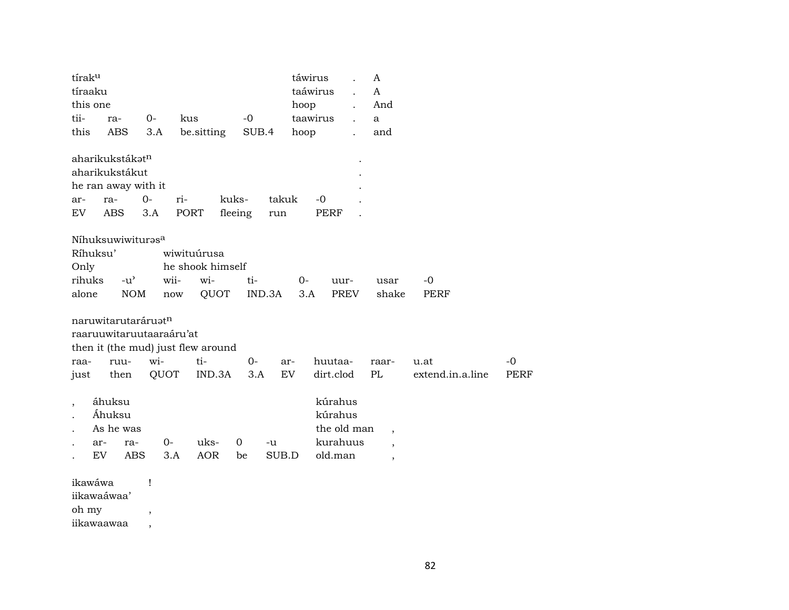| tíraku                   |                                     |                |                      |            |             |        | táwirus  |             | A                        |                  |             |
|--------------------------|-------------------------------------|----------------|----------------------|------------|-------------|--------|----------|-------------|--------------------------|------------------|-------------|
| tíraaku                  |                                     |                |                      |            |             |        | taáwirus |             | A                        |                  |             |
| this one                 |                                     |                |                      |            |             |        | hoop     |             | And                      |                  |             |
| tii-                     | ra-                                 | $0-$           | kus                  |            | $-0$        |        | taawirus |             | a                        |                  |             |
| this                     | ABS                                 | 3.A            | be.sitting           |            | SUB.4       |        | hoop     |             | and                      |                  |             |
|                          | aharikukstákat <sup>n</sup>         |                |                      |            |             |        |          |             |                          |                  |             |
|                          | aharikukstákut                      |                |                      |            |             |        |          |             |                          |                  |             |
|                          | he ran away with it                 |                |                      |            |             |        |          |             |                          |                  |             |
| ar-                      | ra-                                 | $0-$           | ri-                  | kuks-      |             | takuk  | $-0$     |             |                          |                  |             |
| EV                       | <b>ABS</b>                          | 3.A            | PORT                 |            | fleeing     | run    |          | PERF        |                          |                  |             |
|                          | Níhuksuwiwiturasa                   |                |                      |            |             |        |          |             |                          |                  |             |
| Ríhuksu'                 |                                     |                | wiwituúrusa          |            |             |        |          |             |                          |                  |             |
| Only                     |                                     |                | he shook himself     |            |             |        |          |             |                          |                  |             |
| rihuks                   | $-u$ <sup><math>\prime</math></sup> |                | wii-                 | wi-        | ti-         |        | $0-$     | uur-        | usar                     | -0               |             |
| alone                    | $\rm{NOM}$                          |                | $\operatorname{now}$ | QUOT       |             | IND.3A | 3.A      | PREV        | shake                    | PERF             |             |
|                          | naruwitarutaráruatn                 |                |                      |            |             |        |          |             |                          |                  |             |
|                          | raaruuwitaruutaaraáru'at            |                |                      |            |             |        |          |             |                          |                  |             |
|                          | then it (the mud) just flew around  |                |                      |            |             |        |          |             |                          |                  |             |
| raa-                     | ruu-                                | wi-            | ti-                  |            | $0-$        | ar-    |          | huutaa-     | raar-                    | u.at             | $-0$        |
| just                     | then                                | QUOT           |                      | IND.3A     | 3.A         | EV     |          | dirt.clod   | PL                       | extend.in.a.line | <b>PERF</b> |
| $\overline{\phantom{a}}$ | áhuksu                              |                |                      |            |             |        |          | kúrahus     |                          |                  |             |
|                          | Áhuksu                              |                |                      |            |             |        |          | kúrahus     |                          |                  |             |
| $\ddot{\phantom{0}}$     | As he was                           |                |                      |            |             |        |          | the old man | $\overline{\phantom{a}}$ |                  |             |
| ar-                      | ra-                                 | $0-$           |                      | uks-       | $\mathbf 0$ | -u     |          | kurahuus    | $\overline{\phantom{a}}$ |                  |             |
| EV                       | <b>ABS</b>                          |                | 3.A                  | <b>AOR</b> | be          | SUB.D  |          | old.man     | $\overline{\phantom{a}}$ |                  |             |
| ikawáwa                  |                                     | $\mathbf{I}$   |                      |            |             |        |          |             |                          |                  |             |
| iikawaáwaa'              |                                     |                |                      |            |             |        |          |             |                          |                  |             |
| oh my                    |                                     | $\overline{ }$ |                      |            |             |        |          |             |                          |                  |             |
| iikawaawaa               |                                     |                |                      |            |             |        |          |             |                          |                  |             |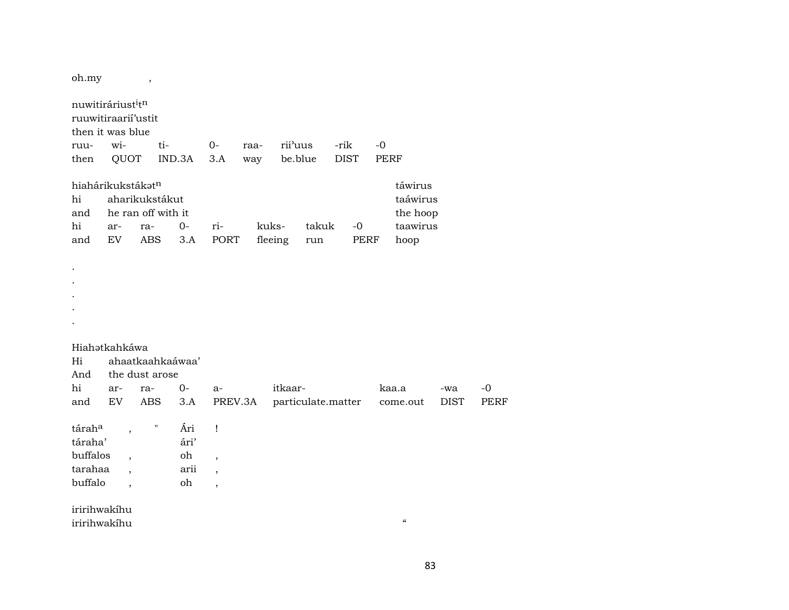oh.my

 $\overline{\phantom{a}}$ 

| nuwitiráriust <sup>i</sup> tn<br>ruuwitiraarii'ustit<br>then it was blue<br>ruu-<br>then | wi-<br>QUOT                                                                      | ti-                                                       | IND.3A                          | $0-$<br>3.A                                                                           | raa-<br>way      | rii'uus<br>be.blue |                    | -rik<br><b>DIST</b> |                     | $-0$<br><b>PERF</b> |                                                     |             |             |
|------------------------------------------------------------------------------------------|----------------------------------------------------------------------------------|-----------------------------------------------------------|---------------------------------|---------------------------------------------------------------------------------------|------------------|--------------------|--------------------|---------------------|---------------------|---------------------|-----------------------------------------------------|-------------|-------------|
| hiahárikukstákatn<br>hi<br>and<br>hi<br>and<br>$\cdot$                                   | ar-<br>EV                                                                        | aharikukstákut<br>he ran off with it<br>ra-<br><b>ABS</b> | $O -$<br>3.A                    | ri-<br><b>PORT</b>                                                                    | kuks-<br>fleeing |                    | takuk<br>run       |                     | $-0$<br><b>PERF</b> |                     | táwirus<br>taáwirus<br>the hoop<br>taawirus<br>hoop |             |             |
| Hiahatkahkáwa                                                                            |                                                                                  |                                                           |                                 |                                                                                       |                  |                    |                    |                     |                     |                     |                                                     |             |             |
| Hi                                                                                       |                                                                                  | ahaatkaahkaáwaa'                                          |                                 |                                                                                       |                  |                    |                    |                     |                     |                     |                                                     |             |             |
| And                                                                                      |                                                                                  | the dust arose                                            |                                 |                                                                                       |                  |                    |                    |                     |                     |                     |                                                     |             |             |
| hi                                                                                       | ar-                                                                              | ra-                                                       | $0-$                            | a-                                                                                    |                  | itkaar-            |                    |                     |                     |                     | kaa.a                                               | -wa         | $-0$        |
| and                                                                                      | <b>EV</b>                                                                        | <b>ABS</b>                                                | 3.A                             | PREV.3A                                                                               |                  |                    | particulate.matter |                     |                     |                     | come.out                                            | <b>DIST</b> | <b>PERF</b> |
| táraha<br>táraha'<br>buffalos<br>tarahaa<br>buffalo                                      | $\overline{\phantom{a}}$<br>$\overline{\phantom{a}}$<br>$\overline{\phantom{a}}$ | $\pmb{\mathsf{H}}$                                        | Ári<br>ári'<br>oh<br>arii<br>oh | 1<br>$\overline{\phantom{a}}$<br>$\overline{\phantom{a}}$<br>$\overline{\phantom{a}}$ |                  |                    |                    |                     |                     |                     |                                                     |             |             |
| iririhwakihu<br>iririhwakíhu                                                             |                                                                                  |                                                           |                                 |                                                                                       |                  |                    |                    |                     |                     |                     | $\boldsymbol{\mathcal{C}}$                          |             |             |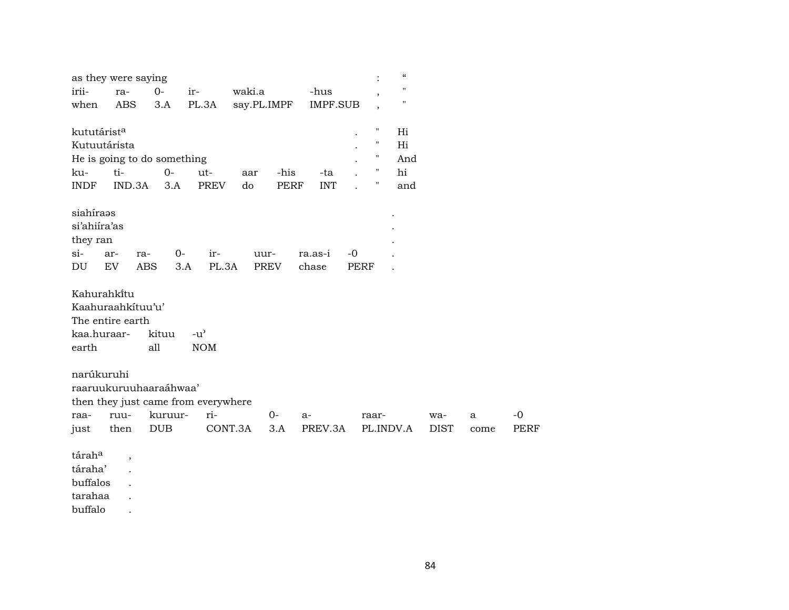|                         | as they were saying                 |         |                                     |             |             |                 |      |           | $\boldsymbol{\zeta}\boldsymbol{\zeta}$ |             |      |             |
|-------------------------|-------------------------------------|---------|-------------------------------------|-------------|-------------|-----------------|------|-----------|----------------------------------------|-------------|------|-------------|
| irii-                   | ra-                                 | $0-$    | ir-                                 | waki.a      |             | -hus            |      |           | "                                      |             |      |             |
| when                    | <b>ABS</b>                          | 3.A     | PL.3A                               | say.PL.IMPF |             | <b>IMPF.SUB</b> |      |           | 11                                     |             |      |             |
| kututárist <sup>a</sup> |                                     |         |                                     |             |             |                 |      | н         | Hi                                     |             |      |             |
| Kutuutárista            |                                     |         |                                     |             |             |                 |      | 11        | Hi                                     |             |      |             |
|                         | He is going to do something         |         |                                     |             |             |                 |      | "         | And                                    |             |      |             |
| ku-                     | ti-                                 | $0-$    | ut-                                 | aar         | -his        | -ta             |      |           | hi                                     |             |      |             |
| <b>INDF</b>             | IND.3A                              | 3.A     | <b>PREV</b>                         | do          | <b>PERF</b> | <b>INT</b>      |      | 11        | and                                    |             |      |             |
| siahíraəs               |                                     |         |                                     |             |             |                 |      |           |                                        |             |      |             |
| si'ahiira'as            |                                     |         |                                     |             |             |                 |      |           |                                        |             |      |             |
| they ran                |                                     |         |                                     |             |             |                 |      |           |                                        |             |      |             |
| si-                     | ar-<br>ra-                          | 0-      | ir-                                 | uur-        |             | ra.as-i         | $-0$ |           |                                        |             |      |             |
| DU                      | EV<br>ABS                           | 3.A     | PL.3A                               |             | PREV        | chase           | PERF |           |                                        |             |      |             |
| Kahurahkitu             |                                     |         |                                     |             |             |                 |      |           |                                        |             |      |             |
|                         | Kaahuraahkituu'u'                   |         |                                     |             |             |                 |      |           |                                        |             |      |             |
|                         | The entire earth                    |         |                                     |             |             |                 |      |           |                                        |             |      |             |
| kaa.huraar-             |                                     | kituu   | $-u$ <sup><math>\prime</math></sup> |             |             |                 |      |           |                                        |             |      |             |
| earth                   |                                     | all     | <b>NOM</b>                          |             |             |                 |      |           |                                        |             |      |             |
| narúkuruhi              |                                     |         |                                     |             |             |                 |      |           |                                        |             |      |             |
|                         | raaruukuruuhaaraáhwaa'              |         |                                     |             |             |                 |      |           |                                        |             |      |             |
|                         | then they just came from everywhere |         |                                     |             |             |                 |      |           |                                        |             |      |             |
| raa-                    | ruu-                                | kuruur- | ri-                                 |             | $0 -$       | $a-$            |      | raar-     |                                        | wa-         | a    | $-0$        |
| just                    | then                                | DUB     |                                     | CONT.3A     | 3.A         | PREV.3A         |      | PL.INDV.A |                                        | <b>DIST</b> | come | <b>PERF</b> |
| táraha                  | $\overline{\phantom{a}}$            |         |                                     |             |             |                 |      |           |                                        |             |      |             |
| táraha'                 |                                     |         |                                     |             |             |                 |      |           |                                        |             |      |             |
| buffalos                |                                     |         |                                     |             |             |                 |      |           |                                        |             |      |             |
| tarahaa                 |                                     |         |                                     |             |             |                 |      |           |                                        |             |      |             |
| buffalo                 |                                     |         |                                     |             |             |                 |      |           |                                        |             |      |             |

84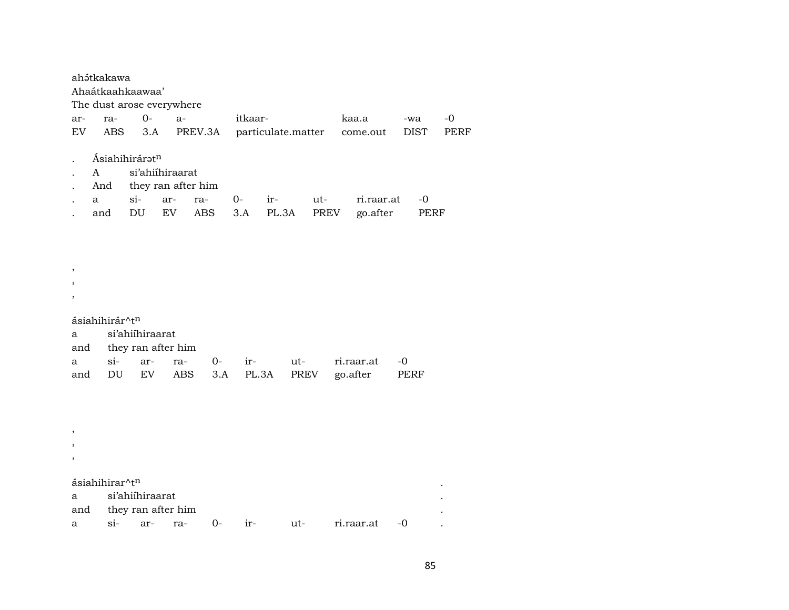|                         | ahátkakawa<br>Ahaátkaahkaawaa'<br>The dust arose everywhere |                                              |                    |      |         |       |                    |      |            |      |      |
|-------------------------|-------------------------------------------------------------|----------------------------------------------|--------------------|------|---------|-------|--------------------|------|------------|------|------|
| ar-                     | ra-                                                         | $O-$                                         | $a-$               |      | itkaar- |       |                    |      | kaa.a      | -wa  | $-0$ |
| EV                      | ABS                                                         | 3.A                                          | PREV.3A            |      |         |       | particulate.matter |      | come.out   | DIST | PERF |
|                         | Ásiahihiráratn                                              |                                              |                    |      |         |       |                    |      |            |      |      |
| A                       |                                                             | si'ahiihiraarat                              |                    |      |         |       |                    |      |            |      |      |
|                         | And                                                         |                                              | they ran after him |      |         |       |                    |      |            |      |      |
| a                       |                                                             | si-<br>ar-                                   | ra-                |      | $0-$    | ir-   | ut-                |      | ri.raar.at | $-0$ |      |
|                         | and                                                         | DU                                           | EV                 | ABS  | 3.A     | PL.3A |                    | PREV | go.after   | PERF |      |
| ,<br>,<br>a<br>and<br>a | ásiahihirár^tn<br>si-                                       | si'ahiihiraarat<br>they ran after him<br>ar- | ra-                | $0-$ | ir-     |       | $ut-$              |      | ri.raar.at | $-0$ |      |
| and<br>,<br>,           | DU                                                          | EV                                           | ABS                | 3.A  |         | PL.3A | PREV               |      | go.after   | PERF |      |
|                         | ásiahihirar^tn                                              |                                              |                    |      |         |       |                    |      |            |      |      |
| a                       |                                                             | si'ahiihiraarat                              |                    |      |         |       |                    |      |            |      |      |
| and                     |                                                             | they ran after him                           |                    |      |         |       |                    |      |            |      |      |

 $si$ - $0-$  ir-  $ut$ ri.raar.at -0  $\mathbb{R}^2$ arra- $\mathbf{a}$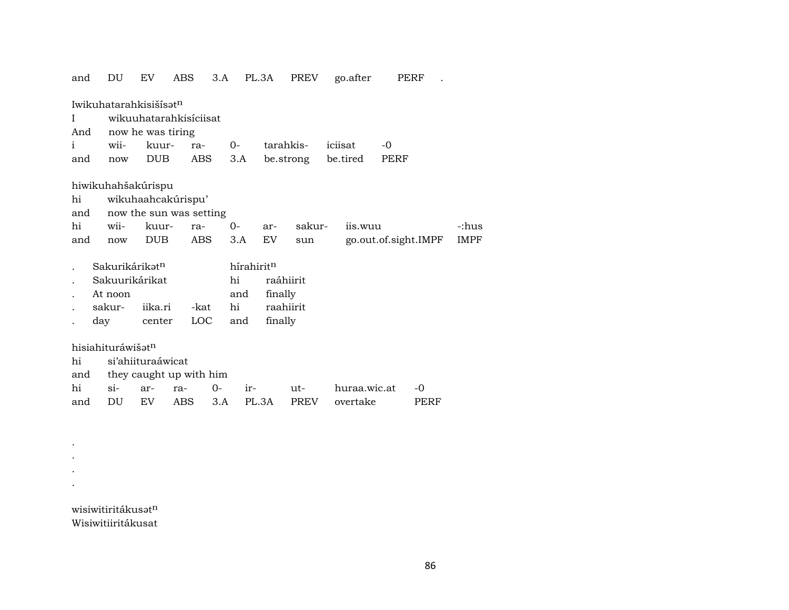| DU      | EV                                                  | ABS                                                                                  | 3.A                                                                                                                                                                    |                                                                                                                  |                                                  | PREV                                     |                                                                        |        |                                           |                                     |                              |
|---------|-----------------------------------------------------|--------------------------------------------------------------------------------------|------------------------------------------------------------------------------------------------------------------------------------------------------------------------|------------------------------------------------------------------------------------------------------------------|--------------------------------------------------|------------------------------------------|------------------------------------------------------------------------|--------|-------------------------------------------|-------------------------------------|------------------------------|
|         |                                                     |                                                                                      |                                                                                                                                                                        |                                                                                                                  |                                                  |                                          |                                                                        |        |                                           |                                     |                              |
|         |                                                     |                                                                                      |                                                                                                                                                                        |                                                                                                                  |                                                  |                                          |                                                                        |        |                                           |                                     |                              |
| wii-    |                                                     | ra-                                                                                  |                                                                                                                                                                        |                                                                                                                  |                                                  |                                          |                                                                        |        | $-0$                                      |                                     |                              |
| now     |                                                     |                                                                                      |                                                                                                                                                                        |                                                                                                                  |                                                  |                                          |                                                                        |        | PERF                                      |                                     |                              |
|         |                                                     |                                                                                      |                                                                                                                                                                        |                                                                                                                  |                                                  |                                          |                                                                        |        |                                           |                                     |                              |
|         |                                                     |                                                                                      |                                                                                                                                                                        |                                                                                                                  |                                                  |                                          |                                                                        |        |                                           |                                     |                              |
|         |                                                     |                                                                                      |                                                                                                                                                                        |                                                                                                                  |                                                  |                                          |                                                                        |        |                                           |                                     |                              |
| wii-    |                                                     | ra-                                                                                  |                                                                                                                                                                        |                                                                                                                  |                                                  |                                          |                                                                        |        |                                           |                                     | -:hus                        |
| now     | <b>DUB</b>                                          |                                                                                      |                                                                                                                                                                        |                                                                                                                  |                                                  | sun                                      |                                                                        |        |                                           |                                     | <b>IMPF</b>                  |
|         |                                                     |                                                                                      |                                                                                                                                                                        |                                                                                                                  |                                                  |                                          |                                                                        |        |                                           |                                     |                              |
|         |                                                     |                                                                                      |                                                                                                                                                                        |                                                                                                                  |                                                  |                                          |                                                                        |        |                                           |                                     |                              |
| At noon |                                                     |                                                                                      |                                                                                                                                                                        |                                                                                                                  |                                                  |                                          |                                                                        |        |                                           |                                     |                              |
| sakur-  |                                                     |                                                                                      |                                                                                                                                                                        |                                                                                                                  |                                                  |                                          |                                                                        |        |                                           |                                     |                              |
|         |                                                     |                                                                                      |                                                                                                                                                                        |                                                                                                                  |                                                  |                                          |                                                                        |        |                                           |                                     |                              |
|         |                                                     |                                                                                      |                                                                                                                                                                        |                                                                                                                  |                                                  |                                          |                                                                        |        |                                           |                                     |                              |
|         |                                                     |                                                                                      |                                                                                                                                                                        |                                                                                                                  |                                                  |                                          |                                                                        |        |                                           |                                     |                              |
|         |                                                     |                                                                                      |                                                                                                                                                                        |                                                                                                                  |                                                  |                                          |                                                                        |        |                                           |                                     |                              |
| $\sin$  | ar-                                                 | ra-                                                                                  | 0-                                                                                                                                                                     | ir-                                                                                                              |                                                  | ut-                                      |                                                                        |        |                                           | $-0$                                |                              |
| DU      | EV.                                                 | <b>ABS</b>                                                                           | 3.A                                                                                                                                                                    |                                                                                                                  |                                                  | <b>PREV</b>                              |                                                                        |        |                                           | PERF                                |                              |
|         | and<br>And<br>and<br>and<br>hi<br>and<br>and<br>and | Sakurikárikat <sup>n</sup><br>Sakuurikárikat<br>day<br>hisiahituráwišat <sup>n</sup> | Iwikuhatarahkisišisat <sup>n</sup><br>now he was tiring<br>kuur-<br>DUB<br>hiwikuhahšakúrispu<br>wikuhaahcakúrispu'<br>kuur-<br>iika.ri<br>center<br>si'ahiituraáwicat | wikuuhatarahkisíciisat<br>ABS<br>now the sun was setting<br>ABS<br>-kat<br><b>LOC</b><br>they caught up with him | 0-<br>3.A<br>0-<br>3.A<br>hi<br>and<br>hi<br>and | PL.3A<br>hírahirit <sup>n</sup><br>PL.3A | tarahkis-<br>ar-<br>EV<br>raáhiirit<br>finally<br>raahiirit<br>finally | sakur- | go.after<br>iciisat<br>be.strong be.tired | iis.wuu<br>huraa.wic.at<br>overtake | PERF<br>go.out.of.sight.IMPF |

wisiwitiritákusatn Wisiwitiiritákusat

. . . .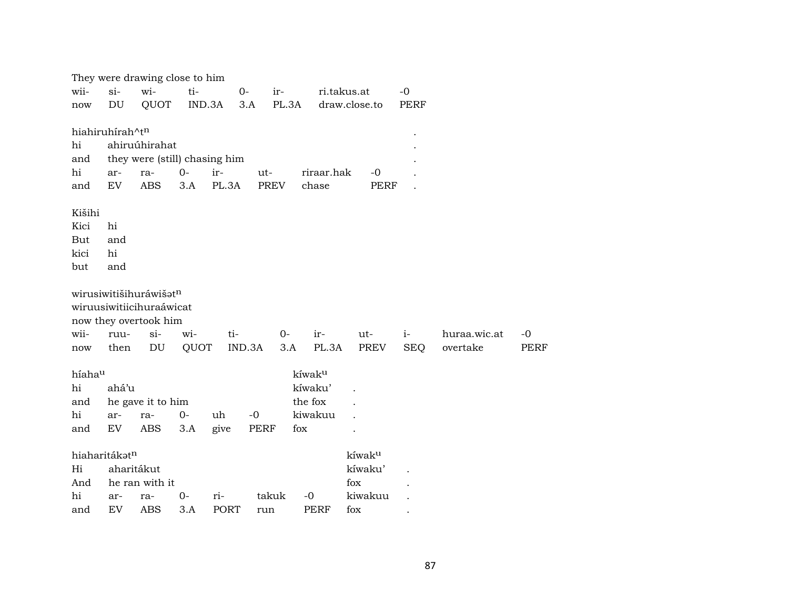|                 |                            | They were drawing close to him |             |                    |             |       |              |                |             |              |             |
|-----------------|----------------------------|--------------------------------|-------------|--------------------|-------------|-------|--------------|----------------|-------------|--------------|-------------|
| wii-            | $si-$                      | wi-                            | ti-         |                    | $0-$        | ir-   | ri.takus.at  |                | $-0$        |              |             |
| now             | DU                         | QUOT                           | IND.3A      |                    | 3.A         | PL.3A |              | draw.close.to  | <b>PERF</b> |              |             |
|                 |                            |                                |             |                    |             |       |              |                |             |              |             |
| hiahiruhírah^tn |                            |                                |             |                    |             |       |              |                |             |              |             |
| hi              |                            | ahiruúhirahat                  |             |                    |             |       |              |                |             |              |             |
| and             |                            | they were (still) chasing him  |             |                    |             |       |              |                |             |              |             |
| hi              | ar-                        | ra-                            | $0-$        | ir-                | ut-         |       | riraar.hak   | $-0$           |             |              |             |
| and             | EV                         | <b>ABS</b>                     | 3.A         | PL.3A              | <b>PREV</b> |       | chase        | <b>PERF</b>    |             |              |             |
|                 |                            |                                |             |                    |             |       |              |                |             |              |             |
| Kišihi<br>Kici  | hi                         |                                |             |                    |             |       |              |                |             |              |             |
| But             | and                        |                                |             |                    |             |       |              |                |             |              |             |
| kici            | hi                         |                                |             |                    |             |       |              |                |             |              |             |
| but             | and                        |                                |             |                    |             |       |              |                |             |              |             |
|                 |                            |                                |             |                    |             |       |              |                |             |              |             |
|                 |                            | wirusiwitišihuráwišatn         |             |                    |             |       |              |                |             |              |             |
|                 |                            | wiruusiwitiicihuraáwicat       |             |                    |             |       |              |                |             |              |             |
|                 |                            | now they overtook him          |             |                    |             |       |              |                |             |              |             |
| wii-            | ruu-                       | $si-$                          | wi-         | ti-                |             | $O -$ | ir-          | ut-            | $i-$        | huraa.wic.at | $-0$        |
| now             | then                       | DU                             | QUOT        |                    | IND.3A      | 3.A   | PL.3A        | PREV           | <b>SEQ</b>  | overtake     | <b>PERF</b> |
|                 |                            |                                |             |                    |             |       |              |                |             |              |             |
| híahau          |                            |                                |             |                    |             |       | kíwaku       |                |             |              |             |
| hi              | ahá'u                      |                                |             |                    |             |       | kíwaku'      |                |             |              |             |
| and             |                            | he gave it to him              |             |                    |             |       | the fox      |                |             |              |             |
| hi              | ar-                        | ra-                            | $0-$        | uh                 | $-0$        |       | kiwakuu      |                |             |              |             |
| and             | $\mathop{\rm EV}\nolimits$ | <b>ABS</b>                     | 3.A         | give               | PERF        | fox   |              |                |             |              |             |
|                 |                            |                                |             |                    |             |       |              |                |             |              |             |
| hiaharitákatn   |                            |                                |             |                    |             |       |              | kíwaku         |             |              |             |
| Hi              | aharitákut                 |                                |             |                    |             |       |              | kíwaku'        |             |              |             |
| And             |                            | he ran with it                 |             |                    |             |       |              | fox            |             |              |             |
| hi              |                            |                                |             |                    |             |       |              |                |             |              |             |
| and             | ar-<br>EV                  | ra-<br><b>ABS</b>              | $0-$<br>3.A | ri-<br><b>PORT</b> | takuk       |       | $-0$<br>PERF | kiwakuu<br>fox |             |              |             |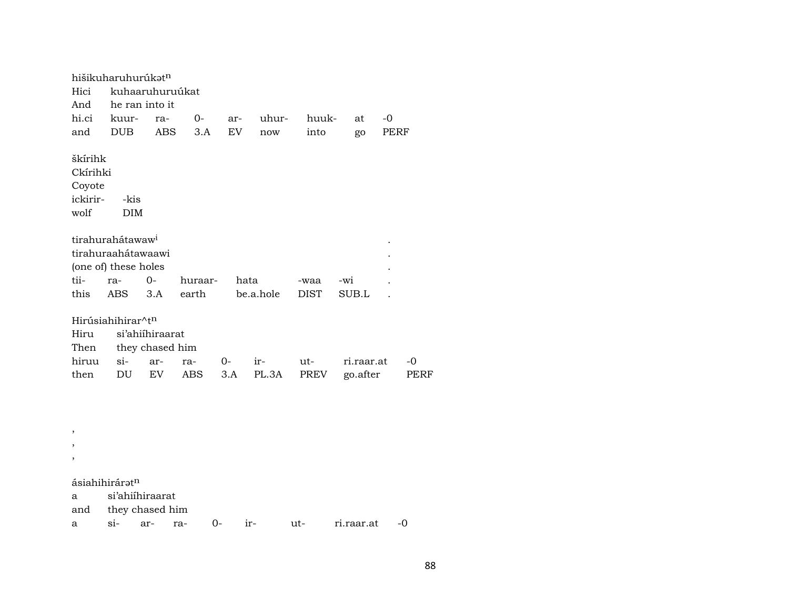hišikuharuhurúk $\mathfrak{t}^{\mathfrak{n}}$ Hici kuhaaruhuruúkat And he ran into it hi.ci kuur- ra- 0- ar- uhur- huuk- at -0 and DUB ABS 3.A EV now into go PERF škírihk Ckírihki Coyote ickirir- -kis wolf tirahurahátawaw<sup>i</sup> tirahuraahátawaawi . (one of) these holes tii- ra- 0- huraar- hata -waa -wi . this ABS 3.A earth be.a.hole DIST SUB.L . Hirúsiahihirar^t<sup>n</sup> Hiru si'ahiíhiraarat Then they chased him hiruu si- ar- ra- 0- ir- ut- ri.raar.at -0 then DU EV ABS 3.A PL.3A PREV go.after PERF , ,

,

ásiahihirár $\mathfrak{a}^{\mathrm{n}}$ 

a si'ahiíhiraarat

and they chased him

a si- ar- ra- 0- ir- ut- ri.raar.at -0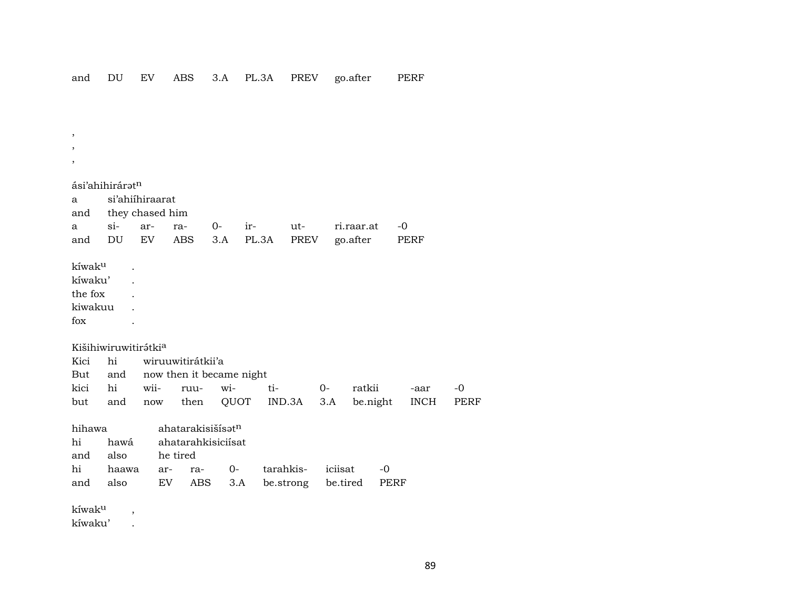$\cdot$  $\overline{\phantom{a}}$ 

 $^\mathrm{,}$ 

ási'ahihirárat<sup>n</sup> si'ahiihiraarat  $\mathbf{a}$ they chased him and  $si$ - $O$ ir- $-0$  $\mathbf{a}$ arrautri.raar.at DU  $3.A$ PL.3A PREV go.after PERF EV ABS and kíwak<sup>u</sup>  $\ddot{\phantom{a}}$ kíwaku'  $\ddot{\phantom{a}}$ the fox  $\ddot{\phantom{a}}$ kiwakuu  $\ddot{\phantom{a}}$  $f_{OX}$  $\ddot{\phantom{a}}$ Kišihiwiruwitirátkia Kici hi wiruuwitirátkii'a But now then it became night and kici witi- $0$ ratkii  $-0$ hi wiiruu--aar QUOT IND.3A  $3.A$ be.night **PERF** but and then **INCH** now ahatarakisišisat<sup>n</sup> hihawa hi ahatarahkisiciísat hawá and also he tired  $0 -0$ hi haawa ratarahkisiciisat ar-

be.strong

be.tired

PERF

kíwak<sup>u</sup>

and

also

 $\overline{\phantom{a}}$ 

 $\ddot{\phantom{a}}$ 

EV

ABS

 $3.A$ 

kíwaku'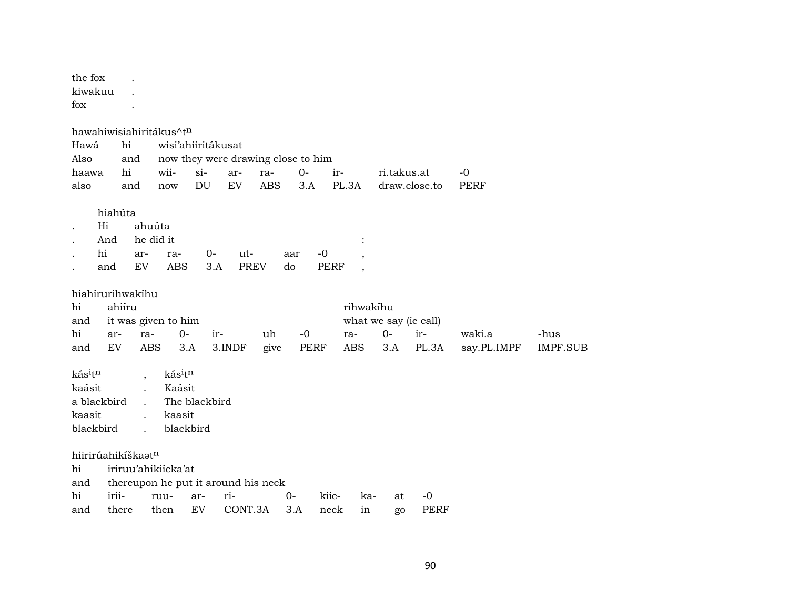| the fox<br>kiwakuu<br>fox<br>hawahiwisiahiritákus^tn<br>Hawá<br>Also | hi<br>and             |                                     |                                         | wisi'ahiiritákusat |                    | now they were drawing close to him |              |               |                          |             |                              |                     |                 |
|----------------------------------------------------------------------|-----------------------|-------------------------------------|-----------------------------------------|--------------------|--------------------|------------------------------------|--------------|---------------|--------------------------|-------------|------------------------------|---------------------|-----------------|
| haawa<br>also                                                        | hi<br>and             |                                     | wii-<br>now                             | $si-$<br>DU        | ar-<br>EV          | ra-<br><b>ABS</b>                  | $0 -$<br>3.A | ir-<br>PL.3A  |                          | ri.takus.at | draw.close.to                | $-0$<br><b>PERF</b> |                 |
|                                                                      |                       |                                     |                                         |                    |                    |                                    |              |               |                          |             |                              |                     |                 |
| Hi<br>hi                                                             | hiahúta<br>And<br>and | ahuúta<br>he did it<br>ar-<br>EV    | ra-<br><b>ABS</b>                       | 0-<br>3.A          | ut-<br><b>PREV</b> | do                                 | -0<br>aar    | <b>PERF</b>   | $\overline{\phantom{a}}$ |             |                              |                     |                 |
| hiahírurihwakíhu                                                     |                       |                                     |                                         |                    |                    |                                    |              |               |                          |             |                              |                     |                 |
| hi                                                                   | ahiíru                |                                     |                                         |                    |                    |                                    |              |               | rihwakíhu                |             |                              |                     |                 |
| and<br>hi                                                            | ar-                   | ra-                                 | it was given to him<br>$0-$             | ir-                |                    | uh                                 | $-0$         | ra-           |                          | $0-$        | what we say (ie call)<br>ir- | waki.a              | -hus            |
| and                                                                  | EV                    | <b>ABS</b>                          | 3.A                                     |                    | 3.INDF             | give                               | <b>PERF</b>  |               | <b>ABS</b>               | 3.A         | PL.3A                        | say.PL.IMPF         | <b>IMPF.SUB</b> |
| kásitn<br>kaásit<br>a blackbird<br>kaasit<br>blackbird               |                       | $\overline{\phantom{a}}$<br>$\cdot$ | kásitn<br>Kaásit<br>kaasit<br>blackbird | The blackbird      |                    |                                    |              |               |                          |             |                              |                     |                 |
| hiirirúahikíškaatn                                                   |                       |                                     |                                         |                    |                    |                                    |              |               |                          |             |                              |                     |                 |
| hi                                                                   |                       |                                     | iriruu'ahikiícka'at                     |                    |                    |                                    |              |               |                          |             |                              |                     |                 |
| and                                                                  |                       |                                     | thereupon he put it around his neck     |                    |                    |                                    |              |               |                          |             |                              |                     |                 |
| hi<br>and                                                            | irii-<br>there        |                                     | ruu-<br>then                            | ar-<br>EV          | ri-<br>CONT.3A     | $0-$                               | 3.A          | kiic-<br>neck | ka-<br>in                | at          | -0<br>PERF                   |                     |                 |
|                                                                      |                       |                                     |                                         |                    |                    |                                    |              |               |                          | go          |                              |                     |                 |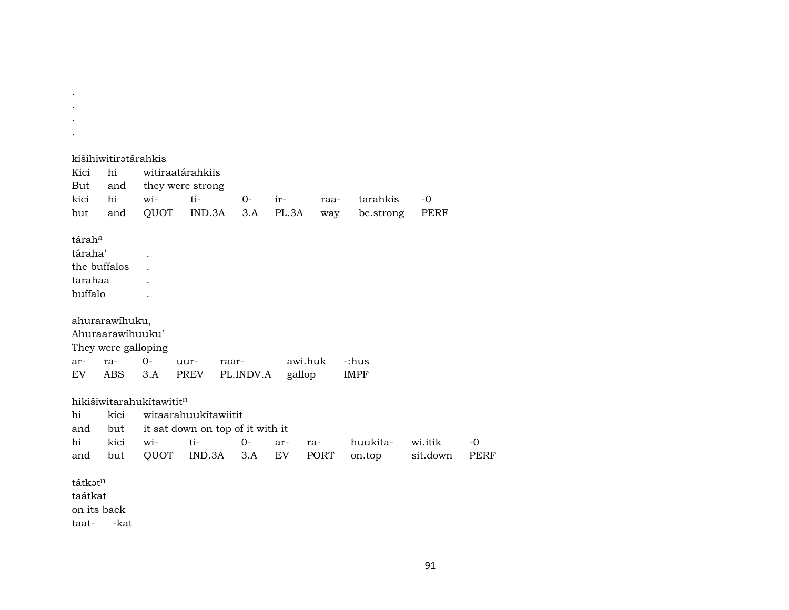. kišihiwitirətárahkis Kici hi witiraatárahkiis But and they were strong kici hi wi- ti- 0- ir- raa- tarahkis -0 but and QUOT IND.3A 3.A PL.3A way be.strong PERF tárah° táraha' . the buffalos . tarahaa . buffalo . ahurarawíhuku, Ahuraarawíhuuku' They were galloping ar- ra- 0- uur- raar- awi.huk -:hus EV ABS 3.A PREV PL.INDV.A gallop IMPF hikišiwitarahukítawitit<sup>n</sup> hi kici witaarahuukítawiitit and but it sat down on top of it with it hi kici wi- ti- 0- ar- ra- huukita- wi.itik -0 and but QUOT IND.3A 3.A EV PORT on.top sit.down PERF tátkət<sup>n</sup> taátkat on its back taat- -kat

. . .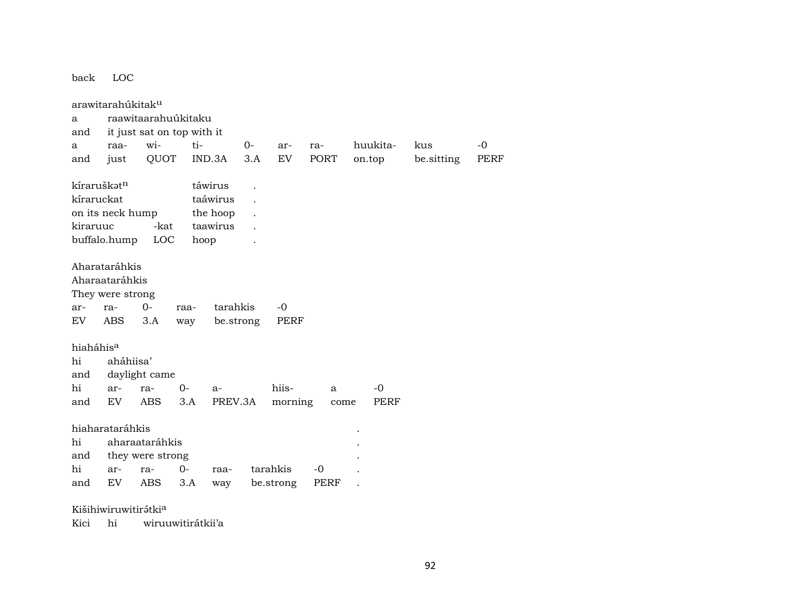back LOC arawitarahúkitak<sup>u</sup> a raawitaarahuúkitaku and it just sat on top with it a raa- wi- ti- 0- ar- ra- huukita- kus -0 and just QUOT IND.3A 3.A EV PORT on.top be.sitting PERF  $k$ íraruškat $n$  táwirus . kíraruckat taáwirus . on its neck hump the hoop. kiraruuc -kat taawirus . buffalo.hump LOC hoop . Aharataráhkis Aharaataráhkis They were strong ar- ra- 0- raa- tarahkis -0 EV ABS 3.A way be.strong PERF hiaháhis° hi aháhiisa' and daylight came hi ar- ra- 0- a- hiis- a -0 and EV ABS 3.A PREV.3A morning come PERF hiaharataráhkis . hi aharaataráhkis . and they were strong hi ar- ra- 0- raa- tarahkis -0 . and EV ABS 3.A way be.strong PERF .

Kišihiwiruwitirątkia

Kici hi wiruuwitirátkii'a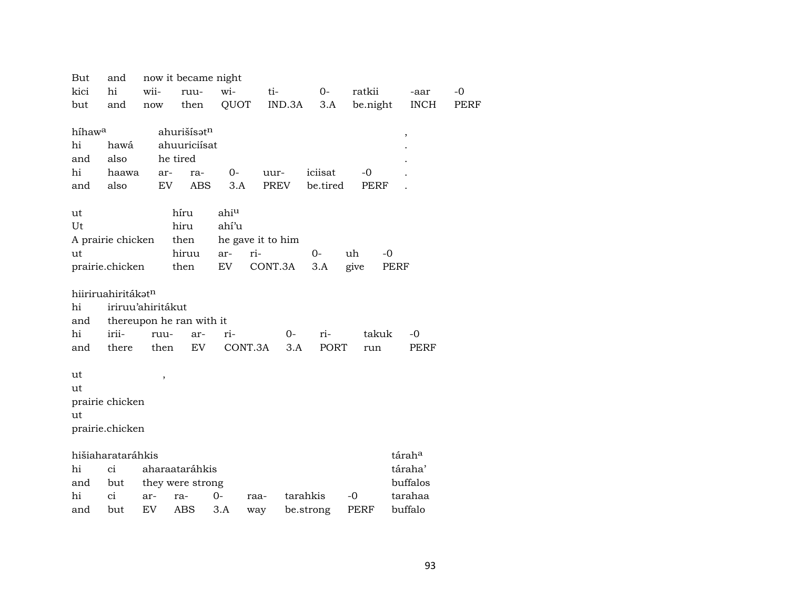| But                | and                |        | now it became night      |       |                   |           |             |             |      |
|--------------------|--------------------|--------|--------------------------|-------|-------------------|-----------|-------------|-------------|------|
| kici               | hi                 | wii-   | ruu-                     | wi-   | ti-               | $O-$      | ratkii      | -aar        | $-0$ |
| but                | and                | now    | then                     | QUOT  | IND.3A            | 3.A       | be.night    | <b>INCH</b> | PERF |
|                    |                    |        |                          |       |                   |           |             |             |      |
| híhaw <sup>a</sup> |                    |        | ahurišísatn              |       |                   |           |             | $\, ,$      |      |
| hi                 | hawá               |        | ahuuriciísat             |       |                   |           |             |             |      |
| and                | also               |        | he tired                 |       |                   |           |             |             |      |
| hi                 | haawa              |        | ar-<br>ra-               | $O-$  | uur-              | iciisat   | $-0$        |             |      |
| and                | also               |        | <b>ABS</b><br>EV         | 3.A   | PREV              | be.tired  | <b>PERF</b> |             |      |
|                    |                    |        |                          |       |                   |           |             |             |      |
| ut                 |                    |        | híru                     | ahiu  |                   |           |             |             |      |
| Ut                 |                    |        | hiru                     | ahí'u |                   |           |             |             |      |
|                    | A prairie chicken  |        | then                     |       | he gave it to him |           |             |             |      |
| ut                 |                    |        | hiruu                    | ar-   | ri-               | $0-$      | uh<br>$-0$  |             |      |
|                    | prairie.chicken    |        | then                     | EV    | CONT.3A           | 3.A       | give        | PERF        |      |
|                    |                    |        |                          |       |                   |           |             |             |      |
|                    | hiiriruahiritákatn |        |                          |       |                   |           |             |             |      |
| hi                 | iriruu'ahiritákut  |        |                          |       |                   |           |             |             |      |
| and                |                    |        | thereupon he ran with it |       |                   |           |             |             |      |
| hi                 | irii-              | ruu-   | ar-                      | ri-   | 0-                | ri-       | takuk       | -0          |      |
| and                | there              | then   | EV                       |       | CONT.3A<br>3.A    | PORT      | run         | <b>PERF</b> |      |
|                    |                    |        |                          |       |                   |           |             |             |      |
| ut                 |                    | $\, ,$ |                          |       |                   |           |             |             |      |
| ut                 |                    |        |                          |       |                   |           |             |             |      |
|                    | prairie chicken    |        |                          |       |                   |           |             |             |      |
| ut                 |                    |        |                          |       |                   |           |             |             |      |
|                    | prairie.chicken    |        |                          |       |                   |           |             |             |      |
|                    |                    |        |                          |       |                   |           |             |             |      |
|                    | hišiaharataráhkis  |        |                          |       |                   |           |             | táraha      |      |
| hi                 | ci                 |        | aharaataráhkis           |       |                   |           |             | táraha'     |      |
| and                | but                |        | they were strong         |       |                   |           |             | buffalos    |      |
| hi                 | ci                 | ar-    | ra-                      | $O -$ | raa-              | tarahkis  | $-0$        | tarahaa     |      |
| and                | but                | EV     | ABS                      | 3.A   | way               | be.strong | PERF        | buffalo     |      |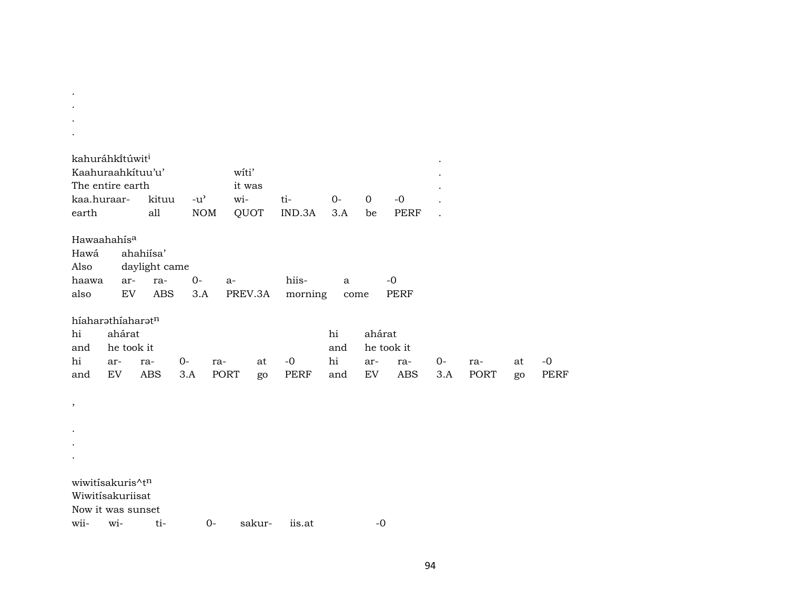| kahuráhkítúwit <sup>i</sup><br>Kaahuraahkituu'u' |            |                   |               |             | witi'    |                     |              |                  |                   |           |                    |    |              |
|--------------------------------------------------|------------|-------------------|---------------|-------------|----------|---------------------|--------------|------------------|-------------------|-----------|--------------------|----|--------------|
| The entire earth                                 |            |                   |               |             | it was   |                     |              |                  |                   |           |                    |    |              |
| kaa.huraar-                                      |            | kituu             | $-u^{\prime}$ |             | wi-      | ti-                 | $0-$         | $\mathbf 0$      | $-0$              |           |                    |    |              |
| earth                                            |            | all               |               | <b>NOM</b>  | QUOT     | IND.3A              | 3.A          | be               | <b>PERF</b>       |           |                    |    |              |
| Hawaahahisa                                      |            |                   |               |             |          |                     |              |                  |                   |           |                    |    |              |
| Hawá                                             |            | ahahiisa'         |               |             |          |                     |              |                  |                   |           |                    |    |              |
| Also                                             |            | daylight came     |               |             |          |                     |              |                  |                   |           |                    |    |              |
| haawa                                            | ar-        | ra-               | $0-$          | $a-$        |          | hiis-               | $\mathbf{a}$ |                  | $-0$              |           |                    |    |              |
| also                                             | EV         | <b>ABS</b>        | 3.A           |             | PREV.3A  | morning             | come         |                  | PERF              |           |                    |    |              |
| híaharathíaharatn                                |            |                   |               |             |          |                     |              |                  |                   |           |                    |    |              |
| hi                                               | ahárat     |                   |               |             |          |                     | hi           | ahárat           |                   |           |                    |    |              |
| and                                              | he took it |                   |               |             |          |                     | and          |                  | he took it        |           |                    |    |              |
| hi<br>ar-<br>$\mathop{\rm EV}\nolimits$<br>and   |            | ra-<br><b>ABS</b> | 0-<br>3.A     | ra-<br>PORT | at<br>go | $-0$<br><b>PERF</b> | hi<br>and    | ar-<br><b>EV</b> | ra-<br><b>ABS</b> | 0-<br>3.A | ra-<br><b>PORT</b> | at | $-0$<br>PERF |
|                                                  |            |                   |               |             |          |                     |              |                  |                   |           |                    | go |              |
| $\, ,$                                           |            |                   |               |             |          |                     |              |                  |                   |           |                    |    |              |
|                                                  |            |                   |               |             |          |                     |              |                  |                   |           |                    |    |              |
|                                                  |            |                   |               |             |          |                     |              |                  |                   |           |                    |    |              |
|                                                  |            |                   |               |             |          |                     |              |                  |                   |           |                    |    |              |
|                                                  |            |                   |               |             |          |                     |              |                  |                   |           |                    |    |              |
| wiwitisakuris^tn                                 |            |                   |               |             |          |                     |              |                  |                   |           |                    |    |              |
| Wiwitisakuriisat<br>Now it was sunset            |            |                   |               |             |          |                     |              |                  |                   |           |                    |    |              |
| wii-                                             | wi-        | ti-               |               | $0-$        | sakur-   | iis.at              |              | $-0$             |                   |           |                    |    |              |

 $\mathcal{L}(\mathcal{A})$  and  $\mathcal{L}(\mathcal{A})$  .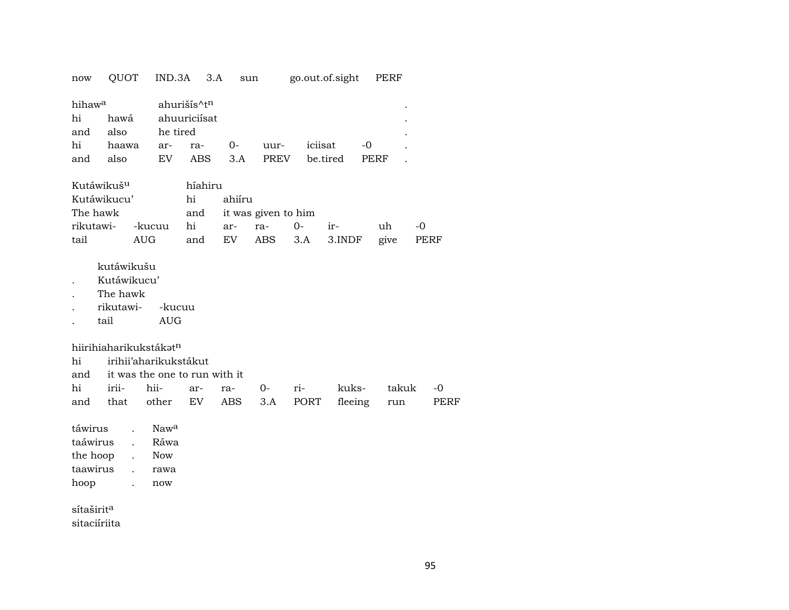| now                                              | QUOT                                                                        |                      | IND.3A                                                         | 3.A                                        | sun        |                     |             | go.out.of.sight  | PERF         |            |
|--------------------------------------------------|-----------------------------------------------------------------------------|----------------------|----------------------------------------------------------------|--------------------------------------------|------------|---------------------|-------------|------------------|--------------|------------|
| hihaw <sup>a</sup>                               |                                                                             |                      |                                                                | ahurišís^tn                                |            |                     |             |                  |              |            |
| hi                                               | hawá                                                                        |                      |                                                                | ahuuriciísat                               |            |                     |             |                  |              |            |
| and                                              | also                                                                        |                      | he tired                                                       |                                            |            |                     |             |                  |              |            |
| hi                                               | haawa                                                                       |                      | ar-                                                            | ra-                                        | $0-$       | uur-                | iciisat     | $-0$             |              |            |
| and                                              | also                                                                        |                      | EV                                                             | <b>ABS</b>                                 | 3.A        | PREV                |             | be.tired         | <b>PERF</b>  |            |
| Kutáwikuš <sup>u</sup>                           |                                                                             |                      |                                                                | híahiru                                    |            |                     |             |                  |              |            |
| Kutáwikucu'                                      |                                                                             |                      |                                                                | hi                                         | ahiíru     |                     |             |                  |              |            |
| The hawk                                         |                                                                             |                      |                                                                | and                                        |            | it was given to him |             |                  |              |            |
| rikutawi-                                        |                                                                             | -kucuu               |                                                                | hi                                         | ar-        | ra-                 | $0-$        | ir-              | uh           | $-0$       |
| tail                                             |                                                                             | <b>AUG</b>           |                                                                | and                                        | EV         | ABS                 | 3.A         | 3.INDF           | give         | PERF       |
| hiirihiaharikukstákatn<br>hi<br>and<br>hi<br>and | kutáwikušu<br>Kutáwikucu'<br>The hawk<br>rikutawi-<br>tail<br>irii-<br>that |                      | -kucuu<br><b>AUG</b><br>irihii'aharikukstákut<br>hii-<br>other | it was the one to run with it<br>ar-<br>EV | ra-<br>ABS | $O-$<br>3.A         | ri-<br>PORT | kuks-<br>fleeing | takuk<br>run | -0<br>PERF |
|                                                  |                                                                             |                      |                                                                |                                            |            |                     |             |                  |              |            |
| táwirus                                          |                                                                             | $\overline{a}$       | Nawa                                                           |                                            |            |                     |             |                  |              |            |
| taáwirus                                         |                                                                             | $\ddot{\phantom{a}}$ | Ráwa                                                           |                                            |            |                     |             |                  |              |            |
| the hoop                                         |                                                                             | $\ddot{\phantom{a}}$ | <b>Now</b>                                                     |                                            |            |                     |             |                  |              |            |
| taawirus                                         |                                                                             | $\ddot{\phantom{a}}$ | rawa                                                           |                                            |            |                     |             |                  |              |            |
| hoop                                             |                                                                             | $\ddot{\phantom{a}}$ | now                                                            |                                            |            |                     |             |                  |              |            |
| sítaširit <sup>a</sup>                           |                                                                             |                      |                                                                |                                            |            |                     |             |                  |              |            |
| sitaciíriita                                     |                                                                             |                      |                                                                |                                            |            |                     |             |                  |              |            |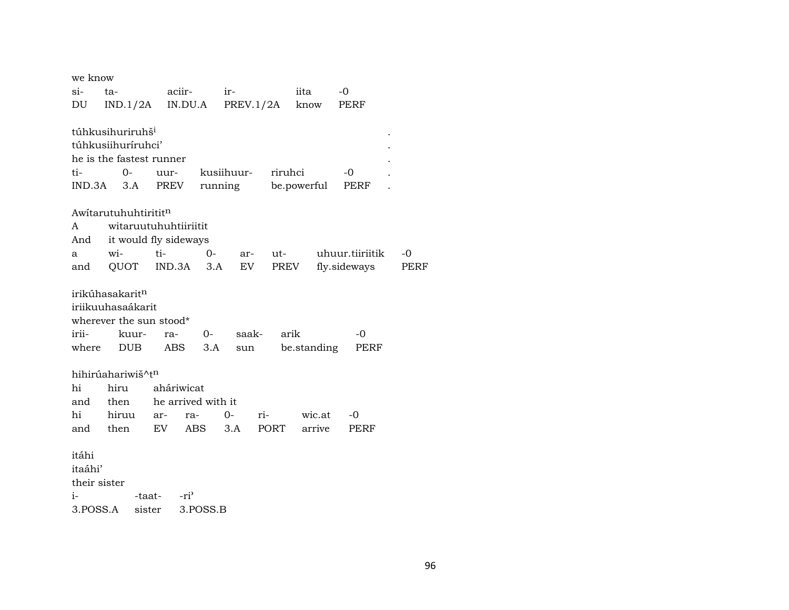| we know      |                              |                       |            |           |         |             |                 |      |
|--------------|------------------------------|-----------------------|------------|-----------|---------|-------------|-----------------|------|
| si-          | ta-                          | aciir-                |            | ir-       |         | iita        | $-0$            |      |
| DU           | $IND.1/2A$ $IN.DU.A$         |                       |            | PREV.1/2A |         | know        | PERF            |      |
|              |                              |                       |            |           |         |             |                 |      |
|              | túhkusihuriruhš <sup>i</sup> |                       |            |           |         |             |                 |      |
|              | túhkusiihuríruhci'           |                       |            |           |         |             |                 |      |
|              | he is the fastest runner     |                       |            |           |         |             |                 |      |
| ti-          | $0-$                         | uur-                  | kusiihuur- |           | riruhci |             | -0              |      |
| IND.3A       | 3.A                          | PREV                  | running    |           |         | be.powerful | PERF            |      |
|              | Awitarutuhuhtirititn         |                       |            |           |         |             |                 |      |
| A            |                              | witaruutuhuhtiiriitit |            |           |         |             |                 |      |
| And          |                              | it would fly sideways |            |           |         |             |                 |      |
| a            | wi-                          | ti-                   | 0-         | ar-       | ut-     |             | uhuur.tiiriitik | -0   |
| and          | QUOT                         | IND.3A                | 3.A        | EV        | PREV    |             | fly.sideways    | PERF |
|              |                              |                       |            |           |         |             |                 |      |
|              | irikúhasakarit <sup>n</sup>  |                       |            |           |         |             |                 |      |
|              | iriikuuhasaákarit            |                       |            |           |         |             |                 |      |
|              | wherever the sun stood*      |                       |            |           |         |             |                 |      |
| irii-        | kuur-                        | ra-                   | $0-$       | saak-     | arik    |             | -0              |      |
| where        | <b>DUB</b>                   | ABS.                  | 3.A        | sun       |         | be.standing | PERF            |      |
|              | hihirúahariwiš^tn            |                       |            |           |         |             |                 |      |
| hi           | hiru                         | aháriwicat            |            |           |         |             |                 |      |
| and          | then                         | he arrived with it    |            |           |         |             |                 |      |
| hi           | hiruu                        | ra-<br>ar-            |            | $0-$      | ri-     | wic.at      | -0              |      |
| and          | then                         | EV                    | ABS        | 3.A       | PORT    | arrive      | PERF            |      |
|              |                              |                       |            |           |         |             |                 |      |
| itáhi        |                              |                       |            |           |         |             |                 |      |
| itaáhi'      |                              |                       |            |           |         |             |                 |      |
| their sister |                              |                       |            |           |         |             |                 |      |
| i-           | -taat-                       | $-ri^2$               |            |           |         |             |                 |      |
| 3.POSS.A     | sister                       |                       | 3.POSS.B   |           |         |             |                 |      |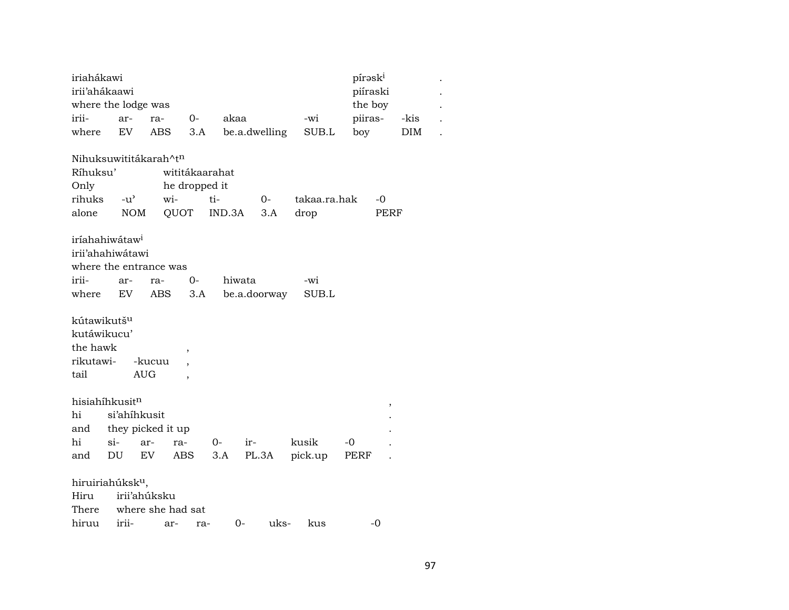| iriahákawi                   |            |                   |                          |        |               |              | píraski  |      |      |
|------------------------------|------------|-------------------|--------------------------|--------|---------------|--------------|----------|------|------|
| irii'ahákaawi                |            |                   |                          |        |               |              | piíraski |      |      |
| where the lodge was          |            |                   |                          |        |               |              | the boy  |      |      |
| irii-                        | $ar-$      | ra-               | $0-$                     | akaa   |               | -wi          | piiras-  |      | -kis |
| where                        | EV         | <b>ABS</b>        | 3.A                      |        | be.a.dwelling | SUB.L        | boy      |      | DIM  |
|                              |            |                   |                          |        |               |              |          |      |      |
| Nihuksuwititákarah^tn        |            |                   |                          |        |               |              |          |      |      |
| Ríhuksu'                     |            |                   | wititákaarahat           |        |               |              |          |      |      |
| Only                         |            |                   | he dropped it            |        |               |              |          |      |      |
| rihuks                       |            | $-u^{\flat}$      | wi-                      | ti-    | $0-$          | takaa.ra.hak |          | -0   |      |
| alone                        | <b>NOM</b> |                   | QUOT                     | IND.3A | 3.A           | drop         |          | PERF |      |
|                              |            |                   |                          |        |               |              |          |      |      |
| iríahahiwátaw <sup>i</sup>   |            |                   |                          |        |               |              |          |      |      |
| irii'ahahiwátawi             |            |                   |                          |        |               |              |          |      |      |
| where the entrance was       |            |                   |                          |        |               |              |          |      |      |
| irii-                        | ar-        | ra-               | 0-                       |        | hiwata        | -wi          |          |      |      |
| where                        | EV         | ABS               | 3.A                      |        | be.a.doorway  | SUB.L        |          |      |      |
|                              |            |                   |                          |        |               |              |          |      |      |
| kútawikutš <sup>u</sup>      |            |                   |                          |        |               |              |          |      |      |
| kutáwikucu'                  |            |                   |                          |        |               |              |          |      |      |
| the hawk                     |            |                   | ,                        |        |               |              |          |      |      |
| rikutawi-                    |            | -kucuu            |                          |        |               |              |          |      |      |
| tail                         |            | <b>AUG</b>        | $\overline{\phantom{a}}$ |        |               |              |          |      |      |
|                              |            |                   |                          |        |               |              |          |      |      |
| hisiahíhkusit <sup>n</sup>   |            |                   |                          |        |               |              |          | ,    |      |
| hi                           |            | si'ahihkusit      |                          |        |               |              |          |      |      |
| and                          |            | they picked it up |                          |        |               |              |          |      |      |
| hi                           | $si$ -     | ar-               | ra-                      | $O-$   | ir-           | kusik        | -0       |      |      |
| and                          | DU         | EV                | ABS                      | 3.A    | PL.3A         | pick.up      | PERF     |      |      |
|                              |            |                   |                          |        |               |              |          |      |      |
| hiruiriahúksk <sup>u</sup> , |            |                   |                          |        |               |              |          |      |      |
| Hiru                         |            | irii'ahúksku      |                          |        |               |              |          |      |      |
| There                        |            |                   | where she had sat        |        |               |              |          |      |      |

hiruu irii- ar- ra- 0- uks- kus -0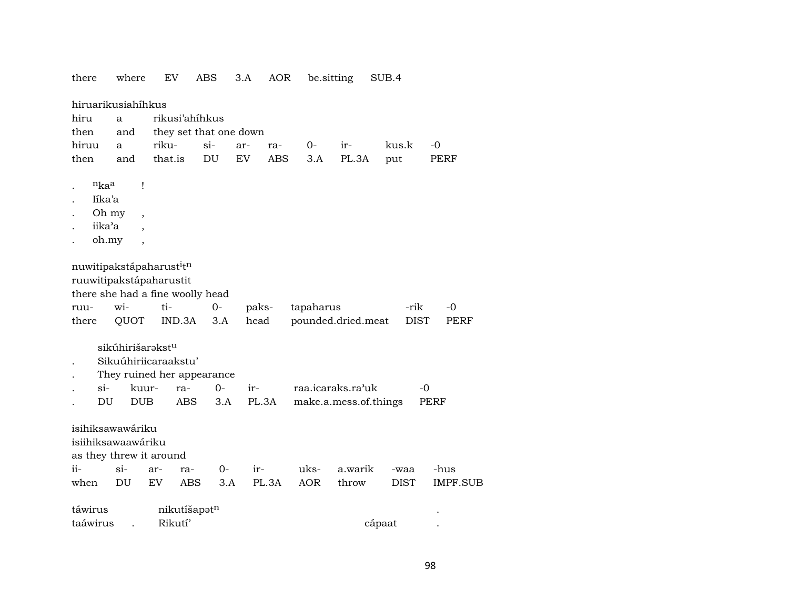| there |          | where                                  | EV                                                                                                  | ABS                    | 3.A       | AOR        | be sitting |                       | SUB.4       |             |
|-------|----------|----------------------------------------|-----------------------------------------------------------------------------------------------------|------------------------|-----------|------------|------------|-----------------------|-------------|-------------|
|       |          | hiruarikusiahíhkus                     |                                                                                                     |                        |           |            |            |                       |             |             |
| hiru  |          | a                                      | rikusi'ahihkus                                                                                      |                        |           |            |            |                       |             |             |
| then  |          | and                                    |                                                                                                     | they set that one down |           |            |            |                       |             |             |
| hiruu |          | a                                      | riku-                                                                                               | $si-$                  | ar-       | ra-        | $O -$      | ir-                   | kus.k       | $-0$        |
| then  |          | and                                    | that.is                                                                                             | DU                     | <b>EV</b> | <b>ABS</b> | 3.A        | PL.3A                 | put         | <b>PERF</b> |
|       |          |                                        |                                                                                                     |                        |           |            |            |                       |             |             |
|       | nkaa     | Ţ                                      |                                                                                                     |                        |           |            |            |                       |             |             |
|       | Iíka'a   |                                        |                                                                                                     |                        |           |            |            |                       |             |             |
|       | Oh my    | $\overline{ }$ ,                       |                                                                                                     |                        |           |            |            |                       |             |             |
|       | iika'a   |                                        |                                                                                                     |                        |           |            |            |                       |             |             |
|       | oh.my    | $\overline{\phantom{a}}$               |                                                                                                     |                        |           |            |            |                       |             |             |
|       |          |                                        | nuwitipakstápaharust <sup>i</sup> tn<br>ruuwitipakstápaharustit<br>there she had a fine woolly head |                        |           |            |            |                       |             |             |
| ruu-  |          | wi-                                    | ti-                                                                                                 | $0-$                   | paks-     |            | tapaharus  |                       | -rik        | -0          |
| there |          | QUOT                                   | IND.3A                                                                                              | 3.A                    | head      |            |            | pounded.dried.meat    | <b>DIST</b> | PERF        |
|       | si-      | sikúhirišarəkst <sup>u</sup><br>kuur-  | Sikuúhiriicaraakstu'<br>They ruined her appearance<br>ra-                                           | $0-$                   | ir-       |            |            | raa.icaraks.ra'uk     | $-0$        |             |
|       | DU       | <b>DUB</b>                             | <b>ABS</b>                                                                                          | 3.A                    | PL.3A     |            |            | make.a.mess.of.things |             | PERF        |
|       |          | isihiksawawáriku<br>isiihiksawaawáriku | as they threw it around                                                                             |                        |           |            |            |                       |             |             |
| ii-   |          | $\sin$                                 | ar-<br>ra-                                                                                          | 0-                     | ir-       |            | uks-       | a.warik               | -waa        | -hus        |
| when  |          | DU                                     | EV                                                                                                  | <b>ABS</b><br>3.A      |           | PL.3A      | <b>AOR</b> | throw                 | DIST        | IMPF.SUB    |
|       | táwirus  |                                        | nikutíšapotn                                                                                        |                        |           |            |            |                       |             |             |
|       | taáwirus |                                        | Rikutí'                                                                                             |                        |           |            |            |                       | cápaat      |             |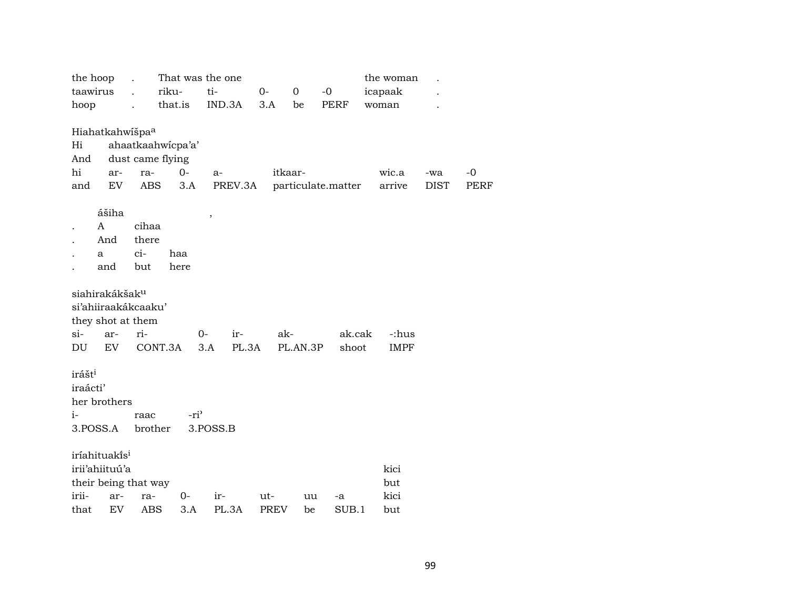| the hoop                    |       |            | That was the one  |                  |         |             |              |                    |         | the woman |             |             |
|-----------------------------|-------|------------|-------------------|------------------|---------|-------------|--------------|--------------------|---------|-----------|-------------|-------------|
| taawirus                    |       |            | riku-             | ti-              |         | $0-$        | $\mathbf{O}$ | $-0$               | icapaak |           |             |             |
| hoop                        |       |            | that.is           |                  | IND.3A  | 3.A         | be           | PERF               | woman   |           |             |             |
|                             |       |            |                   |                  |         |             |              |                    |         |           |             |             |
| Hiahatkahwišpa <sup>a</sup> |       |            |                   |                  |         |             |              |                    |         |           |             |             |
| Hi                          |       |            | ahaatkaahwicpa'a' |                  |         |             |              |                    |         |           |             |             |
| And                         |       |            | dust came flying  |                  |         |             |              |                    |         |           |             |             |
| hi                          | ar-   | ra-        | $0-$              |                  | $a-$    |             | itkaar-      |                    |         | wic.a     | -wa         | -0          |
| and                         | EV    | ABS        |                   | 3.A              | PREV.3A |             |              | particulate.matter |         | arrive    | <b>DIST</b> | <b>PERF</b> |
|                             |       |            |                   |                  |         |             |              |                    |         |           |             |             |
|                             | ášiha |            |                   | $\, ,$           |         |             |              |                    |         |           |             |             |
| $\mathbf{A}$                |       | cihaa      |                   |                  |         |             |              |                    |         |           |             |             |
|                             | And   | there      |                   |                  |         |             |              |                    |         |           |             |             |
| a                           |       | ci-        | haa               |                  |         |             |              |                    |         |           |             |             |
|                             | and   | but        | here              |                  |         |             |              |                    |         |           |             |             |
|                             |       |            |                   |                  |         |             |              |                    |         |           |             |             |
| siahirakákšak <sup>u</sup>  |       |            |                   |                  |         |             |              |                    |         |           |             |             |
| si'ahiiraakákcaaku'         |       |            |                   |                  |         |             |              |                    |         |           |             |             |
| they shot at them           |       |            |                   |                  |         |             |              |                    |         |           |             |             |
| si-                         | ar-   | ri-        |                   | $0-$             | ir-     |             | ak-          |                    | ak.cak  | -:hus     |             |             |
| DU                          | EV    |            | CONT.3A           | 3.A              | PL.3A   |             | PL.AN.3P     |                    | shoot   | IMPF      |             |             |
|                             |       |            |                   |                  |         |             |              |                    |         |           |             |             |
| irášt <sup>i</sup>          |       |            |                   |                  |         |             |              |                    |         |           |             |             |
| iraácti'                    |       |            |                   |                  |         |             |              |                    |         |           |             |             |
| her brothers                |       |            |                   |                  |         |             |              |                    |         |           |             |             |
| $i-$                        |       | raac       |                   | -ri <sup>3</sup> |         |             |              |                    |         |           |             |             |
| 3.POSS.A                    |       | brother    |                   | 3.POSS.B         |         |             |              |                    |         |           |             |             |
|                             |       |            |                   |                  |         |             |              |                    |         |           |             |             |
| iríahituakĩs <sup>i</sup>   |       |            |                   |                  |         |             |              |                    |         |           |             |             |
| irii'ahiituú'a              |       |            |                   |                  |         |             |              |                    |         | kici      |             |             |
| their being that way        |       |            |                   |                  |         |             |              |                    |         | but       |             |             |
| irii-                       | ar-   | ra-        | 0-                |                  | ir-     | ut-         | uu           | -a                 |         | kici      |             |             |
| that                        | EV    | <b>ABS</b> |                   | 3.A              | PL.3A   | <b>PREV</b> | be           | SUB.1              |         | but       |             |             |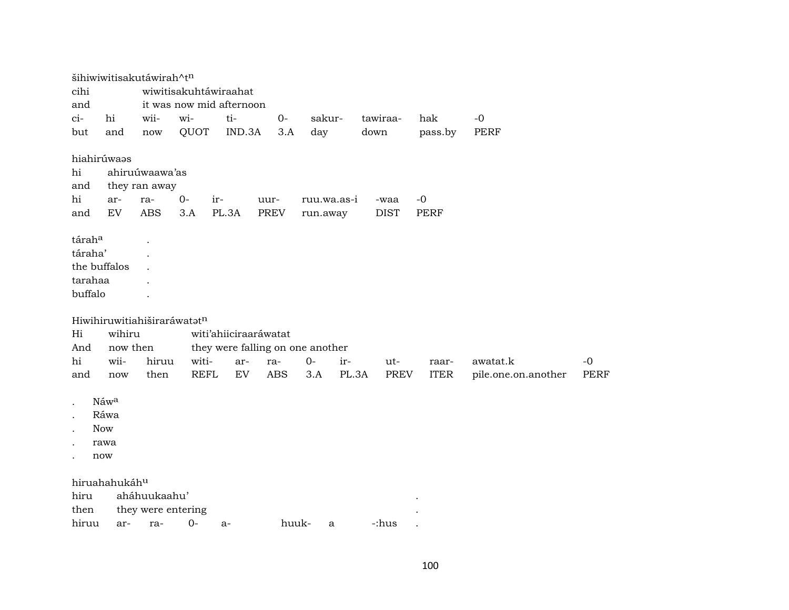| cihi<br>wiwitisakuhtáwiraahat<br>it was now mid afternoon<br>and<br>hi<br>wii-<br>wi-<br>ti-<br>$0-$<br>$ci-$<br>sakur-<br>tawiraa-<br>hak<br>$-0$ |             |
|----------------------------------------------------------------------------------------------------------------------------------------------------|-------------|
|                                                                                                                                                    |             |
|                                                                                                                                                    |             |
|                                                                                                                                                    |             |
| QUOT<br>IND.3A<br>day<br>pass.by<br><b>PERF</b><br>but<br>3.A<br>down<br>and<br>now                                                                |             |
| hiahirúwaas                                                                                                                                        |             |
| ahiruúwaawa'as<br>hi                                                                                                                               |             |
| they ran away<br>and                                                                                                                               |             |
| hi<br>$0-$<br>ir-<br>$-0$<br>ar-<br>ra-<br>ruu.wa.as-i<br>uur-<br>-waa                                                                             |             |
| <b>EV</b><br><b>ABS</b><br>3.A<br>PL.3A<br><b>PREV</b><br><b>DIST</b><br>and<br><b>PERF</b><br>run.away                                            |             |
| táraha                                                                                                                                             |             |
| táraha'                                                                                                                                            |             |
| the buffalos                                                                                                                                       |             |
| tarahaa                                                                                                                                            |             |
| buffalo                                                                                                                                            |             |
|                                                                                                                                                    |             |
| Hiwihiruwitiahiširaráwatatn                                                                                                                        |             |
| Hi<br>wihiru<br>witi'ahiiciraaráwatat                                                                                                              |             |
| And<br>now then<br>they were falling on one another                                                                                                |             |
| hi<br>wii-<br>witi-<br>hiruu<br>ar-<br>$0-$<br>ir-<br>awatat.k<br>ra-<br>ut-<br>raar-                                                              | $-0$        |
| <b>REFL</b><br>ABS<br>EV<br>PL.3A<br><b>ITER</b><br>then<br>3.A<br>PREV<br>pile.one.on.another<br>and<br>now                                       | <b>PERF</b> |
|                                                                                                                                                    |             |
| Náwa                                                                                                                                               |             |
| Ráwa                                                                                                                                               |             |
| <b>Now</b>                                                                                                                                         |             |
| rawa                                                                                                                                               |             |
| now                                                                                                                                                |             |
|                                                                                                                                                    |             |
| hiruahahukáhu                                                                                                                                      |             |
| aháhuukaahu'<br>hiru<br>then<br>they were entering                                                                                                 |             |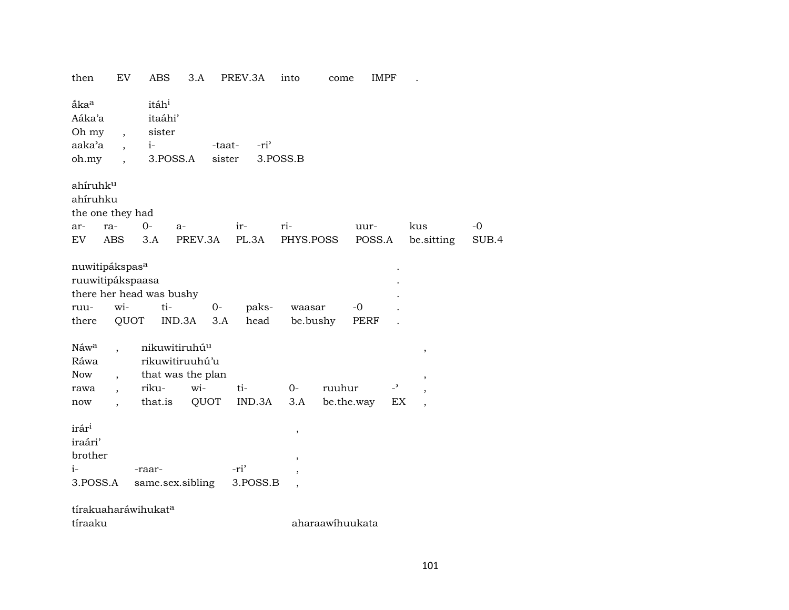| EV<br>then                                                                                                                       | <b>ABS</b><br>3.A                                          | PREV.3A                              | into<br>come                      | <b>IMPF</b>      |                |       |
|----------------------------------------------------------------------------------------------------------------------------------|------------------------------------------------------------|--------------------------------------|-----------------------------------|------------------|----------------|-------|
| ắka <sup>a</sup><br>Aáka'a<br>Oh my<br>$\overline{\phantom{a}}$<br>aaka'a<br>$\overline{ }$<br>oh.my<br>$\overline{\phantom{a}}$ | itáh <sup>i</sup><br>itaáhi'<br>sister<br>$i-$<br>3.POSS.A | -ri <sup>3</sup><br>-taat-<br>sister | 3.POSS.B                          |                  |                |       |
| ahíruhku<br>ahíruhku<br>the one they had                                                                                         |                                                            |                                      |                                   |                  |                |       |
| ra-<br>ar-                                                                                                                       | $O -$<br>$a-$                                              | ir-                                  | ri-                               | uur-             | kus            | $-0$  |
| EV<br><b>ABS</b>                                                                                                                 | PREV.3A<br>3.A                                             | PL.3A                                | PHYS.POSS                         | POSS.A           | be.sitting     | SUB.4 |
| nuwitipákspas <sup>a</sup><br>ruuwitipákspaasa<br>wi-<br>ruu-<br>QUOT<br>there                                                   | there her head was bushy<br>ti-<br>$0 -$<br>IND.3A<br>3.A  | paks-<br>head                        | waasar<br>be.bushy                | $-0$<br>PERF     |                |       |
| Náwa                                                                                                                             | nikuwitiruhú <sup>u</sup>                                  |                                      |                                   |                  | $\,$           |       |
| Ráwa                                                                                                                             | rikuwitiruuhú'u                                            |                                      |                                   |                  |                |       |
| <b>Now</b>                                                                                                                       | that was the plan<br>wi-                                   |                                      | ruuhur                            | $\overline{a}$   | ,              |       |
| rawa<br>$\overline{\phantom{a}}$                                                                                                 | riku-<br>that.is<br>QUOT                                   | ti-<br>IND.3A                        | $0-$<br>3.A                       | be.the.way<br>EX | $\overline{ }$ |       |
| now                                                                                                                              |                                                            |                                      |                                   |                  |                |       |
| irár <sup>i</sup><br>iraári'<br>brother                                                                                          |                                                            |                                      | $\, ,$<br>$^\mathrm{^\mathrm{o}}$ |                  |                |       |
| $i-$                                                                                                                             | -raar-                                                     | -ri'                                 | ,                                 |                  |                |       |
| 3.POSS.A                                                                                                                         | same.sex.sibling                                           | 3.POSS.B                             | $\overline{\phantom{a}}$          |                  |                |       |
| tírakuaharáwihukata                                                                                                              |                                                            |                                      |                                   |                  |                |       |
| tíraaku                                                                                                                          |                                                            |                                      | aharaawihuukata                   |                  |                |       |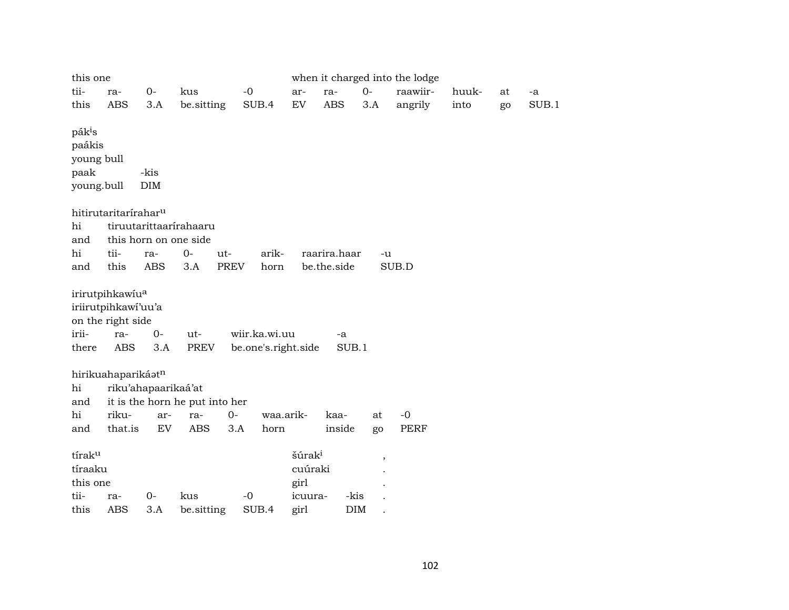| this one                              |                                                                                              |                     |                                |                                      |                                                  |              |                                  | when it charged into the lodge |       |    |       |
|---------------------------------------|----------------------------------------------------------------------------------------------|---------------------|--------------------------------|--------------------------------------|--------------------------------------------------|--------------|----------------------------------|--------------------------------|-------|----|-------|
| tii-                                  | ra-                                                                                          | $O -$               | kus                            | $-0$                                 | ar-                                              | ra-          | $0-$                             | raawiir-                       | huuk- | at | -a    |
| this                                  | ABS                                                                                          | 3.A                 | be.sitting                     | SUB.4                                | ${\rm EV}$                                       | <b>ABS</b>   | 3.A                              | angrily                        | into  | go | SUB.1 |
| pák <sup>i</sup> s<br>paákis<br>paak  | young bull<br>young.bull                                                                     | -kis<br><b>DIM</b>  |                                |                                      |                                                  |              |                                  |                                |       |    |       |
|                                       | hitirutaritarírahar <sup>u</sup>                                                             |                     |                                |                                      |                                                  |              |                                  |                                |       |    |       |
| hi                                    |                                                                                              |                     | tiruutarittaarírahaaru         |                                      |                                                  |              |                                  |                                |       |    |       |
| and                                   |                                                                                              |                     | this horn on one side          |                                      |                                                  |              |                                  |                                |       |    |       |
| hi                                    | tii-                                                                                         | ra-                 | $0-$<br>ut-                    | arik-                                |                                                  | raarira.haar | $-u$                             |                                |       |    |       |
| and                                   | this                                                                                         | <b>ABS</b>          | <b>PREV</b><br>3.A             | horn                                 |                                                  | be.the.side  |                                  | SUB.D                          |       |    |       |
| irii-<br>there                        | irirutpihkawiu <sup>a</sup><br>iriirutpihkawi'uu'a<br>on the right side<br>ra-<br><b>ABS</b> | $0-$<br>3.A         | ut-<br>PREV                    | wiir.ka.wi.uu<br>be.one's.right.side |                                                  | -a<br>SUB.1  |                                  |                                |       |    |       |
|                                       | hirikuahaparikáatn                                                                           |                     |                                |                                      |                                                  |              |                                  |                                |       |    |       |
| hi                                    |                                                                                              | riku'ahapaarikaá'at |                                |                                      |                                                  |              |                                  |                                |       |    |       |
| and                                   |                                                                                              |                     | it is the horn he put into her |                                      |                                                  |              |                                  |                                |       |    |       |
| hi                                    | riku-                                                                                        | ar-                 | $O -$<br>ra-                   | waa.arik-                            |                                                  | kaa-         | at                               | $-0$                           |       |    |       |
| and                                   | that.is                                                                                      | EV                  | <b>ABS</b>                     | 3.A<br>horn                          |                                                  | inside       | go                               | PERF                           |       |    |       |
| tíraku<br>tíraaku<br>this one<br>tii- | ra-                                                                                          | $0-$                | kus                            | $-0$                                 | šúrak <sup>i</sup><br>cuúraki<br>girl<br>icuura- |              | $\overline{\phantom{a}}$<br>-kis |                                |       |    |       |
| this                                  | <b>ABS</b>                                                                                   | 3.A                 | be.sitting                     | SUB.4                                | girl                                             |              | <b>DIM</b>                       |                                |       |    |       |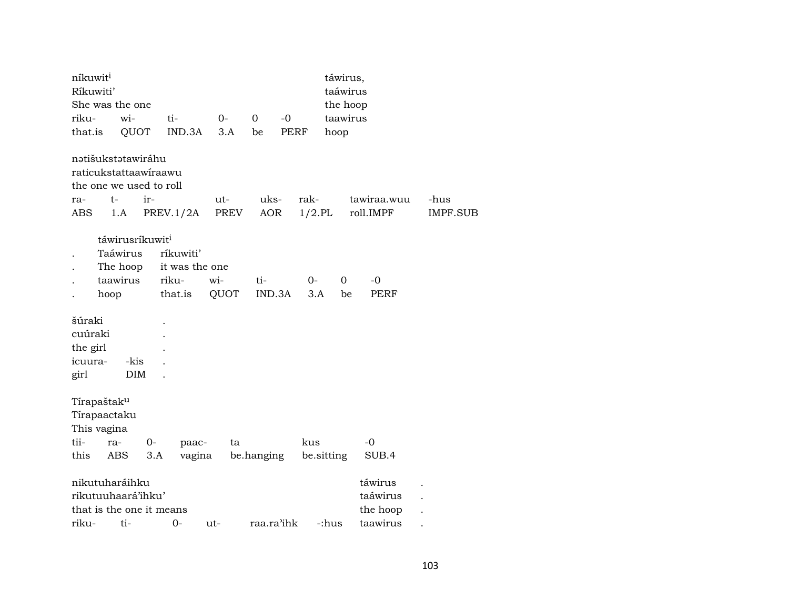| níkuwit <sup>i</sup> |                             |     |                |       |            |            |             | táwirus,   |           |             |                 |
|----------------------|-----------------------------|-----|----------------|-------|------------|------------|-------------|------------|-----------|-------------|-----------------|
| Ríkuwiti'            |                             |     |                |       |            |            |             |            | taáwirus  |             |                 |
|                      | She was the one             |     |                |       |            |            |             |            | the hoop  |             |                 |
| riku-                | wi-                         |     | ti-            | $0-$  | 0          | $-0$       |             |            | taawirus  |             |                 |
| that.is              | QUOT                        |     | IND.3A         | 3.A   | be         |            | <b>PERF</b> | hoop       |           |             |                 |
|                      | nətišukstətawiráhu          |     |                |       |            |            |             |            |           |             |                 |
|                      | raticukstattaawiraawu       |     |                |       |            |            |             |            |           |             |                 |
|                      | the one we used to roll     |     |                |       |            |            |             |            |           |             |                 |
| ra-                  | $t-$                        | ir- |                | $ut-$ |            | uks-       | rak-        |            |           | tawiraa.wuu | -hus            |
| ABS                  | 1.A                         |     | PREV.1/2A      | PREV  |            | <b>AOR</b> | $1/2$ .PL   |            | roll.IMPF |             | <b>IMPF.SUB</b> |
|                      | táwirusríkuwit <sup>i</sup> |     |                |       |            |            |             |            |           |             |                 |
|                      | Taáwirus                    |     | ríkuwiti'      |       |            |            |             |            |           |             |                 |
|                      | The hoop                    |     | it was the one |       |            |            |             |            |           |             |                 |
|                      | taawirus                    |     | riku-          | wi-   | ti-        |            | $0-$        | 0          |           | -0          |                 |
|                      | hoop                        |     | that.is        | QUOT  |            | IND.3A     | 3.A         |            | be        | PERF        |                 |
| šúraki               |                             |     |                |       |            |            |             |            |           |             |                 |
| cuúraki              |                             |     |                |       |            |            |             |            |           |             |                 |
| the girl             |                             |     |                |       |            |            |             |            |           |             |                 |
| icuura-              | -kis                        |     |                |       |            |            |             |            |           |             |                 |
| girl                 | <b>DIM</b>                  |     |                |       |            |            |             |            |           |             |                 |
|                      |                             |     |                |       |            |            |             |            |           |             |                 |
|                      | Tírapaštak <sup>u</sup>     |     |                |       |            |            |             |            |           |             |                 |
|                      | Tírapaactaku                |     |                |       |            |            |             |            |           |             |                 |
|                      | This vagina                 |     |                |       |            |            |             |            |           |             |                 |
| tii-                 | ra-                         | 0-  | paac-          |       | ta         |            | kus         |            | $-0$      |             |                 |
| this                 | <b>ABS</b>                  | 3.A | vagina         |       | be.hanging |            |             | be.sitting |           | SUB.4       |                 |
|                      | nikutuharáihku              |     |                |       |            |            |             |            |           | táwirus     |                 |
|                      | rikutuuhaará'ihku'          |     |                |       |            |            |             |            |           | taáwirus    |                 |
|                      | that is the one it means    |     |                |       |            |            |             |            |           | the hoop    |                 |
| riku-                | ti-                         |     | 0-             | ut-   |            | raa.ra'ihk |             | -:hus      |           | taawirus    |                 |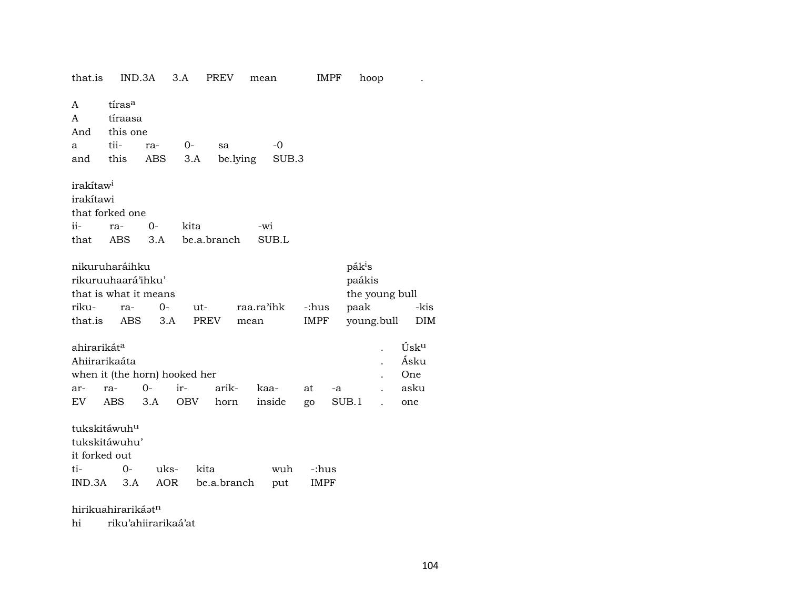| that.is                                                                                                                                                                                                                                                            |                                                           | IND.3A      | 3.A        | PREV                | mean |             | IMPF          |    | hoop  |  |                                    |  |  |
|--------------------------------------------------------------------------------------------------------------------------------------------------------------------------------------------------------------------------------------------------------------------|-----------------------------------------------------------|-------------|------------|---------------------|------|-------------|---------------|----|-------|--|------------------------------------|--|--|
| A<br>A<br>And<br>a<br>and                                                                                                                                                                                                                                          | tíras <sup>a</sup><br>tíraasa<br>this one<br>tii-<br>this | ra-<br>ABS  | 0-<br>3.A  | sa<br>be.lying      |      | -0<br>SUB.3 |               |    |       |  |                                    |  |  |
| irakítaw <sup>i</sup><br>irakítawi<br>ii-<br>that                                                                                                                                                                                                                  | that forked one<br>ra-<br>ABS                             | $0-$<br>3.A | kita       | be.a.branch         | -wi  | SUB.L       |               |    |       |  |                                    |  |  |
| nikuruharáihku<br>pák <sup>i</sup> s<br>rikuruuhaará'ihku'<br>paákis<br>the young bull<br>that is what it means<br>raa.ra'ihk<br>paak<br>riku-<br>$0-$<br>-:hus<br>-kis<br>ut-<br>ra-<br>that.is<br><b>PREV</b><br>young.bull<br>ABS<br>3.A<br>IMPF<br>DIM<br>mean |                                                           |             |            |                     |      |             |               |    |       |  |                                    |  |  |
| ahirarikát <sup>a</sup><br>Ahiirarikaáta<br>ar-<br>EV                                                                                                                                                                                                              | when it (the horn) hooked her<br>ra-<br>ABS               | $0-$<br>3.A | ir-<br>OBV | arik-<br>horn       | kaa- | inside      | at<br>go      | -a | SUB.1 |  | Úsku<br>Ásku<br>One<br>asku<br>one |  |  |
| tukskitáwuh <sup>u</sup><br>it forked out<br>ti-                                                                                                                                                                                                                   | tukskitáwuhu'<br>$0-$<br>IND.3A 3.A<br>hirikuahirarikáatn | uks-        | AOR        | kita<br>be.a.branch |      | wuh<br>put  | -:hus<br>IMPF |    |       |  |                                    |  |  |
|                                                                                                                                                                                                                                                                    |                                                           |             |            |                     |      |             |               |    |       |  |                                    |  |  |

 $\hbox{hi}$ riku'ahiirarikaá'at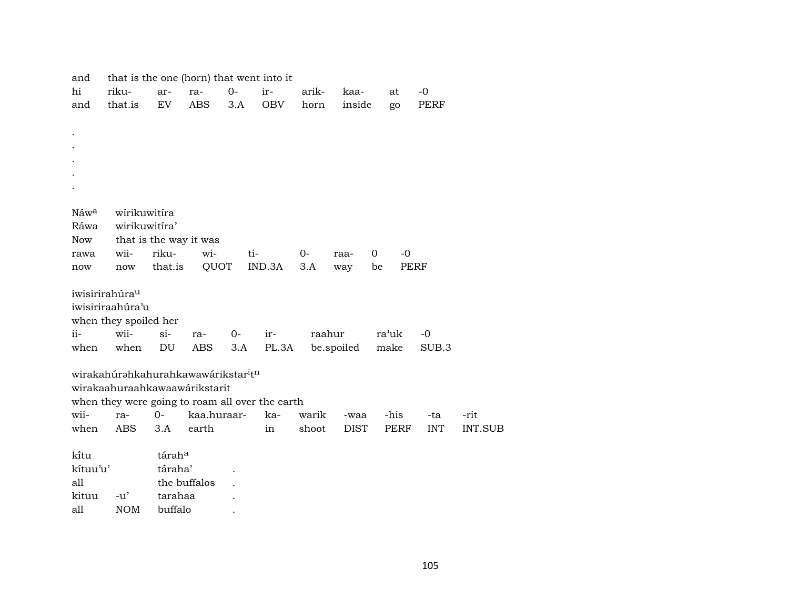| and              | that is the one (horn) that went into it                    |         |                        |      |            |        |             |             |             |                |
|------------------|-------------------------------------------------------------|---------|------------------------|------|------------|--------|-------------|-------------|-------------|----------------|
| hi               | riku-                                                       | ar-     | ra-                    | $0-$ | ir-        | arik-  | kaa-        | at          | $-0$        |                |
| and              | that.is                                                     | EV      | <b>ABS</b>             | 3.A  | <b>OBV</b> | horn   | inside      | go          | <b>PERF</b> |                |
|                  |                                                             |         |                        |      |            |        |             |             |             |                |
| $\bullet$        |                                                             |         |                        |      |            |        |             |             |             |                |
|                  |                                                             |         |                        |      |            |        |             |             |             |                |
|                  |                                                             |         |                        |      |            |        |             |             |             |                |
|                  |                                                             |         |                        |      |            |        |             |             |             |                |
|                  |                                                             |         |                        |      |            |        |             |             |             |                |
|                  |                                                             |         |                        |      |            |        |             |             |             |                |
| Náw <sup>a</sup> | wirikuwitira                                                |         |                        |      |            |        |             |             |             |                |
| Ráwa             | wirikuwitira'                                               |         |                        |      |            |        |             |             |             |                |
| <b>Now</b>       |                                                             |         | that is the way it was |      |            |        |             |             |             |                |
| rawa             | wii-                                                        | riku-   | wi-                    | ti-  |            | $0-$   | raa-        | 0<br>$-0$   |             |                |
| now              | now                                                         | that.is | QUOT                   |      | IND.3A     | 3.A    | way         | PERF<br>be  |             |                |
|                  | iwisirirahúra <sup>u</sup>                                  |         |                        |      |            |        |             |             |             |                |
|                  | iwisiriraahúra'u                                            |         |                        |      |            |        |             |             |             |                |
|                  | when they spoiled her                                       |         |                        |      |            |        |             |             |             |                |
| ii-              | wii-                                                        | $si-$   | ra-                    | 0-   | ir-        | raahur |             | ra'uk       | $-0$        |                |
| when             | when                                                        | DU      | ABS                    | 3.A  | PL.3A      |        | be.spoiled  | make        | SUB.3       |                |
|                  | wirakahúrahkahurahkawawárikstar <sup>i</sup> t <sup>n</sup> |         |                        |      |            |        |             |             |             |                |
|                  | wirakaahuraahkawaawárikstarit                               |         |                        |      |            |        |             |             |             |                |
|                  | when they were going to roam all over the earth             |         |                        |      |            |        |             |             |             |                |
| wii-             | ra-                                                         | $O -$   | kaa.huraar-            |      | ka-        | warik  | -waa        | -his        | -ta         | -rit           |
| when             | <b>ABS</b>                                                  | 3.A     | earth                  |      | in         | shoot  | <b>DIST</b> | <b>PERF</b> | <b>INT</b>  | <b>INT.SUB</b> |
|                  |                                                             |         |                        |      |            |        |             |             |             |                |
| ki̇̃tu           |                                                             | táraha  |                        |      |            |        |             |             |             |                |
| kítuu'u'         |                                                             | táraha' |                        |      |            |        |             |             |             |                |
| all              |                                                             |         | the buffalos           |      |            |        |             |             |             |                |
| kituu            | $-u'$                                                       | tarahaa |                        |      |            |        |             |             |             |                |
| all              | <b>NOM</b>                                                  | buffalo |                        |      |            |        |             |             |             |                |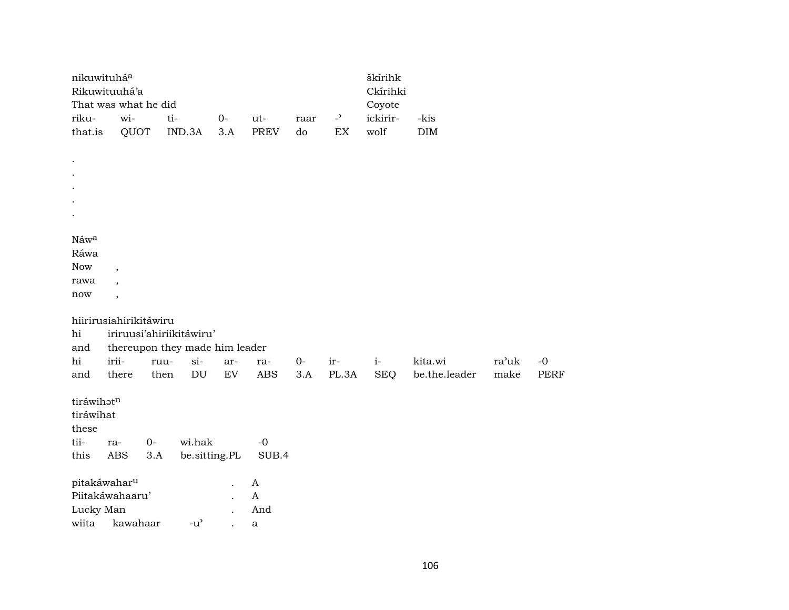|            | nikuwituhá <sup>a</sup>        |       |        |                                     |               |       |      |       | škírihk    |               |       |             |
|------------|--------------------------------|-------|--------|-------------------------------------|---------------|-------|------|-------|------------|---------------|-------|-------------|
|            | Rikuwituuhá'a                  |       |        |                                     |               |       |      |       | Ckírihki   |               |       |             |
|            | That was what he did           |       |        |                                     |               |       |      |       | Coyote     |               |       |             |
| riku-      | wi-                            |       | ti-    |                                     | $0-$          | ut-   | raar | $-2$  | ickirir-   | -kis          |       |             |
| that.is    | QUOT                           |       | IND.3A |                                     | 3.A           | PREV  | do   | EX    | wolf       | DIM           |       |             |
|            |                                |       |        |                                     |               |       |      |       |            |               |       |             |
| $\cdot$    |                                |       |        |                                     |               |       |      |       |            |               |       |             |
| $\cdot$    |                                |       |        |                                     |               |       |      |       |            |               |       |             |
|            |                                |       |        |                                     |               |       |      |       |            |               |       |             |
|            |                                |       |        |                                     |               |       |      |       |            |               |       |             |
|            |                                |       |        |                                     |               |       |      |       |            |               |       |             |
|            |                                |       |        |                                     |               |       |      |       |            |               |       |             |
| Náwa       |                                |       |        |                                     |               |       |      |       |            |               |       |             |
| Ráwa       |                                |       |        |                                     |               |       |      |       |            |               |       |             |
| <b>Now</b> | $\overline{\phantom{a}}$       |       |        |                                     |               |       |      |       |            |               |       |             |
| rawa       | $\overline{\phantom{a}}$       |       |        |                                     |               |       |      |       |            |               |       |             |
| now        | $\overline{ }$                 |       |        |                                     |               |       |      |       |            |               |       |             |
|            | hiirirusiahirikitáwiru         |       |        |                                     |               |       |      |       |            |               |       |             |
| hi         | iriruusi'ahiriikitáwiru'       |       |        |                                     |               |       |      |       |            |               |       |             |
| and        | thereupon they made him leader |       |        |                                     |               |       |      |       |            |               |       |             |
| hi         | irii-                          | ruu-  |        | $si-$                               | ar-           | ra-   | $0-$ | ir-   | $i-$       | kita.wi       | ra'uk | $-0$        |
| and        | there                          | then  |        | $\mathop{\rm DU}\nolimits$          | EV            | ABS   | 3.A  | PL.3A | <b>SEQ</b> | be.the.leader | make  | <b>PERF</b> |
|            |                                |       |        |                                     |               |       |      |       |            |               |       |             |
| tiráwihatn |                                |       |        |                                     |               |       |      |       |            |               |       |             |
| tiráwihat  |                                |       |        |                                     |               |       |      |       |            |               |       |             |
| these      |                                |       |        |                                     |               |       |      |       |            |               |       |             |
| tii-       | ra-                            | $O -$ |        | wi.hak                              |               | $-0$  |      |       |            |               |       |             |
| this       | ABS                            | 3.A   |        |                                     | be.sitting.PL | SUB.4 |      |       |            |               |       |             |
|            |                                |       |        |                                     |               |       |      |       |            |               |       |             |
|            | pitakáwahar <sup>u</sup>       |       |        |                                     |               | A     |      |       |            |               |       |             |
|            | Piitakáwahaaru'                |       |        |                                     |               | A     |      |       |            |               |       |             |
| Lucky Man  |                                |       |        |                                     |               | And   |      |       |            |               |       |             |
| wiita      | kawahaar                       |       |        | $-u$ <sup><math>\prime</math></sup> |               | a     |      |       |            |               |       |             |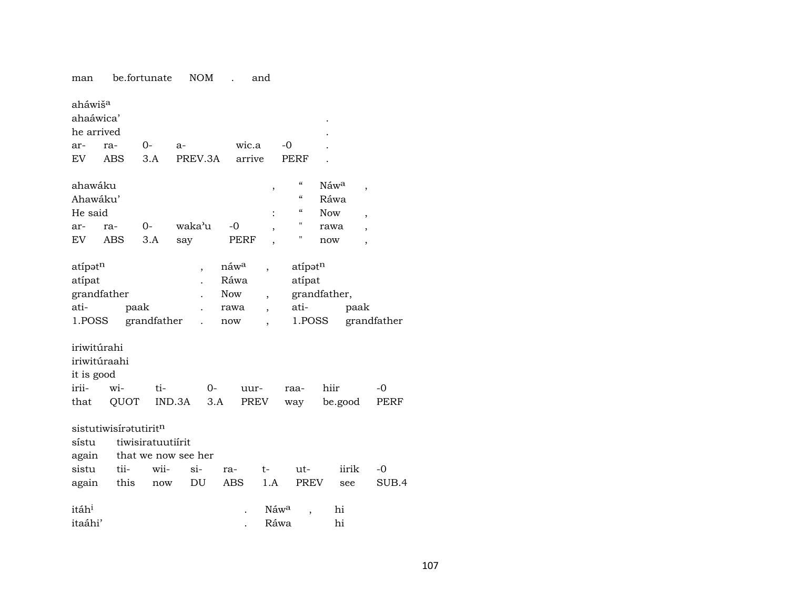man be.fortunate NOM . and

| aháwiš <sup>a</sup><br>ahaáwica'<br>he arrived |                       |                   |                          |                                        |                                            |                    |              |                          |             |
|------------------------------------------------|-----------------------|-------------------|--------------------------|----------------------------------------|--------------------------------------------|--------------------|--------------|--------------------------|-------------|
| ar-                                            | ra-                   | $0-$              | a-                       | wic.a                                  |                                            | $-0$               |              |                          |             |
| EV                                             | ABS                   | 3.A               | PREV.3A                  | arrive                                 |                                            | PERF               |              |                          |             |
| ahawáku                                        |                       |                   |                          |                                        | $\, ,$                                     | $\mathcal{C}$      | Náwa         | $\overline{\phantom{a}}$ |             |
| Ahawáku'                                       |                       |                   |                          |                                        |                                            | $\epsilon\epsilon$ | Ráwa         |                          |             |
| He said                                        |                       |                   |                          |                                        |                                            | "                  | <b>Now</b>   | $\overline{\phantom{a}}$ |             |
| ar-                                            | ra-                   | $0-$              | waka'u                   | $-0$                                   | $\overline{\phantom{a}}$                   | н                  | rawa         | $\overline{\phantom{a}}$ |             |
| EV                                             | <b>ABS</b>            | 3.A               | say                      | PERF                                   | $\overline{\phantom{a}}$                   | Н                  | now          | $\overline{\phantom{a}}$ |             |
| atípatn<br>atípat                              | grandfather           |                   | $\overline{\phantom{a}}$ | náw <sup>a</sup><br>Ráwa<br><b>Now</b> |                                            | atípatn<br>atípat  | grandfather, |                          |             |
| ati-                                           |                       | paak              |                          | rawa                                   | $\overline{ }$<br>$\overline{\phantom{a}}$ | ati-               |              | paak                     |             |
| 1.POSS                                         |                       | grandfather       |                          | now                                    |                                            | 1.POSS             |              |                          | grandfather |
| iriwitúrahi<br>it is good                      | iriwitúraahi          |                   |                          |                                        |                                            |                    |              |                          |             |
| irii-                                          | wi-                   | ti-               | $0-$                     | uur-                                   |                                            | raa-               | hiir         |                          | $-0$        |
| that                                           | QUOT                  |                   | IND.3A                   | 3.A<br>PREV                            |                                            | way                | be.good      |                          | PERF        |
| sístu<br>again                                 | sistutiwisiratutiritn | tiwisiratuutiírit | that we now see her      |                                        |                                            |                    |              |                          |             |
| sistu                                          | tii-                  | wii-              | si-                      | ra-                                    | t-                                         | ut-                |              | iirik                    | $-0$        |
| again                                          | this                  | now               | DU                       | <b>ABS</b>                             | 1.A                                        | <b>PREV</b>        |              | see                      | SUB.4       |
| itáh <sup>i</sup><br>itaáhi'                   |                       |                   |                          |                                        | Náwa<br>Ráwa                               | ,                  | hi<br>hi     |                          |             |
|                                                |                       |                   |                          |                                        |                                            |                    |              |                          |             |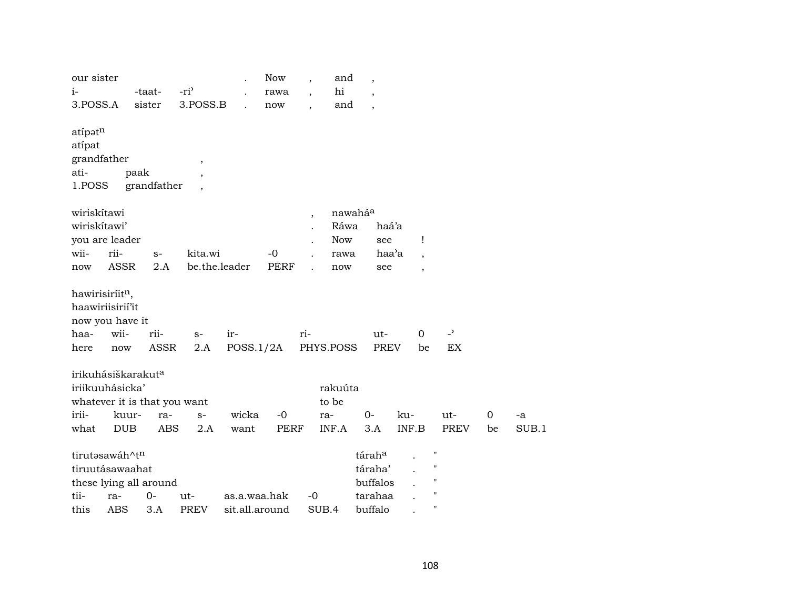| our sister                  |                                |             |                  |                | Now         | $\overline{\phantom{a}}$ | and         | $\overline{\phantom{a}}$ |       |                          |                          |    |       |
|-----------------------------|--------------------------------|-------------|------------------|----------------|-------------|--------------------------|-------------|--------------------------|-------|--------------------------|--------------------------|----|-------|
| $i-$                        |                                | -taat-      | -ri <sup>3</sup> |                | rawa        | $\overline{\phantom{a}}$ | $\hbox{hi}$ | $\overline{ }$           |       |                          |                          |    |       |
| 3.POSS.A                    |                                | sister      | 3.POSS.B         |                | now         |                          | and         | $\overline{\phantom{a}}$ |       |                          |                          |    |       |
| atípatn                     |                                |             |                  |                |             |                          |             |                          |       |                          |                          |    |       |
| atípat                      |                                |             |                  |                |             |                          |             |                          |       |                          |                          |    |       |
| grandfather                 |                                |             | $\, ,$           |                |             |                          |             |                          |       |                          |                          |    |       |
| ati-                        | paak                           |             | $\cdot$          |                |             |                          |             |                          |       |                          |                          |    |       |
| 1.POSS                      |                                | grandfather |                  |                |             |                          |             |                          |       |                          |                          |    |       |
| wiriskítawi                 |                                |             |                  |                |             | $\overline{\phantom{a}}$ | nawaháa     |                          |       |                          |                          |    |       |
| wiriskítawi'                |                                |             |                  |                |             |                          | Ráwa        |                          | haá'a |                          |                          |    |       |
|                             | you are leader                 |             |                  |                |             |                          | <b>Now</b>  | see                      |       | Ţ                        |                          |    |       |
| wii-                        | rii-                           | $S-$        | kita.wi          |                | $-0$        |                          | rawa        |                          | haa'a | $\overline{\phantom{a}}$ |                          |    |       |
| now                         | <b>ASSR</b>                    | 2.A         | be.the.leader    |                | <b>PERF</b> |                          | now         | see                      |       | $\overline{\phantom{a}}$ |                          |    |       |
| hawirisiríit <sup>n</sup> , |                                |             |                  |                |             |                          |             |                          |       |                          |                          |    |       |
|                             | haawiriisirií'it               |             |                  |                |             |                          |             |                          |       |                          |                          |    |       |
|                             | now you have it                |             |                  |                |             |                          |             |                          |       |                          |                          |    |       |
| haa-                        | wii-                           | rii-        | $S-$             | ir-            |             | ri-                      |             | ut-                      |       | $\mathbf 0$              | $\overline{\phantom{a}}$ |    |       |
| here                        | now                            | ASSR        | 2.A              | POSS.1/2A      |             |                          | PHYS.POSS   | <b>PREV</b>              |       | be                       | EX                       |    |       |
|                             | irikuhásiškarakut <sup>a</sup> |             |                  |                |             |                          |             |                          |       |                          |                          |    |       |
|                             | iriikuuhásicka'                |             |                  |                |             |                          | rakuúta     |                          |       |                          |                          |    |       |
|                             | whatever it is that you want   |             |                  |                |             |                          | to be       |                          |       |                          |                          |    |       |
| irii-                       | kuur-                          | ra-         | $S-$             | wicka          | $-0$        |                          | ra-         | $0-$                     | ku-   |                          | $ut -$                   | 0  | -a    |
| what                        | <b>DUB</b>                     | <b>ABS</b>  | 2.A              | want           | <b>PERF</b> |                          | INF.A       | 3.A                      | INF.B |                          | <b>PREV</b>              | be | SUB.1 |
|                             | tirutasawáh^tn                 |             |                  |                |             |                          |             | táraha                   |       |                          | $\pmb{\mathsf{H}}$       |    |       |
|                             | tiruutásawaahat                |             |                  |                |             |                          |             | táraha'                  |       |                          | $\pmb{\mathsf{H}}$       |    |       |
|                             | these lying all around         |             |                  |                |             |                          |             | buffalos                 |       |                          | $\pmb{\mathsf{H}}$       |    |       |
| tii-                        | ra-                            | $O -$       | ut-              | as.a.waa.hak   |             | $-0$                     |             | tarahaa                  |       |                          | $\bar{\mathbf{H}}$       |    |       |
| this                        | <b>ABS</b>                     | 3.A         | <b>PREV</b>      | sit.all.around |             |                          | SUB.4       | buffalo                  |       |                          | $\pmb{\mathsf{H}}$       |    |       |